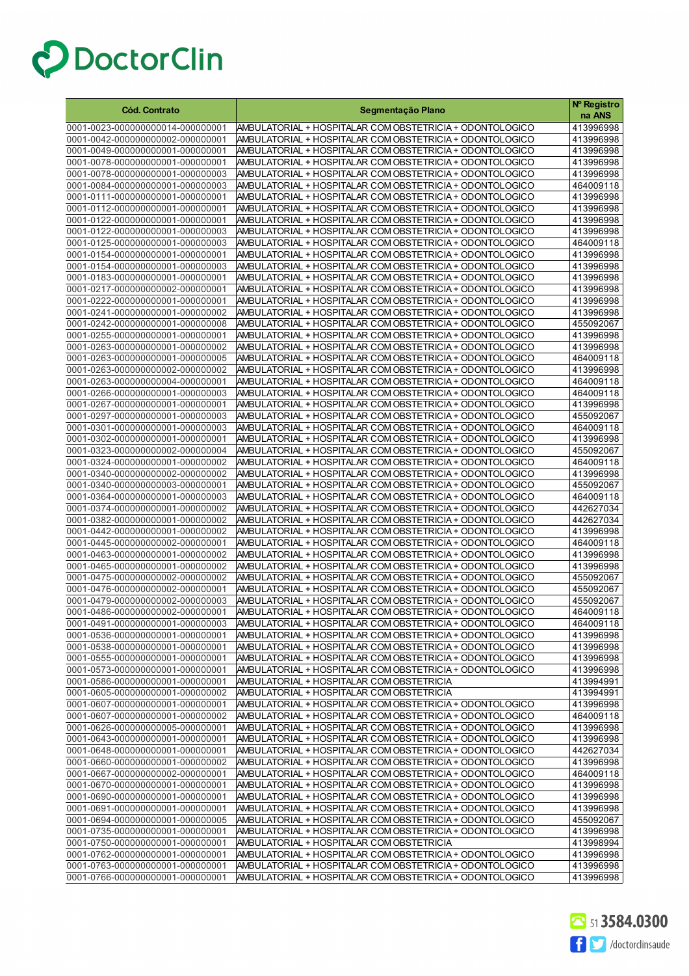| Cód. Contrato<br>Segmentação Plano                                                                                                                                                           | Nº Registro<br>na ANS  |
|----------------------------------------------------------------------------------------------------------------------------------------------------------------------------------------------|------------------------|
| 0001-0023-000000000014-000000001<br>AMBULATORIAL + HOSPITALAR COM OBSTETRICIA + ODONTOLOGICO                                                                                                 | 413996998              |
| AMBULATORIAL + HOSPITALAR COM OBSTETRICIA + ODONTOLOGICO<br>0001-0042-000000000002-000000001                                                                                                 | 413996998              |
| 0001-0049-000000000001-000000001<br>AMBULATORIAL + HOSPITALAR COM OBSTETRICIA + ODONTOLOGICO                                                                                                 | 413996998              |
| 0001-0078-000000000001-000000001<br>AMBULATORIAL + HOSPITALAR COM OBSTETRICIA + ODONTOLOGICO                                                                                                 | 413996998              |
| AMBULATORIAL + HOSPITALAR COM OBSTETRICIA + ODONTOLOGICO<br>0001-0078-000000000001-000000003                                                                                                 | 413996998              |
| 0001-0084-000000000001-000000003<br>AMBULATORIAL + HOSPITALAR COM OBSTETRICIA + ODONTOLOGICO                                                                                                 | 464009118              |
| 0001-0111-000000000001-000000001<br>AMBULATORIAL + HOSPITALAR COM OBSTETRICIA + ODONTOLOGICO                                                                                                 | 413996998              |
| 0001-0112-000000000001-000000001<br>AMBULATORIAL + HOSPITALAR COM OBSTETRICIA + ODONTOLOGICO                                                                                                 | 413996998              |
| 0001-0122-000000000001-000000001<br>AMBULATORIAL + HOSPITALAR COM OBSTETRICIA + ODONTOLOGICO                                                                                                 | 413996998              |
| 0001-0122-000000000001-000000003<br>AMBULATORIAL + HOSPITALAR COM OBSTETRICIA + ODONTOLOGICO                                                                                                 | 413996998              |
| 0001-0125-000000000001-000000003<br>AMBULATORIAL + HOSPITALAR COM OBSTETRICIA + ODONTOLOGICO                                                                                                 | 464009118              |
| 0001-0154-000000000001-000000001<br>AMBULATORIAL + HOSPITALAR COM OBSTETRICIA + ODONTOLOGICO                                                                                                 | 413996998              |
| 0001-0154-000000000001-000000003<br>AMBULATORIAL + HOSPITALAR COM OBSTETRICIA + ODONTOLOGICO                                                                                                 | 413996998              |
| 0001-0183-000000000001-000000001<br>AMBULATORIAL + HOSPITALAR COM OBSTETRICIA + ODONTOLOGICO                                                                                                 | 413996998              |
| 0001-0217-000000000002-000000001<br>AMBULATORIAL + HOSPITALAR COM OBSTETRICIA + ODONTOLOGICO<br>0001-0222-000000000001-000000001<br>AMBULATORIAL + HOSPITALAR COM OBSTETRICIA + ODONTOLOGICO | 413996998<br>413996998 |
| 0001-0241-000000000001-000000002<br>AMBULATORIAL + HOSPITALAR COM OBSTETRICIA + ODONTOLOGICO                                                                                                 | 413996998              |
| 0001-0242-000000000001-000000008<br>AMBULATORIAL + HOSPITALAR COM OBSTETRICIA + ODONTOLOGICO                                                                                                 | 455092067              |
| 0001-0255-000000000001-000000001<br>AMBULATORIAL + HOSPITALAR COM OBSTETRICIA + ODONTOLOGICO                                                                                                 | 413996998              |
| 0001-0263-000000000001-000000002<br>AMBULATORIAL + HOSPITALAR COM OBSTETRICIA + ODONTOLOGICO                                                                                                 | 413996998              |
| 0001-0263-000000000001-000000005<br>AMBULATORIAL + HOSPITALAR COM OBSTETRICIA + ODONTOLOGICO                                                                                                 | 464009118              |
| 0001-0263-000000000002-000000002<br>AMBULATORIAL + HOSPITALAR COM OBSTETRICIA + ODONTOLOGICO                                                                                                 | 413996998              |
| 0001-0263-000000000004-000000001<br>AMBULATORIAL + HOSPITALAR COM OBSTETRICIA + ODONTOLOGICO                                                                                                 | 464009118              |
| 0001-0266-000000000001-000000003<br>AMBULATORIAL + HOSPITALAR COM OBSTETRICIA + ODONTOLOGICO                                                                                                 | 464009118              |
| 0001-0267-000000000001-000000001<br>AMBULATORIAL + HOSPITALAR COM OBSTETRICIA + ODONTOLOGICO                                                                                                 | 413996998              |
| 0001-0297-000000000001-000000003<br>AMBULATORIAL + HOSPITALAR COM OBSTETRICIA + ODONTOLOGICO                                                                                                 | 455092067              |
| 0001-0301-000000000001-000000003<br>AMBULATORIAL + HOSPITALAR COM OBSTETRICIA + ODONTOLOGICO                                                                                                 | 464009118              |
| 0001-0302-000000000001-000000001<br>AMBULATORIAL + HOSPITALAR COM OBSTETRICIA + ODONTOLOGICO                                                                                                 | 413996998              |
| 0001-0323-000000000002-000000004<br>AMBULATORIAL + HOSPITALAR COM OBSTETRICIA + ODONTOLOGICO                                                                                                 | 455092067              |
| 0001-0324-000000000001-000000002<br>AMBULATORIAL + HOSPITALAR COM OBSTETRICIA + ODONTOLOGICO                                                                                                 | 464009118              |
| 0001-0340-000000000002-000000002<br>AMBULATORIAL + HOSPITALAR COM OBSTETRICIA + ODONTOLOGICO                                                                                                 | 413996998              |
| 0001-0340-000000000003-000000001<br>AMBULATORIAL + HOSPITALAR COM OBSTETRICIA + ODONTOLOGICO                                                                                                 | 455092067              |
| 0001-0364-000000000001-000000003<br>AMBULATORIAL + HOSPITALAR COM OBSTETRICIA + ODONTOLOGICO                                                                                                 | 464009118<br>442627034 |
| 0001-0374-000000000001-000000002<br>AMBULATORIAL + HOSPITALAR COM OBSTETRICIA + ODONTOLOGICO<br>AMBULATORIAL + HOSPITALAR COM OBSTETRICIA + ODONTOLOGICO<br>0001-0382-000000000001-000000002 | 442627034              |
| 0001-0442-000000000001-000000002<br>AMBULATORIAL + HOSPITALAR COM OBSTETRICIA + ODONTOLOGICO                                                                                                 | 413996998              |
| AMBULATORIAL + HOSPITALAR COM OBSTETRICIA + ODONTOLOGICO<br>0001-0445-000000000002-000000001                                                                                                 | 464009118              |
| 0001-0463-000000000001-000000002<br>AMBULATORIAL + HOSPITALAR COM OBSTETRICIA + ODONTOLOGICO                                                                                                 | 413996998              |
| 0001-0465-000000000001-000000002<br>AMBULATORIAL + HOSPITALAR COM OBSTETRICIA + ODONTOLOGICO                                                                                                 | 413996998              |
| AMBULATORIAL + HOSPITALAR COM OBSTETRICIA + ODONTOLOGICO<br>0001-0475-000000000002-000000002                                                                                                 | 455092067              |
| AMBULATORIAL + HOSPITALAR COM OBSTETRICIA + ODONTOLOGICO<br>0001-0476-000000000002-000000001                                                                                                 | 455092067              |
| 0001-0479-000000000002-000000003<br>AMBULATORIAL + HOSPITALAR COM OBSTETRICIA + ODONTOLOGICO                                                                                                 | 455092067              |
| 0001-0486-000000000002-000000001<br>AMBULATORIAL + HOSPITALAR COM OBSTETRICIA + ODONTOLOGICO                                                                                                 | 464009118              |
| AMBULATORIAL + HOSPITALAR COM OBSTETRICIA + ODONTOLOGICO<br>0001-0491-000000000001-000000003                                                                                                 | 464009118              |
| AMBULATORIAL + HOSPITALAR COM OBSTETRICIA + ODONTOLOGICO<br>0001-0536-000000000001-000000001                                                                                                 | 413996998              |
| 0001-0538-000000000001-000000001<br>AMBULATORIAL + HOSPITALAR COM OBSTETRICIA + ODONTOLOGICO                                                                                                 | 413996998              |
| 0001-0555-000000000001-000000001<br>AMBULATORIAL + HOSPITALAR COM OBSTETRICIA + ODONTOLOGICO                                                                                                 | 413996998              |
| 0001-0573-000000000001-000000001<br>AMBULATORIAL + HOSPITALAR COM OBSTETRICIA + ODONTOLOGICO<br>0001-0586-000000000001-000000001                                                             | 413996998              |
| AMBULATORIAL + HOSPITALAR COM OBSTETRICIA<br>0001-0605-000000000001-000000002<br>AMBULATORIAL + HOSPITALAR COM OBSTETRICIA                                                                   | 413994991<br>413994991 |
| 0001-0607-000000000001-000000001<br>AMBULATORIAL + HOSPITALAR COM OBSTETRICIA + ODONTOLOGICO                                                                                                 | 413996998              |
| 0001-0607-000000000001-000000002<br>AMBULATORIAL + HOSPITALAR COM OBSTETRICIA + ODONTOLOGICO                                                                                                 | 464009118              |
| 0001-0626-000000000005-000000001<br>AMBULATORIAL + HOSPITALAR COM OBSTETRICIA + ODONTOLOGICO                                                                                                 | 413996998              |
| 0001-0643-000000000001-000000001<br>AMBULATORIAL + HOSPITALAR COM OBSTETRICIA + ODONTOLOGICO                                                                                                 | 413996998              |
| 0001-0648-000000000001-000000001<br>AMBULATORIAL + HOSPITALAR COM OBSTETRICIA + ODONTOLOGICO                                                                                                 |                        |
|                                                                                                                                                                                              | 442627034              |
| 0001-0660-000000000001-000000002<br>AMBULATORIAL + HOSPITALAR COM OBSTETRICIA + ODONTOLOGICO                                                                                                 | 413996998              |
| 0001-0667-000000000002-000000001<br>AMBULATORIAL + HOSPITALAR COM OBSTETRICIA + ODONTOLOGICO                                                                                                 | 464009118              |
| 0001-0670-000000000001-000000001<br>AMBULATORIAL + HOSPITALAR COM OBSTETRICIA + ODONTOLOGICO                                                                                                 | 413996998              |
| 0001-0690-000000000001-000000001<br>AMBULATORIAL + HOSPITALAR COM OBSTETRICIA + ODONTOLOGICO                                                                                                 | 413996998              |
| 0001-0691-000000000001-000000001<br>AMBULATORIAL + HOSPITALAR COM OBSTETRICIA + ODONTOLOGICO                                                                                                 | 413996998              |
| 0001-0694-000000000001-000000005<br>AMBULATORIAL + HOSPITALAR COM OBSTETRICIA + ODONTOLOGICO                                                                                                 | 455092067              |
| 0001-0735-000000000001-000000001<br>AMBULATORIAL + HOSPITALAR COM OBSTETRICIA + ODONTOLOGICO                                                                                                 | 413996998              |
| 0001-0750-000000000001-000000001<br>AMBULATORIAL + HOSPITALAR COM OBSTETRICIA                                                                                                                | 413998994              |
| 0001-0762-000000000001-000000001<br>AMBULATORIAL + HOSPITALAR COM OBSTETRICIA + ODONTOLOGICO<br>0001-0763-000000000001-000000001<br>AMBULATORIAL + HOSPITALAR COM OBSTETRICIA + ODONTOLOGICO | 413996998<br>413996998 |

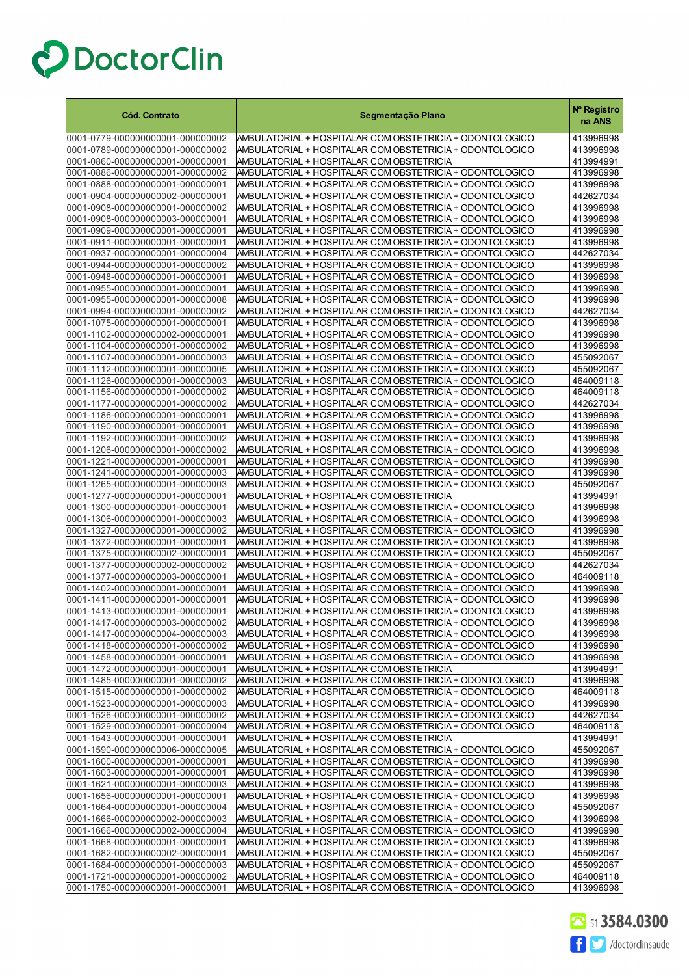| <b>Cód. Contrato</b>                                                 | Segmentação Plano                                                                                                    | Nº Registro<br>na ANS  |
|----------------------------------------------------------------------|----------------------------------------------------------------------------------------------------------------------|------------------------|
| 0001-0779-000000000001-000000002                                     | AMBULATORIAL + HOSPITALAR COM OBSTETRICIA + ODONTOLOGICO                                                             | 413996998              |
| 0001-0789-000000000001-000000002                                     | AMBULATORIAL + HOSPITALAR COM OBSTETRICIA + ODONTOLOGICO                                                             | 413996998              |
| 0001-0860-000000000001-000000001                                     | AMBULATORIAL + HOSPITALAR COM OBSTETRICIA                                                                            | 413994991              |
| 0001-0886-000000000001-000000002                                     | AMBULATORIAL + HOSPITALAR COM OBSTETRICIA + ODONTOLOGICO                                                             | 413996998              |
| 0001-0888-000000000001-000000001                                     | AMBULATORIAL + HOSPITALAR COM OBSTETRICIA + ODONTOLOGICO                                                             | 413996998              |
| 0001-0904-000000000002-000000001                                     | AMBULATORIAL + HOSPITALAR COM OBSTETRICIA + ODONTOLOGICO                                                             | 442627034              |
| 0001-0908-000000000001-000000002<br>0001-0908-000000000003-000000001 | AMBULATORIAL + HOSPITALAR COM OBSTETRICIA + ODONTOLOGICO<br>AMBULATORIAL + HOSPITALAR COM OBSTETRICIA + ODONTOLOGICO | 413996998<br>413996998 |
| 0001-0909-000000000001-000000001                                     | AMBULATORIAL + HOSPITALAR COM OBSTETRICIA + ODONTOLOGICO                                                             | 413996998              |
| 0001-0911-000000000001-000000001                                     | AMBULATORIAL + HOSPITALAR COM OBSTETRICIA + ODONTOLOGICO                                                             | 413996998              |
| 0001-0937-000000000001-000000004                                     | AMBULATORIAL + HOSPITALAR COM OBSTETRICIA + ODONTOLOGICO                                                             | 442627034              |
| 0001-0944-000000000001-000000002                                     | AMBULATORIAL + HOSPITALAR COM OBSTETRICIA + ODONTOLOGICO                                                             | 413996998              |
| 0001-0948-000000000001-000000001                                     | AMBULATORIAL + HOSPITALAR COM OBSTETRICIA + ODONTOLOGICO                                                             | 413996998              |
| 0001-0955-000000000001-000000001                                     | AMBULATORIAL + HOSPITALAR COM OBSTETRICIA + ODONTOLOGICO                                                             | 413996998              |
| 0001-0955-000000000001-000000008                                     | AMBULATORIAL + HOSPITALAR COM OBSTETRICIA + ODONTOLOGICO                                                             | 413996998              |
| 0001-0994-000000000001-000000002                                     | AMBULATORIAL + HOSPITALAR COM OBSTETRICIA + ODONTOLOGICO                                                             | 442627034              |
| 0001-1075-000000000001-000000001<br>0001-1102-000000000002-000000001 | AMBULATORIAL + HOSPITALAR COM OBSTETRICIA + ODONTOLOGICO<br>AMBULATORIAL + HOSPITALAR COM OBSTETRICIA + ODONTOLOGICO | 413996998<br>413996998 |
| 0001-1104-000000000001-000000002                                     | AMBULATORIAL + HOSPITALAR COM OBSTETRICIA + ODONTOLOGICO                                                             | 413996998              |
| 0001-1107-000000000001-000000003                                     | AMBULATORIAL + HOSPITALAR COM OBSTETRICIA + ODONTOLOGICO                                                             | 455092067              |
| 0001-1112-000000000001-000000005                                     | AMBULATORIAL + HOSPITALAR COM OBSTETRICIA + ODONTOLOGICO                                                             | 455092067              |
| 0001-1126-000000000001-000000003                                     | AMBULATORIAL + HOSPITALAR COM OBSTETRICIA + ODONTOLOGICO                                                             | 464009118              |
| 0001-1156-000000000001-000000002                                     | AMBULATORIAL + HOSPITALAR COM OBSTETRICIA + ODONTOLOGICO                                                             | 464009118              |
| 0001-1177-000000000001-000000002                                     | AMBULATORIAL + HOSPITALAR COM OBSTETRICIA + ODONTOLOGICO                                                             | 442627034              |
| 0001-1186-000000000001-000000001                                     | AMBULATORIAL + HOSPITALAR COM OBSTETRICIA + ODONTOLOGICO                                                             | 413996998              |
| 0001-1190-000000000001-000000001                                     | AMBULATORIAL + HOSPITALAR COM OBSTETRICIA + ODONTOLOGICO                                                             | 413996998              |
| 0001-1192-000000000001-000000002                                     | AMBULATORIAL + HOSPITALAR COM OBSTETRICIA + ODONTOLOGICO                                                             | 413996998              |
| 0001-1206-000000000001-000000002<br>0001-1221-000000000001-000000001 | AMBULATORIAL + HOSPITALAR COM OBSTETRICIA + ODONTOLOGICO<br>AMBULATORIAL + HOSPITALAR COM OBSTETRICIA + ODONTOLOGICO | 413996998<br>413996998 |
| 0001-1241-000000000001-000000003                                     | AMBULATORIAL + HOSPITALAR COM OBSTETRICIA + ODONTOLOGICO                                                             | 413996998              |
| 0001-1265-000000000001-000000003                                     | AMBULATORIAL + HOSPITALAR COM OBSTETRICIA + ODONTOLOGICO                                                             | 455092067              |
| 0001-1277-000000000001-000000001                                     | AMBULATORIAL + HOSPITALAR COM OBSTETRICIA                                                                            | 413994991              |
| 0001-1300-000000000001-000000001                                     | AMBULATORIAL + HOSPITALAR COM OBSTETRICIA + ODONTOLOGICO                                                             | 413996998              |
| 0001-1306-000000000001-000000003                                     | AMBULATORIAL + HOSPITALAR COM OBSTETRICIA + ODONTOLOGICO                                                             | 413996998              |
| 0001-1327-000000000001-000000002                                     | AMBULATORIAL + HOSPITALAR COM OBSTETRICIA + ODONTOLOGICO                                                             | 413996998              |
| 0001-1372-000000000001-000000001                                     | AMBULATORIAL + HOSPITALAR COM OBSTETRICIA + ODONTOLOGICO                                                             | 413996998<br>455092067 |
| 0001-1375-000000000002-000000001<br>0001-1377-000000000002-000000002 | AMBULATORIAL + HOSPITALAR COM OBSTETRICIA + ODONTOLOGICO<br>AMBULATORIAL + HOSPITALAR COM OBSTETRICIA + ODONTOLOGICO | 442627034              |
| 0001-1377-000000000003-000000001                                     | AMBULATORIAL + HOSPITALAR COM OBSTETRICIA + ODONTOLOGICO                                                             | 464009118              |
| 0001-1402-000000000001-000000001                                     | AMBULATORIAL + HOSPITALAR COM OBSTETRICIA + ODONTOLOGICO                                                             | 413996998              |
| 0001-1411-000000000001-000000001                                     | AMBULATORIAL + HOSPITALAR COM OBSTETRICIA + ODONTOLOGICO                                                             | 413996998              |
| 0001-1413-000000000001-000000001                                     | AMBULATORIAL + HOSPITALAR COM OBSTETRICIA + ODONTOLOGICO                                                             | 413996998              |
| 0001-1417-000000000003-000000002                                     | AMBULATORIAL + HOSPITALAR COM OBSTETRICIA + ODONTOLOGICO                                                             | 413996998              |
| 0001-1417-000000000004-000000003                                     | AMBULATORIAL + HOSPITALAR COM OBSTETRICIA + ODONTOLOGICO                                                             | 413996998              |
| 0001-1418-000000000001-000000002                                     | AMBULATORIAL + HOSPITALAR COM OBSTETRICIA + ODONTOLOGICO                                                             | 413996998              |
| 0001-1458-000000000001-000000001                                     | AMBULATORIAL + HOSPITALAR COM OBSTETRICIA + ODONTOLOGICO                                                             | 413996998              |
| 0001-1472-000000000001-000000001<br>0001-1485-000000000001-000000002 | AMBULATORIAL + HOSPITALAR COM OBSTETRICIA<br>AMBULATORIAL + HOSPITALAR COM OBSTETRICIA + ODONTOLOGICO                | 413994991<br>413996998 |
| 0001-1515-000000000001-000000002                                     | AMBULATORIAL + HOSPITALAR COM OBSTETRICIA + ODONTOLOGICO                                                             | 464009118              |
| 0001-1523-000000000001-000000003                                     | AMBULATORIAL + HOSPITALAR COM OBSTETRICIA + ODONTOLOGICO                                                             | 413996998              |
| 0001-1526-000000000001-000000002                                     | AMBULATORIAL + HOSPITALAR COM OBSTETRICIA + ODONTOLOGICO                                                             | 442627034              |
| 0001-1529-000000000001-000000004                                     | AMBULATORIAL + HOSPITALAR COM OBSTETRICIA + ODONTOLOGICO                                                             | 464009118              |
| 0001-1543-000000000001-000000001                                     | AMBULATORIAL + HOSPITALAR COM OBSTETRICIA                                                                            | 413994991              |
| 0001-1590-000000000006-000000005                                     | AMBULATORIAL + HOSPITALAR COM OBSTETRICIA + ODONTOLOGICO                                                             | 455092067              |
| 0001-1600-000000000001-000000001                                     | AMBULATORIAL + HOSPITALAR COM OBSTETRICIA + ODONTOLOGICO                                                             | 413996998              |
| 0001-1603-000000000001-000000001                                     | AMBULATORIAL + HOSPITALAR COM OBSTETRICIA + ODONTOLOGICO                                                             | 413996998              |
| 0001-1621-000000000001-000000003<br>0001-1656-000000000001-000000001 | AMBULATORIAL + HOSPITALAR COM OBSTETRICIA + ODONTOLOGICO<br>AMBULATORIAL + HOSPITALAR COM OBSTETRICIA + ODONTOLOGICO | 413996998<br>413996998 |
| 0001-1664-000000000001-000000004                                     | AMBULATORIAL + HOSPITALAR COM OBSTETRICIA + ODONTOLOGICO                                                             | 455092067              |
| 0001-1666-000000000002-000000003                                     | AMBULATORIAL + HOSPITALAR COM OBSTETRICIA + ODONTOLOGICO                                                             | 413996998              |
| 0001-1666-000000000002-000000004                                     | AMBULATORIAL + HOSPITALAR COM OBSTETRICIA + ODONTOLOGICO                                                             | 413996998              |
| 0001-1668-000000000001-000000001                                     | AMBULATORIAL + HOSPITALAR COM OBSTETRICIA + ODONTOLOGICO                                                             | 413996998              |
| 0001-1682-000000000002-000000001                                     | AMBULATORIAL + HOSPITALAR COM OBSTETRICIA + ODONTOLOGICO                                                             | 455092067              |
| 0001-1684-000000000001-000000003                                     | AMBULATORIAL + HOSPITALAR COM OBSTETRICIA + ODONTOLOGICO                                                             | 455092067              |
| 0001-1721-000000000001-000000002                                     | AMBULATORIAL + HOSPITALAR COM OBSTETRICIA + ODONTOLOGICO                                                             | 464009118              |
| 0001-1750-000000000001-000000001                                     | AMBULATORIAL + HOSPITALAR COM OBSTETRICIA + ODONTOLOGICO                                                             | 413996998              |

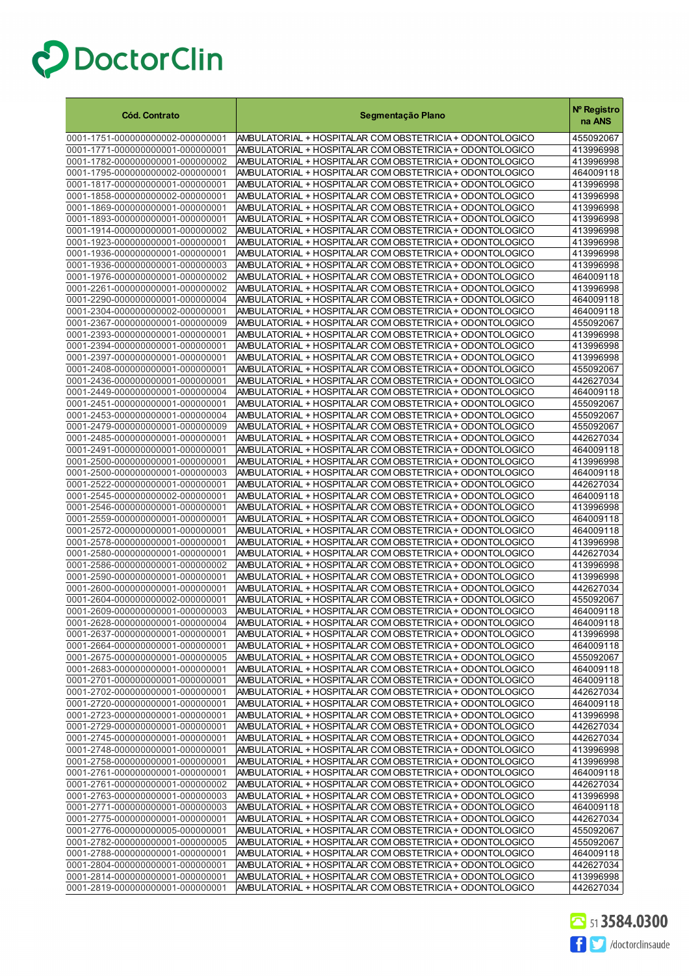| <b>Cód. Contrato</b>                                                 | Segmentação Plano                                                                                                    | Nº Registro<br>na ANS  |
|----------------------------------------------------------------------|----------------------------------------------------------------------------------------------------------------------|------------------------|
| 0001-1751-000000000002-000000001                                     | AMBULATORIAL + HOSPITALAR COM OBSTETRICIA + ODONTOLOGICO                                                             | 455092067              |
| 0001-1771-000000000001-000000001                                     | AMBULATORIAL + HOSPITALAR COM OBSTETRICIA + ODONTOLOGICO                                                             | 413996998              |
| 0001-1782-000000000001-000000002                                     | AMBULATORIAL + HOSPITALAR COM OBSTETRICIA + ODONTOLOGICO                                                             | 413996998              |
| 0001-1795-000000000002-000000001                                     | AMBULATORIAL + HOSPITALAR COM OBSTETRICIA + ODONTOLOGICO                                                             | 464009118              |
| 0001-1817-000000000001-000000001                                     | AMBULATORIAL + HOSPITALAR COM OBSTETRICIA + ODONTOLOGICO                                                             | 413996998              |
| 0001-1858-000000000002-000000001                                     | AMBULATORIAL + HOSPITALAR COM OBSTETRICIA + ODONTOLOGICO                                                             | 413996998              |
| 0001-1869-000000000001-000000001                                     | AMBULATORIAL + HOSPITALAR COM OBSTETRICIA + ODONTOLOGICO                                                             | 413996998              |
| 0001-1893-000000000001-000000001                                     | AMBULATORIAL + HOSPITALAR COM OBSTETRICIA + ODONTOLOGICO                                                             | 413996998              |
| 0001-1914-000000000001-000000002                                     | AMBULATORIAL + HOSPITALAR COM OBSTETRICIA + ODONTOLOGICO                                                             | 413996998              |
| 0001-1923-000000000001-000000001                                     | AMBULATORIAL + HOSPITALAR COM OBSTETRICIA + ODONTOLOGICO                                                             | 413996998              |
| 0001-1936-000000000001-000000001                                     | AMBULATORIAL + HOSPITALAR COM OBSTETRICIA + ODONTOLOGICO                                                             | 413996998              |
| 0001-1936-000000000001-000000003                                     | AMBULATORIAL + HOSPITALAR COM OBSTETRICIA + ODONTOLOGICO                                                             | 413996998              |
| 0001-1976-000000000001-000000002                                     | AMBULATORIAL + HOSPITALAR COM OBSTETRICIA + ODONTOLOGICO                                                             | 464009118              |
| 0001-2261-000000000001-000000002                                     | AMBULATORIAL + HOSPITALAR COM OBSTETRICIA + ODONTOLOGICO                                                             | 413996998              |
| 0001-2290-000000000001-000000004                                     | AMBULATORIAL + HOSPITALAR COM OBSTETRICIA + ODONTOLOGICO                                                             | 464009118              |
| 0001-2304-000000000002-000000001                                     | AMBULATORIAL + HOSPITALAR COM OBSTETRICIA + ODONTOLOGICO                                                             | 464009118              |
| 0001-2367-000000000001-000000009                                     | AMBULATORIAL + HOSPITALAR COM OBSTETRICIA + ODONTOLOGICO                                                             | 455092067              |
| 0001-2393-000000000001-000000001                                     | AMBULATORIAL + HOSPITALAR COM OBSTETRICIA + ODONTOLOGICO                                                             | 413996998              |
| 0001-2394-000000000001-000000001                                     | AMBULATORIAL + HOSPITALAR COM OBSTETRICIA + ODONTOLOGICO                                                             | 413996998              |
| 0001-2397-000000000001-000000001                                     | AMBULATORIAL + HOSPITALAR COM OBSTETRICIA + ODONTOLOGICO                                                             | 413996998              |
| 0001-2408-000000000001-000000001<br>0001-2436-000000000001-000000001 | AMBULATORIAL + HOSPITALAR COM OBSTETRICIA + ODONTOLOGICO<br>AMBULATORIAL + HOSPITALAR COM OBSTETRICIA + ODONTOLOGICO | 455092067<br>442627034 |
|                                                                      | AMBULATORIAL + HOSPITALAR COM OBSTETRICIA + ODONTOLOGICO                                                             |                        |
| 0001-2449-000000000001-000000004<br>0001-2451-000000000001-000000001 | AMBULATORIAL + HOSPITALAR COM OBSTETRICIA + ODONTOLOGICO                                                             | 464009118<br>455092067 |
| 0001-2453-000000000001-000000004                                     | AMBULATORIAL + HOSPITALAR COM OBSTETRICIA + ODONTOLOGICO                                                             | 455092067              |
| 0001-2479-000000000001-000000009                                     | AMBULATORIAL + HOSPITALAR COM OBSTETRICIA + ODONTOLOGICO                                                             | 455092067              |
| 0001-2485-000000000001-000000001                                     | AMBULATORIAL + HOSPITALAR COM OBSTETRICIA + ODONTOLOGICO                                                             | 442627034              |
| 0001-2491-000000000001-000000001                                     | AMBULATORIAL + HOSPITALAR COM OBSTETRICIA + ODONTOLOGICO                                                             | 464009118              |
| 0001-2500-000000000001-000000001                                     | AMBULATORIAL + HOSPITALAR COM OBSTETRICIA + ODONTOLOGICO                                                             | 413996998              |
| 0001-2500-000000000001-000000003                                     | AMBULATORIAL + HOSPITALAR COM OBSTETRICIA + ODONTOLOGICO                                                             | 464009118              |
| 0001-2522-000000000001-000000001                                     | AMBULATORIAL + HOSPITALAR COM OBSTETRICIA + ODONTOLOGICO                                                             | 442627034              |
| 0001-2545-000000000002-000000001                                     | AMBULATORIAL + HOSPITALAR COM OBSTETRICIA + ODONTOLOGICO                                                             | 464009118              |
| 0001-2546-000000000001-000000001                                     | AMBULATORIAL + HOSPITALAR COM OBSTETRICIA + ODONTOLOGICO                                                             | 413996998              |
| 0001-2559-000000000001-000000001                                     | AMBULATORIAL + HOSPITALAR COM OBSTETRICIA + ODONTOLOGICO                                                             | 464009118              |
| 0001-2572-000000000001-000000001                                     | AMBULATORIAL + HOSPITALAR COM OBSTETRICIA + ODONTOLOGICO                                                             | 464009118              |
| 0001-2578-000000000001-000000001                                     | AMBULATORIAL + HOSPITALAR COM OBSTETRICIA + ODONTOLOGICO                                                             | 413996998              |
| 0001-2580-000000000001-000000001                                     | AMBULATORIAL + HOSPITALAR COM OBSTETRICIA + ODONTOLOGICO                                                             | 442627034              |
| 0001-2586-000000000001-000000002                                     | AMBULATORIAL + HOSPITALAR COM OBSTETRICIA + ODONTOLOGICO                                                             | 413996998              |
| 0001-2590-000000000001-000000001                                     | AMBULATORIAL + HOSPITALAR COM OBSTETRICIA + ODONTOLOGICO                                                             | 413996998              |
| 0001-2600-000000000001-000000001                                     | AMBULATORIAL + HOSPITALAR COM OBSTETRICIA + ODONTOLOGICO                                                             | 442627034              |
| 0001-2604-000000000002-000000001                                     | AMBULATORIAL + HOSPITALAR COM OBSTETRICIA + ODONTOLOGICO                                                             | 455092067              |
| 0001-2609-000000000001-0000000003                                    | AMBULATORIAL + HOSPITALAR COM OBSTETRICIA + ODONTOLOGICO                                                             | 464009118              |
| 0001-2628-000000000001-000000004                                     | AMBULATORIAL + HOSPITALAR COM OBSTETRICIA + ODON FOLOGICO                                                            | 464009118              |
| 0001-2637-000000000001-000000001                                     | AMBULATORIAL + HOSPITALAR COM OBSTETRICIA + ODONTOLOGICO                                                             | 413996998              |
| 0001-2664-000000000001-000000001                                     | AMBULATORIAL + HOSPITALAR COM OBSTETRICIA + ODONTOLOGICO                                                             | 464009118              |
| 0001-2675-000000000001-000000005<br>0001-2683-000000000001-000000001 | AMBULATORIAL + HOSPITALAR COM OBSTETRICIA + ODONTOLOGICO                                                             | 455092067              |
| 0001-2701-000000000001-000000001                                     | AMBULATORIAL + HOSPITALAR COM OBSTETRICIA + ODONTOLOGICO<br>AMBULATORIAL + HOSPITALAR COM OBSTETRICIA + ODONTOLOGICO | 464009118<br>464009118 |
| 0001-2702-000000000001-000000001                                     | AMBULATORIAL + HOSPITALAR COM OBSTETRICIA + ODONTOLOGICO                                                             | 442627034              |
| 0001-2720-000000000001-000000001                                     | AMBULATORIAL + HOSPITALAR COM OBSTETRICIA + ODONTOLOGICO                                                             | 464009118              |
| 0001-2723-000000000001-000000001                                     | AMBULATORIAL + HOSPITALAR COM OBSTETRICIA + ODONTOLOGICO                                                             | 413996998              |
| 0001-2729-000000000001-000000001                                     | AMBULATORIAL + HOSPITALAR COM OBSTETRICIA + ODONTOLOGICO                                                             | 442627034              |
| 0001-2745-000000000001-000000001                                     | AMBULATORIAL + HOSPITALAR COM OBSTETRICIA + ODONTOLOGICO                                                             | 442627034              |
| 0001-2748-000000000001-000000001                                     | AMBULATORIAL + HOSPITALAR COM OBSTETRICIA + ODONTOLOGICO                                                             | 413996998              |
| 0001-2758-000000000001-000000001                                     | AMBULATORIAL + HOSPITALAR COM OBSTETRICIA + ODONTOLOGICO                                                             | 413996998              |
| 0001-2761-000000000001-000000001                                     | AMBULATORIAL + HOSPITALAR COM OBSTETRICIA + ODONTOLOGICO                                                             | 464009118              |
| 0001-2761-000000000001-000000002                                     | AMBULATORIAL + HOSPITALAR COM OBSTETRICIA + ODONTOLOGICO                                                             | 442627034              |
| 0001-2763-000000000001-000000003                                     | AMBULATORIAL + HOSPITALAR COM OBSTETRICIA + ODONTOLOGICO                                                             | 413996998              |
| 0001-2771-000000000001-000000003                                     | AMBULATORIAL + HOSPITALAR COM OBSTETRICIA + ODONTOLOGICO                                                             | 464009118              |
| 0001-2775-000000000001-000000001                                     | AMBULATORIAL + HOSPITALAR COM OBSTETRICIA + ODONTOLOGICO                                                             | 442627034              |
| 0001-2776-000000000005-000000001                                     | AMBULATORIAL + HOSPITALAR COM OBSTETRICIA + ODONTOLOGICO                                                             | 455092067              |
| 0001-2782-000000000001-000000005                                     | AMBULATORIAL + HOSPITALAR COM OBSTETRICIA + ODONTOLOGICO                                                             | 455092067              |
| 0001-2788-000000000001-000000001                                     | AMBULATORIAL + HOSPITALAR COM OBSTETRICIA + ODONTOLOGICO                                                             | 464009118              |
| 0001-2804-000000000001-000000001                                     | AMBULATORIAL + HOSPITALAR COM OBSTETRICIA + ODONTOLOGICO                                                             | 442627034              |
| 0001-2814-000000000001-000000001                                     | AMBULATORIAL + HOSPITALAR COM OBSTETRICIA + ODONTOLOGICO                                                             | 413996998              |
| 0001-2819-000000000001-000000001                                     | AMBULATORIAL + HOSPITALAR COM OBSTETRICIA + ODONTOLOGICO                                                             | 442627034              |

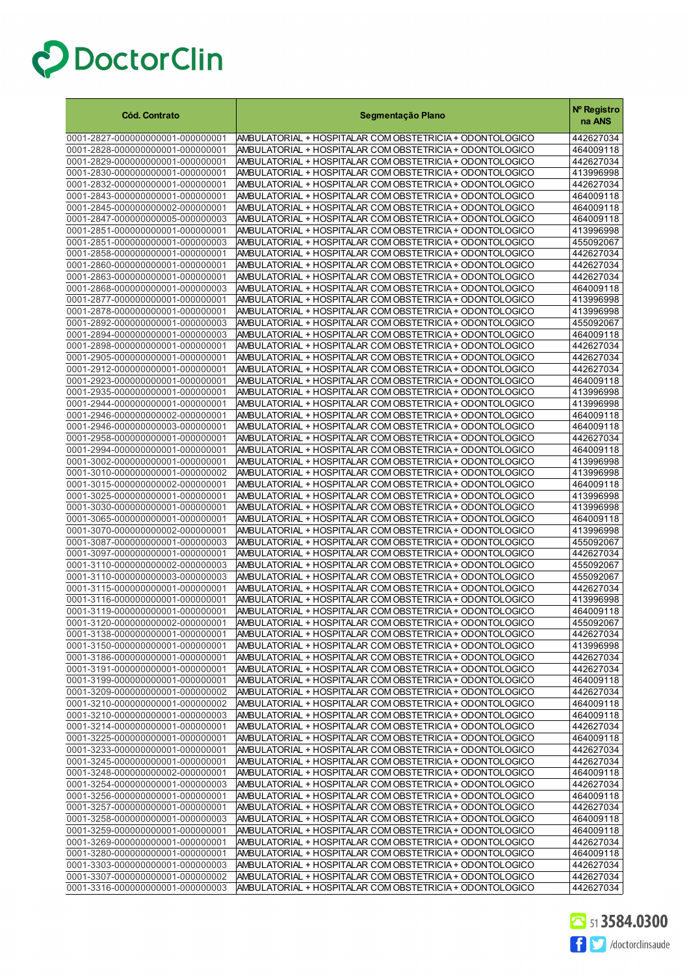| <b>Cód. Contrato</b>                                                 | Segmentação Plano                                                                                                     | Nº Registro<br>na ANS  |
|----------------------------------------------------------------------|-----------------------------------------------------------------------------------------------------------------------|------------------------|
| 0001-2827-000000000001-000000001                                     | AMBULATORIAL + HOSPITALAR COM OBSTETRICIA + ODONTOLOGICO                                                              | 442627034              |
| 0001-2828-000000000001-000000001                                     | AMBULATORIAL + HOSPITALAR COM OBSTETRICIA + ODONTOLOGICO                                                              | 464009118              |
| 0001-2829-000000000001-000000001                                     | AMBULATORIAL + HOSPITALAR COM OBSTETRICIA + ODONTOLOGICO                                                              | 442627034              |
| 0001-2830-000000000001-000000001                                     | AMBULATORIAL + HOSPITALAR COM OBSTETRICIA + ODONTOLOGICO                                                              | 413996998              |
| 0001-2832-000000000001-000000001                                     | AMBULATORIAL + HOSPITALAR COM OBSTETRICIA + ODONTOLOGICO                                                              | 442627034              |
| 0001-2843-000000000001-000000001                                     | AMBULATORIAL + HOSPITALAR COM OBSTETRICIA + ODONTOLOGICO                                                              | 464009118              |
| 0001-2845-000000000002-000000001                                     | AMBULATORIAL + HOSPITALAR COM OBSTETRICIA + ODONTOLOGICO                                                              | 464009118              |
| 0001-2847-000000000005-000000003<br>0001-2851-000000000001-000000001 | AMBULATORIAL + HOSPITALAR COM OBSTETRICIA + ODONTOLOGICO<br>AMBULATORIAL + HOSPITALAR COM OBSTETRICIA + ODONTOLOGICO  | 464009118<br>413996998 |
| 0001-2851-000000000001-000000003                                     | AMBULATORIAL + HOSPITALAR COM OBSTETRICIA + ODONTOLOGICO                                                              | 455092067              |
| 0001-2858-000000000001-000000001                                     | AMBULATORIAL + HOSPITALAR COM OBSTETRICIA + ODONTOLOGICO                                                              | 442627034              |
| 0001-2860-000000000001-000000001                                     | AMBULATORIAL + HOSPITALAR COM OBSTETRICIA + ODONTOLOGICO                                                              | 442627034              |
| 0001-2863-000000000001-000000001                                     | AMBULATORIAL + HOSPITALAR COM OBSTETRICIA + ODONTOLOGICO                                                              | 442627034              |
| 0001-2868-000000000001-000000003                                     | AMBULATORIAL + HOSPITALAR COM OBSTETRICIA + ODONTOLOGICO                                                              | 464009118              |
| 0001-2877-000000000001-000000001                                     | AMBULATORIAL + HOSPITALAR COM OBSTETRICIA + ODONTOLOGICO                                                              | 413996998              |
| 0001-2878-000000000001-000000001                                     | AMBULATORIAL + HOSPITALAR COM OBSTETRICIA + ODONTOLOGICO                                                              | 413996998              |
| 0001-2892-000000000001-000000003                                     | AMBULATORIAL + HOSPITALAR COM OBSTETRICIA + ODONTOLOGICO                                                              | 455092067              |
| 0001-2894-000000000001-000000003                                     | AMBULATORIAL + HOSPITALAR COM OBSTETRICIA + ODONTOLOGICO                                                              | 464009118              |
| 0001-2898-000000000001-000000001<br>0001-2905-000000000001-000000001 | AMBULATORIAL + HOSPITALAR COM OBSTETRICIA + ODONTOLOGICO<br>AMBULATORIAL + HOSPITALAR COM OBSTETRICIA + ODONTOLOGICO  | 442627034<br>442627034 |
| 0001-2912-000000000001-000000001                                     | AMBULATORIAL + HOSPITALAR COM OBSTETRICIA + ODONTOLOGICO                                                              | 442627034              |
| 0001-2923-000000000001-000000001                                     | AMBULATORIAL + HOSPITALAR COM OBSTETRICIA + ODONTOLOGICO                                                              | 464009118              |
| 0001-2935-000000000001-000000001                                     | AMBULATORIAL + HOSPITALAR COM OBSTETRICIA + ODONTOLOGICO                                                              | 413996998              |
| 0001-2944-000000000001-000000001                                     | AMBULATORIAL + HOSPITALAR COM OBSTETRICIA + ODONTOLOGICO                                                              | 413996998              |
| 0001-2946-000000000002-000000001                                     | AMBULATORIAL + HOSPITALAR COM OBSTETRICIA + ODONTOLOGICO                                                              | 464009118              |
| 0001-2946-000000000003-000000001                                     | AMBULATORIAL + HOSPITALAR COM OBSTETRICIA + ODONTOLOGICO                                                              | 464009118              |
| 0001-2958-000000000001-000000001                                     | AMBULATORIAL + HOSPITALAR COM OBSTETRICIA + ODONTOLOGICO                                                              | 442627034              |
| 0001-2994-000000000001-000000001                                     | AMBULATORIAL + HOSPITALAR COM OBSTETRICIA + ODONTOLOGICO                                                              | 464009118              |
| 0001-3002-000000000001-000000001                                     | AMBULATORIAL + HOSPITALAR COM OBSTETRICIA + ODONTOLOGICO                                                              | 413996998              |
| 0001-3010-000000000001-000000002                                     | AMBULATORIAL + HOSPITALAR COM OBSTETRICIA + ODONTOLOGICO                                                              | 413996998              |
| 0001-3015-000000000002-000000001<br>0001-3025-000000000001-000000001 | AMBULATORIAL + HOSPITALAR COM OBSTETRICIA + ODONTOLOGICO<br>AMBULATORIAL + HOSPITALAR COM OBSTETRICIA + ODONTOLOGICO  | 464009118<br>413996998 |
| 0001-3030-000000000001-000000001                                     | AMBULATORIAL + HOSPITALAR COM OBSTETRICIA + ODONTOLOGICO                                                              | 413996998              |
| 0001-3065-000000000001-000000001                                     | AMBULATORIAL + HOSPITALAR COM OBSTETRICIA + ODONTOLOGICO                                                              | 464009118              |
| 0001-3070-000000000002-000000001                                     | AMBULATORIAL + HOSPITALAR COM OBSTETRICIA + ODONTOLOGICO                                                              | 413996998              |
| 0001-3087-000000000001-000000003                                     | AMBULATORIAL + HOSPITALAR COM OBSTETRICIA + ODONTOLOGICO                                                              | 455092067              |
| 0001-3097-000000000001-000000001                                     | AMBULATORIAL + HOSPITALAR COM OBSTETRICIA + ODONTOLOGICO                                                              | 442627034              |
| 0001-3110-000000000002-000000003                                     | AMBULATORIAL + HOSPITALAR COM OBSTETRICIA + ODONTOLOGICO                                                              | 455092067              |
| 0001-3110-000000000003-000000003                                     | AMBULATORIAL + HOSPITALAR COM OBSTETRICIA + ODONTOLOGICO                                                              | 455092067              |
| 0001-3115-000000000001-000000001                                     | AMBULATORIAL + HOSPITALAR COM OBSTETRICIA + ODONTOLOGICO                                                              | 442627034              |
| 0001-3116-000000000001-000000001                                     | AMBULATORIAL + HOSPITALAR COM OBSTETRICIA + ODONTOLOGICO<br>AMBULATORIAL + HOSPITALAR COM OBSTETRICIA + ODONTOLOGICO  | 413996998              |
| 0001-3119-000000000001-000000001                                     |                                                                                                                       | 464009118              |
| 0001-3120-000000000002-000000001<br>0001-3138-000000000001-000000001 | AMBULATORIAL + HOSPITALAR COM OBSTETRICIA + ODON TOLOGICO<br>AMBULATORIAL + HOSPITALAR COM OBSTETRICIA + ODONTOLOGICO | 455092067<br>442627034 |
| 0001-3150-000000000001-000000001                                     | AMBULATORIAL + HOSPITALAR COM OBSTETRICIA + ODONTOLOGICO                                                              | 413996998              |
| 0001-3186-000000000001-000000001                                     | AMBULATORIAL + HOSPITALAR COM OBSTETRICIA + ODONTOLOGICO                                                              | 442627034              |
| 0001-3191-000000000001-000000001                                     | AMBULATORIAL + HOSPITALAR COM OBSTETRICIA + ODONTOLOGICO                                                              | 442627034              |
| 0001-3199-000000000001-000000001                                     | AMBULATORIAL + HOSPITALAR COM OBSTETRICIA + ODONTOLOGICO                                                              | 464009118              |
| 0001-3209-000000000001-000000002                                     | AMBULATORIAL + HOSPITALAR COM OBSTETRICIA + ODONTOLOGICO                                                              | 442627034              |
| 0001-3210-000000000001-000000002                                     | AMBULATORIAL + HOSPITALAR COM OBSTETRICIA + ODONTOLOGICO                                                              | 464009118              |
| 0001-3210-000000000001-000000003                                     | AMBULATORIAL + HOSPITALAR COM OBSTETRICIA + ODONTOLOGICO                                                              | 464009118              |
| 0001-3214-000000000001-000000001                                     | AMBULATORIAL + HOSPITALAR COM OBSTETRICIA + ODONTOLOGICO<br>AMBULATORIAL + HOSPITALAR COM OBSTETRICIA + ODONTOLOGICO  | 442627034              |
| 0001-3225-000000000001-000000001<br>0001-3233-000000000001-000000001 | AMBULATORIAL + HOSPITALAR COM OBSTETRICIA + ODONTOLOGICO                                                              | 464009118<br>442627034 |
| 0001-3245-000000000001-000000001                                     | AMBULATORIAL + HOSPITALAR COM OBSTETRICIA + ODONTOLOGICO                                                              | 442627034              |
| 0001-3248-000000000002-000000001                                     | AMBULATORIAL + HOSPITALAR COM OBSTETRICIA + ODONTOLOGICO                                                              | 464009118              |
| 0001-3254-000000000001-000000003                                     | AMBULATORIAL + HOSPITALAR COM OBSTETRICIA + ODONTOLOGICO                                                              | 442627034              |
| 0001-3256-000000000001-000000001                                     | AMBULATORIAL + HOSPITALAR COM OBSTETRICIA + ODONTOLOGICO                                                              | 464009118              |
| 0001-3257-000000000001-000000001                                     | AMBULATORIAL + HOSPITALAR COM OBSTETRICIA + ODONTOLOGICO                                                              | 442627034              |
| 0001-3258-000000000001-000000003                                     | AMBULATORIAL + HOSPITALAR COM OBSTETRICIA + ODONTOLOGICO                                                              | 464009118              |
| 0001-3259-000000000001-000000001                                     | AMBULATORIAL + HOSPITALAR COM OBSTETRICIA + ODONTOLOGICO                                                              | 464009118              |
| 0001-3269-000000000001-000000001                                     | AMBULATORIAL + HOSPITALAR COM OBSTETRICIA + ODONTOLOGICO                                                              | 442627034              |
| 0001-3280-000000000001-000000001<br>0001-3303-000000000001-000000003 | AMBULATORIAL + HOSPITALAR COM OBSTETRICIA + ODONTOLOGICO<br>AMBULATORIAL + HOSPITALAR COM OBSTETRICIA + ODONTOLOGICO  | 464009118<br>442627034 |
| 0001-3307-000000000001-000000002                                     | AMBULATORIAL + HOSPITALAR COM OBSTETRICIA + ODONTOLOGICO                                                              | 442627034              |
| 0001-3316-000000000001-000000003                                     | AMBULATORIAL + HOSPITALAR COM OBSTETRICIA + ODONTOLOGICO                                                              | 442627034              |

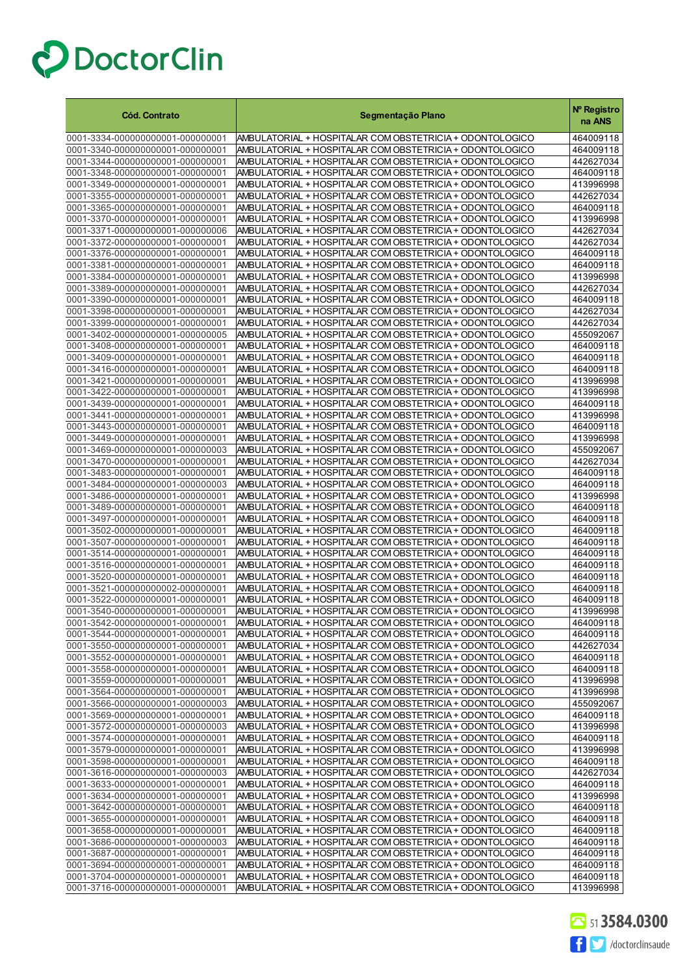| <b>Cód. Contrato</b>                                                 | Segmentação Plano                                                                                                    | Nº Registro<br>na ANS  |
|----------------------------------------------------------------------|----------------------------------------------------------------------------------------------------------------------|------------------------|
| 0001-3334-000000000001-000000001                                     | AMBULATORIAL + HOSPITALAR COM OBSTETRICIA + ODONTOLOGICO                                                             | 464009118              |
| 0001-3340-000000000001-000000001                                     | AMBULATORIAL + HOSPITALAR COM OBSTETRICIA + ODONTOLOGICO                                                             | 464009118              |
| 0001-3344-000000000001-000000001                                     | AMBULATORIAL + HOSPITALAR COM OBSTETRICIA + ODONTOLOGICO                                                             | 442627034              |
| 0001-3348-000000000001-000000001                                     | AMBULATORIAL + HOSPITALAR COM OBSTETRICIA + ODONTOLOGICO                                                             | 464009118              |
| 0001-3349-000000000001-000000001                                     | AMBULATORIAL + HOSPITALAR COM OBSTETRICIA + ODONTOLOGICO                                                             | 413996998              |
| 0001-3355-000000000001-000000001                                     | AMBULATORIAL + HOSPITALAR COM OBSTETRICIA + ODONTOLOGICO                                                             | 442627034              |
| 0001-3365-000000000001-000000001                                     | AMBULATORIAL + HOSPITALAR COM OBSTETRICIA + ODONTOLOGICO                                                             | 464009118              |
| 0001-3370-000000000001-000000001                                     | AMBULATORIAL + HOSPITALAR COM OBSTETRICIA + ODONTOLOGICO                                                             | 413996998              |
| 0001-3371-000000000001-000000006                                     | AMBULATORIAL + HOSPITALAR COM OBSTETRICIA + ODONTOLOGICO                                                             | 442627034              |
| 0001-3372-000000000001-000000001                                     | AMBULATORIAL + HOSPITALAR COM OBSTETRICIA + ODONTOLOGICO                                                             | 442627034              |
| 0001-3376-000000000001-000000001                                     | AMBULATORIAL + HOSPITALAR COM OBSTETRICIA + ODONTOLOGICO                                                             | 464009118              |
| 0001-3381-000000000001-000000001                                     | AMBULATORIAL + HOSPITALAR COM OBSTETRICIA + ODONTOLOGICO                                                             | 464009118              |
| 0001-3384-000000000001-000000001                                     | AMBULATORIAL + HOSPITALAR COM OBSTETRICIA + ODONTOLOGICO                                                             | 413996998              |
| 0001-3389-000000000001-000000001                                     | AMBULATORIAL + HOSPITALAR COM OBSTETRICIA + ODONTOLOGICO                                                             | 442627034              |
| 0001-3390-000000000001-000000001                                     | AMBULATORIAL + HOSPITALAR COM OBSTETRICIA + ODONTOLOGICO                                                             | 464009118              |
| 0001-3398-000000000001-000000001<br>0001-3399-000000000001-000000001 | AMBULATORIAL + HOSPITALAR COM OBSTETRICIA + ODONTOLOGICO<br>AMBULATORIAL + HOSPITALAR COM OBSTETRICIA + ODONTOLOGICO | 442627034<br>442627034 |
| 0001-3402-000000000001-000000005                                     | AMBULATORIAL + HOSPITALAR COM OBSTETRICIA + ODONTOLOGICO                                                             | 455092067              |
| 0001-3408-000000000001-000000001                                     | AMBULATORIAL + HOSPITALAR COM OBSTETRICIA + ODONTOLOGICO                                                             | 464009118              |
| 0001-3409-000000000001-000000001                                     | AMBULATORIAL + HOSPITALAR COM OBSTETRICIA + ODONTOLOGICO                                                             | 464009118              |
| 0001-3416-000000000001-000000001                                     | AMBULATORIAL + HOSPITALAR COM OBSTETRICIA + ODONTOLOGICO                                                             | 464009118              |
| 0001-3421-000000000001-000000001                                     | AMBULATORIAL + HOSPITALAR COM OBSTETRICIA + ODONTOLOGICO                                                             | 413996998              |
| 0001-3422-000000000001-000000001                                     | AMBULATORIAL + HOSPITALAR COM OBSTETRICIA + ODONTOLOGICO                                                             | 413996998              |
| 0001-3439-000000000001-000000001                                     | AMBULATORIAL + HOSPITALAR COM OBSTETRICIA + ODONTOLOGICO                                                             | 464009118              |
| 0001-3441-000000000001-000000001                                     | AMBULATORIAL + HOSPITALAR COM OBSTETRICIA + ODONTOLOGICO                                                             | 413996998              |
| 0001-3443-000000000001-000000001                                     | AMBULATORIAL + HOSPITALAR COM OBSTETRICIA + ODONTOLOGICO                                                             | 464009118              |
| 0001-3449-000000000001-000000001                                     | AMBULATORIAL + HOSPITALAR COM OBSTETRICIA + ODONTOLOGICO                                                             | 413996998              |
| 0001-3469-000000000001-000000003                                     | AMBULATORIAL + HOSPITALAR COM OBSTETRICIA + ODONTOLOGICO                                                             | 455092067              |
| 0001-3470-000000000001-000000001                                     | AMBULATORIAL + HOSPITALAR COM OBSTETRICIA + ODONTOLOGICO                                                             | 442627034              |
| 0001-3483-000000000001-000000001                                     | AMBULATORIAL + HOSPITALAR COM OBSTETRICIA + ODONTOLOGICO                                                             | 464009118              |
| 0001-3484-000000000001-000000003                                     | AMBULATORIAL + HOSPITALAR COM OBSTETRICIA + ODONTOLOGICO                                                             | 464009118              |
| 0001-3486-000000000001-000000001                                     | AMBULATORIAL + HOSPITALAR COM OBSTETRICIA + ODONTOLOGICO                                                             | 413996998              |
| 0001-3489-000000000001-000000001                                     | AMBULATORIAL + HOSPITALAR COM OBSTETRICIA + ODONTOLOGICO                                                             | 464009118              |
| 0001-3497-000000000001-000000001                                     | AMBULATORIAL + HOSPITALAR COM OBSTETRICIA + ODONTOLOGICO                                                             | 464009118              |
| 0001-3502-000000000001-000000001                                     | AMBULATORIAL + HOSPITALAR COM OBSTETRICIA + ODONTOLOGICO                                                             | 464009118              |
| 0001-3507-000000000001-000000001                                     | AMBULATORIAL + HOSPITALAR COM OBSTETRICIA + ODONTOLOGICO                                                             | 464009118              |
| 0001-3514-000000000001-000000001<br>0001-3516-000000000001-000000001 | AMBULATORIAL + HOSPITALAR COM OBSTETRICIA + ODONTOLOGICO<br>AMBULATORIAL + HOSPITALAR COM OBSTETRICIA + ODONTOLOGICO | 464009118<br>464009118 |
| 0001-3520-000000000001-000000001                                     | AMBULATORIAL + HOSPITALAR COM OBSTETRICIA + ODONTOLOGICO                                                             | 464009118              |
| 0001-3521-000000000002-000000001                                     | AMBULATORIAL + HOSPITALAR COM OBSTETRICIA + ODONTOLOGICO                                                             | 464009118              |
| 0001-3522-000000000001-000000001                                     | AMBULATORIAL + HOSPITALAR COM OBSTETRICIA + ODONTOLOGICO                                                             | 464009118              |
| 0001-3540-000000000001-000000001                                     | AMBULATORIAL + HOSPITALAR COM OBSTETRICIA + ODONTOLOGICO                                                             | 413996998              |
| 0001-3542-000000000001-000000001                                     | AMBULATORIAL + HOSPITALAR COM OBSTETRICIA + ODONTOLOGICO                                                             | 464009118              |
| 0001-3544-000000000001-000000001                                     | AMBULATORIAL + HOSPITALAR COM OBSTETRICIA + ODONTOLOGICO                                                             | 464009118              |
| 0001-3550-000000000001-000000001                                     | AMBULATORIAL + HOSPITALAR COM OBSTETRICIA + ODONTOLOGICO                                                             | 442627034              |
| 0001-3552-000000000001-000000001                                     | AMBULATORIAL + HOSPITALAR COM OBSTETRICIA + ODONTOLOGICO                                                             | 464009118              |
| 0001-3558-000000000001-000000001                                     | AMBULATORIAL + HOSPITALAR COM OBSTETRICIA + ODONTOLOGICO                                                             | 464009118              |
| 0001-3559-000000000001-000000001                                     | AMBULATORIAL + HOSPITALAR COM OBSTETRICIA + ODONTOLOGICO                                                             | 413996998              |
| 0001-3564-000000000001-000000001                                     | AMBULATORIAL + HOSPITALAR COM OBSTETRICIA + ODONTOLOGICO                                                             | 413996998              |
| 0001-3566-000000000001-000000003                                     | AMBULATORIAL + HOSPITALAR COM OBSTETRICIA + ODONTOLOGICO                                                             | 455092067              |
| 0001-3569-000000000001-000000001                                     | AMBULATORIAL + HOSPITALAR COM OBSTETRICIA + ODONTOLOGICO                                                             | 464009118              |
| 0001-3572-000000000001-000000003                                     | AMBULATORIAL + HOSPITALAR COM OBSTETRICIA + ODONTOLOGICO                                                             | 413996998              |
| 0001-3574-000000000001-000000001                                     | AMBULATORIAL + HOSPITALAR COM OBSTETRICIA + ODONTOLOGICO                                                             | 464009118              |
| 0001-3579-000000000001-000000001                                     | AMBULATORIAL + HOSPITALAR COM OBSTETRICIA + ODONTOLOGICO                                                             | 413996998              |
| 0001-3598-000000000001-000000001                                     | AMBULATORIAL + HOSPITALAR COM OBSTETRICIA + ODONTOLOGICO                                                             | 464009118              |
| 0001-3616-000000000001-000000003<br>0001-3633-000000000001-000000001 | AMBULATORIAL + HOSPITALAR COM OBSTETRICIA + ODONTOLOGICO<br>AMBULATORIAL + HOSPITALAR COM OBSTETRICIA + ODONTOLOGICO | 442627034<br>464009118 |
| 0001-3634-000000000001-000000001                                     | AMBULATORIAL + HOSPITALAR COM OBSTETRICIA + ODONTOLOGICO                                                             | 413996998              |
| 0001-3642-000000000001-000000001                                     | AMBULATORIAL + HOSPITALAR COM OBSTETRICIA + ODONTOLOGICO                                                             | 464009118              |
| 0001-3655-000000000001-000000001                                     | AMBULATORIAL + HOSPITALAR COM OBSTETRICIA + ODONTOLOGICO                                                             | 464009118              |
| 0001-3658-000000000001-000000001                                     | AMBULATORIAL + HOSPITALAR COM OBSTETRICIA + ODONTOLOGICO                                                             | 464009118              |
| 0001-3686-000000000001-000000003                                     | AMBULATORIAL + HOSPITALAR COM OBSTETRICIA + ODONTOLOGICO                                                             | 464009118              |
| 0001-3687-000000000001-000000001                                     | AMBULATORIAL + HOSPITALAR COM OBSTETRICIA + ODONTOLOGICO                                                             | 464009118              |
| 0001-3694-000000000001-000000001                                     | AMBULATORIAL + HOSPITALAR COM OBSTETRICIA + ODONTOLOGICO                                                             | 464009118              |
| 0001-3704-000000000001-000000001                                     | AMBULATORIAL + HOSPITALAR COM OBSTETRICIA + ODONTOLOGICO                                                             | 464009118              |
| 0001-3716-000000000001-000000001                                     | AMBULATORIAL + HOSPITALAR COM OBSTETRICIA + ODONTOLOGICO                                                             | 413996998              |

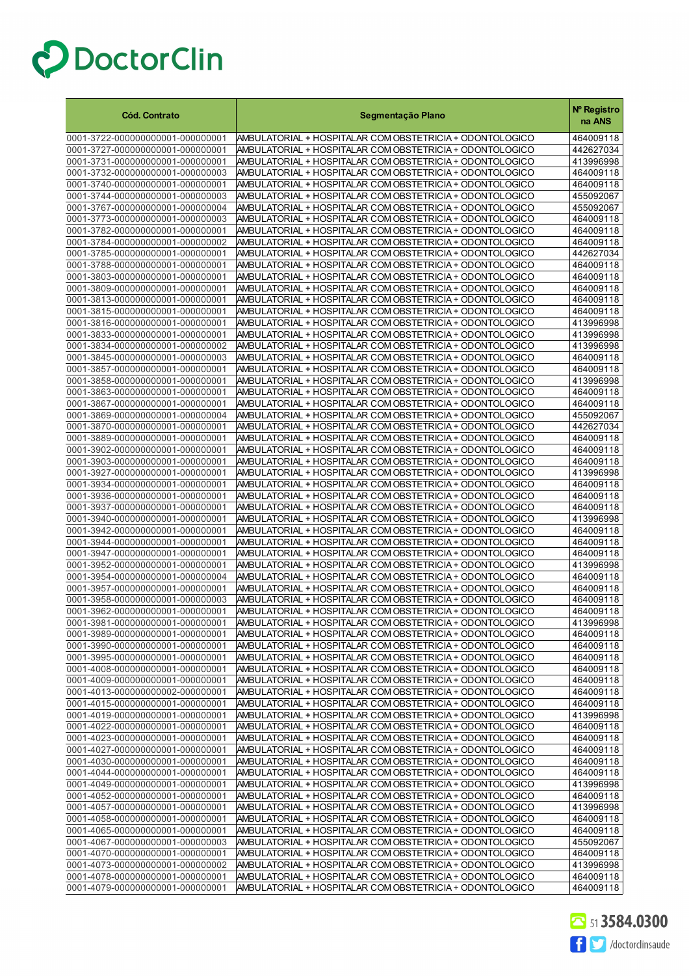| <b>Cód. Contrato</b>                                                 | Segmentação Plano                                                                                                    | Nº Registro<br>na ANS  |
|----------------------------------------------------------------------|----------------------------------------------------------------------------------------------------------------------|------------------------|
| 0001-3722-000000000001-000000001                                     | AMBULATORIAL + HOSPITALAR COM OBSTETRICIA + ODONTOLOGICO                                                             | 464009118              |
| 0001-3727-000000000001-000000001                                     | AMBULATORIAL + HOSPITALAR COM OBSTETRICIA + ODONTOLOGICO                                                             | 442627034              |
| 0001-3731-000000000001-000000001                                     | AMBULATORIAL + HOSPITALAR COM OBSTETRICIA + ODONTOLOGICO                                                             | 413996998              |
| 0001-3732-000000000001-000000003                                     | AMBULATORIAL + HOSPITALAR COM OBSTETRICIA + ODONTOLOGICO                                                             | 464009118              |
| 0001-3740-000000000001-000000001                                     | AMBULATORIAL + HOSPITALAR COM OBSTETRICIA + ODONTOLOGICO                                                             | 464009118              |
| 0001-3744-000000000001-000000003                                     | AMBULATORIAL + HOSPITALAR COM OBSTETRICIA + ODONTOLOGICO                                                             | 455092067              |
| 0001-3767-000000000001-000000004                                     | AMBULATORIAL + HOSPITALAR COM OBSTETRICIA + ODONTOLOGICO                                                             | 455092067              |
| 0001-3773-000000000001-000000003                                     | AMBULATORIAL + HOSPITALAR COM OBSTETRICIA + ODONTOLOGICO                                                             | 464009118              |
| 0001-3782-000000000001-000000001                                     | AMBULATORIAL + HOSPITALAR COM OBSTETRICIA + ODONTOLOGICO                                                             | 464009118              |
| 0001-3784-000000000001-000000002                                     | AMBULATORIAL + HOSPITALAR COM OBSTETRICIA + ODONTOLOGICO                                                             | 464009118              |
| 0001-3785-000000000001-000000001                                     | AMBULATORIAL + HOSPITALAR COM OBSTETRICIA + ODONTOLOGICO                                                             | 442627034              |
| 0001-3788-000000000001-000000001                                     | AMBULATORIAL + HOSPITALAR COM OBSTETRICIA + ODONTOLOGICO                                                             | 464009118              |
| 0001-3803-000000000001-000000001                                     | AMBULATORIAL + HOSPITALAR COM OBSTETRICIA + ODONTOLOGICO                                                             | 464009118              |
| 0001-3809-000000000001-000000001                                     | AMBULATORIAL + HOSPITALAR COM OBSTETRICIA + ODONTOLOGICO                                                             | 464009118              |
| 0001-3813-000000000001-000000001                                     | AMBULATORIAL + HOSPITALAR COM OBSTETRICIA + ODONTOLOGICO                                                             | 464009118              |
| 0001-3815-000000000001-000000001                                     | AMBULATORIAL + HOSPITALAR COM OBSTETRICIA + ODONTOLOGICO                                                             | 464009118              |
| 0001-3816-000000000001-000000001                                     | AMBULATORIAL + HOSPITALAR COM OBSTETRICIA + ODONTOLOGICO                                                             | 413996998              |
| 0001-3833-000000000001-000000001                                     | AMBULATORIAL + HOSPITALAR COM OBSTETRICIA + ODONTOLOGICO                                                             | 413996998              |
| 0001-3834-000000000001-000000002                                     | AMBULATORIAL + HOSPITALAR COM OBSTETRICIA + ODONTOLOGICO                                                             | 413996998              |
| 0001-3845-000000000001-000000003                                     | AMBULATORIAL + HOSPITALAR COM OBSTETRICIA + ODONTOLOGICO                                                             | 464009118              |
| 0001-3857-000000000001-000000001                                     | AMBULATORIAL + HOSPITALAR COM OBSTETRICIA + ODONTOLOGICO                                                             | 464009118              |
| 0001-3858-000000000001-000000001                                     | AMBULATORIAL + HOSPITALAR COM OBSTETRICIA + ODONTOLOGICO                                                             | 413996998              |
| 0001-3863-000000000001-000000001                                     | AMBULATORIAL + HOSPITALAR COM OBSTETRICIA + ODONTOLOGICO                                                             | 464009118              |
| 0001-3867-000000000001-000000001                                     | AMBULATORIAL + HOSPITALAR COM OBSTETRICIA + ODONTOLOGICO                                                             | 464009118<br>455092067 |
| 0001-3869-000000000001-000000004<br>0001-3870-000000000001-000000001 | AMBULATORIAL + HOSPITALAR COM OBSTETRICIA + ODONTOLOGICO                                                             |                        |
| 0001-3889-000000000001-000000001                                     | AMBULATORIAL + HOSPITALAR COM OBSTETRICIA + ODONTOLOGICO<br>AMBULATORIAL + HOSPITALAR COM OBSTETRICIA + ODONTOLOGICO | 442627034<br>464009118 |
| 0001-3902-000000000001-000000001                                     | AMBULATORIAL + HOSPITALAR COM OBSTETRICIA + ODONTOLOGICO                                                             | 464009118              |
| 0001-3903-000000000001-000000001                                     | AMBULATORIAL + HOSPITALAR COM OBSTETRICIA + ODONTOLOGICO                                                             | 464009118              |
| 0001-3927-000000000001-000000001                                     | AMBULATORIAL + HOSPITALAR COM OBSTETRICIA + ODONTOLOGICO                                                             | 413996998              |
| 0001-3934-000000000001-000000001                                     | AMBULATORIAL + HOSPITALAR COM OBSTETRICIA + ODONTOLOGICO                                                             | 464009118              |
| 0001-3936-000000000001-000000001                                     | AMBULATORIAL + HOSPITALAR COM OBSTETRICIA + ODONTOLOGICO                                                             | 464009118              |
| 0001-3937-000000000001-000000001                                     | AMBULATORIAL + HOSPITALAR COM OBSTETRICIA + ODONTOLOGICO                                                             | 464009118              |
| 0001-3940-000000000001-000000001                                     | AMBULATORIAL + HOSPITALAR COM OBSTETRICIA + ODONTOLOGICO                                                             | 413996998              |
| 0001-3942-000000000001-000000001                                     | AMBULATORIAL + HOSPITALAR COM OBSTETRICIA + ODONTOLOGICO                                                             | 464009118              |
| 0001-3944-000000000001-000000001                                     | AMBULATORIAL + HOSPITALAR COM OBSTETRICIA + ODONTOLOGICO                                                             | 464009118              |
| 0001-3947-000000000001-000000001                                     | AMBULATORIAL + HOSPITALAR COM OBSTETRICIA + ODONTOLOGICO                                                             | 464009118              |
| 0001-3952-000000000001-000000001                                     | AMBULATORIAL + HOSPITALAR COM OBSTETRICIA + ODONTOLOGICO                                                             | 413996998              |
| 0001-3954-000000000001-000000004                                     | AMBULATORIAL + HOSPITALAR COM OBSTETRICIA + ODONTOLOGICO                                                             | 464009118              |
| 0001-3957-000000000001-000000001                                     | AMBULATORIAL + HOSPITALAR COM OBSTETRICIA + ODONTOLOGICO                                                             | 464009118              |
| 0001-3958-000000000001-000000003                                     | AMBULATORIAL + HOSPITALAR COM OBSTETRICIA + ODONTOLOGICO                                                             | 464009118              |
| 0001-3962-000000000001-000000001                                     | AMBULATORIAL + HOSPITALAR COM OBSTETRICIA + ODONTOLOGICO                                                             | 464009118              |
| 0001-3981-000000000001-000000001                                     | AMBULATORIAL + HOSPITALAR COM OBSTETRICIA + ODONTOLOGICO                                                             | 413996998              |
| 0001-3989-000000000001-000000001                                     | AMBULATORIAL + HOSPITALAR COM OBSTETRICIA + ODONTOLOGICO                                                             | 464009118              |
| 0001-3990-000000000001-000000001                                     | AMBULATORIAL + HOSPITALAR COM OBSTETRICIA + ODONTOLOGICO                                                             | 464009118              |
| 0001-3995-000000000001-000000001                                     | AMBULATORIAL + HOSPITALAR COM OBSTETRICIA + ODONTOLOGICO                                                             | 464009118              |
| 0001-4008-000000000001-000000001                                     | AMBULATORIAL + HOSPITALAR COM OBSTETRICIA + ODONTOLOGICO                                                             | 464009118              |
| 0001-4009-000000000001-000000001                                     | AMBULATORIAL + HOSPITALAR COM OBSTETRICIA + ODONTOLOGICO                                                             | 464009118              |
| 0001-4013-000000000002-000000001                                     | AMBULATORIAL + HOSPITALAR COM OBSTETRICIA + ODONTOLOGICO                                                             | 464009118              |
| 0001-4015-000000000001-000000001                                     | AMBULATORIAL + HOSPITALAR COM OBSTETRICIA + ODONTOLOGICO                                                             | 464009118              |
| 0001-4019-000000000001-000000001                                     | AMBULATORIAL + HOSPITALAR COM OBSTETRICIA + ODONTOLOGICO                                                             | 413996998              |
| 0001-4022-000000000001-000000001                                     | AMBULATORIAL + HOSPITALAR COM OBSTETRICIA + ODONTOLOGICO                                                             | 464009118              |
| 0001-4023-000000000001-000000001                                     | AMBULATORIAL + HOSPITALAR COM OBSTETRICIA + ODONTOLOGICO                                                             | 464009118              |
| 0001-4027-000000000001-000000001                                     | AMBULATORIAL + HOSPITALAR COM OBSTETRICIA + ODONTOLOGICO                                                             | 464009118              |
| 0001-4030-000000000001-000000001                                     | AMBULATORIAL + HOSPITALAR COM OBSTETRICIA + ODONTOLOGICO                                                             | 464009118              |
| 0001-4044-000000000001-000000001                                     | AMBULATORIAL + HOSPITALAR COM OBSTETRICIA + ODONTOLOGICO                                                             | 464009118              |
| 0001-4049-000000000001-000000001                                     | AMBULATORIAL + HOSPITALAR COM OBSTETRICIA + ODONTOLOGICO                                                             | 413996998              |
| 0001-4052-000000000001-000000001                                     | AMBULATORIAL + HOSPITALAR COM OBSTETRICIA + ODONTOLOGICO                                                             | 464009118              |
| 0001-4057-000000000001-000000001                                     | AMBULATORIAL + HOSPITALAR COM OBSTETRICIA + ODONTOLOGICO                                                             | 413996998              |
| 0001-4058-000000000001-000000001                                     | AMBULATORIAL + HOSPITALAR COM OBSTETRICIA + ODONTOLOGICO                                                             | 464009118              |
| 0001-4065-000000000001-000000001                                     | AMBULATORIAL + HOSPITALAR COM OBSTETRICIA + ODONTOLOGICO                                                             | 464009118              |
| 0001-4067-000000000001-000000003<br>0001-4070-000000000001-000000001 | AMBULATORIAL + HOSPITALAR COM OBSTETRICIA + ODONTOLOGICO<br>AMBULATORIAL + HOSPITALAR COM OBSTETRICIA + ODONTOLOGICO | 455092067<br>464009118 |
| 0001-4073-000000000001-000000002                                     | AMBULATORIAL + HOSPITALAR COM OBSTETRICIA + ODONTOLOGICO                                                             | 413996998              |
| 0001-4078-000000000001-000000001                                     | AMBULATORIAL + HOSPITALAR COM OBSTETRICIA + ODONTOLOGICO                                                             | 464009118              |
| 0001-4079-000000000001-000000001                                     | AMBULATORIAL + HOSPITALAR COM OBSTETRICIA + ODONTOLOGICO                                                             | 464009118              |

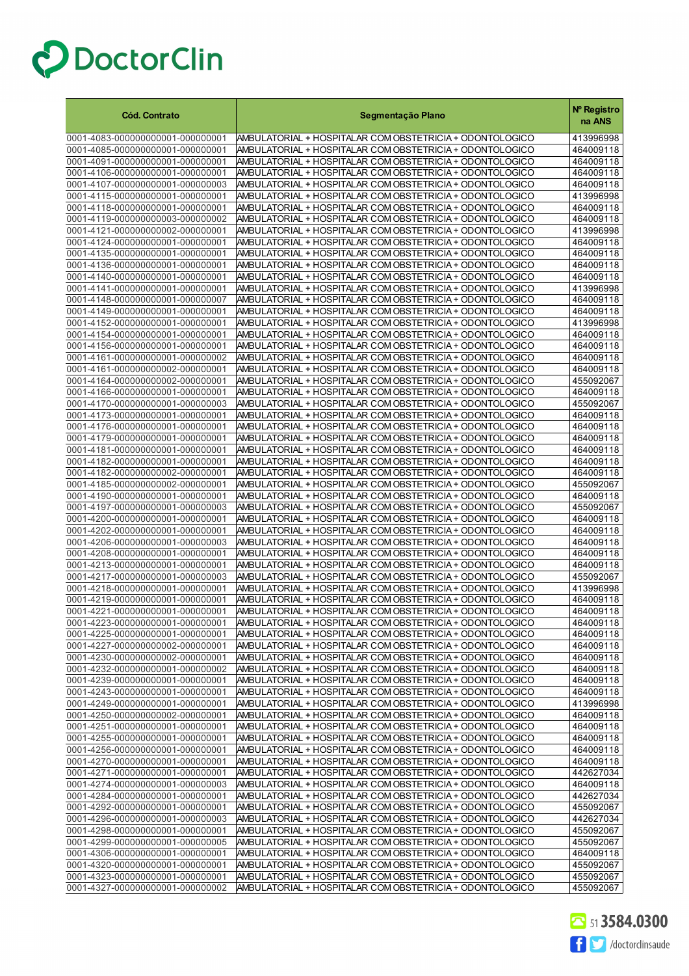| <b>Cód. Contrato</b>                                                 | Segmentação Plano                                                                                                    | Nº Registro<br>na ANS  |
|----------------------------------------------------------------------|----------------------------------------------------------------------------------------------------------------------|------------------------|
| 0001-4083-000000000001-000000001                                     | AMBULATORIAL + HOSPITALAR COM OBSTETRICIA + ODONTOLOGICO                                                             | 413996998              |
| 0001-4085-000000000001-000000001                                     | AMBULATORIAL + HOSPITALAR COM OBSTETRICIA + ODONTOLOGICO                                                             | 464009118              |
| 0001-4091-000000000001-000000001                                     | AMBULATORIAL + HOSPITALAR COM OBSTETRICIA + ODONTOLOGICO                                                             | 464009118              |
| 0001-4106-000000000001-000000001                                     | AMBULATORIAL + HOSPITALAR COM OBSTETRICIA + ODONTOLOGICO                                                             | 464009118              |
| 0001-4107-000000000001-000000003                                     | AMBULATORIAL + HOSPITALAR COM OBSTETRICIA + ODONTOLOGICO                                                             | 464009118              |
| 0001-4115-000000000001-000000001                                     | AMBULATORIAL + HOSPITALAR COM OBSTETRICIA + ODONTOLOGICO                                                             | 413996998              |
| 0001-4118-000000000001-000000001<br>0001-4119-000000000003-000000002 | AMBULATORIAL + HOSPITALAR COM OBSTETRICIA + ODONTOLOGICO<br>AMBULATORIAL + HOSPITALAR COM OBSTETRICIA + ODONTOLOGICO | 464009118<br>464009118 |
| 0001-4121-000000000002-000000001                                     | AMBULATORIAL + HOSPITALAR COM OBSTETRICIA + ODONTOLOGICO                                                             | 413996998              |
| 0001-4124-000000000001-000000001                                     | AMBULATORIAL + HOSPITALAR COM OBSTETRICIA + ODONTOLOGICO                                                             | 464009118              |
| 0001-4135-000000000001-000000001                                     | AMBULATORIAL + HOSPITALAR COM OBSTETRICIA + ODONTOLOGICO                                                             | 464009118              |
| 0001-4136-000000000001-000000001                                     | AMBULATORIAL + HOSPITALAR COM OBSTETRICIA + ODONTOLOGICO                                                             | 464009118              |
| 0001-4140-000000000001-000000001                                     | AMBULATORIAL + HOSPITALAR COM OBSTETRICIA + ODONTOLOGICO                                                             | 464009118              |
| 0001-4141-000000000001-000000001                                     | AMBULATORIAL + HOSPITALAR COM OBSTETRICIA + ODONTOLOGICO                                                             | 413996998              |
| 0001-4148-000000000001-000000007                                     | AMBULATORIAL + HOSPITALAR COM OBSTETRICIA + ODONTOLOGICO                                                             | 464009118              |
| 0001-4149-000000000001-000000001                                     | AMBULATORIAL + HOSPITALAR COM OBSTETRICIA + ODONTOLOGICO                                                             | 464009118              |
| 0001-4152-000000000001-000000001<br>0001-4154-000000000001-000000001 | AMBULATORIAL + HOSPITALAR COM OBSTETRICIA + ODONTOLOGICO<br>AMBULATORIAL + HOSPITALAR COM OBSTETRICIA + ODONTOLOGICO | 413996998              |
| 0001-4156-000000000001-000000001                                     | AMBULATORIAL + HOSPITALAR COM OBSTETRICIA + ODONTOLOGICO                                                             | 464009118<br>464009118 |
| 0001-4161-000000000001-000000002                                     | AMBULATORIAL + HOSPITALAR COM OBSTETRICIA + ODONTOLOGICO                                                             | 464009118              |
| 0001-4161-000000000002-000000001                                     | AMBULATORIAL + HOSPITALAR COM OBSTETRICIA + ODONTOLOGICO                                                             | 464009118              |
| 0001-4164-000000000002-000000001                                     | AMBULATORIAL + HOSPITALAR COM OBSTETRICIA + ODONTOLOGICO                                                             | 455092067              |
| 0001-4166-000000000001-000000001                                     | AMBULATORIAL + HOSPITALAR COM OBSTETRICIA + ODONTOLOGICO                                                             | 464009118              |
| 0001-4170-000000000001-000000003                                     | AMBULATORIAL + HOSPITALAR COM OBSTETRICIA + ODONTOLOGICO                                                             | 455092067              |
| 0001-4173-000000000001-000000001                                     | AMBULATORIAL + HOSPITALAR COM OBSTETRICIA + ODONTOLOGICO                                                             | 464009118              |
| 0001-4176-000000000001-000000001                                     | AMBULATORIAL + HOSPITALAR COM OBSTETRICIA + ODONTOLOGICO                                                             | 464009118              |
| 0001-4179-000000000001-000000001                                     | AMBULATORIAL + HOSPITALAR COM OBSTETRICIA + ODONTOLOGICO                                                             | 464009118              |
| 0001-4181-000000000001-000000001<br>0001-4182-000000000001-000000001 | AMBULATORIAL + HOSPITALAR COM OBSTETRICIA + ODONTOLOGICO<br>AMBULATORIAL + HOSPITALAR COM OBSTETRICIA + ODONTOLOGICO | 464009118<br>464009118 |
| 0001-4182-000000000002-000000001                                     | AMBULATORIAL + HOSPITALAR COM OBSTETRICIA + ODONTOLOGICO                                                             | 464009118              |
| 0001-4185-000000000002-000000001                                     | AMBULATORIAL + HOSPITALAR COM OBSTETRICIA + ODONTOLOGICO                                                             | 455092067              |
| 0001-4190-000000000001-000000001                                     | AMBULATORIAL + HOSPITALAR COM OBSTETRICIA + ODONTOLOGICO                                                             | 464009118              |
| 0001-4197-000000000001-000000003                                     | AMBULATORIAL + HOSPITALAR COM OBSTETRICIA + ODONTOLOGICO                                                             | 455092067              |
| 0001-4200-000000000001-000000001                                     | AMBULATORIAL + HOSPITALAR COM OBSTETRICIA + ODONTOLOGICO                                                             | 464009118              |
| 0001-4202-000000000001-000000001                                     | AMBULATORIAL + HOSPITALAR COM OBSTETRICIA + ODONTOLOGICO                                                             | 464009118              |
| 0001-4206-000000000001-000000003                                     | AMBULATORIAL + HOSPITALAR COM OBSTETRICIA + ODONTOLOGICO                                                             | 464009118              |
| 0001-4208-000000000001-000000001                                     | AMBULATORIAL + HOSPITALAR COM OBSTETRICIA + ODONTOLOGICO                                                             | 464009118              |
| 0001-4213-000000000001-000000001<br>0001-4217-000000000001-000000003 | AMBULATORIAL + HOSPITALAR COM OBSTETRICIA + ODONTOLOGICO<br>AMBULATORIAL + HOSPITALAR COM OBSTETRICIA + ODONTOLOGICO | 464009118<br>455092067 |
| 0001-4218-000000000001-000000001                                     | AMBULATORIAL + HOSPITALAR COM OBSTETRICIA + ODONTOLOGICO                                                             | 413996998              |
| 0001-4219-000000000001-000000001                                     | AMBULATORIAL + HOSPITALAR COM OBSTETRICIA + ODONTOLOGICO                                                             | 464009118              |
| 0001-4221-000000000001-000000001                                     | AMBULATORIAL + HOSPITALAR COM OBSTETRICIA + ODONTOLOGICO                                                             | 464009118              |
| 0001-4223-000000000001-000000001                                     | AMBULATORIAL + HOSPITALAR COM OBSTETRICIA + ODONTOLOGICO                                                             | 464009118              |
| 0001-4225-000000000001-000000001                                     | AMBULATORIAL + HOSPITALAR COM OBSTETRICIA + ODONTOLOGICO                                                             | 464009118              |
| 0001-4227-000000000002-000000001                                     | AMBULATORIAL + HOSPITALAR COM OBSTETRICIA + ODONTOLOGICO                                                             | 464009118              |
| 0001-4230-000000000002-000000001                                     | AMBULATORIAL + HOSPITALAR COM OBSTETRICIA + ODONTOLOGICO                                                             | 464009118              |
| 0001-4232-000000000001-000000002                                     | AMBULATORIAL + HOSPITALAR COM OBSTETRICIA + ODONTOLOGICO                                                             | 464009118              |
| 0001-4239-000000000001-000000001<br>0001-4243-000000000001-000000001 | AMBULATORIAL + HOSPITALAR COM OBSTETRICIA + ODONTOLOGICO<br>AMBULATORIAL + HOSPITALAR COM OBSTETRICIA + ODONTOLOGICO | 464009118<br>464009118 |
| 0001-4249-000000000001-000000001                                     | AMBULATORIAL + HOSPITALAR COM OBSTETRICIA + ODONTOLOGICO                                                             | 413996998              |
| 0001-4250-000000000002-000000001                                     | AMBULATORIAL + HOSPITALAR COM OBSTETRICIA + ODONTOLOGICO                                                             | 464009118              |
| 0001-4251-000000000001-000000001                                     | AMBULATORIAL + HOSPITALAR COM OBSTETRICIA + ODONTOLOGICO                                                             | 464009118              |
| 0001-4255-000000000001-000000001                                     | AMBULATORIAL + HOSPITALAR COM OBSTETRICIA + ODONTOLOGICO                                                             | 464009118              |
| 0001-4256-000000000001-000000001                                     | AMBULATORIAL + HOSPITALAR COM OBSTETRICIA + ODONTOLOGICO                                                             | 464009118              |
| 0001-4270-000000000001-000000001                                     | AMBULATORIAL + HOSPITALAR COM OBSTETRICIA + ODONTOLOGICO                                                             | 464009118              |
| 0001-4271-000000000001-000000001                                     | AMBULATORIAL + HOSPITALAR COM OBSTETRICIA + ODONTOLOGICO                                                             | 442627034              |
| 0001-4274-000000000001-000000003                                     | AMBULATORIAL + HOSPITALAR COM OBSTETRICIA + ODONTOLOGICO                                                             | 464009118              |
| 0001-4284-000000000001-000000001                                     | AMBULATORIAL + HOSPITALAR COM OBSTETRICIA + ODONTOLOGICO                                                             | 442627034              |
| 0001-4292-000000000001-000000001<br>0001-4296-000000000001-000000003 | AMBULATORIAL + HOSPITALAR COM OBSTETRICIA + ODONTOLOGICO<br>AMBULATORIAL + HOSPITALAR COM OBSTETRICIA + ODONTOLOGICO | 455092067<br>442627034 |
| 0001-4298-000000000001-000000001                                     | AMBULATORIAL + HOSPITALAR COM OBSTETRICIA + ODONTOLOGICO                                                             | 455092067              |
| 0001-4299-000000000001-000000005                                     | AMBULATORIAL + HOSPITALAR COM OBSTETRICIA + ODONTOLOGICO                                                             | 455092067              |
| 0001-4306-000000000001-000000001                                     | AMBULATORIAL + HOSPITALAR COM OBSTETRICIA + ODONTOLOGICO                                                             | 464009118              |
| 0001-4320-000000000001-000000001                                     | AMBULATORIAL + HOSPITALAR COM OBSTETRICIA + ODONTOLOGICO                                                             | 455092067              |
| 0001-4323-000000000001-000000001                                     | AMBULATORIAL + HOSPITALAR COM OBSTETRICIA + ODONTOLOGICO                                                             | 455092067              |
| 0001-4327-000000000001-000000002                                     | AMBULATORIAL + HOSPITALAR COM OBSTETRICIA + ODONTOLOGICO                                                             | 455092067              |

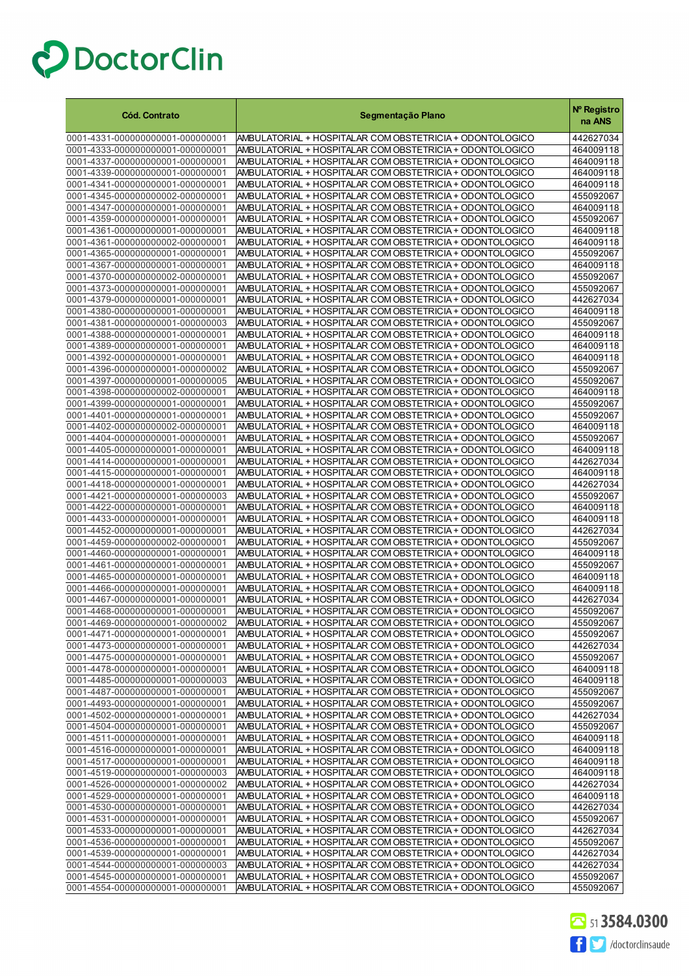| <b>Cód. Contrato</b>                                                 | Segmentação Plano                                                                                                    | Nº Registro<br>na ANS  |
|----------------------------------------------------------------------|----------------------------------------------------------------------------------------------------------------------|------------------------|
| 0001-4331-000000000001-000000001                                     | AMBULATORIAL + HOSPITALAR COM OBSTETRICIA + ODONTOLOGICO                                                             | 442627034              |
| 0001-4333-000000000001-000000001                                     | AMBULATORIAL + HOSPITALAR COM OBSTETRICIA + ODONTOLOGICO                                                             | 464009118              |
| 0001-4337-000000000001-000000001                                     | AMBULATORIAL + HOSPITALAR COM OBSTETRICIA + ODONTOLOGICO                                                             | 464009118              |
| 0001-4339-000000000001-000000001                                     | AMBULATORIAL + HOSPITALAR COM OBSTETRICIA + ODONTOLOGICO                                                             | 464009118              |
| 0001-4341-000000000001-000000001                                     | AMBULATORIAL + HOSPITALAR COM OBSTETRICIA + ODONTOLOGICO                                                             | 464009118              |
| 0001-4345-000000000002-000000001                                     | AMBULATORIAL + HOSPITALAR COM OBSTETRICIA + ODONTOLOGICO                                                             | 455092067              |
| 0001-4347-000000000001-000000001                                     | AMBULATORIAL + HOSPITALAR COM OBSTETRICIA + ODONTOLOGICO                                                             | 464009118              |
| 0001-4359-000000000001-000000001                                     | AMBULATORIAL + HOSPITALAR COM OBSTETRICIA + ODONTOLOGICO                                                             | 455092067              |
| 0001-4361-000000000001-000000001                                     | AMBULATORIAL + HOSPITALAR COM OBSTETRICIA + ODONTOLOGICO                                                             | 464009118              |
| 0001-4361-000000000002-000000001                                     | AMBULATORIAL + HOSPITALAR COM OBSTETRICIA + ODONTOLOGICO                                                             | 464009118              |
| 0001-4365-000000000001-000000001                                     | AMBULATORIAL + HOSPITALAR COM OBSTETRICIA + ODONTOLOGICO                                                             | 455092067              |
| 0001-4367-000000000001-000000001                                     | AMBULATORIAL + HOSPITALAR COM OBSTETRICIA + ODONTOLOGICO                                                             | 464009118              |
| 0001-4370-000000000002-000000001                                     | AMBULATORIAL + HOSPITALAR COM OBSTETRICIA + ODONTOLOGICO                                                             | 455092067              |
| 0001-4373-000000000001-000000001                                     | AMBULATORIAL + HOSPITALAR COM OBSTETRICIA + ODONTOLOGICO                                                             | 455092067              |
| 0001-4379-000000000001-000000001                                     | AMBULATORIAL + HOSPITALAR COM OBSTETRICIA + ODONTOLOGICO                                                             | 442627034              |
| 0001-4380-000000000001-000000001                                     | AMBULATORIAL + HOSPITALAR COM OBSTETRICIA + ODONTOLOGICO                                                             | 464009118              |
| 0001-4381-000000000001-000000003                                     | AMBULATORIAL + HOSPITALAR COM OBSTETRICIA + ODONTOLOGICO                                                             | 455092067              |
| 0001-4388-000000000001-000000001                                     | AMBULATORIAL + HOSPITALAR COM OBSTETRICIA + ODONTOLOGICO                                                             | 464009118              |
| 0001-4389-000000000001-000000001                                     | AMBULATORIAL + HOSPITALAR COM OBSTETRICIA + ODONTOLOGICO                                                             | 464009118              |
| 0001-4392-000000000001-000000001                                     | AMBULATORIAL + HOSPITALAR COM OBSTETRICIA + ODONTOLOGICO                                                             | 464009118              |
| 0001-4396-000000000001-000000002                                     | AMBULATORIAL + HOSPITALAR COM OBSTETRICIA + ODONTOLOGICO                                                             | 455092067              |
| 0001-4397-000000000001-000000005<br>0001-4398-000000000002-000000001 | AMBULATORIAL + HOSPITALAR COM OBSTETRICIA + ODONTOLOGICO<br>AMBULATORIAL + HOSPITALAR COM OBSTETRICIA + ODONTOLOGICO | 455092067              |
| 0001-4399-000000000001-000000001                                     |                                                                                                                      | 464009118<br>455092067 |
| 0001-4401-000000000001-000000001                                     | AMBULATORIAL + HOSPITALAR COM OBSTETRICIA + ODONTOLOGICO<br>AMBULATORIAL + HOSPITALAR COM OBSTETRICIA + ODONTOLOGICO | 455092067              |
| 0001-4402-000000000002-000000001                                     | AMBULATORIAL + HOSPITALAR COM OBSTETRICIA + ODONTOLOGICO                                                             | 464009118              |
| 0001-4404-000000000001-000000001                                     | AMBULATORIAL + HOSPITALAR COM OBSTETRICIA + ODONTOLOGICO                                                             | 455092067              |
| 0001-4405-000000000001-000000001                                     | AMBULATORIAL + HOSPITALAR COM OBSTETRICIA + ODONTOLOGICO                                                             | 464009118              |
| 0001-4414-000000000001-000000001                                     | AMBULATORIAL + HOSPITALAR COM OBSTETRICIA + ODONTOLOGICO                                                             | 442627034              |
| 0001-4415-000000000001-000000001                                     | AMBULATORIAL + HOSPITALAR COM OBSTETRICIA + ODONTOLOGICO                                                             | 464009118              |
| 0001-4418-000000000001-000000001                                     | AMBULATORIAL + HOSPITALAR COM OBSTETRICIA + ODONTOLOGICO                                                             | 442627034              |
| 0001-4421-000000000001-000000003                                     | AMBULATORIAL + HOSPITALAR COM OBSTETRICIA + ODONTOLOGICO                                                             | 455092067              |
| 0001-4422-000000000001-000000001                                     | AMBULATORIAL + HOSPITALAR COM OBSTETRICIA + ODONTOLOGICO                                                             | 464009118              |
| 0001-4433-000000000001-000000001                                     | AMBULATORIAL + HOSPITALAR COM OBSTETRICIA + ODONTOLOGICO                                                             | 464009118              |
| 0001-4452-000000000001-000000001                                     | AMBULATORIAL + HOSPITALAR COM OBSTETRICIA + ODONTOLOGICO                                                             | 442627034              |
| 0001-4459-000000000002-000000001                                     | AMBULATORIAL + HOSPITALAR COM OBSTETRICIA + ODONTOLOGICO                                                             | 455092067              |
| 0001-4460-000000000001-000000001                                     | AMBULATORIAL + HOSPITALAR COM OBSTETRICIA + ODONTOLOGICO                                                             | 464009118              |
| 0001-4461-000000000001-000000001                                     | AMBULATORIAL + HOSPITALAR COM OBSTETRICIA + ODONTOLOGICO                                                             | 455092067              |
| 0001-4465-000000000001-000000001                                     | AMBULATORIAL + HOSPITALAR COM OBSTETRICIA + ODONTOLOGICO                                                             | 464009118              |
| 0001-4466-000000000001-000000001                                     | AMBULATORIAL + HOSPITALAR COM OBSTETRICIA + ODONTOLOGICO                                                             | 464009118              |
| 0001-4467-000000000001-000000001                                     | AMBULATORIAL + HOSPITALAR COM OBSTETRICIA + ODONTOLOGICO                                                             | 442627034              |
| 0001-4468-000000000001-000000001                                     | AMBULATORIAL + HOSPITALAR COM OBSTETRICIA + ODONTOLOGICO                                                             | 455092067              |
| 0001-4469-000000000001-000000002                                     | AMBULATORIAL + HOSPITALAR COM OBSTETRICIA + ODON TOLOGICO                                                            | 455092067              |
| 0001-4471-000000000001-000000001                                     | AMBULATORIAL + HOSPITALAR COM OBSTETRICIA + ODONTOLOGICO                                                             | 455092067              |
| 0001-4473-000000000001-000000001                                     | AMBULATORIAL + HOSPITALAR COM OBSTETRICIA + ODONTOLOGICO                                                             | 442627034              |
| 0001-4475-000000000001-000000001                                     | AMBULATORIAL + HOSPITALAR COM OBSTETRICIA + ODONTOLOGICO                                                             | 455092067              |
| 0001-4478-000000000001-000000001<br>0001-4485-000000000001-000000003 | AMBULATORIAL + HOSPITALAR COM OBSTETRICIA + ODONTOLOGICO<br>AMBULATORIAL + HOSPITALAR COM OBSTETRICIA + ODONTOLOGICO | 464009118<br>464009118 |
| 0001-4487-000000000001-000000001                                     | AMBULATORIAL + HOSPITALAR COM OBSTETRICIA + ODONTOLOGICO                                                             | 455092067              |
| 0001-4493-000000000001-000000001                                     | AMBULATORIAL + HOSPITALAR COM OBSTETRICIA + ODONTOLOGICO                                                             | 455092067              |
| 0001-4502-000000000001-000000001                                     | AMBULATORIAL + HOSPITALAR COM OBSTETRICIA + ODONTOLOGICO                                                             | 442627034              |
| 0001-4504-000000000001-000000001                                     | AMBULATORIAL + HOSPITALAR COM OBSTETRICIA + ODONTOLOGICO                                                             | 455092067              |
| 0001-4511-000000000001-000000001                                     | AMBULATORIAL + HOSPITALAR COM OBSTETRICIA + ODONTOLOGICO                                                             | 464009118              |
| 0001-4516-000000000001-000000001                                     | AMBULATORIAL + HOSPITALAR COM OBSTETRICIA + ODONTOLOGICO                                                             | 464009118              |
| 0001-4517-000000000001-000000001                                     | AMBULATORIAL + HOSPITALAR COM OBSTETRICIA + ODONTOLOGICO                                                             | 464009118              |
| 0001-4519-000000000001-000000003                                     | AMBULATORIAL + HOSPITALAR COM OBSTETRICIA + ODONTOLOGICO                                                             | 464009118              |
| 0001-4526-000000000001-000000002                                     | AMBULATORIAL + HOSPITALAR COM OBSTETRICIA + ODONTOLOGICO                                                             | 442627034              |
| 0001-4529-000000000001-000000001                                     | AMBULATORIAL + HOSPITALAR COM OBSTETRICIA + ODONTOLOGICO                                                             | 464009118              |
| 0001-4530-000000000001-000000001                                     | AMBULATORIAL + HOSPITALAR COM OBSTETRICIA + ODONTOLOGICO                                                             | 442627034              |
| 0001-4531-000000000001-000000001                                     | AMBULATORIAL + HOSPITALAR COM OBSTETRICIA + ODONTOLOGICO                                                             | 455092067              |
| 0001-4533-000000000001-000000001                                     | AMBULATORIAL + HOSPITALAR COM OBSTETRICIA + ODONTOLOGICO                                                             | 442627034              |
| 0001-4536-000000000001-000000001                                     | AMBULATORIAL + HOSPITALAR COM OBSTETRICIA + ODONTOLOGICO                                                             | 455092067              |
| 0001-4539-000000000001-000000001                                     | AMBULATORIAL + HOSPITALAR COM OBSTETRICIA + ODONTOLOGICO                                                             | 442627034              |
| 0001-4544-000000000001-000000003                                     | AMBULATORIAL + HOSPITALAR COM OBSTETRICIA + ODONTOLOGICO                                                             | 442627034              |
| 0001-4545-000000000001-000000001                                     | AMBULATORIAL + HOSPITALAR COM OBSTETRICIA + ODONTOLOGICO                                                             | 455092067              |
| 0001-4554-000000000001-000000001                                     | AMBULATORIAL + HOSPITALAR COM OBSTETRICIA + ODONTOLOGICO                                                             | 455092067              |

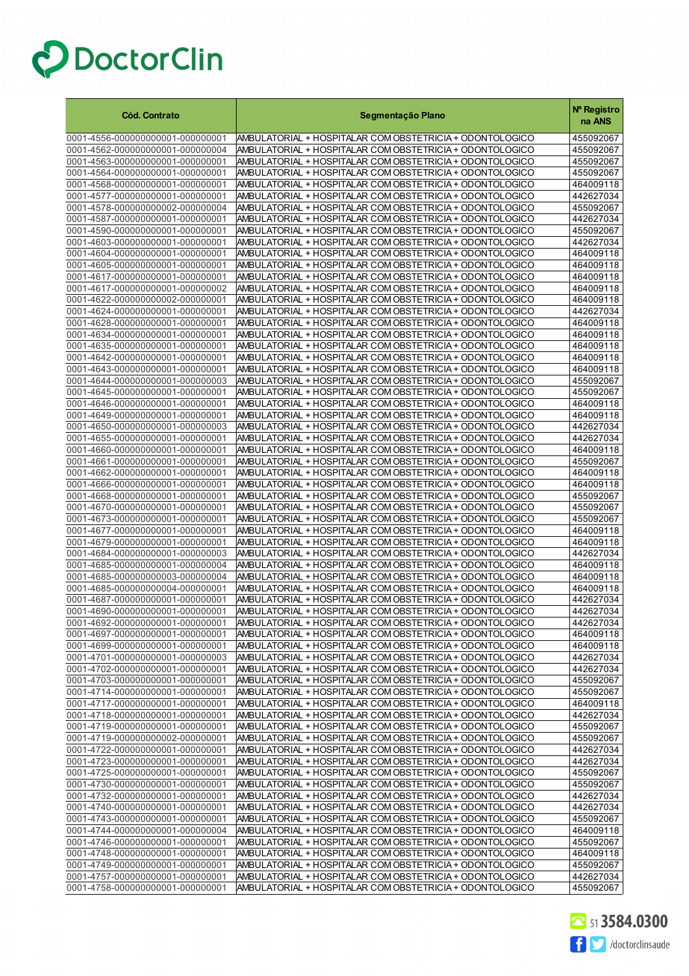| <b>Cód. Contrato</b>                                                 | Segmentação Plano                                                                                                    | Nº Registro<br>na ANS  |
|----------------------------------------------------------------------|----------------------------------------------------------------------------------------------------------------------|------------------------|
| 0001-4556-000000000001-000000001                                     | AMBULATORIAL + HOSPITALAR COM OBSTETRICIA + ODONTOLOGICO                                                             | 455092067              |
| 0001-4562-000000000001-000000004                                     | AMBULATORIAL + HOSPITALAR COM OBSTETRICIA + ODONTOLOGICO                                                             | 455092067              |
| 0001-4563-000000000001-000000001                                     | AMBULATORIAL + HOSPITALAR COM OBSTETRICIA + ODONTOLOGICO                                                             | 455092067              |
| 0001-4564-000000000001-000000001                                     | AMBULATORIAL + HOSPITALAR COM OBSTETRICIA + ODONTOLOGICO                                                             | 455092067              |
| 0001-4568-000000000001-000000001                                     | AMBULATORIAL + HOSPITALAR COM OBSTETRICIA + ODONTOLOGICO                                                             | 464009118              |
| 0001-4577-000000000001-000000001                                     | AMBULATORIAL + HOSPITALAR COM OBSTETRICIA + ODONTOLOGICO                                                             | 442627034              |
| 0001-4578-000000000002-000000004<br>0001-4587-000000000001-000000001 | AMBULATORIAL + HOSPITALAR COM OBSTETRICIA + ODONTOLOGICO<br>AMBULATORIAL + HOSPITALAR COM OBSTETRICIA + ODONTOLOGICO | 455092067<br>442627034 |
| 0001-4590-000000000001-000000001                                     | AMBULATORIAL + HOSPITALAR COM OBSTETRICIA + ODONTOLOGICO                                                             | 455092067              |
| 0001-4603-000000000001-000000001                                     | AMBULATORIAL + HOSPITALAR COM OBSTETRICIA + ODONTOLOGICO                                                             | 442627034              |
| 0001-4604-000000000001-000000001                                     | AMBULATORIAL + HOSPITALAR COM OBSTETRICIA + ODONTOLOGICO                                                             | 464009118              |
| 0001-4605-000000000001-000000001                                     | AMBULATORIAL + HOSPITALAR COM OBSTETRICIA + ODONTOLOGICO                                                             | 464009118              |
| 0001-4617-000000000001-000000001                                     | AMBULATORIAL + HOSPITALAR COM OBSTETRICIA + ODONTOLOGICO                                                             | 464009118              |
| 0001-4617-000000000001-000000002                                     | AMBULATORIAL + HOSPITALAR COM OBSTETRICIA + ODONTOLOGICO                                                             | 464009118              |
| 0001-4622-000000000002-000000001                                     | AMBULATORIAL + HOSPITALAR COM OBSTETRICIA + ODONTOLOGICO                                                             | 464009118              |
| 0001-4624-000000000001-000000001                                     | AMBULATORIAL + HOSPITALAR COM OBSTETRICIA + ODONTOLOGICO                                                             | 442627034              |
| 0001-4628-000000000001-000000001                                     | AMBULATORIAL + HOSPITALAR COM OBSTETRICIA + ODONTOLOGICO                                                             | 464009118              |
| 0001-4634-000000000001-000000001                                     | AMBULATORIAL + HOSPITALAR COM OBSTETRICIA + ODONTOLOGICO                                                             | 464009118              |
| 0001-4635-000000000001-000000001<br>0001-4642-000000000001-000000001 | AMBULATORIAL + HOSPITALAR COM OBSTETRICIA + ODONTOLOGICO<br>AMBULATORIAL + HOSPITALAR COM OBSTETRICIA + ODONTOLOGICO | 464009118<br>464009118 |
| 0001-4643-000000000001-000000001                                     | AMBULATORIAL + HOSPITALAR COM OBSTETRICIA + ODONTOLOGICO                                                             | 464009118              |
| 0001-4644-000000000001-000000003                                     | AMBULATORIAL + HOSPITALAR COM OBSTETRICIA + ODONTOLOGICO                                                             | 455092067              |
| 0001-4645-000000000001-000000001                                     | AMBULATORIAL + HOSPITALAR COM OBSTETRICIA + ODONTOLOGICO                                                             | 455092067              |
| 0001-4646-000000000001-000000001                                     | AMBULATORIAL + HOSPITALAR COM OBSTETRICIA + ODONTOLOGICO                                                             | 464009118              |
| 0001-4649-000000000001-000000001                                     | AMBULATORIAL + HOSPITALAR COM OBSTETRICIA + ODONTOLOGICO                                                             | 464009118              |
| 0001-4650-000000000001-000000003                                     | AMBULATORIAL + HOSPITALAR COM OBSTETRICIA + ODONTOLOGICO                                                             | 442627034              |
| 0001-4655-000000000001-000000001                                     | AMBULATORIAL + HOSPITALAR COM OBSTETRICIA + ODONTOLOGICO                                                             | 442627034              |
| 0001-4660-000000000001-000000001                                     | AMBULATORIAL + HOSPITALAR COM OBSTETRICIA + ODONTOLOGICO                                                             | 464009118              |
| 0001-4661-000000000001-000000001                                     | AMBULATORIAL + HOSPITALAR COM OBSTETRICIA + ODONTOLOGICO                                                             | 455092067              |
| 0001-4662-000000000001-000000001                                     | AMBULATORIAL + HOSPITALAR COM OBSTETRICIA + ODONTOLOGICO                                                             | 464009118              |
| 0001-4666-000000000001-000000001<br>0001-4668-000000000001-000000001 | AMBULATORIAL + HOSPITALAR COM OBSTETRICIA + ODONTOLOGICO<br>AMBULATORIAL + HOSPITALAR COM OBSTETRICIA + ODONTOLOGICO | 464009118<br>455092067 |
| 0001-4670-000000000001-000000001                                     | AMBULATORIAL + HOSPITALAR COM OBSTETRICIA + ODONTOLOGICO                                                             | 455092067              |
| 0001-4673-000000000001-000000001                                     | AMBULATORIAL + HOSPITALAR COM OBSTETRICIA + ODONTOLOGICO                                                             | 455092067              |
| 0001-4677-000000000001-000000001                                     | AMBULATORIAL + HOSPITALAR COM OBSTETRICIA + ODONTOLOGICO                                                             | 464009118              |
| 0001-4679-000000000001-000000001                                     | AMBULATORIAL + HOSPITALAR COM OBSTETRICIA + ODONTOLOGICO                                                             | 464009118              |
| 0001-4684-000000000001-000000003                                     | AMBULATORIAL + HOSPITALAR COM OBSTETRICIA + ODONTOLOGICO                                                             | 442627034              |
| 0001-4685-000000000001-000000004                                     | AMBULATORIAL + HOSPITALAR COM OBSTETRICIA + ODONTOLOGICO                                                             | 464009118              |
| 0001-4685-000000000003-000000004                                     | AMBULATORIAL + HOSPITALAR COM OBSTETRICIA + ODONTOLOGICO                                                             | 464009118              |
| 0001-4685-000000000004-000000001                                     | AMBULATORIAL + HOSPITALAR COM OBSTETRICIA + ODONTOLOGICO                                                             | 464009118              |
| 0001-4687-000000000001-000000001                                     | AMBULATORIAL + HOSPITALAR COM OBSTETRICIA + ODONTOLOGICO<br>AMBULATORIAL + HOSPITALAR COM OBSTETRICIA + ODONTOLOGICO | 442627034              |
| 0001-4690-000000000001-000000001                                     | AMBULATORIAL + HOSPITALAR COM OBSTETRICIA + ODONTOLOGICO                                                             | 442627034<br>442627034 |
| 0001-4692-000000000001-000000001<br>0001-4697-000000000001-000000001 | AMBULATORIAL + HOSPITALAR COM OBSTETRICIA + ODONTOLOGICO                                                             | 464009118              |
| 0001-4699-000000000001-000000001                                     | AMBULATORIAL + HOSPITALAR COM OBSTETRICIA + ODONTOLOGICO                                                             | 464009118              |
| 0001-4701-000000000001-000000003                                     | AMBULATORIAL + HOSPITALAR COM OBSTETRICIA + ODONTOLOGICO                                                             | 442627034              |
| 0001-4702-000000000001-000000001                                     | AMBULATORIAL + HOSPITALAR COM OBSTETRICIA + ODONTOLOGICO                                                             | 442627034              |
| 0001-4703-000000000001-000000001                                     | AMBULATORIAL + HOSPITALAR COM OBSTETRICIA + ODONTOLOGICO                                                             | 455092067              |
| 0001-4714-000000000001-000000001                                     | AMBULATORIAL + HOSPITALAR COM OBSTETRICIA + ODONTOLOGICO                                                             | 455092067              |
| 0001-4717-000000000001-000000001                                     | AMBULATORIAL + HOSPITALAR COM OBSTETRICIA + ODONTOLOGICO                                                             | 464009118              |
| 0001-4718-000000000001-000000001                                     | AMBULATORIAL + HOSPITALAR COM OBSTETRICIA + ODONTOLOGICO                                                             | 442627034              |
| 0001-4719-000000000001-000000001                                     | AMBULATORIAL + HOSPITALAR COM OBSTETRICIA + ODONTOLOGICO                                                             | 455092067              |
| 0001-4719-000000000002-000000001<br>0001-4722-000000000001-000000001 | AMBULATORIAL + HOSPITALAR COM OBSTETRICIA + ODONTOLOGICO<br>AMBULATORIAL + HOSPITALAR COM OBSTETRICIA + ODONTOLOGICO | 455092067<br>442627034 |
| 0001-4723-000000000001-000000001                                     | AMBULATORIAL + HOSPITALAR COM OBSTETRICIA + ODONTOLOGICO                                                             | 442627034              |
| 0001-4725-000000000001-000000001                                     | AMBULATORIAL + HOSPITALAR COM OBSTETRICIA + ODONTOLOGICO                                                             | 455092067              |
| 0001-4730-000000000001-000000001                                     | AMBULATORIAL + HOSPITALAR COM OBSTETRICIA + ODONTOLOGICO                                                             | 455092067              |
| 0001-4732-000000000001-000000001                                     | AMBULATORIAL + HOSPITALAR COM OBSTETRICIA + ODONTOLOGICO                                                             | 442627034              |
| 0001-4740-000000000001-000000001                                     | AMBULATORIAL + HOSPITALAR COM OBSTETRICIA + ODONTOLOGICO                                                             | 442627034              |
| 0001-4743-000000000001-000000001                                     | AMBULATORIAL + HOSPITALAR COM OBSTETRICIA + ODONTOLOGICO                                                             | 455092067              |
| 0001-4744-000000000001-000000004                                     | AMBULATORIAL + HOSPITALAR COM OBSTETRICIA + ODONTOLOGICO                                                             | 464009118              |
| 0001-4746-000000000001-000000001                                     | AMBULATORIAL + HOSPITALAR COM OBSTETRICIA + ODONTOLOGICO                                                             | 455092067              |
| 0001-4748-000000000001-000000001                                     | AMBULATORIAL + HOSPITALAR COM OBSTETRICIA + ODONTOLOGICO                                                             | 464009118              |
| 0001-4749-000000000001-000000001<br>0001-4757-000000000001-000000001 | AMBULATORIAL + HOSPITALAR COM OBSTETRICIA + ODONTOLOGICO<br>AMBULATORIAL + HOSPITALAR COM OBSTETRICIA + ODONTOLOGICO | 455092067<br>442627034 |
| 0001-4758-000000000001-000000001                                     | AMBULATORIAL + HOSPITALAR COM OBSTETRICIA + ODONTOLOGICO                                                             | 455092067              |

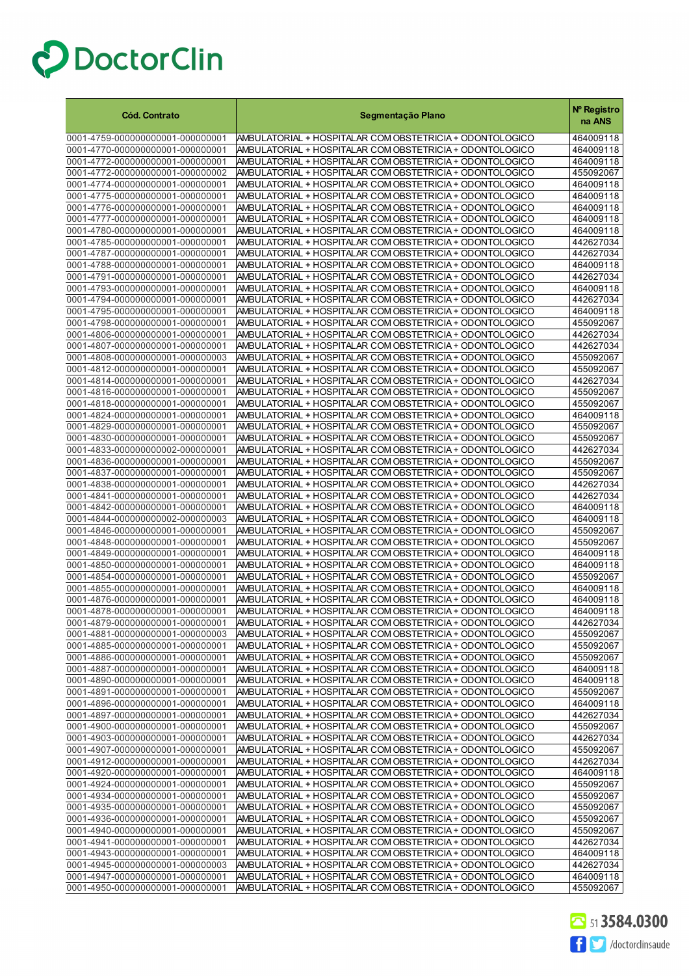| <b>Cód. Contrato</b>                                                 | Segmentação Plano                                                                                                    | Nº Registro<br>na ANS  |
|----------------------------------------------------------------------|----------------------------------------------------------------------------------------------------------------------|------------------------|
| 0001-4759-000000000001-000000001                                     | AMBULATORIAL + HOSPITALAR COM OBSTETRICIA + ODONTOLOGICO                                                             | 464009118              |
| 0001-4770-000000000001-000000001                                     | AMBULATORIAL + HOSPITALAR COM OBSTETRICIA + ODONTOLOGICO                                                             | 464009118              |
| 0001-4772-000000000001-000000001                                     | AMBULATORIAL + HOSPITALAR COM OBSTETRICIA + ODONTOLOGICO                                                             | 464009118              |
| 0001-4772-000000000001-000000002                                     | AMBULATORIAL + HOSPITALAR COM OBSTETRICIA + ODONTOLOGICO                                                             | 455092067              |
| 0001-4774-000000000001-000000001                                     | AMBULATORIAL + HOSPITALAR COM OBSTETRICIA + ODONTOLOGICO                                                             | 464009118              |
| 0001-4775-000000000001-000000001                                     | AMBULATORIAL + HOSPITALAR COM OBSTETRICIA + ODONTOLOGICO                                                             | 464009118              |
| 0001-4776-000000000001-000000001                                     | AMBULATORIAL + HOSPITALAR COM OBSTETRICIA + ODONTOLOGICO                                                             | 464009118              |
| 0001-4777-000000000001-000000001<br>0001-4780-000000000001-000000001 | AMBULATORIAL + HOSPITALAR COM OBSTETRICIA + ODONTOLOGICO<br>AMBULATORIAL + HOSPITALAR COM OBSTETRICIA + ODONTOLOGICO | 464009118<br>464009118 |
| 0001-4785-000000000001-000000001                                     | AMBULATORIAL + HOSPITALAR COM OBSTETRICIA + ODONTOLOGICO                                                             | 442627034              |
| 0001-4787-000000000001-000000001                                     | AMBULATORIAL + HOSPITALAR COM OBSTETRICIA + ODONTOLOGICO                                                             | 442627034              |
| 0001-4788-000000000001-000000001                                     | AMBULATORIAL + HOSPITALAR COM OBSTETRICIA + ODONTOLOGICO                                                             | 464009118              |
| 0001-4791-000000000001-000000001                                     | AMBULATORIAL + HOSPITALAR COM OBSTETRICIA + ODONTOLOGICO                                                             | 442627034              |
| 0001-4793-000000000001-000000001                                     | AMBULATORIAL + HOSPITALAR COM OBSTETRICIA + ODONTOLOGICO                                                             | 464009118              |
| 0001-4794-000000000001-000000001                                     | AMBULATORIAL + HOSPITALAR COM OBSTETRICIA + ODONTOLOGICO                                                             | 442627034              |
| 0001-4795-000000000001-000000001                                     | AMBULATORIAL + HOSPITALAR COM OBSTETRICIA + ODONTOLOGICO                                                             | 464009118              |
| 0001-4798-000000000001-000000001                                     | AMBULATORIAL + HOSPITALAR COM OBSTETRICIA + ODONTOLOGICO                                                             | 455092067              |
| 0001-4806-000000000001-000000001                                     | AMBULATORIAL + HOSPITALAR COM OBSTETRICIA + ODONTOLOGICO                                                             | 442627034              |
| 0001-4807-000000000001-000000001                                     | AMBULATORIAL + HOSPITALAR COM OBSTETRICIA + ODONTOLOGICO                                                             | 442627034              |
| 0001-4808-000000000001-000000003<br>0001-4812-000000000001-000000001 | AMBULATORIAL + HOSPITALAR COM OBSTETRICIA + ODONTOLOGICO                                                             | 455092067              |
| 0001-4814-000000000001-000000001                                     | AMBULATORIAL + HOSPITALAR COM OBSTETRICIA + ODONTOLOGICO<br>AMBULATORIAL + HOSPITALAR COM OBSTETRICIA + ODONTOLOGICO | 455092067<br>442627034 |
| 0001-4816-000000000001-000000001                                     | AMBULATORIAL + HOSPITALAR COM OBSTETRICIA + ODONTOLOGICO                                                             | 455092067              |
| 0001-4818-000000000001-000000001                                     | AMBULATORIAL + HOSPITALAR COM OBSTETRICIA + ODONTOLOGICO                                                             | 455092067              |
| 0001-4824-000000000001-000000001                                     | AMBULATORIAL + HOSPITALAR COM OBSTETRICIA + ODONTOLOGICO                                                             | 464009118              |
| 0001-4829-000000000001-000000001                                     | AMBULATORIAL + HOSPITALAR COM OBSTETRICIA + ODONTOLOGICO                                                             | 455092067              |
| 0001-4830-000000000001-000000001                                     | AMBULATORIAL + HOSPITALAR COM OBSTETRICIA + ODONTOLOGICO                                                             | 455092067              |
| 0001-4833-000000000002-000000001                                     | AMBULATORIAL + HOSPITALAR COM OBSTETRICIA + ODONTOLOGICO                                                             | 442627034              |
| 0001-4836-000000000001-000000001                                     | AMBULATORIAL + HOSPITALAR COM OBSTETRICIA + ODONTOLOGICO                                                             | 455092067              |
| 0001-4837-000000000001-000000001                                     | AMBULATORIAL + HOSPITALAR COM OBSTETRICIA + ODONTOLOGICO                                                             | 455092067              |
| 0001-4838-000000000001-000000001                                     | AMBULATORIAL + HOSPITALAR COM OBSTETRICIA + ODONTOLOGICO                                                             | 442627034              |
| 0001-4841-000000000001-000000001                                     | AMBULATORIAL + HOSPITALAR COM OBSTETRICIA + ODONTOLOGICO                                                             | 442627034              |
| 0001-4842-000000000001-000000001<br>0001-4844-000000000002-000000003 | AMBULATORIAL + HOSPITALAR COM OBSTETRICIA + ODONTOLOGICO<br>AMBULATORIAL + HOSPITALAR COM OBSTETRICIA + ODONTOLOGICO | 464009118<br>464009118 |
| 0001-4846-000000000001-000000001                                     | AMBULATORIAL + HOSPITALAR COM OBSTETRICIA + ODONTOLOGICO                                                             | 455092067              |
| 0001-4848-000000000001-000000001                                     | AMBULATORIAL + HOSPITALAR COM OBSTETRICIA + ODONTOLOGICO                                                             | 455092067              |
| 0001-4849-000000000001-000000001                                     | AMBULATORIAL + HOSPITALAR COM OBSTETRICIA + ODONTOLOGICO                                                             | 464009118              |
| 0001-4850-000000000001-000000001                                     | AMBULATORIAL + HOSPITALAR COM OBSTETRICIA + ODONTOLOGICO                                                             | 464009118              |
| 0001-4854-000000000001-000000001                                     | AMBULATORIAL + HOSPITALAR COM OBSTETRICIA + ODONTOLOGICO                                                             | 455092067              |
| 0001-4855-000000000001-000000001                                     | AMBULATORIAL + HOSPITALAR COM OBSTETRICIA + ODONTOLOGICO                                                             | 464009118              |
| 0001-4876-000000000001-000000001                                     | AMBULATORIAL + HOSPITALAR COM OBSTETRICIA + ODONTOLOGICO                                                             | 464009118              |
| 0001-4878-000000000001-000000001                                     | AMBULATORIAL + HOSPITALAR COM OBSTETRICIA + ODONTOLOGICO                                                             | 464009118              |
| 0001-4879-000000000001-000000001                                     | AMBULATORIAL + HOSPITALAR COM OBSTETRICIA + ODON TOLOGICO                                                            | 442627034              |
| 0001-4881-000000000001-000000003                                     | AMBULATORIAL + HOSPITALAR COM OBSTETRICIA + ODONTOLOGICO                                                             | 455092067              |
| 0001-4885-000000000001-000000001<br>0001-4886-000000000001-000000001 | AMBULATORIAL + HOSPITALAR COM OBSTETRICIA + ODONTOLOGICO<br>AMBULATORIAL + HOSPITALAR COM OBSTETRICIA + ODONTOLOGICO | 455092067<br>455092067 |
| 0001-4887-000000000001-000000001                                     | AMBULATORIAL + HOSPITALAR COM OBSTETRICIA + ODONTOLOGICO                                                             | 464009118              |
| 0001-4890-000000000001-000000001                                     | AMBULATORIAL + HOSPITALAR COM OBSTETRICIA + ODONTOLOGICO                                                             | 464009118              |
| 0001-4891-000000000001-000000001                                     | AMBULATORIAL + HOSPITALAR COM OBSTETRICIA + ODONTOLOGICO                                                             | 455092067              |
| 0001-4896-000000000001-000000001                                     | AMBULATORIAL + HOSPITALAR COM OBSTETRICIA + ODONTOLOGICO                                                             | 464009118              |
| 0001-4897-000000000001-000000001                                     | AMBULATORIAL + HOSPITALAR COM OBSTETRICIA + ODONTOLOGICO                                                             | 442627034              |
| 0001-4900-000000000001-000000001                                     | AMBULATORIAL + HOSPITALAR COM OBSTETRICIA + ODONTOLOGICO                                                             | 455092067              |
| 0001-4903-000000000001-000000001                                     | AMBULATORIAL + HOSPITALAR COM OBSTETRICIA + ODONTOLOGICO                                                             | 442627034              |
| 0001-4907-000000000001-000000001                                     | AMBULATORIAL + HOSPITALAR COM OBSTETRICIA + ODONTOLOGICO                                                             | 455092067              |
| 0001-4912-000000000001-000000001                                     | AMBULATORIAL + HOSPITALAR COM OBSTETRICIA + ODONTOLOGICO                                                             | 442627034              |
| 0001-4920-000000000001-000000001                                     | AMBULATORIAL + HOSPITALAR COM OBSTETRICIA + ODONTOLOGICO                                                             | 464009118              |
| 0001-4924-000000000001-000000001<br>0001-4934-000000000001-000000001 | AMBULATORIAL + HOSPITALAR COM OBSTETRICIA + ODONTOLOGICO<br>AMBULATORIAL + HOSPITALAR COM OBSTETRICIA + ODONTOLOGICO | 455092067<br>455092067 |
| 0001-4935-000000000001-000000001                                     | AMBULATORIAL + HOSPITALAR COM OBSTETRICIA + ODONTOLOGICO                                                             | 455092067              |
| 0001-4936-000000000001-000000001                                     | AMBULATORIAL + HOSPITALAR COM OBSTETRICIA + ODONTOLOGICO                                                             | 455092067              |
| 0001-4940-000000000001-000000001                                     | AMBULATORIAL + HOSPITALAR COM OBSTETRICIA + ODONTOLOGICO                                                             | 455092067              |
| 0001-4941-000000000001-000000001                                     | AMBULATORIAL + HOSPITALAR COM OBSTETRICIA + ODONTOLOGICO                                                             | 442627034              |
| 0001-4943-000000000001-000000001                                     | AMBULATORIAL + HOSPITALAR COM OBSTETRICIA + ODONTOLOGICO                                                             | 464009118              |
| 0001-4945-000000000001-000000003                                     | AMBULATORIAL + HOSPITALAR COM OBSTETRICIA + ODONTOLOGICO                                                             | 442627034              |
| 0001-4947-000000000001-000000001                                     | AMBULATORIAL + HOSPITALAR COM OBSTETRICIA + ODONTOLOGICO                                                             | 464009118              |
| 0001-4950-000000000001-000000001                                     | AMBULATORIAL + HOSPITALAR COM OBSTETRICIA + ODONTOLOGICO                                                             | 455092067              |

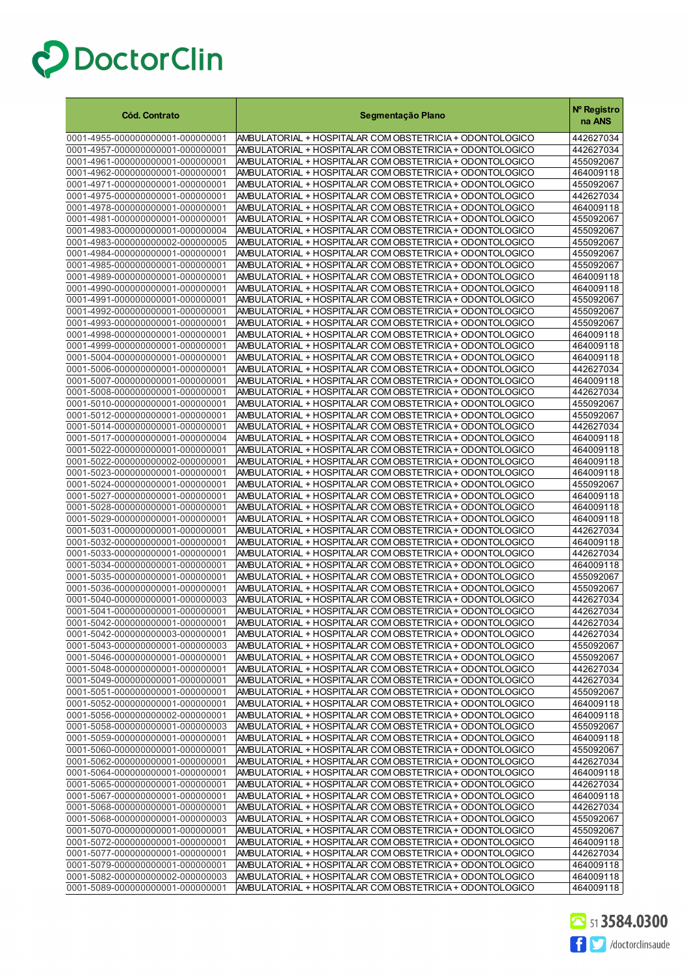| <b>Cód. Contrato</b>                                                 | Segmentação Plano                                                                                                    | Nº Registro<br>na ANS  |
|----------------------------------------------------------------------|----------------------------------------------------------------------------------------------------------------------|------------------------|
| 0001-4955-000000000001-000000001                                     | AMBULATORIAL + HOSPITALAR COM OBSTETRICIA + ODONTOLOGICO                                                             | 442627034              |
| 0001-4957-000000000001-000000001                                     | AMBULATORIAL + HOSPITALAR COM OBSTETRICIA + ODONTOLOGICO                                                             | 442627034              |
| 0001-4961-000000000001-000000001                                     | AMBULATORIAL + HOSPITALAR COM OBSTETRICIA + ODONTOLOGICO                                                             | 455092067              |
| 0001-4962-000000000001-000000001                                     | AMBULATORIAL + HOSPITALAR COM OBSTETRICIA + ODONTOLOGICO                                                             | 464009118              |
| 0001-4971-000000000001-000000001                                     | AMBULATORIAL + HOSPITALAR COM OBSTETRICIA + ODONTOLOGICO                                                             | 455092067              |
| 0001-4975-000000000001-000000001                                     | AMBULATORIAL + HOSPITALAR COM OBSTETRICIA + ODONTOLOGICO                                                             | 442627034              |
| 0001-4978-000000000001-000000001<br>0001-4981-000000000001-000000001 | AMBULATORIAL + HOSPITALAR COM OBSTETRICIA + ODONTOLOGICO<br>AMBULATORIAL + HOSPITALAR COM OBSTETRICIA + ODONTOLOGICO | 464009118<br>455092067 |
| 0001-4983-000000000001-000000004                                     | AMBULATORIAL + HOSPITALAR COM OBSTETRICIA + ODONTOLOGICO                                                             | 455092067              |
| 0001-4983-000000000002-000000005                                     | AMBULATORIAL + HOSPITALAR COM OBSTETRICIA + ODONTOLOGICO                                                             | 455092067              |
| 0001-4984-000000000001-000000001                                     | AMBULATORIAL + HOSPITALAR COM OBSTETRICIA + ODONTOLOGICO                                                             | 455092067              |
| 0001-4985-000000000001-000000001                                     | AMBULATORIAL + HOSPITALAR COM OBSTETRICIA + ODONTOLOGICO                                                             | 455092067              |
| 0001-4989-000000000001-000000001                                     | AMBULATORIAL + HOSPITALAR COM OBSTETRICIA + ODONTOLOGICO                                                             | 464009118              |
| 0001-4990-000000000001-000000001                                     | AMBULATORIAL + HOSPITALAR COM OBSTETRICIA + ODONTOLOGICO                                                             | 464009118              |
| 0001-4991-000000000001-000000001                                     | AMBULATORIAL + HOSPITALAR COM OBSTETRICIA + ODONTOLOGICO                                                             | 455092067              |
| 0001-4992-000000000001-000000001                                     | AMBULATORIAL + HOSPITALAR COM OBSTETRICIA + ODONTOLOGICO                                                             | 455092067              |
| 0001-4993-000000000001-000000001<br>0001-4998-000000000001-000000001 | AMBULATORIAL + HOSPITALAR COM OBSTETRICIA + ODONTOLOGICO<br>AMBULATORIAL + HOSPITALAR COM OBSTETRICIA + ODONTOLOGICO | 455092067<br>464009118 |
| 0001-4999-000000000001-000000001                                     | AMBULATORIAL + HOSPITALAR COM OBSTETRICIA + ODONTOLOGICO                                                             | 464009118              |
| 0001-5004-000000000001-000000001                                     | AMBULATORIAL + HOSPITALAR COM OBSTETRICIA + ODONTOLOGICO                                                             | 464009118              |
| 0001-5006-000000000001-000000001                                     | AMBULATORIAL + HOSPITALAR COM OBSTETRICIA + ODONTOLOGICO                                                             | 442627034              |
| 0001-5007-000000000001-000000001                                     | AMBULATORIAL + HOSPITALAR COM OBSTETRICIA + ODONTOLOGICO                                                             | 464009118              |
| 0001-5008-000000000001-000000001                                     | AMBULATORIAL + HOSPITALAR COM OBSTETRICIA + ODONTOLOGICO                                                             | 442627034              |
| 0001-5010-000000000001-000000001                                     | AMBULATORIAL + HOSPITALAR COM OBSTETRICIA + ODONTOLOGICO                                                             | 455092067              |
| 0001-5012-000000000001-000000001                                     | AMBULATORIAL + HOSPITALAR COM OBSTETRICIA + ODONTOLOGICO                                                             | 455092067              |
| 0001-5014-000000000001-000000001<br>0001-5017-000000000001-000000004 | AMBULATORIAL + HOSPITALAR COM OBSTETRICIA + ODONTOLOGICO<br>AMBULATORIAL + HOSPITALAR COM OBSTETRICIA + ODONTOLOGICO | 442627034<br>464009118 |
| 0001-5022-000000000001-000000001                                     | AMBULATORIAL + HOSPITALAR COM OBSTETRICIA + ODONTOLOGICO                                                             | 464009118              |
| 0001-5022-000000000002-000000001                                     | AMBULATORIAL + HOSPITALAR COM OBSTETRICIA + ODONTOLOGICO                                                             | 464009118              |
| 0001-5023-000000000001-000000001                                     | AMBULATORIAL + HOSPITALAR COM OBSTETRICIA + ODONTOLOGICO                                                             | 464009118              |
| 0001-5024-000000000001-000000001                                     | AMBULATORIAL + HOSPITALAR COM OBSTETRICIA + ODONTOLOGICO                                                             | 455092067              |
| 0001-5027-000000000001-000000001                                     | AMBULATORIAL + HOSPITALAR COM OBSTETRICIA + ODONTOLOGICO                                                             | 464009118              |
| 0001-5028-000000000001-000000001                                     | AMBULATORIAL + HOSPITALAR COM OBSTETRICIA + ODONTOLOGICO                                                             | 464009118              |
| 0001-5029-000000000001-000000001                                     | AMBULATORIAL + HOSPITALAR COM OBSTETRICIA + ODONTOLOGICO                                                             | 464009118              |
| 0001-5031-000000000001-000000001<br>0001-5032-000000000001-000000001 | AMBULATORIAL + HOSPITALAR COM OBSTETRICIA + ODONTOLOGICO<br>AMBULATORIAL + HOSPITALAR COM OBSTETRICIA + ODONTOLOGICO | 442627034<br>464009118 |
| 0001-5033-000000000001-000000001                                     | AMBULATORIAL + HOSPITALAR COM OBSTETRICIA + ODONTOLOGICO                                                             | 442627034              |
| 0001-5034-000000000001-000000001                                     | AMBULATORIAL + HOSPITALAR COM OBSTETRICIA + ODONTOLOGICO                                                             | 464009118              |
| 0001-5035-000000000001-000000001                                     | AMBULATORIAL + HOSPITALAR COM OBSTETRICIA + ODONTOLOGICO                                                             | 455092067              |
| 0001-5036-000000000001-000000001                                     | AMBULATORIAL + HOSPITALAR COM OBSTETRICIA + ODONTOLOGICO                                                             | 455092067              |
| 0001-5040-000000000001-000000003                                     | AMBULATORIAL + HOSPITALAR COM OBSTETRICIA + ODONTOLOGICO                                                             | 442627034              |
| 0001-5041-000000000001-000000001                                     | AMBULATORIAL + HOSPITALAR COM OBSTETRICIA + ODONTOLOGICO                                                             | 442627034              |
| 0001-5042-000000000001-000000001<br>0001-5042-000000000003-000000001 | AMBULATORIAL + HOSPITALAR COM OBSTETRICIA + ODONTOLOGICO<br>AMBULATORIAL + HOSPITALAR COM OBSTETRICIA + ODONTOLOGICO | 442627034<br>442627034 |
| 0001-5043-000000000001-000000003                                     | AMBULATORIAL + HOSPITALAR COM OBSTETRICIA + ODONTOLOGICO                                                             | 455092067              |
| 0001-5046-000000000001-000000001                                     | AMBULATORIAL + HOSPITALAR COM OBSTETRICIA + ODONTOLOGICO                                                             | 455092067              |
| 0001-5048-000000000001-000000001                                     | AMBULATORIAL + HOSPITALAR COM OBSTETRICIA + ODONTOLOGICO                                                             | 442627034              |
| 0001-5049-000000000001-000000001                                     | AMBULATORIAL + HOSPITALAR COM OBSTETRICIA + ODONTOLOGICO                                                             | 442627034              |
| 0001-5051-000000000001-000000001                                     | AMBULATORIAL + HOSPITALAR COM OBSTETRICIA + ODONTOLOGICO                                                             | 455092067              |
| 0001-5052-000000000001-000000001                                     | AMBULATORIAL + HOSPITALAR COM OBSTETRICIA + ODONTOLOGICO                                                             | 464009118              |
| 0001-5056-000000000002-000000001<br>0001-5058-000000000001-000000003 | AMBULATORIAL + HOSPITALAR COM OBSTETRICIA + ODONTOLOGICO<br>AMBULATORIAL + HOSPITALAR COM OBSTETRICIA + ODONTOLOGICO | 464009118<br>455092067 |
| 0001-5059-000000000001-000000001                                     | AMBULATORIAL + HOSPITALAR COM OBSTETRICIA + ODONTOLOGICO                                                             | 464009118              |
| 0001-5060-000000000001-000000001                                     | AMBULATORIAL + HOSPITALAR COM OBSTETRICIA + ODONTOLOGICO                                                             | 455092067              |
| 0001-5062-000000000001-000000001                                     | AMBULATORIAL + HOSPITALAR COM OBSTETRICIA + ODONTOLOGICO                                                             | 442627034              |
| 0001-5064-000000000001-000000001                                     | AMBULATORIAL + HOSPITALAR COM OBSTETRICIA + ODONTOLOGICO                                                             | 464009118              |
| 0001-5065-000000000001-000000001                                     | AMBULATORIAL + HOSPITALAR COM OBSTETRICIA + ODONTOLOGICO                                                             | 442627034              |
| 0001-5067-000000000001-000000001                                     | AMBULATORIAL + HOSPITALAR COM OBSTETRICIA + ODONTOLOGICO                                                             | 464009118              |
| 0001-5068-000000000001-000000001                                     | AMBULATORIAL + HOSPITALAR COM OBSTETRICIA + ODONTOLOGICO                                                             | 442627034              |
| 0001-5068-000000000001-000000003<br>0001-5070-000000000001-000000001 | AMBULATORIAL + HOSPITALAR COM OBSTETRICIA + ODONTOLOGICO<br>AMBULATORIAL + HOSPITALAR COM OBSTETRICIA + ODONTOLOGICO | 455092067<br>455092067 |
| 0001-5072-000000000001-000000001                                     | AMBULATORIAL + HOSPITALAR COM OBSTETRICIA + ODONTOLOGICO                                                             | 464009118              |
| 0001-5077-000000000001-000000001                                     | AMBULATORIAL + HOSPITALAR COM OBSTETRICIA + ODONTOLOGICO                                                             | 442627034              |
| 0001-5079-000000000001-000000001                                     | AMBULATORIAL + HOSPITALAR COM OBSTETRICIA + ODONTOLOGICO                                                             | 464009118              |
| 0001-5082-000000000002-000000003                                     | AMBULATORIAL + HOSPITALAR COM OBSTETRICIA + ODONTOLOGICO                                                             | 464009118              |
| 0001-5089-000000000001-000000001                                     | AMBULATORIAL + HOSPITALAR COM OBSTETRICIA + ODONTOLOGICO                                                             | 464009118              |

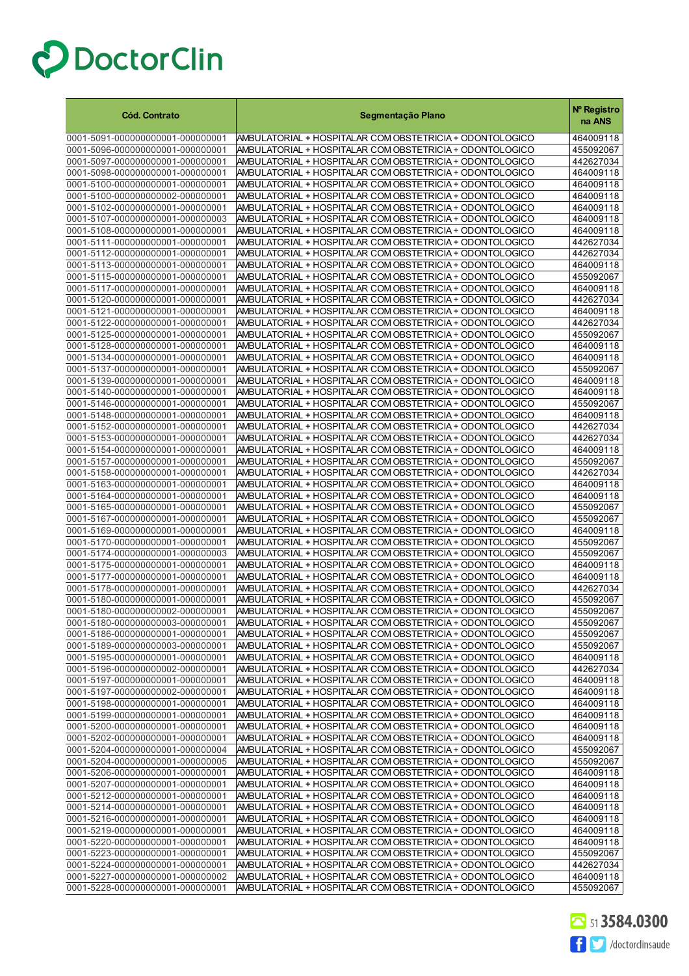| <b>Cód. Contrato</b>                                                 | Segmentação Plano                                                                                                      | Nº Registro<br>na ANS  |
|----------------------------------------------------------------------|------------------------------------------------------------------------------------------------------------------------|------------------------|
| 0001-5091-000000000001-000000001                                     | AMBULATORIAL + HOSPITALAR COM OBSTETRICIA + ODONTOLOGICO                                                               | 464009118              |
| 0001-5096-000000000001-000000001                                     | AMBULATORIAL + HOSPITALAR COM OBSTETRICIA + ODONTOLOGICO                                                               | 455092067              |
| 0001-5097-000000000001-000000001                                     | AMBULATORIAL + HOSPITALAR COM OBSTETRICIA + ODONTOLOGICO                                                               | 442627034              |
| 0001-5098-000000000001-000000001                                     | AMBULATORIAL + HOSPITALAR COM OBSTETRICIA + ODONTOLOGICO                                                               | 464009118              |
| 0001-5100-000000000001-000000001                                     | AMBULATORIAL + HOSPITALAR COM OBSTETRICIA + ODONTOLOGICO                                                               | 464009118              |
| 0001-5100-000000000002-000000001                                     | AMBULATORIAL + HOSPITALAR COM OBSTETRICIA + ODONTOLOGICO                                                               | 464009118              |
| 0001-5102-000000000001-000000001                                     | AMBULATORIAL + HOSPITALAR COM OBSTETRICIA + ODONTOLOGICO                                                               | 464009118              |
| 0001-5107-000000000001-000000003<br>0001-5108-000000000001-000000001 | AMBULATORIAL + HOSPITALAR COM OBSTETRICIA + ODONTOLOGICO<br>AMBULATORIAL + HOSPITALAR COM OBSTETRICIA + ODONTOLOGICO   | 464009118<br>464009118 |
| 0001-5111-000000000001-000000001                                     | AMBULATORIAL + HOSPITALAR COM OBSTETRICIA + ODONTOLOGICO                                                               | 442627034              |
| 0001-5112-000000000001-000000001                                     | AMBULATORIAL + HOSPITALAR COM OBSTETRICIA + ODONTOLOGICO                                                               | 442627034              |
| 0001-5113-000000000001-000000001                                     | AMBULATORIAL + HOSPITALAR COM OBSTETRICIA + ODONTOLOGICO                                                               | 464009118              |
| 0001-5115-000000000001-000000001                                     | AMBULATORIAL + HOSPITALAR COM OBSTETRICIA + ODONTOLOGICO                                                               | 455092067              |
| 0001-5117-000000000001-000000001                                     | AMBULATORIAL + HOSPITALAR COM OBSTETRICIA + ODONTOLOGICO                                                               | 464009118              |
| 0001-5120-000000000001-000000001                                     | AMBULATORIAL + HOSPITALAR COM OBSTETRICIA + ODONTOLOGICO                                                               | 442627034              |
| 0001-5121-000000000001-000000001                                     | AMBULATORIAL + HOSPITALAR COM OBSTETRICIA + ODONTOLOGICO                                                               | 464009118              |
| 0001-5122-000000000001-000000001                                     | AMBULATORIAL + HOSPITALAR COM OBSTETRICIA + ODONTOLOGICO                                                               | 442627034              |
| 0001-5125-000000000001-000000001                                     | AMBULATORIAL + HOSPITALAR COM OBSTETRICIA + ODONTOLOGICO                                                               | 455092067              |
| 0001-5128-000000000001-000000001                                     | AMBULATORIAL + HOSPITALAR COM OBSTETRICIA + ODONTOLOGICO                                                               | 464009118              |
| 0001-5134-000000000001-000000001                                     | AMBULATORIAL + HOSPITALAR COM OBSTETRICIA + ODONTOLOGICO                                                               | 464009118<br>455092067 |
| 0001-5137-000000000001-000000001<br>0001-5139-000000000001-000000001 | AMBULATORIAL + HOSPITALAR COM OBSTETRICIA + ODONTOLOGICO<br>AMBULATORIAL + HOSPITALAR COM OBSTETRICIA + ODONTOLOGICO   | 464009118              |
| 0001-5140-000000000001-000000001                                     | AMBULATORIAL + HOSPITALAR COM OBSTETRICIA + ODONTOLOGICO                                                               | 464009118              |
| 0001-5146-000000000001-000000001                                     | AMBULATORIAL + HOSPITALAR COM OBSTETRICIA + ODONTOLOGICO                                                               | 455092067              |
| 0001-5148-000000000001-000000001                                     | AMBULATORIAL + HOSPITALAR COM OBSTETRICIA + ODONTOLOGICO                                                               | 464009118              |
| 0001-5152-000000000001-000000001                                     | AMBULATORIAL + HOSPITALAR COM OBSTETRICIA + ODONTOLOGICO                                                               | 442627034              |
| 0001-5153-000000000001-000000001                                     | AMBULATORIAL + HOSPITALAR COM OBSTETRICIA + ODONTOLOGICO                                                               | 442627034              |
| 0001-5154-000000000001-000000001                                     | AMBULATORIAL + HOSPITALAR COM OBSTETRICIA + ODONTOLOGICO                                                               | 464009118              |
| 0001-5157-000000000001-000000001                                     | AMBULATORIAL + HOSPITALAR COM OBSTETRICIA + ODONTOLOGICO                                                               | 455092067              |
| 0001-5158-000000000001-000000001                                     | AMBULATORIAL + HOSPITALAR COM OBSTETRICIA + ODONTOLOGICO                                                               | 442627034              |
| 0001-5163-000000000001-000000001                                     | AMBULATORIAL + HOSPITALAR COM OBSTETRICIA + ODONTOLOGICO                                                               | 464009118              |
| 0001-5164-000000000001-000000001<br>0001-5165-000000000001-000000001 | AMBULATORIAL + HOSPITALAR COM OBSTETRICIA + ODONTOLOGICO<br>AMBULATORIAL + HOSPITALAR COM OBSTETRICIA + ODONTOLOGICO   | 464009118<br>455092067 |
| 0001-5167-000000000001-000000001                                     | AMBULATORIAL + HOSPITALAR COM OBSTETRICIA + ODONTOLOGICO                                                               | 455092067              |
| 0001-5169-000000000001-000000001                                     | AMBULATORIAL + HOSPITALAR COM OBSTETRICIA + ODONTOLOGICO                                                               | 464009118              |
| 0001-5170-000000000001-000000001                                     | AMBULATORIAL + HOSPITALAR COM OBSTETRICIA + ODONTOLOGICO                                                               | 455092067              |
| 0001-5174-000000000001-000000003                                     | AMBULATORIAL + HOSPITALAR COM OBSTETRICIA + ODONTOLOGICO                                                               | 455092067              |
| 0001-5175-000000000001-000000001                                     | AMBULATORIAL + HOSPITALAR COM OBSTETRICIA + ODONTOLOGICO                                                               | 464009118              |
| 0001-5177-000000000001-000000001                                     | AMBULATORIAL + HOSPITALAR COM OBSTETRICIA + ODONTOLOGICO                                                               | 464009118              |
| 0001-5178-000000000001-000000001                                     | AMBULATORIAL + HOSPITALAR COM OBSTETRICIA + ODONTOLOGICO                                                               | 442627034              |
| 0001-5180-000000000001-000000001                                     | AMBULATORIAL + HOSPITALAR COM OBSTETRICIA + ODONTOLOGICO                                                               | 455092067              |
| 0001-5180-000000000002-000000001                                     | AMBULATORIAL + HOSPITALAR COM OBSTETRICIA + ODONTOLOGICO                                                               | 455092067              |
| 0001-5180-000000000003-000000001<br>0001-5186-000000000001-000000001 | AMBULATORIAL + HOSPITALAR COM OBSTETRICIA + ODON TOLOGICO<br> AMBULATORIAL + HOSPITALAR COM OBSTETRICIA + ODONTOLOGICO | 455092067<br>455092067 |
| 0001-5189-000000000003-000000001                                     | AMBULATORIAL + HOSPITALAR COM OBSTETRICIA + ODONTOLOGICO                                                               | 455092067              |
| 0001-5195-000000000001-000000001                                     | AMBULATORIAL + HOSPITALAR COM OBSTETRICIA + ODONTOLOGICO                                                               | 464009118              |
| 0001-5196-000000000002-000000001                                     | AMBULATORIAL + HOSPITALAR COM OBSTETRICIA + ODONTOLOGICO                                                               | 442627034              |
| 0001-5197-000000000001-000000001                                     | AMBULATORIAL + HOSPITALAR COM OBSTETRICIA + ODONTOLOGICO                                                               | 464009118              |
| 0001-5197-000000000002-000000001                                     | AMBULATORIAL + HOSPITALAR COM OBSTETRICIA + ODONTOLOGICO                                                               | 464009118              |
| 0001-5198-000000000001-000000001                                     | AMBULATORIAL + HOSPITALAR COM OBSTETRICIA + ODONTOLOGICO                                                               | 464009118              |
| 0001-5199-000000000001-000000001                                     | AMBULATORIAL + HOSPITALAR COM OBSTETRICIA + ODONTOLOGICO                                                               | 464009118              |
| 0001-5200-000000000001-000000001                                     | AMBULATORIAL + HOSPITALAR COM OBSTETRICIA + ODONTOLOGICO                                                               | 464009118              |
| 0001-5202-000000000001-000000001                                     | AMBULATORIAL + HOSPITALAR COM OBSTETRICIA + ODONTOLOGICO                                                               | 464009118              |
| 0001-5204-000000000001-000000004<br>0001-5204-000000000001-000000005 | AMBULATORIAL + HOSPITALAR COM OBSTETRICIA + ODONTOLOGICO<br>AMBULATORIAL + HOSPITALAR COM OBSTETRICIA + ODONTOLOGICO   | 455092067<br>455092067 |
| 0001-5206-000000000001-000000001                                     | AMBULATORIAL + HOSPITALAR COM OBSTETRICIA + ODONTOLOGICO                                                               | 464009118              |
| 0001-5207-000000000001-000000001                                     | AMBULATORIAL + HOSPITALAR COM OBSTETRICIA + ODONTOLOGICO                                                               | 464009118              |
| 0001-5212-000000000001-000000001                                     | AMBULATORIAL + HOSPITALAR COM OBSTETRICIA + ODONTOLOGICO                                                               | 464009118              |
| 0001-5214-000000000001-000000001                                     | AMBULATORIAL + HOSPITALAR COM OBSTETRICIA + ODONTOLOGICO                                                               | 464009118              |
| 0001-5216-000000000001-000000001                                     | AMBULATORIAL + HOSPITALAR COM OBSTETRICIA + ODONTOLOGICO                                                               | 464009118              |
| 0001-5219-000000000001-000000001                                     | AMBULATORIAL + HOSPITALAR COM OBSTETRICIA + ODONTOLOGICO                                                               | 464009118              |
| 0001-5220-000000000001-000000001                                     | AMBULATORIAL + HOSPITALAR COM OBSTETRICIA + ODONTOLOGICO                                                               | 464009118              |
| 0001-5223-000000000001-000000001                                     | AMBULATORIAL + HOSPITALAR COM OBSTETRICIA + ODONTOLOGICO                                                               | 455092067              |
| 0001-5224-000000000001-000000001                                     | AMBULATORIAL + HOSPITALAR COM OBSTETRICIA + ODONTOLOGICO                                                               | 442627034              |
| 0001-5227-000000000001-000000002<br>0001-5228-000000000001-000000001 | AMBULATORIAL + HOSPITALAR COM OBSTETRICIA + ODONTOLOGICO<br>AMBULATORIAL + HOSPITALAR COM OBSTETRICIA + ODONTOLOGICO   | 464009118<br>455092067 |

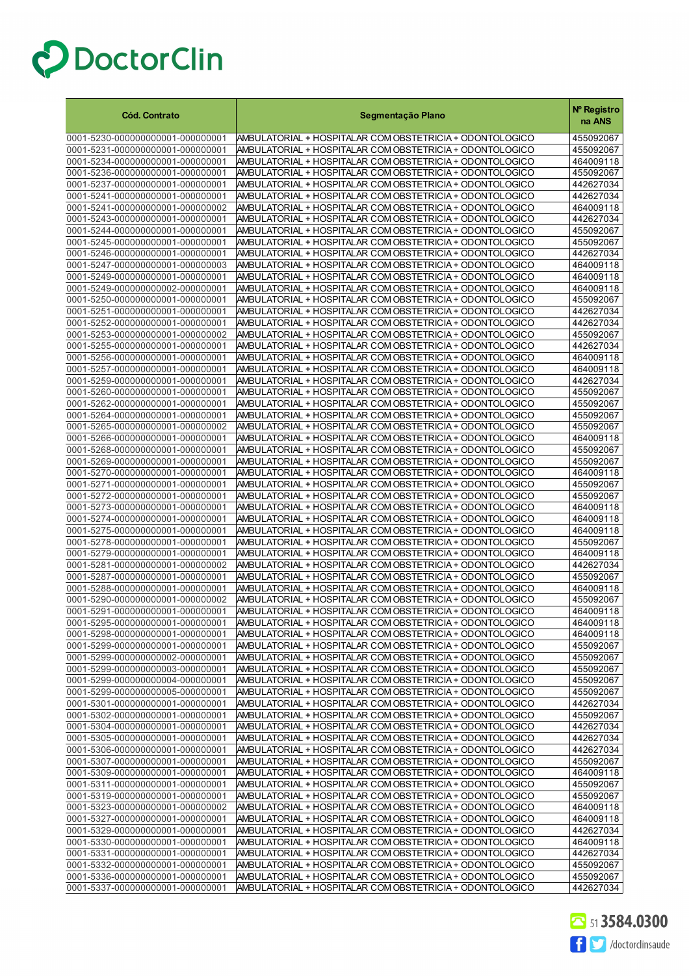| <b>Cód. Contrato</b>                                                 | Segmentação Plano                                                                                                    | Nº Registro<br>na ANS  |
|----------------------------------------------------------------------|----------------------------------------------------------------------------------------------------------------------|------------------------|
| 0001-5230-000000000001-000000001                                     | AMBULATORIAL + HOSPITALAR COM OBSTETRICIA + ODONTOLOGICO                                                             | 455092067              |
| 0001-5231-000000000001-000000001                                     | AMBULATORIAL + HOSPITALAR COM OBSTETRICIA + ODONTOLOGICO                                                             | 455092067              |
| 0001-5234-000000000001-000000001                                     | AMBULATORIAL + HOSPITALAR COM OBSTETRICIA + ODONTOLOGICO                                                             | 464009118              |
| 0001-5236-000000000001-000000001                                     | AMBULATORIAL + HOSPITALAR COM OBSTETRICIA + ODONTOLOGICO                                                             | 455092067              |
| 0001-5237-000000000001-000000001                                     | AMBULATORIAL + HOSPITALAR COM OBSTETRICIA + ODONTOLOGICO                                                             | 442627034              |
| 0001-5241-000000000001-000000001                                     | AMBULATORIAL + HOSPITALAR COM OBSTETRICIA + ODONTOLOGICO                                                             | 442627034              |
| 0001-5241-000000000001-000000002<br>0001-5243-000000000001-000000001 | AMBULATORIAL + HOSPITALAR COM OBSTETRICIA + ODONTOLOGICO<br>AMBULATORIAL + HOSPITALAR COM OBSTETRICIA + ODONTOLOGICO | 464009118<br>442627034 |
| 0001-5244-000000000001-000000001                                     | AMBULATORIAL + HOSPITALAR COM OBSTETRICIA + ODONTOLOGICO                                                             | 455092067              |
| 0001-5245-000000000001-000000001                                     | AMBULATORIAL + HOSPITALAR COM OBSTETRICIA + ODONTOLOGICO                                                             | 455092067              |
| 0001-5246-000000000001-000000001                                     | AMBULATORIAL + HOSPITALAR COM OBSTETRICIA + ODONTOLOGICO                                                             | 442627034              |
| 0001-5247-000000000001-000000003                                     | AMBULATORIAL + HOSPITALAR COM OBSTETRICIA + ODONTOLOGICO                                                             | 464009118              |
| 0001-5249-000000000001-000000001                                     | AMBULATORIAL + HOSPITALAR COM OBSTETRICIA + ODONTOLOGICO                                                             | 464009118              |
| 0001-5249-000000000002-000000001                                     | AMBULATORIAL + HOSPITALAR COM OBSTETRICIA + ODONTOLOGICO                                                             | 464009118              |
| 0001-5250-000000000001-000000001                                     | AMBULATORIAL + HOSPITALAR COM OBSTETRICIA + ODONTOLOGICO                                                             | 455092067              |
| 0001-5251-000000000001-000000001                                     | AMBULATORIAL + HOSPITALAR COM OBSTETRICIA + ODONTOLOGICO                                                             | 442627034              |
| 0001-5252-000000000001-000000001<br>0001-5253-000000000001-000000002 | AMBULATORIAL + HOSPITALAR COM OBSTETRICIA + ODONTOLOGICO<br>AMBULATORIAL + HOSPITALAR COM OBSTETRICIA + ODONTOLOGICO | 442627034<br>455092067 |
| 0001-5255-000000000001-000000001                                     | AMBULATORIAL + HOSPITALAR COM OBSTETRICIA + ODONTOLOGICO                                                             | 442627034              |
| 0001-5256-000000000001-000000001                                     | AMBULATORIAL + HOSPITALAR COM OBSTETRICIA + ODONTOLOGICO                                                             | 464009118              |
| 0001-5257-000000000001-000000001                                     | AMBULATORIAL + HOSPITALAR COM OBSTETRICIA + ODONTOLOGICO                                                             | 464009118              |
| 0001-5259-000000000001-000000001                                     | AMBULATORIAL + HOSPITALAR COM OBSTETRICIA + ODONTOLOGICO                                                             | 442627034              |
| 0001-5260-000000000001-000000001                                     | AMBULATORIAL + HOSPITALAR COM OBSTETRICIA + ODONTOLOGICO                                                             | 455092067              |
| 0001-5262-000000000001-000000001                                     | AMBULATORIAL + HOSPITALAR COM OBSTETRICIA + ODONTOLOGICO                                                             | 455092067              |
| 0001-5264-000000000001-000000001                                     | AMBULATORIAL + HOSPITALAR COM OBSTETRICIA + ODONTOLOGICO                                                             | 455092067              |
| 0001-5265-000000000001-000000002                                     | AMBULATORIAL + HOSPITALAR COM OBSTETRICIA + ODONTOLOGICO                                                             | 455092067              |
| 0001-5266-000000000001-000000001                                     | AMBULATORIAL + HOSPITALAR COM OBSTETRICIA + ODONTOLOGICO                                                             | 464009118              |
| 0001-5268-000000000001-000000001<br>0001-5269-000000000001-000000001 | AMBULATORIAL + HOSPITALAR COM OBSTETRICIA + ODONTOLOGICO<br>AMBULATORIAL + HOSPITALAR COM OBSTETRICIA + ODONTOLOGICO | 455092067<br>455092067 |
| 0001-5270-000000000001-000000001                                     | AMBULATORIAL + HOSPITALAR COM OBSTETRICIA + ODONTOLOGICO                                                             | 464009118              |
| 0001-5271-000000000001-000000001                                     | AMBULATORIAL + HOSPITALAR COM OBSTETRICIA + ODONTOLOGICO                                                             | 455092067              |
| 0001-5272-000000000001-000000001                                     | AMBULATORIAL + HOSPITALAR COM OBSTETRICIA + ODONTOLOGICO                                                             | 455092067              |
| 0001-5273-000000000001-000000001                                     | AMBULATORIAL + HOSPITALAR COM OBSTETRICIA + ODONTOLOGICO                                                             | 464009118              |
| 0001-5274-000000000001-000000001                                     | AMBULATORIAL + HOSPITALAR COM OBSTETRICIA + ODONTOLOGICO                                                             | 464009118              |
| 0001-5275-000000000001-000000001                                     | AMBULATORIAL + HOSPITALAR COM OBSTETRICIA + ODONTOLOGICO                                                             | 464009118              |
| 0001-5278-000000000001-000000001                                     | AMBULATORIAL + HOSPITALAR COM OBSTETRICIA + ODONTOLOGICO                                                             | 455092067              |
| 0001-5279-000000000001-000000001<br>0001-5281-000000000001-000000002 | AMBULATORIAL + HOSPITALAR COM OBSTETRICIA + ODONTOLOGICO<br>AMBULATORIAL + HOSPITALAR COM OBSTETRICIA + ODONTOLOGICO | 464009118<br>442627034 |
| 0001-5287-000000000001-000000001                                     | AMBULATORIAL + HOSPITALAR COM OBSTETRICIA + ODONTOLOGICO                                                             | 455092067              |
| 0001-5288-000000000001-000000001                                     | AMBULATORIAL + HOSPITALAR COM OBSTETRICIA + ODONTOLOGICO                                                             | 464009118              |
| 0001-5290-000000000001-000000002                                     | AMBULATORIAL + HOSPITALAR COM OBSTETRICIA + ODONTOLOGICO                                                             | 455092067              |
| 0001-5291-000000000001-000000001                                     | AMBULATORIAL + HOSPITALAR COM OBSTETRICIA + ODONTOLOGICO                                                             | 464009118              |
| 0001-5295-000000000001-000000001                                     | AMBULATORIAL + HOSPITALAR COM OBSTETRICIA + ODONTOLOGICO                                                             | 464009118              |
| 0001-5298-000000000001-000000001                                     | AMBULATORIAL + HOSPITALAR COM OBSTETRICIA + ODONTOLOGICO                                                             | 464009118              |
| 0001-5299-000000000001-000000001                                     | AMBULATORIAL + HOSPITALAR COM OBSTETRICIA + ODONTOLOGICO                                                             | 455092067              |
| 0001-5299-000000000002-000000001                                     | AMBULATORIAL + HOSPITALAR COM OBSTETRICIA + ODONTOLOGICO                                                             | 455092067              |
| 0001-5299-000000000003-000000001<br>0001-5299-000000000004-000000001 | AMBULATORIAL + HOSPITALAR COM OBSTETRICIA + ODONTOLOGICO<br>AMBULATORIAL + HOSPITALAR COM OBSTETRICIA + ODONTOLOGICO | 455092067<br>455092067 |
| 0001-5299-000000000005-000000001                                     | AMBULATORIAL + HOSPITALAR COM OBSTETRICIA + ODONTOLOGICO                                                             | 455092067              |
| 0001-5301-000000000001-000000001                                     | AMBULATORIAL + HOSPITALAR COM OBSTETRICIA + ODONTOLOGICO                                                             | 442627034              |
| 0001-5302-000000000001-000000001                                     | AMBULATORIAL + HOSPITALAR COM OBSTETRICIA + ODONTOLOGICO                                                             | 455092067              |
| 0001-5304-000000000001-000000001                                     | AMBULATORIAL + HOSPITALAR COM OBSTETRICIA + ODONTOLOGICO                                                             | 442627034              |
| 0001-5305-000000000001-000000001                                     | AMBULATORIAL + HOSPITALAR COM OBSTETRICIA + ODONTOLOGICO                                                             | 442627034              |
| 0001-5306-000000000001-000000001                                     | AMBULATORIAL + HOSPITALAR COM OBSTETRICIA + ODONTOLOGICO                                                             | 442627034              |
| 0001-5307-000000000001-000000001                                     | AMBULATORIAL + HOSPITALAR COM OBSTETRICIA + ODONTOLOGICO                                                             | 455092067              |
| 0001-5309-000000000001-000000001                                     | AMBULATORIAL + HOSPITALAR COM OBSTETRICIA + ODONTOLOGICO                                                             | 464009118              |
| 0001-5311-000000000001-000000001<br>0001-5319-000000000001-000000001 | AMBULATORIAL + HOSPITALAR COM OBSTETRICIA + ODONTOLOGICO<br>AMBULATORIAL + HOSPITALAR COM OBSTETRICIA + ODONTOLOGICO | 455092067<br>455092067 |
| 0001-5323-000000000001-000000002                                     | AMBULATORIAL + HOSPITALAR COM OBSTETRICIA + ODONTOLOGICO                                                             | 464009118              |
| 0001-5327-000000000001-000000001                                     | AMBULATORIAL + HOSPITALAR COM OBSTETRICIA + ODONTOLOGICO                                                             | 464009118              |
| 0001-5329-000000000001-000000001                                     | AMBULATORIAL + HOSPITALAR COM OBSTETRICIA + ODONTOLOGICO                                                             | 442627034              |
| 0001-5330-000000000001-000000001                                     | AMBULATORIAL + HOSPITALAR COM OBSTETRICIA + ODONTOLOGICO                                                             | 464009118              |
| 0001-5331-000000000001-000000001                                     | AMBULATORIAL + HOSPITALAR COM OBSTETRICIA + ODONTOLOGICO                                                             | 442627034              |
| 0001-5332-000000000001-000000001                                     | AMBULATORIAL + HOSPITALAR COM OBSTETRICIA + ODONTOLOGICO                                                             | 455092067              |
| 0001-5336-000000000001-000000001<br>0001-5337-000000000001-000000001 | AMBULATORIAL + HOSPITALAR COM OBSTETRICIA + ODONTOLOGICO<br>AMBULATORIAL + HOSPITALAR COM OBSTETRICIA + ODONTOLOGICO | 455092067<br>442627034 |
|                                                                      |                                                                                                                      |                        |

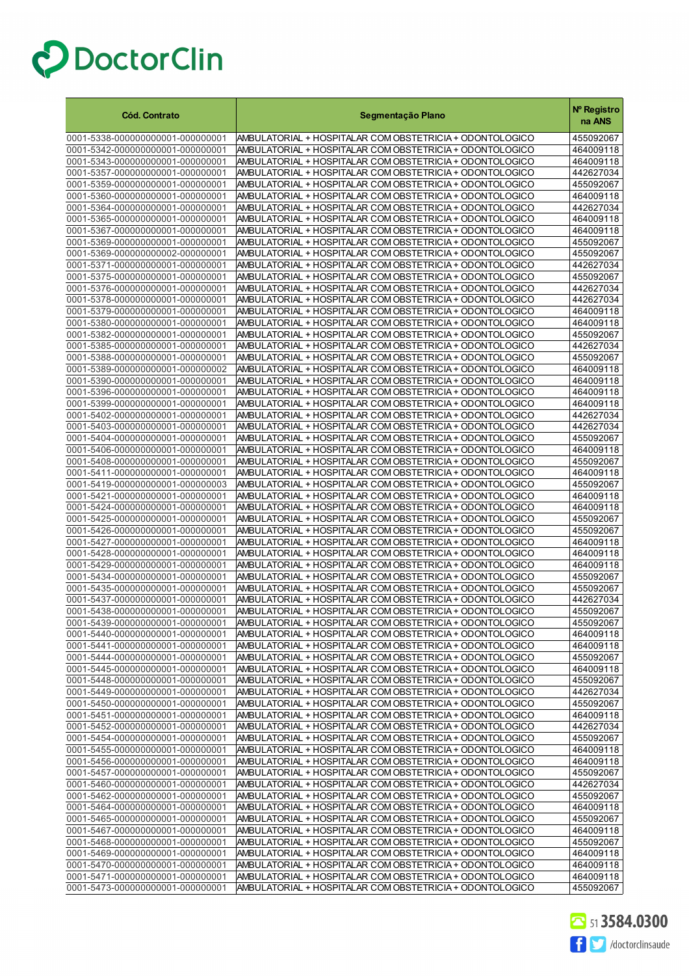| <b>Cód. Contrato</b>                                                 | Segmentação Plano                                                                                                    | Nº Registro<br>na ANS  |
|----------------------------------------------------------------------|----------------------------------------------------------------------------------------------------------------------|------------------------|
| 0001-5338-000000000001-000000001                                     | AMBULATORIAL + HOSPITALAR COM OBSTETRICIA + ODONTOLOGICO                                                             | 455092067              |
| 0001-5342-000000000001-000000001                                     | AMBULATORIAL + HOSPITALAR COM OBSTETRICIA + ODONTOLOGICO                                                             | 464009118              |
| 0001-5343-000000000001-000000001                                     | AMBULATORIAL + HOSPITALAR COM OBSTETRICIA + ODONTOLOGICO                                                             | 464009118              |
| 0001-5357-000000000001-000000001                                     | AMBULATORIAL + HOSPITALAR COM OBSTETRICIA + ODONTOLOGICO                                                             | 442627034              |
| 0001-5359-000000000001-000000001                                     | AMBULATORIAL + HOSPITALAR COM OBSTETRICIA + ODONTOLOGICO                                                             | 455092067              |
| 0001-5360-000000000001-000000001                                     | AMBULATORIAL + HOSPITALAR COM OBSTETRICIA + ODONTOLOGICO                                                             | 464009118              |
| 0001-5364-000000000001-000000001                                     | AMBULATORIAL + HOSPITALAR COM OBSTETRICIA + ODONTOLOGICO                                                             | 442627034              |
| 0001-5365-000000000001-000000001                                     | AMBULATORIAL + HOSPITALAR COM OBSTETRICIA + ODONTOLOGICO                                                             | 464009118              |
| 0001-5367-000000000001-000000001                                     | AMBULATORIAL + HOSPITALAR COM OBSTETRICIA + ODONTOLOGICO                                                             | 464009118              |
| 0001-5369-000000000001-000000001                                     | AMBULATORIAL + HOSPITALAR COM OBSTETRICIA + ODONTOLOGICO                                                             | 455092067              |
| 0001-5369-000000000002-000000001                                     | AMBULATORIAL + HOSPITALAR COM OBSTETRICIA + ODONTOLOGICO                                                             | 455092067              |
| 0001-5371-000000000001-000000001                                     | AMBULATORIAL + HOSPITALAR COM OBSTETRICIA + ODONTOLOGICO                                                             | 442627034              |
| 0001-5375-000000000001-000000001                                     | AMBULATORIAL + HOSPITALAR COM OBSTETRICIA + ODONTOLOGICO                                                             | 455092067              |
| 0001-5376-000000000001-000000001<br>0001-5378-000000000001-000000001 | AMBULATORIAL + HOSPITALAR COM OBSTETRICIA + ODONTOLOGICO                                                             | 442627034<br>442627034 |
| 0001-5379-000000000001-000000001                                     | AMBULATORIAL + HOSPITALAR COM OBSTETRICIA + ODONTOLOGICO<br>AMBULATORIAL + HOSPITALAR COM OBSTETRICIA + ODONTOLOGICO | 464009118              |
| 0001-5380-000000000001-000000001                                     | AMBULATORIAL + HOSPITALAR COM OBSTETRICIA + ODONTOLOGICO                                                             | 464009118              |
| 0001-5382-000000000001-000000001                                     | AMBULATORIAL + HOSPITALAR COM OBSTETRICIA + ODONTOLOGICO                                                             | 455092067              |
| 0001-5385-000000000001-000000001                                     | AMBULATORIAL + HOSPITALAR COM OBSTETRICIA + ODONTOLOGICO                                                             | 442627034              |
| 0001-5388-000000000001-000000001                                     | AMBULATORIAL + HOSPITALAR COM OBSTETRICIA + ODONTOLOGICO                                                             | 455092067              |
| 0001-5389-000000000001-000000002                                     | AMBULATORIAL + HOSPITALAR COM OBSTETRICIA + ODONTOLOGICO                                                             | 464009118              |
| 0001-5390-000000000001-000000001                                     | AMBULATORIAL + HOSPITALAR COM OBSTETRICIA + ODONTOLOGICO                                                             | 464009118              |
| 0001-5396-000000000001-000000001                                     | AMBULATORIAL + HOSPITALAR COM OBSTETRICIA + ODONTOLOGICO                                                             | 464009118              |
| 0001-5399-000000000001-000000001                                     | AMBULATORIAL + HOSPITALAR COM OBSTETRICIA + ODONTOLOGICO                                                             | 464009118              |
| 0001-5402-000000000001-000000001                                     | AMBULATORIAL + HOSPITALAR COM OBSTETRICIA + ODONTOLOGICO                                                             | 442627034              |
| 0001-5403-000000000001-000000001                                     | AMBULATORIAL + HOSPITALAR COM OBSTETRICIA + ODONTOLOGICO                                                             | 442627034              |
| 0001-5404-000000000001-000000001                                     | AMBULATORIAL + HOSPITALAR COM OBSTETRICIA + ODONTOLOGICO                                                             | 455092067              |
| 0001-5406-000000000001-000000001                                     | AMBULATORIAL + HOSPITALAR COM OBSTETRICIA + ODONTOLOGICO                                                             | 464009118              |
| 0001-5408-000000000001-000000001                                     | AMBULATORIAL + HOSPITALAR COM OBSTETRICIA + ODONTOLOGICO                                                             | 455092067              |
| 0001-5411-000000000001-000000001                                     | AMBULATORIAL + HOSPITALAR COM OBSTETRICIA + ODONTOLOGICO                                                             | 464009118              |
| 0001-5419-000000000001-000000003                                     | AMBULATORIAL + HOSPITALAR COM OBSTETRICIA + ODONTOLOGICO                                                             | 455092067              |
| 0001-5421-000000000001-000000001                                     | AMBULATORIAL + HOSPITALAR COM OBSTETRICIA + ODONTOLOGICO                                                             | 464009118              |
| 0001-5424-000000000001-000000001<br>0001-5425-000000000001-000000001 | AMBULATORIAL + HOSPITALAR COM OBSTETRICIA + ODONTOLOGICO<br>AMBULATORIAL + HOSPITALAR COM OBSTETRICIA + ODONTOLOGICO | 464009118<br>455092067 |
| 0001-5426-000000000001-000000001                                     | AMBULATORIAL + HOSPITALAR COM OBSTETRICIA + ODONTOLOGICO                                                             | 455092067              |
| 0001-5427-000000000001-000000001                                     | AMBULATORIAL + HOSPITALAR COM OBSTETRICIA + ODONTOLOGICO                                                             | 464009118              |
| 0001-5428-000000000001-000000001                                     | AMBULATORIAL + HOSPITALAR COM OBSTETRICIA + ODONTOLOGICO                                                             | 464009118              |
| 0001-5429-000000000001-000000001                                     | AMBULATORIAL + HOSPITALAR COM OBSTETRICIA + ODONTOLOGICO                                                             | 464009118              |
| 0001-5434-000000000001-000000001                                     | AMBULATORIAL + HOSPITALAR COM OBSTETRICIA + ODONTOLOGICO                                                             | 455092067              |
| 0001-5435-000000000001-000000001                                     | AMBULATORIAL + HOSPITALAR COM OBSTETRICIA + ODONTOLOGICO                                                             | 455092067              |
| 0001-5437-000000000001-000000001                                     | AMBULATORIAL + HOSPITALAR COM OBSTETRICIA + ODONTOLOGICO                                                             | 442627034              |
| 0001-5438-000000000001-000000001                                     | AMBULATORIAL + HOSPITALAR COM OBSTETRICIA + ODONTOLOGICO                                                             | 455092067              |
| 0001-5439-000000000001-000000001                                     | AMBULATORIAL + HOSPITALAR COM OBSTETRICIA + ODON FOLOGICO                                                            | 455092067              |
| 0001-5440-000000000001-000000001                                     | AMBULATORIAL + HOSPITALAR COM OBSTETRICIA + ODONTOLOGICO                                                             | 464009118              |
| 0001-5441-000000000001-000000001                                     | AMBULATORIAL + HOSPITALAR COM OBSTETRICIA + ODONTOLOGICO                                                             | 464009118              |
| 0001-5444-000000000001-000000001                                     | AMBULATORIAL + HOSPITALAR COM OBSTETRICIA + ODONTOLOGICO                                                             | 455092067              |
| 0001-5445-000000000001-000000001                                     | AMBULATORIAL + HOSPITALAR COM OBSTETRICIA + ODONTOLOGICO                                                             | 464009118              |
| 0001-5448-000000000001-000000001                                     | AMBULATORIAL + HOSPITALAR COM OBSTETRICIA + ODONTOLOGICO                                                             | 455092067              |
| 0001-5449-000000000001-000000001<br>0001-5450-000000000001-000000001 | AMBULATORIAL + HOSPITALAR COM OBSTETRICIA + ODONTOLOGICO<br>AMBULATORIAL + HOSPITALAR COM OBSTETRICIA + ODONTOLOGICO | 442627034<br>455092067 |
| 0001-5451-000000000001-000000001                                     | AMBULATORIAL + HOSPITALAR COM OBSTETRICIA + ODONTOLOGICO                                                             | 464009118              |
| 0001-5452-000000000001-000000001                                     | AMBULATORIAL + HOSPITALAR COM OBSTETRICIA + ODONTOLOGICO                                                             | 442627034              |
| 0001-5454-000000000001-000000001                                     | AMBULATORIAL + HOSPITALAR COM OBSTETRICIA + ODONTOLOGICO                                                             | 455092067              |
| 0001-5455-000000000001-000000001                                     | AMBULATORIAL + HOSPITALAR COM OBSTETRICIA + ODONTOLOGICO                                                             | 464009118              |
| 0001-5456-000000000001-000000001                                     | AMBULATORIAL + HOSPITALAR COM OBSTETRICIA + ODONTOLOGICO                                                             | 464009118              |
| 0001-5457-000000000001-000000001                                     | AMBULATORIAL + HOSPITALAR COM OBSTETRICIA + ODONTOLOGICO                                                             | 455092067              |
| 0001-5460-000000000001-000000001                                     | AMBULATORIAL + HOSPITALAR COM OBSTETRICIA + ODONTOLOGICO                                                             | 442627034              |
| 0001-5462-000000000001-000000001                                     | AMBULATORIAL + HOSPITALAR COM OBSTETRICIA + ODONTOLOGICO                                                             | 455092067              |
| 0001-5464-000000000001-000000001                                     | AMBULATORIAL + HOSPITALAR COM OBSTETRICIA + ODONTOLOGICO                                                             | 464009118              |
| 0001-5465-000000000001-000000001                                     | AMBULATORIAL + HOSPITALAR COM OBSTETRICIA + ODONTOLOGICO                                                             | 455092067              |
| 0001-5467-000000000001-000000001                                     | AMBULATORIAL + HOSPITALAR COM OBSTETRICIA + ODONTOLOGICO                                                             | 464009118              |
| 0001-5468-000000000001-000000001                                     | AMBULATORIAL + HOSPITALAR COM OBSTETRICIA + ODONTOLOGICO                                                             | 455092067              |
| 0001-5469-000000000001-000000001                                     | AMBULATORIAL + HOSPITALAR COM OBSTETRICIA + ODONTOLOGICO                                                             | 464009118              |
| 0001-5470-000000000001-000000001<br>0001-5471-000000000001-000000001 | AMBULATORIAL + HOSPITALAR COM OBSTETRICIA + ODONTOLOGICO<br>AMBULATORIAL + HOSPITALAR COM OBSTETRICIA + ODONTOLOGICO | 464009118<br>464009118 |
| 0001-5473-000000000001-000000001                                     | AMBULATORIAL + HOSPITALAR COM OBSTETRICIA + ODONTOLOGICO                                                             | 455092067              |

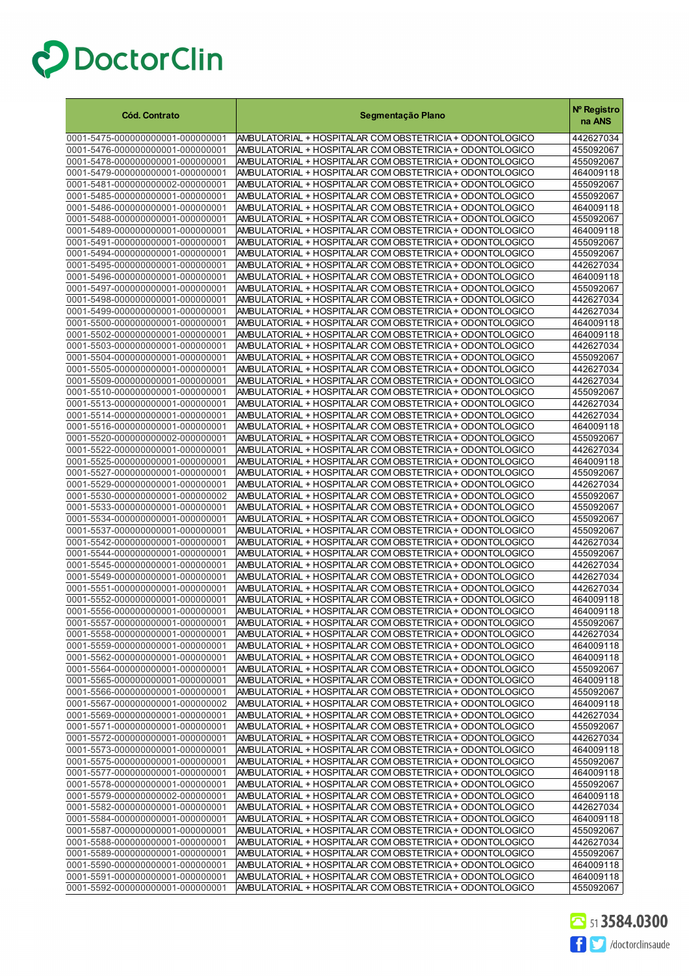| <b>Cód. Contrato</b>                                                 | Segmentação Plano                                                                                                     | Nº Registro<br>na ANS  |
|----------------------------------------------------------------------|-----------------------------------------------------------------------------------------------------------------------|------------------------|
| 0001-5475-000000000001-000000001                                     | AMBULATORIAL + HOSPITALAR COM OBSTETRICIA + ODONTOLOGICO                                                              | 442627034              |
| 0001-5476-000000000001-000000001                                     | AMBULATORIAL + HOSPITALAR COM OBSTETRICIA + ODONTOLOGICO                                                              | 455092067              |
| 0001-5478-000000000001-000000001                                     | AMBULATORIAL + HOSPITALAR COM OBSTETRICIA + ODONTOLOGICO                                                              | 455092067              |
| 0001-5479-000000000001-000000001                                     | AMBULATORIAL + HOSPITALAR COM OBSTETRICIA + ODONTOLOGICO                                                              | 464009118              |
| 0001-5481-000000000002-000000001                                     | AMBULATORIAL + HOSPITALAR COM OBSTETRICIA + ODONTOLOGICO                                                              | 455092067              |
| 0001-5485-000000000001-000000001                                     | AMBULATORIAL + HOSPITALAR COM OBSTETRICIA + ODONTOLOGICO                                                              | 455092067              |
| 0001-5486-000000000001-000000001                                     | AMBULATORIAL + HOSPITALAR COM OBSTETRICIA + ODONTOLOGICO                                                              | 464009118              |
| 0001-5488-000000000001-000000001<br>0001-5489-000000000001-000000001 | AMBULATORIAL + HOSPITALAR COM OBSTETRICIA + ODONTOLOGICO<br>AMBULATORIAL + HOSPITALAR COM OBSTETRICIA + ODONTOLOGICO  | 455092067<br>464009118 |
| 0001-5491-000000000001-000000001                                     | AMBULATORIAL + HOSPITALAR COM OBSTETRICIA + ODONTOLOGICO                                                              | 455092067              |
| 0001-5494-000000000001-000000001                                     | AMBULATORIAL + HOSPITALAR COM OBSTETRICIA + ODONTOLOGICO                                                              | 455092067              |
| 0001-5495-000000000001-000000001                                     | AMBULATORIAL + HOSPITALAR COM OBSTETRICIA + ODONTOLOGICO                                                              | 442627034              |
| 0001-5496-000000000001-000000001                                     | AMBULATORIAL + HOSPITALAR COM OBSTETRICIA + ODONTOLOGICO                                                              | 464009118              |
| 0001-5497-000000000001-000000001                                     | AMBULATORIAL + HOSPITALAR COM OBSTETRICIA + ODONTOLOGICO                                                              | 455092067              |
| 0001-5498-000000000001-000000001                                     | AMBULATORIAL + HOSPITALAR COM OBSTETRICIA + ODONTOLOGICO                                                              | 442627034              |
| 0001-5499-000000000001-000000001                                     | AMBULATORIAL + HOSPITALAR COM OBSTETRICIA + ODONTOLOGICO                                                              | 442627034              |
| 0001-5500-000000000001-000000001                                     | AMBULATORIAL + HOSPITALAR COM OBSTETRICIA + ODONTOLOGICO                                                              | 464009118              |
| 0001-5502-000000000001-000000001                                     | AMBULATORIAL + HOSPITALAR COM OBSTETRICIA + ODONTOLOGICO                                                              | 464009118              |
| 0001-5503-000000000001-000000001                                     | AMBULATORIAL + HOSPITALAR COM OBSTETRICIA + ODONTOLOGICO                                                              | 442627034              |
| 0001-5504-000000000001-000000001                                     | AMBULATORIAL + HOSPITALAR COM OBSTETRICIA + ODONTOLOGICO                                                              | 455092067              |
| 0001-5505-000000000001-000000001<br>0001-5509-000000000001-000000001 | AMBULATORIAL + HOSPITALAR COM OBSTETRICIA + ODONTOLOGICO<br>AMBULATORIAL + HOSPITALAR COM OBSTETRICIA + ODONTOLOGICO  | 442627034<br>442627034 |
| 0001-5510-000000000001-000000001                                     | AMBULATORIAL + HOSPITALAR COM OBSTETRICIA + ODONTOLOGICO                                                              | 455092067              |
| 0001-5513-000000000001-000000001                                     | AMBULATORIAL + HOSPITALAR COM OBSTETRICIA + ODONTOLOGICO                                                              | 442627034              |
| 0001-5514-000000000001-000000001                                     | AMBULATORIAL + HOSPITALAR COM OBSTETRICIA + ODONTOLOGICO                                                              | 442627034              |
| 0001-5516-000000000001-000000001                                     | AMBULATORIAL + HOSPITALAR COM OBSTETRICIA + ODONTOLOGICO                                                              | 464009118              |
| 0001-5520-000000000002-000000001                                     | AMBULATORIAL + HOSPITALAR COM OBSTETRICIA + ODONTOLOGICO                                                              | 455092067              |
| 0001-5522-000000000001-000000001                                     | AMBULATORIAL + HOSPITALAR COM OBSTETRICIA + ODONTOLOGICO                                                              | 442627034              |
| 0001-5525-000000000001-000000001                                     | AMBULATORIAL + HOSPITALAR COM OBSTETRICIA + ODONTOLOGICO                                                              | 464009118              |
| 0001-5527-000000000001-000000001                                     | AMBULATORIAL + HOSPITALAR COM OBSTETRICIA + ODONTOLOGICO                                                              | 455092067              |
| 0001-5529-000000000001-000000001                                     | AMBULATORIAL + HOSPITALAR COM OBSTETRICIA + ODONTOLOGICO                                                              | 442627034              |
| 0001-5530-000000000001-000000002<br>0001-5533-000000000001-000000001 | AMBULATORIAL + HOSPITALAR COM OBSTETRICIA + ODONTOLOGICO<br>AMBULATORIAL + HOSPITALAR COM OBSTETRICIA + ODONTOLOGICO  | 455092067<br>455092067 |
| 0001-5534-000000000001-000000001                                     | AMBULATORIAL + HOSPITALAR COM OBSTETRICIA + ODONTOLOGICO                                                              | 455092067              |
| 0001-5537-000000000001-000000001                                     | AMBULATORIAL + HOSPITALAR COM OBSTETRICIA + ODONTOLOGICO                                                              | 455092067              |
| 0001-5542-000000000001-000000001                                     | AMBULATORIAL + HOSPITALAR COM OBSTETRICIA + ODONTOLOGICO                                                              | 442627034              |
| 0001-5544-000000000001-000000001                                     | AMBULATORIAL + HOSPITALAR COM OBSTETRICIA + ODONTOLOGICO                                                              | 455092067              |
| 0001-5545-000000000001-000000001                                     | AMBULATORIAL + HOSPITALAR COM OBSTETRICIA + ODONTOLOGICO                                                              | 442627034              |
| 0001-5549-000000000001-000000001                                     | AMBULATORIAL + HOSPITALAR COM OBSTETRICIA + ODONTOLOGICO                                                              | 442627034              |
| 0001-5551-000000000001-000000001                                     | AMBULATORIAL + HOSPITALAR COM OBSTETRICIA + ODONTOLOGICO                                                              | 442627034              |
| 0001-5552-000000000001-000000001                                     | AMBULATORIAL + HOSPITALAR COM OBSTETRICIA + ODONTOLOGICO                                                              | 464009118              |
| 0001-5556-000000000001-000000001                                     | AMBULATORIAL + HOSPITALAR COM OBSTETRICIA + ODONTOLOGICO                                                              | 464009118              |
| 0001-5557-000000000001-000000001<br>0001-5558-000000000001-000000001 | AMBULATORIAL + HOSPITALAR COM OBSTETRICIA + ODON TOLOGICO<br>AMBULATORIAL + HOSPITALAR COM OBSTETRICIA + ODONTOLOGICO | 455092067<br>442627034 |
| 0001-5559-000000000001-000000001                                     | AMBULATORIAL + HOSPITALAR COM OBSTETRICIA + ODONTOLOGICO                                                              | 464009118              |
| 0001-5562-000000000001-000000001                                     | AMBULATORIAL + HOSPITALAR COM OBSTETRICIA + ODONTOLOGICO                                                              | 464009118              |
| 0001-5564-000000000001-000000001                                     | AMBULATORIAL + HOSPITALAR COM OBSTETRICIA + ODONTOLOGICO                                                              | 455092067              |
| 0001-5565-000000000001-000000001                                     | AMBULATORIAL + HOSPITALAR COM OBSTETRICIA + ODONTOLOGICO                                                              | 464009118              |
| 0001-5566-000000000001-000000001                                     | AMBULATORIAL + HOSPITALAR COM OBSTETRICIA + ODONTOLOGICO                                                              | 455092067              |
| 0001-5567-000000000001-000000002                                     | AMBULATORIAL + HOSPITALAR COM OBSTETRICIA + ODONTOLOGICO                                                              | 464009118              |
| 0001-5569-000000000001-000000001                                     | AMBULATORIAL + HOSPITALAR COM OBSTETRICIA + ODONTOLOGICO                                                              | 442627034              |
| 0001-5571-000000000001-000000001                                     | AMBULATORIAL + HOSPITALAR COM OBSTETRICIA + ODONTOLOGICO                                                              | 455092067              |
| 0001-5572-000000000001-000000001                                     | AMBULATORIAL + HOSPITALAR COM OBSTETRICIA + ODONTOLOGICO                                                              | 442627034              |
| 0001-5573-000000000001-000000001<br>0001-5575-000000000001-000000001 | AMBULATORIAL + HOSPITALAR COM OBSTETRICIA + ODONTOLOGICO<br>AMBULATORIAL + HOSPITALAR COM OBSTETRICIA + ODONTOLOGICO  | 464009118<br>455092067 |
| 0001-5577-000000000001-000000001                                     | AMBULATORIAL + HOSPITALAR COM OBSTETRICIA + ODONTOLOGICO                                                              | 464009118              |
| 0001-5578-000000000001-000000001                                     | AMBULATORIAL + HOSPITALAR COM OBSTETRICIA + ODONTOLOGICO                                                              | 455092067              |
| 0001-5579-000000000002-000000001                                     | AMBULATORIAL + HOSPITALAR COM OBSTETRICIA + ODONTOLOGICO                                                              | 464009118              |
| 0001-5582-000000000001-000000001                                     | AMBULATORIAL + HOSPITALAR COM OBSTETRICIA + ODONTOLOGICO                                                              | 442627034              |
| 0001-5584-000000000001-000000001                                     | AMBULATORIAL + HOSPITALAR COM OBSTETRICIA + ODONTOLOGICO                                                              | 464009118              |
| 0001-5587-000000000001-000000001                                     | AMBULATORIAL + HOSPITALAR COM OBSTETRICIA + ODONTOLOGICO                                                              | 455092067              |
| 0001-5588-000000000001-000000001                                     | AMBULATORIAL + HOSPITALAR COM OBSTETRICIA + ODONTOLOGICO                                                              | 442627034              |
| 0001-5589-000000000001-000000001                                     | AMBULATORIAL + HOSPITALAR COM OBSTETRICIA + ODONTOLOGICO                                                              | 455092067              |
| 0001-5590-000000000001-000000001                                     | AMBULATORIAL + HOSPITALAR COM OBSTETRICIA + ODONTOLOGICO                                                              | 464009118              |
| 0001-5591-000000000001-000000001<br>0001-5592-000000000001-000000001 | AMBULATORIAL + HOSPITALAR COM OBSTETRICIA + ODONTOLOGICO<br>AMBULATORIAL + HOSPITALAR COM OBSTETRICIA + ODONTOLOGICO  | 464009118<br>455092067 |

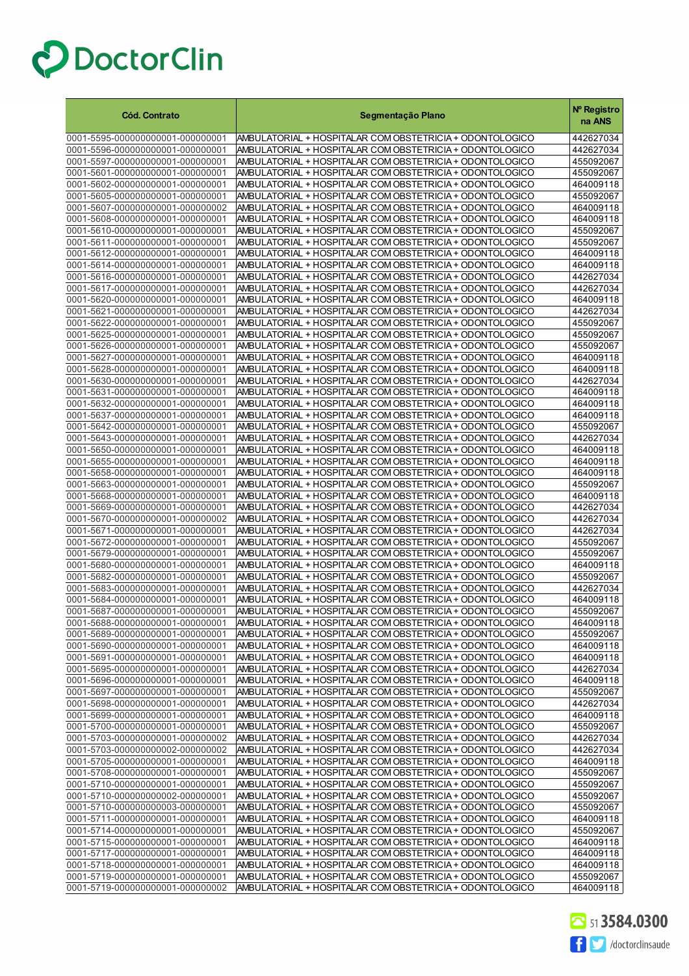| <b>Cód. Contrato</b>                                                 | Segmentação Plano                                                                                                    | Nº Registro<br>na ANS  |
|----------------------------------------------------------------------|----------------------------------------------------------------------------------------------------------------------|------------------------|
| 0001-5595-000000000001-000000001                                     | AMBULATORIAL + HOSPITALAR COM OBSTETRICIA + ODONTOLOGICO                                                             | 442627034              |
| 0001-5596-000000000001-000000001                                     | AMBULATORIAL + HOSPITALAR COM OBSTETRICIA + ODONTOLOGICO                                                             | 442627034              |
| 0001-5597-000000000001-000000001                                     | AMBULATORIAL + HOSPITALAR COM OBSTETRICIA + ODONTOLOGICO                                                             | 455092067              |
| 0001-5601-000000000001-000000001                                     | AMBULATORIAL + HOSPITALAR COM OBSTETRICIA + ODONTOLOGICO                                                             | 455092067              |
| 0001-5602-000000000001-000000001                                     | AMBULATORIAL + HOSPITALAR COM OBSTETRICIA + ODONTOLOGICO                                                             | 464009118              |
| 0001-5605-000000000001-000000001                                     | AMBULATORIAL + HOSPITALAR COM OBSTETRICIA + ODONTOLOGICO                                                             | 455092067              |
| 0001-5607-000000000001-000000002                                     | AMBULATORIAL + HOSPITALAR COM OBSTETRICIA + ODONTOLOGICO                                                             | 464009118              |
| 0001-5608-000000000001-000000001                                     | AMBULATORIAL + HOSPITALAR COM OBSTETRICIA + ODONTOLOGICO                                                             | 464009118              |
| 0001-5610-000000000001-000000001                                     | AMBULATORIAL + HOSPITALAR COM OBSTETRICIA + ODONTOLOGICO                                                             | 455092067              |
| 0001-5611-000000000001-000000001                                     | AMBULATORIAL + HOSPITALAR COM OBSTETRICIA + ODONTOLOGICO                                                             | 455092067              |
| 0001-5612-000000000001-000000001                                     | AMBULATORIAL + HOSPITALAR COM OBSTETRICIA + ODONTOLOGICO                                                             | 464009118              |
| 0001-5614-000000000001-000000001                                     | AMBULATORIAL + HOSPITALAR COM OBSTETRICIA + ODONTOLOGICO                                                             | 464009118              |
| 0001-5616-000000000001-000000001                                     | AMBULATORIAL + HOSPITALAR COM OBSTETRICIA + ODONTOLOGICO                                                             | 442627034              |
| 0001-5617-000000000001-000000001<br>0001-5620-000000000001-000000001 | AMBULATORIAL + HOSPITALAR COM OBSTETRICIA + ODONTOLOGICO<br>AMBULATORIAL + HOSPITALAR COM OBSTETRICIA + ODONTOLOGICO | 442627034              |
| 0001-5621-000000000001-000000001                                     | AMBULATORIAL + HOSPITALAR COM OBSTETRICIA + ODONTOLOGICO                                                             | 464009118<br>442627034 |
| 0001-5622-000000000001-000000001                                     | AMBULATORIAL + HOSPITALAR COM OBSTETRICIA + ODONTOLOGICO                                                             | 455092067              |
| 0001-5625-000000000001-000000001                                     | AMBULATORIAL + HOSPITALAR COM OBSTETRICIA + ODONTOLOGICO                                                             | 455092067              |
| 0001-5626-000000000001-000000001                                     | AMBULATORIAL + HOSPITALAR COM OBSTETRICIA + ODONTOLOGICO                                                             | 455092067              |
| 0001-5627-000000000001-000000001                                     | AMBULATORIAL + HOSPITALAR COM OBSTETRICIA + ODONTOLOGICO                                                             | 464009118              |
| 0001-5628-000000000001-000000001                                     | AMBULATORIAL + HOSPITALAR COM OBSTETRICIA + ODONTOLOGICO                                                             | 464009118              |
| 0001-5630-000000000001-000000001                                     | AMBULATORIAL + HOSPITALAR COM OBSTETRICIA + ODONTOLOGICO                                                             | 442627034              |
| 0001-5631-000000000001-000000001                                     | AMBULATORIAL + HOSPITALAR COM OBSTETRICIA + ODONTOLOGICO                                                             | 464009118              |
| 0001-5632-000000000001-000000001                                     | AMBULATORIAL + HOSPITALAR COM OBSTETRICIA + ODONTOLOGICO                                                             | 464009118              |
| 0001-5637-000000000001-000000001                                     | AMBULATORIAL + HOSPITALAR COM OBSTETRICIA + ODONTOLOGICO                                                             | 464009118              |
| 0001-5642-000000000001-000000001                                     | AMBULATORIAL + HOSPITALAR COM OBSTETRICIA + ODONTOLOGICO                                                             | 455092067              |
| 0001-5643-000000000001-000000001                                     | AMBULATORIAL + HOSPITALAR COM OBSTETRICIA + ODONTOLOGICO                                                             | 442627034              |
| 0001-5650-000000000001-000000001                                     | AMBULATORIAL + HOSPITALAR COM OBSTETRICIA + ODONTOLOGICO                                                             | 464009118              |
| 0001-5655-000000000001-000000001                                     | AMBULATORIAL + HOSPITALAR COM OBSTETRICIA + ODONTOLOGICO                                                             | 464009118              |
| 0001-5658-000000000001-000000001                                     | AMBULATORIAL + HOSPITALAR COM OBSTETRICIA + ODONTOLOGICO                                                             | 464009118              |
| 0001-5663-000000000001-000000001<br>0001-5668-000000000001-000000001 | AMBULATORIAL + HOSPITALAR COM OBSTETRICIA + ODONTOLOGICO<br>AMBULATORIAL + HOSPITALAR COM OBSTETRICIA + ODONTOLOGICO | 455092067<br>464009118 |
| 0001-5669-000000000001-000000001                                     | AMBULATORIAL + HOSPITALAR COM OBSTETRICIA + ODONTOLOGICO                                                             | 442627034              |
| 0001-5670-000000000001-000000002                                     | AMBULATORIAL + HOSPITALAR COM OBSTETRICIA + ODONTOLOGICO                                                             | 442627034              |
| 0001-5671-000000000001-000000001                                     | AMBULATORIAL + HOSPITALAR COM OBSTETRICIA + ODONTOLOGICO                                                             | 442627034              |
| 0001-5672-000000000001-000000001                                     | AMBULATORIAL + HOSPITALAR COM OBSTETRICIA + ODONTOLOGICO                                                             | 455092067              |
| 0001-5679-000000000001-000000001                                     | AMBULATORIAL + HOSPITALAR COM OBSTETRICIA + ODONTOLOGICO                                                             | 455092067              |
| 0001-5680-000000000001-000000001                                     | AMBULATORIAL + HOSPITALAR COM OBSTETRICIA + ODONTOLOGICO                                                             | 464009118              |
| 0001-5682-000000000001-000000001                                     | AMBULATORIAL + HOSPITALAR COM OBSTETRICIA + ODONTOLOGICO                                                             | 455092067              |
| 0001-5683-000000000001-000000001                                     | AMBULATORIAL + HOSPITALAR COM OBSTETRICIA + ODONTOLOGICO                                                             | 442627034              |
| 0001-5684-000000000001-000000001                                     | AMBULATORIAL + HOSPITALAR COM OBSTETRICIA + ODONTOLOGICO                                                             | 464009118              |
| 0001-5687-000000000001-000000001                                     | AMBULATORIAL + HOSPITALAR COM OBSTETRICIA + ODONTOLOGICO                                                             | 455092067              |
| 0001-5688-000000000001-000000001                                     | AMBULATORIAL + HOSPITALAR COM OBSTETRICIA + ODON FOLOGICO                                                            | 464009118              |
| 0001-5689-000000000001-000000001                                     | AMBULATORIAL + HOSPITALAR COM OBSTETRICIA + ODONTOLOGICO                                                             | 455092067              |
| 0001-5690-000000000001-000000001<br>0001-5691-000000000001-000000001 | AMBULATORIAL + HOSPITALAR COM OBSTETRICIA + ODONTOLOGICO<br>AMBULATORIAL + HOSPITALAR COM OBSTETRICIA + ODONTOLOGICO | 464009118<br>464009118 |
| 0001-5695-000000000001-000000001                                     | AMBULATORIAL + HOSPITALAR COM OBSTETRICIA + ODONTOLOGICO                                                             | 442627034              |
| 0001-5696-000000000001-000000001                                     | AMBULATORIAL + HOSPITALAR COM OBSTETRICIA + ODONTOLOGICO                                                             | 464009118              |
| 0001-5697-000000000001-000000001                                     | AMBULATORIAL + HOSPITALAR COM OBSTETRICIA + ODONTOLOGICO                                                             | 455092067              |
| 0001-5698-000000000001-000000001                                     | AMBULATORIAL + HOSPITALAR COM OBSTETRICIA + ODONTOLOGICO                                                             | 442627034              |
| 0001-5699-000000000001-000000001                                     | AMBULATORIAL + HOSPITALAR COM OBSTETRICIA + ODONTOLOGICO                                                             | 464009118              |
| 0001-5700-000000000001-000000001                                     | AMBULATORIAL + HOSPITALAR COM OBSTETRICIA + ODONTOLOGICO                                                             | 455092067              |
| 0001-5703-000000000001-000000002                                     | AMBULATORIAL + HOSPITALAR COM OBSTETRICIA + ODONTOLOGICO                                                             | 442627034              |
| 0001-5703-000000000002-000000002                                     | AMBULATORIAL + HOSPITALAR COM OBSTETRICIA + ODONTOLOGICO                                                             | 442627034              |
| 0001-5705-000000000001-000000001                                     | AMBULATORIAL + HOSPITALAR COM OBSTETRICIA + ODONTOLOGICO                                                             | 464009118              |
| 0001-5708-000000000001-000000001                                     | AMBULATORIAL + HOSPITALAR COM OBSTETRICIA + ODONTOLOGICO                                                             | 455092067              |
| 0001-5710-000000000001-000000001                                     | AMBULATORIAL + HOSPITALAR COM OBSTETRICIA + ODONTOLOGICO                                                             | 455092067              |
| 0001-5710-000000000002-000000001                                     | AMBULATORIAL + HOSPITALAR COM OBSTETRICIA + ODONTOLOGICO                                                             | 455092067              |
| 0001-5710-000000000003-000000001<br>0001-5711-000000000001-000000001 | AMBULATORIAL + HOSPITALAR COM OBSTETRICIA + ODONTOLOGICO<br>AMBULATORIAL + HOSPITALAR COM OBSTETRICIA + ODONTOLOGICO | 455092067<br>464009118 |
| 0001-5714-000000000001-000000001                                     | AMBULATORIAL + HOSPITALAR COM OBSTETRICIA + ODONTOLOGICO                                                             | 455092067              |
| 0001-5715-000000000001-000000001                                     | AMBULATORIAL + HOSPITALAR COM OBSTETRICIA + ODONTOLOGICO                                                             | 464009118              |
| 0001-5717-000000000001-000000001                                     | AMBULATORIAL + HOSPITALAR COM OBSTETRICIA + ODONTOLOGICO                                                             | 464009118              |
| 0001-5718-000000000001-000000001                                     | AMBULATORIAL + HOSPITALAR COM OBSTETRICIA + ODONTOLOGICO                                                             | 464009118              |
| 0001-5719-000000000001-000000001                                     | AMBULATORIAL + HOSPITALAR COM OBSTETRICIA + ODONTOLOGICO                                                             | 455092067              |
| 0001-5719-000000000001-000000002                                     | AMBULATORIAL + HOSPITALAR COM OBSTETRICIA + ODONTOLOGICO                                                             | 464009118              |

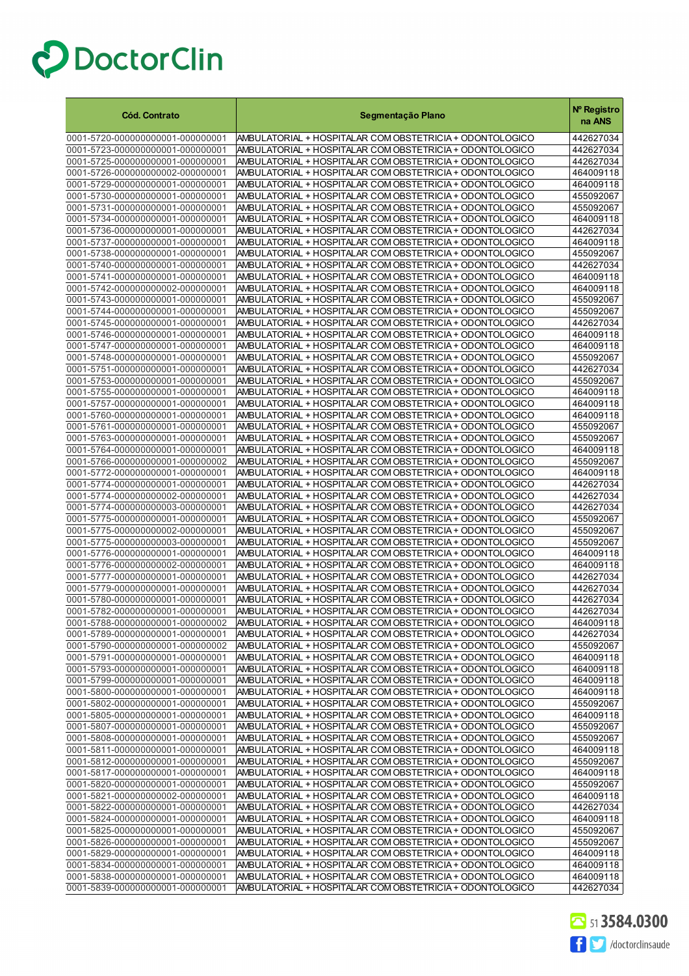| <b>Cód. Contrato</b>                                                 | Segmentação Plano                                                                                                    | Nº Registro<br>na ANS  |
|----------------------------------------------------------------------|----------------------------------------------------------------------------------------------------------------------|------------------------|
| 0001-5720-000000000001-000000001                                     | AMBULATORIAL + HOSPITALAR COM OBSTETRICIA + ODONTOLOGICO                                                             | 442627034              |
| 0001-5723-000000000001-000000001                                     | AMBULATORIAL + HOSPITALAR COM OBSTETRICIA + ODONTOLOGICO                                                             | 442627034              |
| 0001-5725-000000000001-000000001                                     | AMBULATORIAL + HOSPITALAR COM OBSTETRICIA + ODONTOLOGICO                                                             | 442627034              |
| 0001-5726-000000000002-000000001                                     | AMBULATORIAL + HOSPITALAR COM OBSTETRICIA + ODONTOLOGICO                                                             | 464009118              |
| 0001-5729-000000000001-000000001                                     | AMBULATORIAL + HOSPITALAR COM OBSTETRICIA + ODONTOLOGICO                                                             | 464009118              |
| 0001-5730-000000000001-000000001                                     | AMBULATORIAL + HOSPITALAR COM OBSTETRICIA + ODONTOLOGICO                                                             | 455092067              |
| 0001-5731-000000000001-000000001                                     | AMBULATORIAL + HOSPITALAR COM OBSTETRICIA + ODONTOLOGICO                                                             | 455092067              |
| 0001-5734-000000000001-000000001                                     | AMBULATORIAL + HOSPITALAR COM OBSTETRICIA + ODONTOLOGICO                                                             | 464009118              |
| 0001-5736-000000000001-000000001                                     | AMBULATORIAL + HOSPITALAR COM OBSTETRICIA + ODONTOLOGICO                                                             | 442627034              |
| 0001-5737-000000000001-000000001                                     | AMBULATORIAL + HOSPITALAR COM OBSTETRICIA + ODONTOLOGICO                                                             | 464009118              |
| 0001-5738-000000000001-000000001                                     | AMBULATORIAL + HOSPITALAR COM OBSTETRICIA + ODONTOLOGICO                                                             | 455092067              |
| 0001-5740-000000000001-000000001                                     | AMBULATORIAL + HOSPITALAR COM OBSTETRICIA + ODONTOLOGICO                                                             | 442627034              |
| 0001-5741-000000000001-000000001                                     | AMBULATORIAL + HOSPITALAR COM OBSTETRICIA + ODONTOLOGICO                                                             | 464009118              |
| 0001-5742-000000000002-000000001                                     | AMBULATORIAL + HOSPITALAR COM OBSTETRICIA + ODONTOLOGICO                                                             | 464009118              |
| 0001-5743-000000000001-000000001<br>0001-5744-000000000001-000000001 | AMBULATORIAL + HOSPITALAR COM OBSTETRICIA + ODONTOLOGICO                                                             | 455092067<br>455092067 |
| 0001-5745-000000000001-000000001                                     | AMBULATORIAL + HOSPITALAR COM OBSTETRICIA + ODONTOLOGICO<br>AMBULATORIAL + HOSPITALAR COM OBSTETRICIA + ODONTOLOGICO | 442627034              |
| 0001-5746-000000000001-000000001                                     | AMBULATORIAL + HOSPITALAR COM OBSTETRICIA + ODONTOLOGICO                                                             | 464009118              |
| 0001-5747-000000000001-000000001                                     | AMBULATORIAL + HOSPITALAR COM OBSTETRICIA + ODONTOLOGICO                                                             | 464009118              |
| 0001-5748-000000000001-000000001                                     | AMBULATORIAL + HOSPITALAR COM OBSTETRICIA + ODONTOLOGICO                                                             | 455092067              |
| 0001-5751-000000000001-000000001                                     | AMBULATORIAL + HOSPITALAR COM OBSTETRICIA + ODONTOLOGICO                                                             | 442627034              |
| 0001-5753-000000000001-000000001                                     | AMBULATORIAL + HOSPITALAR COM OBSTETRICIA + ODONTOLOGICO                                                             | 455092067              |
| 0001-5755-000000000001-000000001                                     | AMBULATORIAL + HOSPITALAR COM OBSTETRICIA + ODONTOLOGICO                                                             | 464009118              |
| 0001-5757-000000000001-000000001                                     | AMBULATORIAL + HOSPITALAR COM OBSTETRICIA + ODONTOLOGICO                                                             | 464009118              |
| 0001-5760-000000000001-000000001                                     | AMBULATORIAL + HOSPITALAR COM OBSTETRICIA + ODONTOLOGICO                                                             | 464009118              |
| 0001-5761-000000000001-000000001                                     | AMBULATORIAL + HOSPITALAR COM OBSTETRICIA + ODONTOLOGICO                                                             | 455092067              |
| 0001-5763-000000000001-000000001                                     | AMBULATORIAL + HOSPITALAR COM OBSTETRICIA + ODONTOLOGICO                                                             | 455092067              |
| 0001-5764-000000000001-000000001                                     | AMBULATORIAL + HOSPITALAR COM OBSTETRICIA + ODONTOLOGICO                                                             | 464009118              |
| 0001-5766-000000000001-000000002                                     | AMBULATORIAL + HOSPITALAR COM OBSTETRICIA + ODONTOLOGICO                                                             | 455092067              |
| 0001-5772-000000000001-000000001                                     | AMBULATORIAL + HOSPITALAR COM OBSTETRICIA + ODONTOLOGICO                                                             | 464009118              |
| 0001-5774-000000000001-000000001                                     | AMBULATORIAL + HOSPITALAR COM OBSTETRICIA + ODONTOLOGICO                                                             | 442627034              |
| 0001-5774-000000000002-000000001                                     | AMBULATORIAL + HOSPITALAR COM OBSTETRICIA + ODONTOLOGICO                                                             | 442627034              |
| 0001-5774-000000000003-000000001                                     | AMBULATORIAL + HOSPITALAR COM OBSTETRICIA + ODONTOLOGICO                                                             | 442627034              |
| 0001-5775-000000000001-000000001<br>0001-5775-000000000002-000000001 | AMBULATORIAL + HOSPITALAR COM OBSTETRICIA + ODONTOLOGICO                                                             | 455092067<br>455092067 |
| 0001-5775-000000000003-000000001                                     | AMBULATORIAL + HOSPITALAR COM OBSTETRICIA + ODONTOLOGICO<br>AMBULATORIAL + HOSPITALAR COM OBSTETRICIA + ODONTOLOGICO | 455092067              |
| 0001-5776-000000000001-000000001                                     | AMBULATORIAL + HOSPITALAR COM OBSTETRICIA + ODONTOLOGICO                                                             | 464009118              |
| 0001-5776-000000000002-000000001                                     | AMBULATORIAL + HOSPITALAR COM OBSTETRICIA + ODONTOLOGICO                                                             | 464009118              |
| 0001-5777-000000000001-000000001                                     | AMBULATORIAL + HOSPITALAR COM OBSTETRICIA + ODONTOLOGICO                                                             | 442627034              |
| 0001-5779-000000000001-000000001                                     | AMBULATORIAL + HOSPITALAR COM OBSTETRICIA + ODONTOLOGICO                                                             | 442627034              |
| 0001-5780-000000000001-000000001                                     | AMBULATORIAL + HOSPITALAR COM OBSTETRICIA + ODONTOLOGICO                                                             | 442627034              |
| 0001-5782-000000000001-000000001                                     | AMBULATORIAL + HOSPITALAR COM OBSTETRICIA + ODONTOLOGICO                                                             | 442627034              |
| 0001-5788-0000000000001-000000002                                    | AMBULATORIAL + HOSPITALAR COM OBSTETRICIA + ODONTOLOGICO                                                             | 464009118              |
| 0001-5789-000000000001-000000001                                     | AMBULATORIAL + HOSPITALAR COM OBSTETRICIA + ODONTOLOGICO                                                             | 442627034              |
| 0001-5790-000000000001-000000002                                     | AMBULATORIAL + HOSPITALAR COM OBSTETRICIA + ODONTOLOGICO                                                             | 455092067              |
| 0001-5791-000000000001-000000001                                     | AMBULATORIAL + HOSPITALAR COM OBSTETRICIA + ODONTOLOGICO                                                             | 464009118              |
| 0001-5793-000000000001-000000001                                     | AMBULATORIAL + HOSPITALAR COM OBSTETRICIA + ODONTOLOGICO                                                             | 464009118              |
| 0001-5799-000000000001-000000001                                     | AMBULATORIAL + HOSPITALAR COM OBSTETRICIA + ODONTOLOGICO                                                             | 464009118              |
| 0001-5800-000000000001-000000001                                     | AMBULATORIAL + HOSPITALAR COM OBSTETRICIA + ODONTOLOGICO                                                             | 464009118              |
| 0001-5802-000000000001-000000001                                     | AMBULATORIAL + HOSPITALAR COM OBSTETRICIA + ODONTOLOGICO                                                             | 455092067              |
| 0001-5805-000000000001-000000001                                     | AMBULATORIAL + HOSPITALAR COM OBSTETRICIA + ODONTOLOGICO                                                             | 464009118<br>455092067 |
| 0001-5807-000000000001-000000001<br>0001-5808-000000000001-000000001 | AMBULATORIAL + HOSPITALAR COM OBSTETRICIA + ODONTOLOGICO<br>AMBULATORIAL + HOSPITALAR COM OBSTETRICIA + ODONTOLOGICO | 455092067              |
| 0001-5811-000000000001-000000001                                     | AMBULATORIAL + HOSPITALAR COM OBSTETRICIA + ODONTOLOGICO                                                             | 464009118              |
| 0001-5812-000000000001-000000001                                     | AMBULATORIAL + HOSPITALAR COM OBSTETRICIA + ODONTOLOGICO                                                             | 455092067              |
| 0001-5817-000000000001-000000001                                     | AMBULATORIAL + HOSPITALAR COM OBSTETRICIA + ODONTOLOGICO                                                             | 464009118              |
| 0001-5820-000000000001-000000001                                     | AMBULATORIAL + HOSPITALAR COM OBSTETRICIA + ODONTOLOGICO                                                             | 455092067              |
| 0001-5821-000000000002-000000001                                     | AMBULATORIAL + HOSPITALAR COM OBSTETRICIA + ODONTOLOGICO                                                             | 464009118              |
| 0001-5822-000000000001-000000001                                     | AMBULATORIAL + HOSPITALAR COM OBSTETRICIA + ODONTOLOGICO                                                             | 442627034              |
| 0001-5824-000000000001-000000001                                     | AMBULATORIAL + HOSPITALAR COM OBSTETRICIA + ODONTOLOGICO                                                             | 464009118              |
| 0001-5825-000000000001-000000001                                     | AMBULATORIAL + HOSPITALAR COM OBSTETRICIA + ODONTOLOGICO                                                             | 455092067              |
| 0001-5826-000000000001-000000001                                     | AMBULATORIAL + HOSPITALAR COM OBSTETRICIA + ODONTOLOGICO                                                             | 455092067              |
| 0001-5829-000000000001-000000001                                     | AMBULATORIAL + HOSPITALAR COM OBSTETRICIA + ODONTOLOGICO                                                             | 464009118              |
| 0001-5834-000000000001-000000001                                     | AMBULATORIAL + HOSPITALAR COM OBSTETRICIA + ODONTOLOGICO                                                             | 464009118              |
| 0001-5838-000000000001-000000001                                     | AMBULATORIAL + HOSPITALAR COM OBSTETRICIA + ODONTOLOGICO                                                             | 464009118              |
| 0001-5839-000000000001-000000001                                     | AMBULATORIAL + HOSPITALAR COM OBSTETRICIA + ODONTOLOGICO                                                             | 442627034              |

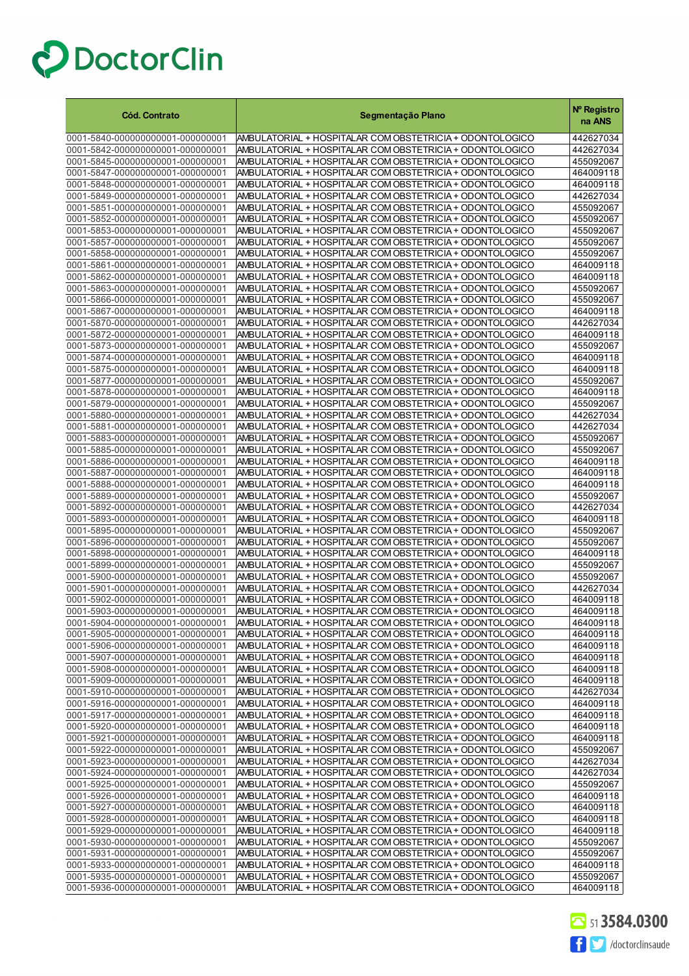| 0001-5840-000000000001-000000001<br>AMBULATORIAL + HOSPITALAR COM OBSTETRICIA + ODONTOLOGICO<br>442627034<br>0001-5842-000000000001-000000001<br>AMBULATORIAL + HOSPITALAR COM OBSTETRICIA + ODONTOLOGICO<br>442627034<br>0001-5845-000000000001-000000001<br>AMBULATORIAL + HOSPITALAR COM OBSTETRICIA + ODONTOLOGICO<br>455092067<br>AMBULATORIAL + HOSPITALAR COM OBSTETRICIA + ODONTOLOGICO<br>0001-5847-000000000001-000000001<br>464009118<br>0001-5848-000000000001-000000001<br>AMBULATORIAL + HOSPITALAR COM OBSTETRICIA + ODONTOLOGICO<br>464009118<br>0001-5849-000000000001-000000001<br>AMBULATORIAL + HOSPITALAR COM OBSTETRICIA + ODONTOLOGICO<br>442627034<br>0001-5851-000000000001-000000001<br>AMBULATORIAL + HOSPITALAR COM OBSTETRICIA + ODONTOLOGICO<br>455092067<br>0001-5852-000000000001-000000001<br>AMBULATORIAL + HOSPITALAR COM OBSTETRICIA + ODONTOLOGICO<br>455092067<br>0001-5853-000000000001-000000001<br>AMBULATORIAL + HOSPITALAR COM OBSTETRICIA + ODONTOLOGICO<br>455092067<br>0001-5857-000000000001-000000001<br>AMBULATORIAL + HOSPITALAR COM OBSTETRICIA + ODONTOLOGICO<br>455092067<br>0001-5858-000000000001-000000001<br>AMBULATORIAL + HOSPITALAR COM OBSTETRICIA + ODONTOLOGICO<br>455092067<br>0001-5861-000000000001-000000001<br>AMBULATORIAL + HOSPITALAR COM OBSTETRICIA + ODONTOLOGICO<br>464009118<br>0001-5862-000000000001-000000001<br>AMBULATORIAL + HOSPITALAR COM OBSTETRICIA + ODONTOLOGICO<br>464009118<br>0001-5863-000000000001-000000001<br>AMBULATORIAL + HOSPITALAR COM OBSTETRICIA + ODONTOLOGICO<br>455092067<br>0001-5866-000000000001-000000001<br>AMBULATORIAL + HOSPITALAR COM OBSTETRICIA + ODONTOLOGICO<br>455092067<br>0001-5867-000000000001-000000001<br>AMBULATORIAL + HOSPITALAR COM OBSTETRICIA + ODONTOLOGICO<br>464009118<br>0001-5870-000000000001-000000001<br>AMBULATORIAL + HOSPITALAR COM OBSTETRICIA + ODONTOLOGICO<br>442627034<br>0001-5872-000000000001-000000001<br>AMBULATORIAL + HOSPITALAR COM OBSTETRICIA + ODONTOLOGICO<br>464009118<br>0001-5873-000000000001-000000001<br>AMBULATORIAL + HOSPITALAR COM OBSTETRICIA + ODONTOLOGICO<br>455092067<br>0001-5874-000000000001-000000001<br>AMBULATORIAL + HOSPITALAR COM OBSTETRICIA + ODONTOLOGICO<br>464009118<br>0001-5875-000000000001-000000001<br>AMBULATORIAL + HOSPITALAR COM OBSTETRICIA + ODONTOLOGICO<br>464009118<br>0001-5877-000000000001-000000001<br>AMBULATORIAL + HOSPITALAR COM OBSTETRICIA + ODONTOLOGICO<br>455092067<br>0001-5878-000000000001-000000001<br>AMBULATORIAL + HOSPITALAR COM OBSTETRICIA + ODONTOLOGICO<br>464009118<br>0001-5879-000000000001-000000001<br>AMBULATORIAL + HOSPITALAR COM OBSTETRICIA + ODONTOLOGICO<br>455092067<br>0001-5880-000000000001-000000001<br>AMBULATORIAL + HOSPITALAR COM OBSTETRICIA + ODONTOLOGICO<br>442627034<br>0001-5881-000000000001-000000001<br>AMBULATORIAL + HOSPITALAR COM OBSTETRICIA + ODONTOLOGICO<br>442627034<br>0001-5883-000000000001-000000001<br>AMBULATORIAL + HOSPITALAR COM OBSTETRICIA + ODONTOLOGICO<br>455092067<br>0001-5885-000000000001-000000001<br>AMBULATORIAL + HOSPITALAR COM OBSTETRICIA + ODONTOLOGICO<br>455092067<br>0001-5886-000000000001-000000001<br>AMBULATORIAL + HOSPITALAR COM OBSTETRICIA + ODONTOLOGICO<br>464009118<br>0001-5887-000000000001-000000001<br>AMBULATORIAL + HOSPITALAR COM OBSTETRICIA + ODONTOLOGICO<br>464009118<br>0001-5888-000000000001-000000001<br>AMBULATORIAL + HOSPITALAR COM OBSTETRICIA + ODONTOLOGICO<br>464009118<br>0001-5889-000000000001-000000001<br>AMBULATORIAL + HOSPITALAR COM OBSTETRICIA + ODONTOLOGICO<br>455092067<br>0001-5892-000000000001-000000001<br>AMBULATORIAL + HOSPITALAR COM OBSTETRICIA + ODONTOLOGICO<br>442627034<br>0001-5893-000000000001-000000001<br>AMBULATORIAL + HOSPITALAR COM OBSTETRICIA + ODONTOLOGICO<br>464009118<br>0001-5895-000000000001-000000001<br>AMBULATORIAL + HOSPITALAR COM OBSTETRICIA + ODONTOLOGICO<br>455092067<br>0001-5896-000000000001-000000001<br>AMBULATORIAL + HOSPITALAR COM OBSTETRICIA + ODONTOLOGICO<br>455092067<br>0001-5898-000000000001-000000001<br>AMBULATORIAL + HOSPITALAR COM OBSTETRICIA + ODONTOLOGICO<br>464009118<br>0001-5899-000000000001-000000001<br>AMBULATORIAL + HOSPITALAR COM OBSTETRICIA + ODONTOLOGICO<br>455092067<br>0001-5900-000000000001-000000001<br>AMBULATORIAL + HOSPITALAR COM OBSTETRICIA + ODONTOLOGICO<br>455092067<br>0001-5901-000000000001-000000001<br>AMBULATORIAL + HOSPITALAR COM OBSTETRICIA + ODONTOLOGICO<br>442627034<br>0001-5902-000000000001-000000001<br>AMBULATORIAL + HOSPITALAR COM OBSTETRICIA + ODONTOLOGICO<br>464009118<br>0001-5903-000000000001-000000001<br>AMBULATORIAL + HOSPITALAR COM OBSTETRICIA + ODONTOLOGICO<br>464009118<br>0001-5904-000000000001-000000001<br>AMBULATORIAL + HOSPITALAR COM OBSTETRICIA + ODON FOLOGICO<br>464009118<br>AMBULATORIAL + HOSPITALAR COM OBSTETRICIA + ODONTOLOGICO<br>0001-5905-000000000001-000000001<br>464009118<br>0001-5906-000000000001-000000001<br>AMBULATORIAL + HOSPITALAR COM OBSTETRICIA + ODONTOLOGICO<br>464009118<br>0001-5907-000000000001-000000001<br>AMBULATORIAL + HOSPITALAR COM OBSTETRICIA + ODONTOLOGICO<br>464009118<br>0001-5908-000000000001-000000001<br>AMBULATORIAL + HOSPITALAR COM OBSTETRICIA + ODONTOLOGICO<br>464009118<br>0001-5909-000000000001-000000001<br>AMBULATORIAL + HOSPITALAR COM OBSTETRICIA + ODONTOLOGICO<br>464009118<br>0001-5910-000000000001-000000001<br>AMBULATORIAL + HOSPITALAR COM OBSTETRICIA + ODONTOLOGICO<br>442627034<br>0001-5916-000000000001-000000001<br>AMBULATORIAL + HOSPITALAR COM OBSTETRICIA + ODONTOLOGICO<br>464009118<br>0001-5917-000000000001-000000001<br>AMBULATORIAL + HOSPITALAR COM OBSTETRICIA + ODONTOLOGICO<br>464009118<br>0001-5920-000000000001-000000001<br>AMBULATORIAL + HOSPITALAR COM OBSTETRICIA + ODONTOLOGICO<br>464009118<br>0001-5921-000000000001-000000001<br>AMBULATORIAL + HOSPITALAR COM OBSTETRICIA + ODONTOLOGICO<br>464009118<br>0001-5922-000000000001-000000001<br>AMBULATORIAL + HOSPITALAR COM OBSTETRICIA + ODONTOLOGICO<br>455092067<br>0001-5923-000000000001-000000001<br>AMBULATORIAL + HOSPITALAR COM OBSTETRICIA + ODONTOLOGICO<br>442627034<br>0001-5924-000000000001-000000001<br>AMBULATORIAL + HOSPITALAR COM OBSTETRICIA + ODONTOLOGICO<br>442627034<br>AMBULATORIAL + HOSPITALAR COM OBSTETRICIA + ODONTOLOGICO<br>0001-5925-000000000001-000000001<br>455092067<br>0001-5926-000000000001-000000001<br>AMBULATORIAL + HOSPITALAR COM OBSTETRICIA + ODONTOLOGICO<br>464009118<br>0001-5927-000000000001-000000001<br>AMBULATORIAL + HOSPITALAR COM OBSTETRICIA + ODONTOLOGICO<br>464009118<br>0001-5928-000000000001-000000001<br>AMBULATORIAL + HOSPITALAR COM OBSTETRICIA + ODONTOLOGICO<br>464009118<br>0001-5929-000000000001-000000001<br>AMBULATORIAL + HOSPITALAR COM OBSTETRICIA + ODONTOLOGICO<br>464009118<br>0001-5930-000000000001-000000001<br>AMBULATORIAL + HOSPITALAR COM OBSTETRICIA + ODONTOLOGICO<br>455092067<br>0001-5931-000000000001-000000001<br>AMBULATORIAL + HOSPITALAR COM OBSTETRICIA + ODONTOLOGICO<br>455092067<br>0001-5933-000000000001-000000001<br>AMBULATORIAL + HOSPITALAR COM OBSTETRICIA + ODONTOLOGICO<br>464009118<br>0001-5935-000000000001-000000001<br>AMBULATORIAL + HOSPITALAR COM OBSTETRICIA + ODONTOLOGICO<br>455092067 | <b>Cód. Contrato</b>             | Segmentação Plano                                        | Nº Registro<br>na ANS |
|----------------------------------------------------------------------------------------------------------------------------------------------------------------------------------------------------------------------------------------------------------------------------------------------------------------------------------------------------------------------------------------------------------------------------------------------------------------------------------------------------------------------------------------------------------------------------------------------------------------------------------------------------------------------------------------------------------------------------------------------------------------------------------------------------------------------------------------------------------------------------------------------------------------------------------------------------------------------------------------------------------------------------------------------------------------------------------------------------------------------------------------------------------------------------------------------------------------------------------------------------------------------------------------------------------------------------------------------------------------------------------------------------------------------------------------------------------------------------------------------------------------------------------------------------------------------------------------------------------------------------------------------------------------------------------------------------------------------------------------------------------------------------------------------------------------------------------------------------------------------------------------------------------------------------------------------------------------------------------------------------------------------------------------------------------------------------------------------------------------------------------------------------------------------------------------------------------------------------------------------------------------------------------------------------------------------------------------------------------------------------------------------------------------------------------------------------------------------------------------------------------------------------------------------------------------------------------------------------------------------------------------------------------------------------------------------------------------------------------------------------------------------------------------------------------------------------------------------------------------------------------------------------------------------------------------------------------------------------------------------------------------------------------------------------------------------------------------------------------------------------------------------------------------------------------------------------------------------------------------------------------------------------------------------------------------------------------------------------------------------------------------------------------------------------------------------------------------------------------------------------------------------------------------------------------------------------------------------------------------------------------------------------------------------------------------------------------------------------------------------------------------------------------------------------------------------------------------------------------------------------------------------------------------------------------------------------------------------------------------------------------------------------------------------------------------------------------------------------------------------------------------------------------------------------------------------------------------------------------------------------------------------------------------------------------------------------------------------------------------------------------------------------------------------------------------------------------------------------------------------------------------------------------------------------------------------------------------------------------------------------------------------------------------------------------------------------------------------------------------------------------------------------------------------------------------------------------------------------------------------------------------------------------------------------------------------------------------------------------------------------------------------------------------------------------------------------------------------------------------------------------------------------------------------------------------------------------------------------------------------------------------------------------------------------------------------------------------------------------------------------------------------------------------------------------------------------------------------------------------------------------------------------------------------------------------------------------------------------------------------------------------------------------------------------------------------------------------------------------------------------------------------------------------------------------------------------------------------------------------------------------------------------------------------------------------------------------------------------------------------------------------------------------------------------------------------------------------------------------------------------------------------------------------------------------------------------------------------------------------------------------------------------------------------------------------------------------------------------------------------------------------------------------------------------------------------------------------------------------------------------------------------------------------------------------------------------------------------------------------------------------------------------------------------------------------------------------------------------------------------------------------------------------------------------------------------------------------------------------------------------------------------------------------------------------------------------------------------------------------------------------------------------------------------------------------------------------------------------------------------------------------------------------------------------------------------------------------------------------------------------------------------------------------------------------------------------------------------------------------------------|----------------------------------|----------------------------------------------------------|-----------------------|
|                                                                                                                                                                                                                                                                                                                                                                                                                                                                                                                                                                                                                                                                                                                                                                                                                                                                                                                                                                                                                                                                                                                                                                                                                                                                                                                                                                                                                                                                                                                                                                                                                                                                                                                                                                                                                                                                                                                                                                                                                                                                                                                                                                                                                                                                                                                                                                                                                                                                                                                                                                                                                                                                                                                                                                                                                                                                                                                                                                                                                                                                                                                                                                                                                                                                                                                                                                                                                                                                                                                                                                                                                                                                                                                                                                                                                                                                                                                                                                                                                                                                                                                                                                                                                                                                                                                                                                                                                                                                                                                                                                                                                                                                                                                                                                                                                                                                                                                                                                                                                                                                                                                                                                                                                                                                                                                                                                                                                                                                                                                                                                                                                                                                                                                                                                                                                                                                                                                                                                                                                                                                                                                                                                                                                                                                                                                                                                                                                                                                                                                                                                                                                                                                                                                                                                                                                                                                                                                                                                                                                                                                                                                                                                                                                                                                                                                                                                            |                                  |                                                          |                       |
|                                                                                                                                                                                                                                                                                                                                                                                                                                                                                                                                                                                                                                                                                                                                                                                                                                                                                                                                                                                                                                                                                                                                                                                                                                                                                                                                                                                                                                                                                                                                                                                                                                                                                                                                                                                                                                                                                                                                                                                                                                                                                                                                                                                                                                                                                                                                                                                                                                                                                                                                                                                                                                                                                                                                                                                                                                                                                                                                                                                                                                                                                                                                                                                                                                                                                                                                                                                                                                                                                                                                                                                                                                                                                                                                                                                                                                                                                                                                                                                                                                                                                                                                                                                                                                                                                                                                                                                                                                                                                                                                                                                                                                                                                                                                                                                                                                                                                                                                                                                                                                                                                                                                                                                                                                                                                                                                                                                                                                                                                                                                                                                                                                                                                                                                                                                                                                                                                                                                                                                                                                                                                                                                                                                                                                                                                                                                                                                                                                                                                                                                                                                                                                                                                                                                                                                                                                                                                                                                                                                                                                                                                                                                                                                                                                                                                                                                                                            |                                  |                                                          |                       |
|                                                                                                                                                                                                                                                                                                                                                                                                                                                                                                                                                                                                                                                                                                                                                                                                                                                                                                                                                                                                                                                                                                                                                                                                                                                                                                                                                                                                                                                                                                                                                                                                                                                                                                                                                                                                                                                                                                                                                                                                                                                                                                                                                                                                                                                                                                                                                                                                                                                                                                                                                                                                                                                                                                                                                                                                                                                                                                                                                                                                                                                                                                                                                                                                                                                                                                                                                                                                                                                                                                                                                                                                                                                                                                                                                                                                                                                                                                                                                                                                                                                                                                                                                                                                                                                                                                                                                                                                                                                                                                                                                                                                                                                                                                                                                                                                                                                                                                                                                                                                                                                                                                                                                                                                                                                                                                                                                                                                                                                                                                                                                                                                                                                                                                                                                                                                                                                                                                                                                                                                                                                                                                                                                                                                                                                                                                                                                                                                                                                                                                                                                                                                                                                                                                                                                                                                                                                                                                                                                                                                                                                                                                                                                                                                                                                                                                                                                                            |                                  |                                                          |                       |
|                                                                                                                                                                                                                                                                                                                                                                                                                                                                                                                                                                                                                                                                                                                                                                                                                                                                                                                                                                                                                                                                                                                                                                                                                                                                                                                                                                                                                                                                                                                                                                                                                                                                                                                                                                                                                                                                                                                                                                                                                                                                                                                                                                                                                                                                                                                                                                                                                                                                                                                                                                                                                                                                                                                                                                                                                                                                                                                                                                                                                                                                                                                                                                                                                                                                                                                                                                                                                                                                                                                                                                                                                                                                                                                                                                                                                                                                                                                                                                                                                                                                                                                                                                                                                                                                                                                                                                                                                                                                                                                                                                                                                                                                                                                                                                                                                                                                                                                                                                                                                                                                                                                                                                                                                                                                                                                                                                                                                                                                                                                                                                                                                                                                                                                                                                                                                                                                                                                                                                                                                                                                                                                                                                                                                                                                                                                                                                                                                                                                                                                                                                                                                                                                                                                                                                                                                                                                                                                                                                                                                                                                                                                                                                                                                                                                                                                                                                            |                                  |                                                          |                       |
|                                                                                                                                                                                                                                                                                                                                                                                                                                                                                                                                                                                                                                                                                                                                                                                                                                                                                                                                                                                                                                                                                                                                                                                                                                                                                                                                                                                                                                                                                                                                                                                                                                                                                                                                                                                                                                                                                                                                                                                                                                                                                                                                                                                                                                                                                                                                                                                                                                                                                                                                                                                                                                                                                                                                                                                                                                                                                                                                                                                                                                                                                                                                                                                                                                                                                                                                                                                                                                                                                                                                                                                                                                                                                                                                                                                                                                                                                                                                                                                                                                                                                                                                                                                                                                                                                                                                                                                                                                                                                                                                                                                                                                                                                                                                                                                                                                                                                                                                                                                                                                                                                                                                                                                                                                                                                                                                                                                                                                                                                                                                                                                                                                                                                                                                                                                                                                                                                                                                                                                                                                                                                                                                                                                                                                                                                                                                                                                                                                                                                                                                                                                                                                                                                                                                                                                                                                                                                                                                                                                                                                                                                                                                                                                                                                                                                                                                                                            |                                  |                                                          |                       |
|                                                                                                                                                                                                                                                                                                                                                                                                                                                                                                                                                                                                                                                                                                                                                                                                                                                                                                                                                                                                                                                                                                                                                                                                                                                                                                                                                                                                                                                                                                                                                                                                                                                                                                                                                                                                                                                                                                                                                                                                                                                                                                                                                                                                                                                                                                                                                                                                                                                                                                                                                                                                                                                                                                                                                                                                                                                                                                                                                                                                                                                                                                                                                                                                                                                                                                                                                                                                                                                                                                                                                                                                                                                                                                                                                                                                                                                                                                                                                                                                                                                                                                                                                                                                                                                                                                                                                                                                                                                                                                                                                                                                                                                                                                                                                                                                                                                                                                                                                                                                                                                                                                                                                                                                                                                                                                                                                                                                                                                                                                                                                                                                                                                                                                                                                                                                                                                                                                                                                                                                                                                                                                                                                                                                                                                                                                                                                                                                                                                                                                                                                                                                                                                                                                                                                                                                                                                                                                                                                                                                                                                                                                                                                                                                                                                                                                                                                                            |                                  |                                                          |                       |
|                                                                                                                                                                                                                                                                                                                                                                                                                                                                                                                                                                                                                                                                                                                                                                                                                                                                                                                                                                                                                                                                                                                                                                                                                                                                                                                                                                                                                                                                                                                                                                                                                                                                                                                                                                                                                                                                                                                                                                                                                                                                                                                                                                                                                                                                                                                                                                                                                                                                                                                                                                                                                                                                                                                                                                                                                                                                                                                                                                                                                                                                                                                                                                                                                                                                                                                                                                                                                                                                                                                                                                                                                                                                                                                                                                                                                                                                                                                                                                                                                                                                                                                                                                                                                                                                                                                                                                                                                                                                                                                                                                                                                                                                                                                                                                                                                                                                                                                                                                                                                                                                                                                                                                                                                                                                                                                                                                                                                                                                                                                                                                                                                                                                                                                                                                                                                                                                                                                                                                                                                                                                                                                                                                                                                                                                                                                                                                                                                                                                                                                                                                                                                                                                                                                                                                                                                                                                                                                                                                                                                                                                                                                                                                                                                                                                                                                                                                            |                                  |                                                          |                       |
|                                                                                                                                                                                                                                                                                                                                                                                                                                                                                                                                                                                                                                                                                                                                                                                                                                                                                                                                                                                                                                                                                                                                                                                                                                                                                                                                                                                                                                                                                                                                                                                                                                                                                                                                                                                                                                                                                                                                                                                                                                                                                                                                                                                                                                                                                                                                                                                                                                                                                                                                                                                                                                                                                                                                                                                                                                                                                                                                                                                                                                                                                                                                                                                                                                                                                                                                                                                                                                                                                                                                                                                                                                                                                                                                                                                                                                                                                                                                                                                                                                                                                                                                                                                                                                                                                                                                                                                                                                                                                                                                                                                                                                                                                                                                                                                                                                                                                                                                                                                                                                                                                                                                                                                                                                                                                                                                                                                                                                                                                                                                                                                                                                                                                                                                                                                                                                                                                                                                                                                                                                                                                                                                                                                                                                                                                                                                                                                                                                                                                                                                                                                                                                                                                                                                                                                                                                                                                                                                                                                                                                                                                                                                                                                                                                                                                                                                                                            |                                  |                                                          |                       |
|                                                                                                                                                                                                                                                                                                                                                                                                                                                                                                                                                                                                                                                                                                                                                                                                                                                                                                                                                                                                                                                                                                                                                                                                                                                                                                                                                                                                                                                                                                                                                                                                                                                                                                                                                                                                                                                                                                                                                                                                                                                                                                                                                                                                                                                                                                                                                                                                                                                                                                                                                                                                                                                                                                                                                                                                                                                                                                                                                                                                                                                                                                                                                                                                                                                                                                                                                                                                                                                                                                                                                                                                                                                                                                                                                                                                                                                                                                                                                                                                                                                                                                                                                                                                                                                                                                                                                                                                                                                                                                                                                                                                                                                                                                                                                                                                                                                                                                                                                                                                                                                                                                                                                                                                                                                                                                                                                                                                                                                                                                                                                                                                                                                                                                                                                                                                                                                                                                                                                                                                                                                                                                                                                                                                                                                                                                                                                                                                                                                                                                                                                                                                                                                                                                                                                                                                                                                                                                                                                                                                                                                                                                                                                                                                                                                                                                                                                                            |                                  |                                                          |                       |
|                                                                                                                                                                                                                                                                                                                                                                                                                                                                                                                                                                                                                                                                                                                                                                                                                                                                                                                                                                                                                                                                                                                                                                                                                                                                                                                                                                                                                                                                                                                                                                                                                                                                                                                                                                                                                                                                                                                                                                                                                                                                                                                                                                                                                                                                                                                                                                                                                                                                                                                                                                                                                                                                                                                                                                                                                                                                                                                                                                                                                                                                                                                                                                                                                                                                                                                                                                                                                                                                                                                                                                                                                                                                                                                                                                                                                                                                                                                                                                                                                                                                                                                                                                                                                                                                                                                                                                                                                                                                                                                                                                                                                                                                                                                                                                                                                                                                                                                                                                                                                                                                                                                                                                                                                                                                                                                                                                                                                                                                                                                                                                                                                                                                                                                                                                                                                                                                                                                                                                                                                                                                                                                                                                                                                                                                                                                                                                                                                                                                                                                                                                                                                                                                                                                                                                                                                                                                                                                                                                                                                                                                                                                                                                                                                                                                                                                                                                            |                                  |                                                          |                       |
|                                                                                                                                                                                                                                                                                                                                                                                                                                                                                                                                                                                                                                                                                                                                                                                                                                                                                                                                                                                                                                                                                                                                                                                                                                                                                                                                                                                                                                                                                                                                                                                                                                                                                                                                                                                                                                                                                                                                                                                                                                                                                                                                                                                                                                                                                                                                                                                                                                                                                                                                                                                                                                                                                                                                                                                                                                                                                                                                                                                                                                                                                                                                                                                                                                                                                                                                                                                                                                                                                                                                                                                                                                                                                                                                                                                                                                                                                                                                                                                                                                                                                                                                                                                                                                                                                                                                                                                                                                                                                                                                                                                                                                                                                                                                                                                                                                                                                                                                                                                                                                                                                                                                                                                                                                                                                                                                                                                                                                                                                                                                                                                                                                                                                                                                                                                                                                                                                                                                                                                                                                                                                                                                                                                                                                                                                                                                                                                                                                                                                                                                                                                                                                                                                                                                                                                                                                                                                                                                                                                                                                                                                                                                                                                                                                                                                                                                                                            |                                  |                                                          |                       |
|                                                                                                                                                                                                                                                                                                                                                                                                                                                                                                                                                                                                                                                                                                                                                                                                                                                                                                                                                                                                                                                                                                                                                                                                                                                                                                                                                                                                                                                                                                                                                                                                                                                                                                                                                                                                                                                                                                                                                                                                                                                                                                                                                                                                                                                                                                                                                                                                                                                                                                                                                                                                                                                                                                                                                                                                                                                                                                                                                                                                                                                                                                                                                                                                                                                                                                                                                                                                                                                                                                                                                                                                                                                                                                                                                                                                                                                                                                                                                                                                                                                                                                                                                                                                                                                                                                                                                                                                                                                                                                                                                                                                                                                                                                                                                                                                                                                                                                                                                                                                                                                                                                                                                                                                                                                                                                                                                                                                                                                                                                                                                                                                                                                                                                                                                                                                                                                                                                                                                                                                                                                                                                                                                                                                                                                                                                                                                                                                                                                                                                                                                                                                                                                                                                                                                                                                                                                                                                                                                                                                                                                                                                                                                                                                                                                                                                                                                                            |                                  |                                                          |                       |
|                                                                                                                                                                                                                                                                                                                                                                                                                                                                                                                                                                                                                                                                                                                                                                                                                                                                                                                                                                                                                                                                                                                                                                                                                                                                                                                                                                                                                                                                                                                                                                                                                                                                                                                                                                                                                                                                                                                                                                                                                                                                                                                                                                                                                                                                                                                                                                                                                                                                                                                                                                                                                                                                                                                                                                                                                                                                                                                                                                                                                                                                                                                                                                                                                                                                                                                                                                                                                                                                                                                                                                                                                                                                                                                                                                                                                                                                                                                                                                                                                                                                                                                                                                                                                                                                                                                                                                                                                                                                                                                                                                                                                                                                                                                                                                                                                                                                                                                                                                                                                                                                                                                                                                                                                                                                                                                                                                                                                                                                                                                                                                                                                                                                                                                                                                                                                                                                                                                                                                                                                                                                                                                                                                                                                                                                                                                                                                                                                                                                                                                                                                                                                                                                                                                                                                                                                                                                                                                                                                                                                                                                                                                                                                                                                                                                                                                                                                            |                                  |                                                          |                       |
|                                                                                                                                                                                                                                                                                                                                                                                                                                                                                                                                                                                                                                                                                                                                                                                                                                                                                                                                                                                                                                                                                                                                                                                                                                                                                                                                                                                                                                                                                                                                                                                                                                                                                                                                                                                                                                                                                                                                                                                                                                                                                                                                                                                                                                                                                                                                                                                                                                                                                                                                                                                                                                                                                                                                                                                                                                                                                                                                                                                                                                                                                                                                                                                                                                                                                                                                                                                                                                                                                                                                                                                                                                                                                                                                                                                                                                                                                                                                                                                                                                                                                                                                                                                                                                                                                                                                                                                                                                                                                                                                                                                                                                                                                                                                                                                                                                                                                                                                                                                                                                                                                                                                                                                                                                                                                                                                                                                                                                                                                                                                                                                                                                                                                                                                                                                                                                                                                                                                                                                                                                                                                                                                                                                                                                                                                                                                                                                                                                                                                                                                                                                                                                                                                                                                                                                                                                                                                                                                                                                                                                                                                                                                                                                                                                                                                                                                                                            |                                  |                                                          |                       |
|                                                                                                                                                                                                                                                                                                                                                                                                                                                                                                                                                                                                                                                                                                                                                                                                                                                                                                                                                                                                                                                                                                                                                                                                                                                                                                                                                                                                                                                                                                                                                                                                                                                                                                                                                                                                                                                                                                                                                                                                                                                                                                                                                                                                                                                                                                                                                                                                                                                                                                                                                                                                                                                                                                                                                                                                                                                                                                                                                                                                                                                                                                                                                                                                                                                                                                                                                                                                                                                                                                                                                                                                                                                                                                                                                                                                                                                                                                                                                                                                                                                                                                                                                                                                                                                                                                                                                                                                                                                                                                                                                                                                                                                                                                                                                                                                                                                                                                                                                                                                                                                                                                                                                                                                                                                                                                                                                                                                                                                                                                                                                                                                                                                                                                                                                                                                                                                                                                                                                                                                                                                                                                                                                                                                                                                                                                                                                                                                                                                                                                                                                                                                                                                                                                                                                                                                                                                                                                                                                                                                                                                                                                                                                                                                                                                                                                                                                                            |                                  |                                                          |                       |
|                                                                                                                                                                                                                                                                                                                                                                                                                                                                                                                                                                                                                                                                                                                                                                                                                                                                                                                                                                                                                                                                                                                                                                                                                                                                                                                                                                                                                                                                                                                                                                                                                                                                                                                                                                                                                                                                                                                                                                                                                                                                                                                                                                                                                                                                                                                                                                                                                                                                                                                                                                                                                                                                                                                                                                                                                                                                                                                                                                                                                                                                                                                                                                                                                                                                                                                                                                                                                                                                                                                                                                                                                                                                                                                                                                                                                                                                                                                                                                                                                                                                                                                                                                                                                                                                                                                                                                                                                                                                                                                                                                                                                                                                                                                                                                                                                                                                                                                                                                                                                                                                                                                                                                                                                                                                                                                                                                                                                                                                                                                                                                                                                                                                                                                                                                                                                                                                                                                                                                                                                                                                                                                                                                                                                                                                                                                                                                                                                                                                                                                                                                                                                                                                                                                                                                                                                                                                                                                                                                                                                                                                                                                                                                                                                                                                                                                                                                            |                                  |                                                          |                       |
|                                                                                                                                                                                                                                                                                                                                                                                                                                                                                                                                                                                                                                                                                                                                                                                                                                                                                                                                                                                                                                                                                                                                                                                                                                                                                                                                                                                                                                                                                                                                                                                                                                                                                                                                                                                                                                                                                                                                                                                                                                                                                                                                                                                                                                                                                                                                                                                                                                                                                                                                                                                                                                                                                                                                                                                                                                                                                                                                                                                                                                                                                                                                                                                                                                                                                                                                                                                                                                                                                                                                                                                                                                                                                                                                                                                                                                                                                                                                                                                                                                                                                                                                                                                                                                                                                                                                                                                                                                                                                                                                                                                                                                                                                                                                                                                                                                                                                                                                                                                                                                                                                                                                                                                                                                                                                                                                                                                                                                                                                                                                                                                                                                                                                                                                                                                                                                                                                                                                                                                                                                                                                                                                                                                                                                                                                                                                                                                                                                                                                                                                                                                                                                                                                                                                                                                                                                                                                                                                                                                                                                                                                                                                                                                                                                                                                                                                                                            |                                  |                                                          |                       |
|                                                                                                                                                                                                                                                                                                                                                                                                                                                                                                                                                                                                                                                                                                                                                                                                                                                                                                                                                                                                                                                                                                                                                                                                                                                                                                                                                                                                                                                                                                                                                                                                                                                                                                                                                                                                                                                                                                                                                                                                                                                                                                                                                                                                                                                                                                                                                                                                                                                                                                                                                                                                                                                                                                                                                                                                                                                                                                                                                                                                                                                                                                                                                                                                                                                                                                                                                                                                                                                                                                                                                                                                                                                                                                                                                                                                                                                                                                                                                                                                                                                                                                                                                                                                                                                                                                                                                                                                                                                                                                                                                                                                                                                                                                                                                                                                                                                                                                                                                                                                                                                                                                                                                                                                                                                                                                                                                                                                                                                                                                                                                                                                                                                                                                                                                                                                                                                                                                                                                                                                                                                                                                                                                                                                                                                                                                                                                                                                                                                                                                                                                                                                                                                                                                                                                                                                                                                                                                                                                                                                                                                                                                                                                                                                                                                                                                                                                                            |                                  |                                                          |                       |
|                                                                                                                                                                                                                                                                                                                                                                                                                                                                                                                                                                                                                                                                                                                                                                                                                                                                                                                                                                                                                                                                                                                                                                                                                                                                                                                                                                                                                                                                                                                                                                                                                                                                                                                                                                                                                                                                                                                                                                                                                                                                                                                                                                                                                                                                                                                                                                                                                                                                                                                                                                                                                                                                                                                                                                                                                                                                                                                                                                                                                                                                                                                                                                                                                                                                                                                                                                                                                                                                                                                                                                                                                                                                                                                                                                                                                                                                                                                                                                                                                                                                                                                                                                                                                                                                                                                                                                                                                                                                                                                                                                                                                                                                                                                                                                                                                                                                                                                                                                                                                                                                                                                                                                                                                                                                                                                                                                                                                                                                                                                                                                                                                                                                                                                                                                                                                                                                                                                                                                                                                                                                                                                                                                                                                                                                                                                                                                                                                                                                                                                                                                                                                                                                                                                                                                                                                                                                                                                                                                                                                                                                                                                                                                                                                                                                                                                                                                            |                                  |                                                          |                       |
|                                                                                                                                                                                                                                                                                                                                                                                                                                                                                                                                                                                                                                                                                                                                                                                                                                                                                                                                                                                                                                                                                                                                                                                                                                                                                                                                                                                                                                                                                                                                                                                                                                                                                                                                                                                                                                                                                                                                                                                                                                                                                                                                                                                                                                                                                                                                                                                                                                                                                                                                                                                                                                                                                                                                                                                                                                                                                                                                                                                                                                                                                                                                                                                                                                                                                                                                                                                                                                                                                                                                                                                                                                                                                                                                                                                                                                                                                                                                                                                                                                                                                                                                                                                                                                                                                                                                                                                                                                                                                                                                                                                                                                                                                                                                                                                                                                                                                                                                                                                                                                                                                                                                                                                                                                                                                                                                                                                                                                                                                                                                                                                                                                                                                                                                                                                                                                                                                                                                                                                                                                                                                                                                                                                                                                                                                                                                                                                                                                                                                                                                                                                                                                                                                                                                                                                                                                                                                                                                                                                                                                                                                                                                                                                                                                                                                                                                                                            |                                  |                                                          |                       |
|                                                                                                                                                                                                                                                                                                                                                                                                                                                                                                                                                                                                                                                                                                                                                                                                                                                                                                                                                                                                                                                                                                                                                                                                                                                                                                                                                                                                                                                                                                                                                                                                                                                                                                                                                                                                                                                                                                                                                                                                                                                                                                                                                                                                                                                                                                                                                                                                                                                                                                                                                                                                                                                                                                                                                                                                                                                                                                                                                                                                                                                                                                                                                                                                                                                                                                                                                                                                                                                                                                                                                                                                                                                                                                                                                                                                                                                                                                                                                                                                                                                                                                                                                                                                                                                                                                                                                                                                                                                                                                                                                                                                                                                                                                                                                                                                                                                                                                                                                                                                                                                                                                                                                                                                                                                                                                                                                                                                                                                                                                                                                                                                                                                                                                                                                                                                                                                                                                                                                                                                                                                                                                                                                                                                                                                                                                                                                                                                                                                                                                                                                                                                                                                                                                                                                                                                                                                                                                                                                                                                                                                                                                                                                                                                                                                                                                                                                                            |                                  |                                                          |                       |
|                                                                                                                                                                                                                                                                                                                                                                                                                                                                                                                                                                                                                                                                                                                                                                                                                                                                                                                                                                                                                                                                                                                                                                                                                                                                                                                                                                                                                                                                                                                                                                                                                                                                                                                                                                                                                                                                                                                                                                                                                                                                                                                                                                                                                                                                                                                                                                                                                                                                                                                                                                                                                                                                                                                                                                                                                                                                                                                                                                                                                                                                                                                                                                                                                                                                                                                                                                                                                                                                                                                                                                                                                                                                                                                                                                                                                                                                                                                                                                                                                                                                                                                                                                                                                                                                                                                                                                                                                                                                                                                                                                                                                                                                                                                                                                                                                                                                                                                                                                                                                                                                                                                                                                                                                                                                                                                                                                                                                                                                                                                                                                                                                                                                                                                                                                                                                                                                                                                                                                                                                                                                                                                                                                                                                                                                                                                                                                                                                                                                                                                                                                                                                                                                                                                                                                                                                                                                                                                                                                                                                                                                                                                                                                                                                                                                                                                                                                            |                                  |                                                          |                       |
|                                                                                                                                                                                                                                                                                                                                                                                                                                                                                                                                                                                                                                                                                                                                                                                                                                                                                                                                                                                                                                                                                                                                                                                                                                                                                                                                                                                                                                                                                                                                                                                                                                                                                                                                                                                                                                                                                                                                                                                                                                                                                                                                                                                                                                                                                                                                                                                                                                                                                                                                                                                                                                                                                                                                                                                                                                                                                                                                                                                                                                                                                                                                                                                                                                                                                                                                                                                                                                                                                                                                                                                                                                                                                                                                                                                                                                                                                                                                                                                                                                                                                                                                                                                                                                                                                                                                                                                                                                                                                                                                                                                                                                                                                                                                                                                                                                                                                                                                                                                                                                                                                                                                                                                                                                                                                                                                                                                                                                                                                                                                                                                                                                                                                                                                                                                                                                                                                                                                                                                                                                                                                                                                                                                                                                                                                                                                                                                                                                                                                                                                                                                                                                                                                                                                                                                                                                                                                                                                                                                                                                                                                                                                                                                                                                                                                                                                                                            |                                  |                                                          |                       |
|                                                                                                                                                                                                                                                                                                                                                                                                                                                                                                                                                                                                                                                                                                                                                                                                                                                                                                                                                                                                                                                                                                                                                                                                                                                                                                                                                                                                                                                                                                                                                                                                                                                                                                                                                                                                                                                                                                                                                                                                                                                                                                                                                                                                                                                                                                                                                                                                                                                                                                                                                                                                                                                                                                                                                                                                                                                                                                                                                                                                                                                                                                                                                                                                                                                                                                                                                                                                                                                                                                                                                                                                                                                                                                                                                                                                                                                                                                                                                                                                                                                                                                                                                                                                                                                                                                                                                                                                                                                                                                                                                                                                                                                                                                                                                                                                                                                                                                                                                                                                                                                                                                                                                                                                                                                                                                                                                                                                                                                                                                                                                                                                                                                                                                                                                                                                                                                                                                                                                                                                                                                                                                                                                                                                                                                                                                                                                                                                                                                                                                                                                                                                                                                                                                                                                                                                                                                                                                                                                                                                                                                                                                                                                                                                                                                                                                                                                                            |                                  |                                                          |                       |
|                                                                                                                                                                                                                                                                                                                                                                                                                                                                                                                                                                                                                                                                                                                                                                                                                                                                                                                                                                                                                                                                                                                                                                                                                                                                                                                                                                                                                                                                                                                                                                                                                                                                                                                                                                                                                                                                                                                                                                                                                                                                                                                                                                                                                                                                                                                                                                                                                                                                                                                                                                                                                                                                                                                                                                                                                                                                                                                                                                                                                                                                                                                                                                                                                                                                                                                                                                                                                                                                                                                                                                                                                                                                                                                                                                                                                                                                                                                                                                                                                                                                                                                                                                                                                                                                                                                                                                                                                                                                                                                                                                                                                                                                                                                                                                                                                                                                                                                                                                                                                                                                                                                                                                                                                                                                                                                                                                                                                                                                                                                                                                                                                                                                                                                                                                                                                                                                                                                                                                                                                                                                                                                                                                                                                                                                                                                                                                                                                                                                                                                                                                                                                                                                                                                                                                                                                                                                                                                                                                                                                                                                                                                                                                                                                                                                                                                                                                            |                                  |                                                          |                       |
|                                                                                                                                                                                                                                                                                                                                                                                                                                                                                                                                                                                                                                                                                                                                                                                                                                                                                                                                                                                                                                                                                                                                                                                                                                                                                                                                                                                                                                                                                                                                                                                                                                                                                                                                                                                                                                                                                                                                                                                                                                                                                                                                                                                                                                                                                                                                                                                                                                                                                                                                                                                                                                                                                                                                                                                                                                                                                                                                                                                                                                                                                                                                                                                                                                                                                                                                                                                                                                                                                                                                                                                                                                                                                                                                                                                                                                                                                                                                                                                                                                                                                                                                                                                                                                                                                                                                                                                                                                                                                                                                                                                                                                                                                                                                                                                                                                                                                                                                                                                                                                                                                                                                                                                                                                                                                                                                                                                                                                                                                                                                                                                                                                                                                                                                                                                                                                                                                                                                                                                                                                                                                                                                                                                                                                                                                                                                                                                                                                                                                                                                                                                                                                                                                                                                                                                                                                                                                                                                                                                                                                                                                                                                                                                                                                                                                                                                                                            |                                  |                                                          |                       |
|                                                                                                                                                                                                                                                                                                                                                                                                                                                                                                                                                                                                                                                                                                                                                                                                                                                                                                                                                                                                                                                                                                                                                                                                                                                                                                                                                                                                                                                                                                                                                                                                                                                                                                                                                                                                                                                                                                                                                                                                                                                                                                                                                                                                                                                                                                                                                                                                                                                                                                                                                                                                                                                                                                                                                                                                                                                                                                                                                                                                                                                                                                                                                                                                                                                                                                                                                                                                                                                                                                                                                                                                                                                                                                                                                                                                                                                                                                                                                                                                                                                                                                                                                                                                                                                                                                                                                                                                                                                                                                                                                                                                                                                                                                                                                                                                                                                                                                                                                                                                                                                                                                                                                                                                                                                                                                                                                                                                                                                                                                                                                                                                                                                                                                                                                                                                                                                                                                                                                                                                                                                                                                                                                                                                                                                                                                                                                                                                                                                                                                                                                                                                                                                                                                                                                                                                                                                                                                                                                                                                                                                                                                                                                                                                                                                                                                                                                                            |                                  |                                                          |                       |
|                                                                                                                                                                                                                                                                                                                                                                                                                                                                                                                                                                                                                                                                                                                                                                                                                                                                                                                                                                                                                                                                                                                                                                                                                                                                                                                                                                                                                                                                                                                                                                                                                                                                                                                                                                                                                                                                                                                                                                                                                                                                                                                                                                                                                                                                                                                                                                                                                                                                                                                                                                                                                                                                                                                                                                                                                                                                                                                                                                                                                                                                                                                                                                                                                                                                                                                                                                                                                                                                                                                                                                                                                                                                                                                                                                                                                                                                                                                                                                                                                                                                                                                                                                                                                                                                                                                                                                                                                                                                                                                                                                                                                                                                                                                                                                                                                                                                                                                                                                                                                                                                                                                                                                                                                                                                                                                                                                                                                                                                                                                                                                                                                                                                                                                                                                                                                                                                                                                                                                                                                                                                                                                                                                                                                                                                                                                                                                                                                                                                                                                                                                                                                                                                                                                                                                                                                                                                                                                                                                                                                                                                                                                                                                                                                                                                                                                                                                            |                                  |                                                          |                       |
|                                                                                                                                                                                                                                                                                                                                                                                                                                                                                                                                                                                                                                                                                                                                                                                                                                                                                                                                                                                                                                                                                                                                                                                                                                                                                                                                                                                                                                                                                                                                                                                                                                                                                                                                                                                                                                                                                                                                                                                                                                                                                                                                                                                                                                                                                                                                                                                                                                                                                                                                                                                                                                                                                                                                                                                                                                                                                                                                                                                                                                                                                                                                                                                                                                                                                                                                                                                                                                                                                                                                                                                                                                                                                                                                                                                                                                                                                                                                                                                                                                                                                                                                                                                                                                                                                                                                                                                                                                                                                                                                                                                                                                                                                                                                                                                                                                                                                                                                                                                                                                                                                                                                                                                                                                                                                                                                                                                                                                                                                                                                                                                                                                                                                                                                                                                                                                                                                                                                                                                                                                                                                                                                                                                                                                                                                                                                                                                                                                                                                                                                                                                                                                                                                                                                                                                                                                                                                                                                                                                                                                                                                                                                                                                                                                                                                                                                                                            |                                  |                                                          |                       |
|                                                                                                                                                                                                                                                                                                                                                                                                                                                                                                                                                                                                                                                                                                                                                                                                                                                                                                                                                                                                                                                                                                                                                                                                                                                                                                                                                                                                                                                                                                                                                                                                                                                                                                                                                                                                                                                                                                                                                                                                                                                                                                                                                                                                                                                                                                                                                                                                                                                                                                                                                                                                                                                                                                                                                                                                                                                                                                                                                                                                                                                                                                                                                                                                                                                                                                                                                                                                                                                                                                                                                                                                                                                                                                                                                                                                                                                                                                                                                                                                                                                                                                                                                                                                                                                                                                                                                                                                                                                                                                                                                                                                                                                                                                                                                                                                                                                                                                                                                                                                                                                                                                                                                                                                                                                                                                                                                                                                                                                                                                                                                                                                                                                                                                                                                                                                                                                                                                                                                                                                                                                                                                                                                                                                                                                                                                                                                                                                                                                                                                                                                                                                                                                                                                                                                                                                                                                                                                                                                                                                                                                                                                                                                                                                                                                                                                                                                                            |                                  |                                                          |                       |
|                                                                                                                                                                                                                                                                                                                                                                                                                                                                                                                                                                                                                                                                                                                                                                                                                                                                                                                                                                                                                                                                                                                                                                                                                                                                                                                                                                                                                                                                                                                                                                                                                                                                                                                                                                                                                                                                                                                                                                                                                                                                                                                                                                                                                                                                                                                                                                                                                                                                                                                                                                                                                                                                                                                                                                                                                                                                                                                                                                                                                                                                                                                                                                                                                                                                                                                                                                                                                                                                                                                                                                                                                                                                                                                                                                                                                                                                                                                                                                                                                                                                                                                                                                                                                                                                                                                                                                                                                                                                                                                                                                                                                                                                                                                                                                                                                                                                                                                                                                                                                                                                                                                                                                                                                                                                                                                                                                                                                                                                                                                                                                                                                                                                                                                                                                                                                                                                                                                                                                                                                                                                                                                                                                                                                                                                                                                                                                                                                                                                                                                                                                                                                                                                                                                                                                                                                                                                                                                                                                                                                                                                                                                                                                                                                                                                                                                                                                            |                                  |                                                          |                       |
|                                                                                                                                                                                                                                                                                                                                                                                                                                                                                                                                                                                                                                                                                                                                                                                                                                                                                                                                                                                                                                                                                                                                                                                                                                                                                                                                                                                                                                                                                                                                                                                                                                                                                                                                                                                                                                                                                                                                                                                                                                                                                                                                                                                                                                                                                                                                                                                                                                                                                                                                                                                                                                                                                                                                                                                                                                                                                                                                                                                                                                                                                                                                                                                                                                                                                                                                                                                                                                                                                                                                                                                                                                                                                                                                                                                                                                                                                                                                                                                                                                                                                                                                                                                                                                                                                                                                                                                                                                                                                                                                                                                                                                                                                                                                                                                                                                                                                                                                                                                                                                                                                                                                                                                                                                                                                                                                                                                                                                                                                                                                                                                                                                                                                                                                                                                                                                                                                                                                                                                                                                                                                                                                                                                                                                                                                                                                                                                                                                                                                                                                                                                                                                                                                                                                                                                                                                                                                                                                                                                                                                                                                                                                                                                                                                                                                                                                                                            |                                  |                                                          |                       |
|                                                                                                                                                                                                                                                                                                                                                                                                                                                                                                                                                                                                                                                                                                                                                                                                                                                                                                                                                                                                                                                                                                                                                                                                                                                                                                                                                                                                                                                                                                                                                                                                                                                                                                                                                                                                                                                                                                                                                                                                                                                                                                                                                                                                                                                                                                                                                                                                                                                                                                                                                                                                                                                                                                                                                                                                                                                                                                                                                                                                                                                                                                                                                                                                                                                                                                                                                                                                                                                                                                                                                                                                                                                                                                                                                                                                                                                                                                                                                                                                                                                                                                                                                                                                                                                                                                                                                                                                                                                                                                                                                                                                                                                                                                                                                                                                                                                                                                                                                                                                                                                                                                                                                                                                                                                                                                                                                                                                                                                                                                                                                                                                                                                                                                                                                                                                                                                                                                                                                                                                                                                                                                                                                                                                                                                                                                                                                                                                                                                                                                                                                                                                                                                                                                                                                                                                                                                                                                                                                                                                                                                                                                                                                                                                                                                                                                                                                                            |                                  |                                                          |                       |
|                                                                                                                                                                                                                                                                                                                                                                                                                                                                                                                                                                                                                                                                                                                                                                                                                                                                                                                                                                                                                                                                                                                                                                                                                                                                                                                                                                                                                                                                                                                                                                                                                                                                                                                                                                                                                                                                                                                                                                                                                                                                                                                                                                                                                                                                                                                                                                                                                                                                                                                                                                                                                                                                                                                                                                                                                                                                                                                                                                                                                                                                                                                                                                                                                                                                                                                                                                                                                                                                                                                                                                                                                                                                                                                                                                                                                                                                                                                                                                                                                                                                                                                                                                                                                                                                                                                                                                                                                                                                                                                                                                                                                                                                                                                                                                                                                                                                                                                                                                                                                                                                                                                                                                                                                                                                                                                                                                                                                                                                                                                                                                                                                                                                                                                                                                                                                                                                                                                                                                                                                                                                                                                                                                                                                                                                                                                                                                                                                                                                                                                                                                                                                                                                                                                                                                                                                                                                                                                                                                                                                                                                                                                                                                                                                                                                                                                                                                            |                                  |                                                          |                       |
|                                                                                                                                                                                                                                                                                                                                                                                                                                                                                                                                                                                                                                                                                                                                                                                                                                                                                                                                                                                                                                                                                                                                                                                                                                                                                                                                                                                                                                                                                                                                                                                                                                                                                                                                                                                                                                                                                                                                                                                                                                                                                                                                                                                                                                                                                                                                                                                                                                                                                                                                                                                                                                                                                                                                                                                                                                                                                                                                                                                                                                                                                                                                                                                                                                                                                                                                                                                                                                                                                                                                                                                                                                                                                                                                                                                                                                                                                                                                                                                                                                                                                                                                                                                                                                                                                                                                                                                                                                                                                                                                                                                                                                                                                                                                                                                                                                                                                                                                                                                                                                                                                                                                                                                                                                                                                                                                                                                                                                                                                                                                                                                                                                                                                                                                                                                                                                                                                                                                                                                                                                                                                                                                                                                                                                                                                                                                                                                                                                                                                                                                                                                                                                                                                                                                                                                                                                                                                                                                                                                                                                                                                                                                                                                                                                                                                                                                                                            |                                  |                                                          |                       |
|                                                                                                                                                                                                                                                                                                                                                                                                                                                                                                                                                                                                                                                                                                                                                                                                                                                                                                                                                                                                                                                                                                                                                                                                                                                                                                                                                                                                                                                                                                                                                                                                                                                                                                                                                                                                                                                                                                                                                                                                                                                                                                                                                                                                                                                                                                                                                                                                                                                                                                                                                                                                                                                                                                                                                                                                                                                                                                                                                                                                                                                                                                                                                                                                                                                                                                                                                                                                                                                                                                                                                                                                                                                                                                                                                                                                                                                                                                                                                                                                                                                                                                                                                                                                                                                                                                                                                                                                                                                                                                                                                                                                                                                                                                                                                                                                                                                                                                                                                                                                                                                                                                                                                                                                                                                                                                                                                                                                                                                                                                                                                                                                                                                                                                                                                                                                                                                                                                                                                                                                                                                                                                                                                                                                                                                                                                                                                                                                                                                                                                                                                                                                                                                                                                                                                                                                                                                                                                                                                                                                                                                                                                                                                                                                                                                                                                                                                                            |                                  |                                                          |                       |
|                                                                                                                                                                                                                                                                                                                                                                                                                                                                                                                                                                                                                                                                                                                                                                                                                                                                                                                                                                                                                                                                                                                                                                                                                                                                                                                                                                                                                                                                                                                                                                                                                                                                                                                                                                                                                                                                                                                                                                                                                                                                                                                                                                                                                                                                                                                                                                                                                                                                                                                                                                                                                                                                                                                                                                                                                                                                                                                                                                                                                                                                                                                                                                                                                                                                                                                                                                                                                                                                                                                                                                                                                                                                                                                                                                                                                                                                                                                                                                                                                                                                                                                                                                                                                                                                                                                                                                                                                                                                                                                                                                                                                                                                                                                                                                                                                                                                                                                                                                                                                                                                                                                                                                                                                                                                                                                                                                                                                                                                                                                                                                                                                                                                                                                                                                                                                                                                                                                                                                                                                                                                                                                                                                                                                                                                                                                                                                                                                                                                                                                                                                                                                                                                                                                                                                                                                                                                                                                                                                                                                                                                                                                                                                                                                                                                                                                                                                            |                                  |                                                          |                       |
|                                                                                                                                                                                                                                                                                                                                                                                                                                                                                                                                                                                                                                                                                                                                                                                                                                                                                                                                                                                                                                                                                                                                                                                                                                                                                                                                                                                                                                                                                                                                                                                                                                                                                                                                                                                                                                                                                                                                                                                                                                                                                                                                                                                                                                                                                                                                                                                                                                                                                                                                                                                                                                                                                                                                                                                                                                                                                                                                                                                                                                                                                                                                                                                                                                                                                                                                                                                                                                                                                                                                                                                                                                                                                                                                                                                                                                                                                                                                                                                                                                                                                                                                                                                                                                                                                                                                                                                                                                                                                                                                                                                                                                                                                                                                                                                                                                                                                                                                                                                                                                                                                                                                                                                                                                                                                                                                                                                                                                                                                                                                                                                                                                                                                                                                                                                                                                                                                                                                                                                                                                                                                                                                                                                                                                                                                                                                                                                                                                                                                                                                                                                                                                                                                                                                                                                                                                                                                                                                                                                                                                                                                                                                                                                                                                                                                                                                                                            |                                  |                                                          |                       |
|                                                                                                                                                                                                                                                                                                                                                                                                                                                                                                                                                                                                                                                                                                                                                                                                                                                                                                                                                                                                                                                                                                                                                                                                                                                                                                                                                                                                                                                                                                                                                                                                                                                                                                                                                                                                                                                                                                                                                                                                                                                                                                                                                                                                                                                                                                                                                                                                                                                                                                                                                                                                                                                                                                                                                                                                                                                                                                                                                                                                                                                                                                                                                                                                                                                                                                                                                                                                                                                                                                                                                                                                                                                                                                                                                                                                                                                                                                                                                                                                                                                                                                                                                                                                                                                                                                                                                                                                                                                                                                                                                                                                                                                                                                                                                                                                                                                                                                                                                                                                                                                                                                                                                                                                                                                                                                                                                                                                                                                                                                                                                                                                                                                                                                                                                                                                                                                                                                                                                                                                                                                                                                                                                                                                                                                                                                                                                                                                                                                                                                                                                                                                                                                                                                                                                                                                                                                                                                                                                                                                                                                                                                                                                                                                                                                                                                                                                                            |                                  |                                                          |                       |
|                                                                                                                                                                                                                                                                                                                                                                                                                                                                                                                                                                                                                                                                                                                                                                                                                                                                                                                                                                                                                                                                                                                                                                                                                                                                                                                                                                                                                                                                                                                                                                                                                                                                                                                                                                                                                                                                                                                                                                                                                                                                                                                                                                                                                                                                                                                                                                                                                                                                                                                                                                                                                                                                                                                                                                                                                                                                                                                                                                                                                                                                                                                                                                                                                                                                                                                                                                                                                                                                                                                                                                                                                                                                                                                                                                                                                                                                                                                                                                                                                                                                                                                                                                                                                                                                                                                                                                                                                                                                                                                                                                                                                                                                                                                                                                                                                                                                                                                                                                                                                                                                                                                                                                                                                                                                                                                                                                                                                                                                                                                                                                                                                                                                                                                                                                                                                                                                                                                                                                                                                                                                                                                                                                                                                                                                                                                                                                                                                                                                                                                                                                                                                                                                                                                                                                                                                                                                                                                                                                                                                                                                                                                                                                                                                                                                                                                                                                            |                                  |                                                          |                       |
|                                                                                                                                                                                                                                                                                                                                                                                                                                                                                                                                                                                                                                                                                                                                                                                                                                                                                                                                                                                                                                                                                                                                                                                                                                                                                                                                                                                                                                                                                                                                                                                                                                                                                                                                                                                                                                                                                                                                                                                                                                                                                                                                                                                                                                                                                                                                                                                                                                                                                                                                                                                                                                                                                                                                                                                                                                                                                                                                                                                                                                                                                                                                                                                                                                                                                                                                                                                                                                                                                                                                                                                                                                                                                                                                                                                                                                                                                                                                                                                                                                                                                                                                                                                                                                                                                                                                                                                                                                                                                                                                                                                                                                                                                                                                                                                                                                                                                                                                                                                                                                                                                                                                                                                                                                                                                                                                                                                                                                                                                                                                                                                                                                                                                                                                                                                                                                                                                                                                                                                                                                                                                                                                                                                                                                                                                                                                                                                                                                                                                                                                                                                                                                                                                                                                                                                                                                                                                                                                                                                                                                                                                                                                                                                                                                                                                                                                                                            |                                  |                                                          |                       |
|                                                                                                                                                                                                                                                                                                                                                                                                                                                                                                                                                                                                                                                                                                                                                                                                                                                                                                                                                                                                                                                                                                                                                                                                                                                                                                                                                                                                                                                                                                                                                                                                                                                                                                                                                                                                                                                                                                                                                                                                                                                                                                                                                                                                                                                                                                                                                                                                                                                                                                                                                                                                                                                                                                                                                                                                                                                                                                                                                                                                                                                                                                                                                                                                                                                                                                                                                                                                                                                                                                                                                                                                                                                                                                                                                                                                                                                                                                                                                                                                                                                                                                                                                                                                                                                                                                                                                                                                                                                                                                                                                                                                                                                                                                                                                                                                                                                                                                                                                                                                                                                                                                                                                                                                                                                                                                                                                                                                                                                                                                                                                                                                                                                                                                                                                                                                                                                                                                                                                                                                                                                                                                                                                                                                                                                                                                                                                                                                                                                                                                                                                                                                                                                                                                                                                                                                                                                                                                                                                                                                                                                                                                                                                                                                                                                                                                                                                                            |                                  |                                                          |                       |
|                                                                                                                                                                                                                                                                                                                                                                                                                                                                                                                                                                                                                                                                                                                                                                                                                                                                                                                                                                                                                                                                                                                                                                                                                                                                                                                                                                                                                                                                                                                                                                                                                                                                                                                                                                                                                                                                                                                                                                                                                                                                                                                                                                                                                                                                                                                                                                                                                                                                                                                                                                                                                                                                                                                                                                                                                                                                                                                                                                                                                                                                                                                                                                                                                                                                                                                                                                                                                                                                                                                                                                                                                                                                                                                                                                                                                                                                                                                                                                                                                                                                                                                                                                                                                                                                                                                                                                                                                                                                                                                                                                                                                                                                                                                                                                                                                                                                                                                                                                                                                                                                                                                                                                                                                                                                                                                                                                                                                                                                                                                                                                                                                                                                                                                                                                                                                                                                                                                                                                                                                                                                                                                                                                                                                                                                                                                                                                                                                                                                                                                                                                                                                                                                                                                                                                                                                                                                                                                                                                                                                                                                                                                                                                                                                                                                                                                                                                            |                                  |                                                          |                       |
|                                                                                                                                                                                                                                                                                                                                                                                                                                                                                                                                                                                                                                                                                                                                                                                                                                                                                                                                                                                                                                                                                                                                                                                                                                                                                                                                                                                                                                                                                                                                                                                                                                                                                                                                                                                                                                                                                                                                                                                                                                                                                                                                                                                                                                                                                                                                                                                                                                                                                                                                                                                                                                                                                                                                                                                                                                                                                                                                                                                                                                                                                                                                                                                                                                                                                                                                                                                                                                                                                                                                                                                                                                                                                                                                                                                                                                                                                                                                                                                                                                                                                                                                                                                                                                                                                                                                                                                                                                                                                                                                                                                                                                                                                                                                                                                                                                                                                                                                                                                                                                                                                                                                                                                                                                                                                                                                                                                                                                                                                                                                                                                                                                                                                                                                                                                                                                                                                                                                                                                                                                                                                                                                                                                                                                                                                                                                                                                                                                                                                                                                                                                                                                                                                                                                                                                                                                                                                                                                                                                                                                                                                                                                                                                                                                                                                                                                                                            |                                  |                                                          |                       |
|                                                                                                                                                                                                                                                                                                                                                                                                                                                                                                                                                                                                                                                                                                                                                                                                                                                                                                                                                                                                                                                                                                                                                                                                                                                                                                                                                                                                                                                                                                                                                                                                                                                                                                                                                                                                                                                                                                                                                                                                                                                                                                                                                                                                                                                                                                                                                                                                                                                                                                                                                                                                                                                                                                                                                                                                                                                                                                                                                                                                                                                                                                                                                                                                                                                                                                                                                                                                                                                                                                                                                                                                                                                                                                                                                                                                                                                                                                                                                                                                                                                                                                                                                                                                                                                                                                                                                                                                                                                                                                                                                                                                                                                                                                                                                                                                                                                                                                                                                                                                                                                                                                                                                                                                                                                                                                                                                                                                                                                                                                                                                                                                                                                                                                                                                                                                                                                                                                                                                                                                                                                                                                                                                                                                                                                                                                                                                                                                                                                                                                                                                                                                                                                                                                                                                                                                                                                                                                                                                                                                                                                                                                                                                                                                                                                                                                                                                                            |                                  |                                                          |                       |
|                                                                                                                                                                                                                                                                                                                                                                                                                                                                                                                                                                                                                                                                                                                                                                                                                                                                                                                                                                                                                                                                                                                                                                                                                                                                                                                                                                                                                                                                                                                                                                                                                                                                                                                                                                                                                                                                                                                                                                                                                                                                                                                                                                                                                                                                                                                                                                                                                                                                                                                                                                                                                                                                                                                                                                                                                                                                                                                                                                                                                                                                                                                                                                                                                                                                                                                                                                                                                                                                                                                                                                                                                                                                                                                                                                                                                                                                                                                                                                                                                                                                                                                                                                                                                                                                                                                                                                                                                                                                                                                                                                                                                                                                                                                                                                                                                                                                                                                                                                                                                                                                                                                                                                                                                                                                                                                                                                                                                                                                                                                                                                                                                                                                                                                                                                                                                                                                                                                                                                                                                                                                                                                                                                                                                                                                                                                                                                                                                                                                                                                                                                                                                                                                                                                                                                                                                                                                                                                                                                                                                                                                                                                                                                                                                                                                                                                                                                            |                                  |                                                          |                       |
|                                                                                                                                                                                                                                                                                                                                                                                                                                                                                                                                                                                                                                                                                                                                                                                                                                                                                                                                                                                                                                                                                                                                                                                                                                                                                                                                                                                                                                                                                                                                                                                                                                                                                                                                                                                                                                                                                                                                                                                                                                                                                                                                                                                                                                                                                                                                                                                                                                                                                                                                                                                                                                                                                                                                                                                                                                                                                                                                                                                                                                                                                                                                                                                                                                                                                                                                                                                                                                                                                                                                                                                                                                                                                                                                                                                                                                                                                                                                                                                                                                                                                                                                                                                                                                                                                                                                                                                                                                                                                                                                                                                                                                                                                                                                                                                                                                                                                                                                                                                                                                                                                                                                                                                                                                                                                                                                                                                                                                                                                                                                                                                                                                                                                                                                                                                                                                                                                                                                                                                                                                                                                                                                                                                                                                                                                                                                                                                                                                                                                                                                                                                                                                                                                                                                                                                                                                                                                                                                                                                                                                                                                                                                                                                                                                                                                                                                                                            |                                  |                                                          |                       |
|                                                                                                                                                                                                                                                                                                                                                                                                                                                                                                                                                                                                                                                                                                                                                                                                                                                                                                                                                                                                                                                                                                                                                                                                                                                                                                                                                                                                                                                                                                                                                                                                                                                                                                                                                                                                                                                                                                                                                                                                                                                                                                                                                                                                                                                                                                                                                                                                                                                                                                                                                                                                                                                                                                                                                                                                                                                                                                                                                                                                                                                                                                                                                                                                                                                                                                                                                                                                                                                                                                                                                                                                                                                                                                                                                                                                                                                                                                                                                                                                                                                                                                                                                                                                                                                                                                                                                                                                                                                                                                                                                                                                                                                                                                                                                                                                                                                                                                                                                                                                                                                                                                                                                                                                                                                                                                                                                                                                                                                                                                                                                                                                                                                                                                                                                                                                                                                                                                                                                                                                                                                                                                                                                                                                                                                                                                                                                                                                                                                                                                                                                                                                                                                                                                                                                                                                                                                                                                                                                                                                                                                                                                                                                                                                                                                                                                                                                                            |                                  |                                                          |                       |
|                                                                                                                                                                                                                                                                                                                                                                                                                                                                                                                                                                                                                                                                                                                                                                                                                                                                                                                                                                                                                                                                                                                                                                                                                                                                                                                                                                                                                                                                                                                                                                                                                                                                                                                                                                                                                                                                                                                                                                                                                                                                                                                                                                                                                                                                                                                                                                                                                                                                                                                                                                                                                                                                                                                                                                                                                                                                                                                                                                                                                                                                                                                                                                                                                                                                                                                                                                                                                                                                                                                                                                                                                                                                                                                                                                                                                                                                                                                                                                                                                                                                                                                                                                                                                                                                                                                                                                                                                                                                                                                                                                                                                                                                                                                                                                                                                                                                                                                                                                                                                                                                                                                                                                                                                                                                                                                                                                                                                                                                                                                                                                                                                                                                                                                                                                                                                                                                                                                                                                                                                                                                                                                                                                                                                                                                                                                                                                                                                                                                                                                                                                                                                                                                                                                                                                                                                                                                                                                                                                                                                                                                                                                                                                                                                                                                                                                                                                            |                                  |                                                          |                       |
|                                                                                                                                                                                                                                                                                                                                                                                                                                                                                                                                                                                                                                                                                                                                                                                                                                                                                                                                                                                                                                                                                                                                                                                                                                                                                                                                                                                                                                                                                                                                                                                                                                                                                                                                                                                                                                                                                                                                                                                                                                                                                                                                                                                                                                                                                                                                                                                                                                                                                                                                                                                                                                                                                                                                                                                                                                                                                                                                                                                                                                                                                                                                                                                                                                                                                                                                                                                                                                                                                                                                                                                                                                                                                                                                                                                                                                                                                                                                                                                                                                                                                                                                                                                                                                                                                                                                                                                                                                                                                                                                                                                                                                                                                                                                                                                                                                                                                                                                                                                                                                                                                                                                                                                                                                                                                                                                                                                                                                                                                                                                                                                                                                                                                                                                                                                                                                                                                                                                                                                                                                                                                                                                                                                                                                                                                                                                                                                                                                                                                                                                                                                                                                                                                                                                                                                                                                                                                                                                                                                                                                                                                                                                                                                                                                                                                                                                                                            |                                  |                                                          |                       |
|                                                                                                                                                                                                                                                                                                                                                                                                                                                                                                                                                                                                                                                                                                                                                                                                                                                                                                                                                                                                                                                                                                                                                                                                                                                                                                                                                                                                                                                                                                                                                                                                                                                                                                                                                                                                                                                                                                                                                                                                                                                                                                                                                                                                                                                                                                                                                                                                                                                                                                                                                                                                                                                                                                                                                                                                                                                                                                                                                                                                                                                                                                                                                                                                                                                                                                                                                                                                                                                                                                                                                                                                                                                                                                                                                                                                                                                                                                                                                                                                                                                                                                                                                                                                                                                                                                                                                                                                                                                                                                                                                                                                                                                                                                                                                                                                                                                                                                                                                                                                                                                                                                                                                                                                                                                                                                                                                                                                                                                                                                                                                                                                                                                                                                                                                                                                                                                                                                                                                                                                                                                                                                                                                                                                                                                                                                                                                                                                                                                                                                                                                                                                                                                                                                                                                                                                                                                                                                                                                                                                                                                                                                                                                                                                                                                                                                                                                                            |                                  |                                                          |                       |
|                                                                                                                                                                                                                                                                                                                                                                                                                                                                                                                                                                                                                                                                                                                                                                                                                                                                                                                                                                                                                                                                                                                                                                                                                                                                                                                                                                                                                                                                                                                                                                                                                                                                                                                                                                                                                                                                                                                                                                                                                                                                                                                                                                                                                                                                                                                                                                                                                                                                                                                                                                                                                                                                                                                                                                                                                                                                                                                                                                                                                                                                                                                                                                                                                                                                                                                                                                                                                                                                                                                                                                                                                                                                                                                                                                                                                                                                                                                                                                                                                                                                                                                                                                                                                                                                                                                                                                                                                                                                                                                                                                                                                                                                                                                                                                                                                                                                                                                                                                                                                                                                                                                                                                                                                                                                                                                                                                                                                                                                                                                                                                                                                                                                                                                                                                                                                                                                                                                                                                                                                                                                                                                                                                                                                                                                                                                                                                                                                                                                                                                                                                                                                                                                                                                                                                                                                                                                                                                                                                                                                                                                                                                                                                                                                                                                                                                                                                            |                                  |                                                          |                       |
|                                                                                                                                                                                                                                                                                                                                                                                                                                                                                                                                                                                                                                                                                                                                                                                                                                                                                                                                                                                                                                                                                                                                                                                                                                                                                                                                                                                                                                                                                                                                                                                                                                                                                                                                                                                                                                                                                                                                                                                                                                                                                                                                                                                                                                                                                                                                                                                                                                                                                                                                                                                                                                                                                                                                                                                                                                                                                                                                                                                                                                                                                                                                                                                                                                                                                                                                                                                                                                                                                                                                                                                                                                                                                                                                                                                                                                                                                                                                                                                                                                                                                                                                                                                                                                                                                                                                                                                                                                                                                                                                                                                                                                                                                                                                                                                                                                                                                                                                                                                                                                                                                                                                                                                                                                                                                                                                                                                                                                                                                                                                                                                                                                                                                                                                                                                                                                                                                                                                                                                                                                                                                                                                                                                                                                                                                                                                                                                                                                                                                                                                                                                                                                                                                                                                                                                                                                                                                                                                                                                                                                                                                                                                                                                                                                                                                                                                                                            |                                  |                                                          |                       |
|                                                                                                                                                                                                                                                                                                                                                                                                                                                                                                                                                                                                                                                                                                                                                                                                                                                                                                                                                                                                                                                                                                                                                                                                                                                                                                                                                                                                                                                                                                                                                                                                                                                                                                                                                                                                                                                                                                                                                                                                                                                                                                                                                                                                                                                                                                                                                                                                                                                                                                                                                                                                                                                                                                                                                                                                                                                                                                                                                                                                                                                                                                                                                                                                                                                                                                                                                                                                                                                                                                                                                                                                                                                                                                                                                                                                                                                                                                                                                                                                                                                                                                                                                                                                                                                                                                                                                                                                                                                                                                                                                                                                                                                                                                                                                                                                                                                                                                                                                                                                                                                                                                                                                                                                                                                                                                                                                                                                                                                                                                                                                                                                                                                                                                                                                                                                                                                                                                                                                                                                                                                                                                                                                                                                                                                                                                                                                                                                                                                                                                                                                                                                                                                                                                                                                                                                                                                                                                                                                                                                                                                                                                                                                                                                                                                                                                                                                                            |                                  |                                                          |                       |
|                                                                                                                                                                                                                                                                                                                                                                                                                                                                                                                                                                                                                                                                                                                                                                                                                                                                                                                                                                                                                                                                                                                                                                                                                                                                                                                                                                                                                                                                                                                                                                                                                                                                                                                                                                                                                                                                                                                                                                                                                                                                                                                                                                                                                                                                                                                                                                                                                                                                                                                                                                                                                                                                                                                                                                                                                                                                                                                                                                                                                                                                                                                                                                                                                                                                                                                                                                                                                                                                                                                                                                                                                                                                                                                                                                                                                                                                                                                                                                                                                                                                                                                                                                                                                                                                                                                                                                                                                                                                                                                                                                                                                                                                                                                                                                                                                                                                                                                                                                                                                                                                                                                                                                                                                                                                                                                                                                                                                                                                                                                                                                                                                                                                                                                                                                                                                                                                                                                                                                                                                                                                                                                                                                                                                                                                                                                                                                                                                                                                                                                                                                                                                                                                                                                                                                                                                                                                                                                                                                                                                                                                                                                                                                                                                                                                                                                                                                            |                                  |                                                          |                       |
|                                                                                                                                                                                                                                                                                                                                                                                                                                                                                                                                                                                                                                                                                                                                                                                                                                                                                                                                                                                                                                                                                                                                                                                                                                                                                                                                                                                                                                                                                                                                                                                                                                                                                                                                                                                                                                                                                                                                                                                                                                                                                                                                                                                                                                                                                                                                                                                                                                                                                                                                                                                                                                                                                                                                                                                                                                                                                                                                                                                                                                                                                                                                                                                                                                                                                                                                                                                                                                                                                                                                                                                                                                                                                                                                                                                                                                                                                                                                                                                                                                                                                                                                                                                                                                                                                                                                                                                                                                                                                                                                                                                                                                                                                                                                                                                                                                                                                                                                                                                                                                                                                                                                                                                                                                                                                                                                                                                                                                                                                                                                                                                                                                                                                                                                                                                                                                                                                                                                                                                                                                                                                                                                                                                                                                                                                                                                                                                                                                                                                                                                                                                                                                                                                                                                                                                                                                                                                                                                                                                                                                                                                                                                                                                                                                                                                                                                                                            |                                  |                                                          |                       |
|                                                                                                                                                                                                                                                                                                                                                                                                                                                                                                                                                                                                                                                                                                                                                                                                                                                                                                                                                                                                                                                                                                                                                                                                                                                                                                                                                                                                                                                                                                                                                                                                                                                                                                                                                                                                                                                                                                                                                                                                                                                                                                                                                                                                                                                                                                                                                                                                                                                                                                                                                                                                                                                                                                                                                                                                                                                                                                                                                                                                                                                                                                                                                                                                                                                                                                                                                                                                                                                                                                                                                                                                                                                                                                                                                                                                                                                                                                                                                                                                                                                                                                                                                                                                                                                                                                                                                                                                                                                                                                                                                                                                                                                                                                                                                                                                                                                                                                                                                                                                                                                                                                                                                                                                                                                                                                                                                                                                                                                                                                                                                                                                                                                                                                                                                                                                                                                                                                                                                                                                                                                                                                                                                                                                                                                                                                                                                                                                                                                                                                                                                                                                                                                                                                                                                                                                                                                                                                                                                                                                                                                                                                                                                                                                                                                                                                                                                                            |                                  |                                                          |                       |
|                                                                                                                                                                                                                                                                                                                                                                                                                                                                                                                                                                                                                                                                                                                                                                                                                                                                                                                                                                                                                                                                                                                                                                                                                                                                                                                                                                                                                                                                                                                                                                                                                                                                                                                                                                                                                                                                                                                                                                                                                                                                                                                                                                                                                                                                                                                                                                                                                                                                                                                                                                                                                                                                                                                                                                                                                                                                                                                                                                                                                                                                                                                                                                                                                                                                                                                                                                                                                                                                                                                                                                                                                                                                                                                                                                                                                                                                                                                                                                                                                                                                                                                                                                                                                                                                                                                                                                                                                                                                                                                                                                                                                                                                                                                                                                                                                                                                                                                                                                                                                                                                                                                                                                                                                                                                                                                                                                                                                                                                                                                                                                                                                                                                                                                                                                                                                                                                                                                                                                                                                                                                                                                                                                                                                                                                                                                                                                                                                                                                                                                                                                                                                                                                                                                                                                                                                                                                                                                                                                                                                                                                                                                                                                                                                                                                                                                                                                            |                                  |                                                          |                       |
|                                                                                                                                                                                                                                                                                                                                                                                                                                                                                                                                                                                                                                                                                                                                                                                                                                                                                                                                                                                                                                                                                                                                                                                                                                                                                                                                                                                                                                                                                                                                                                                                                                                                                                                                                                                                                                                                                                                                                                                                                                                                                                                                                                                                                                                                                                                                                                                                                                                                                                                                                                                                                                                                                                                                                                                                                                                                                                                                                                                                                                                                                                                                                                                                                                                                                                                                                                                                                                                                                                                                                                                                                                                                                                                                                                                                                                                                                                                                                                                                                                                                                                                                                                                                                                                                                                                                                                                                                                                                                                                                                                                                                                                                                                                                                                                                                                                                                                                                                                                                                                                                                                                                                                                                                                                                                                                                                                                                                                                                                                                                                                                                                                                                                                                                                                                                                                                                                                                                                                                                                                                                                                                                                                                                                                                                                                                                                                                                                                                                                                                                                                                                                                                                                                                                                                                                                                                                                                                                                                                                                                                                                                                                                                                                                                                                                                                                                                            |                                  |                                                          |                       |
|                                                                                                                                                                                                                                                                                                                                                                                                                                                                                                                                                                                                                                                                                                                                                                                                                                                                                                                                                                                                                                                                                                                                                                                                                                                                                                                                                                                                                                                                                                                                                                                                                                                                                                                                                                                                                                                                                                                                                                                                                                                                                                                                                                                                                                                                                                                                                                                                                                                                                                                                                                                                                                                                                                                                                                                                                                                                                                                                                                                                                                                                                                                                                                                                                                                                                                                                                                                                                                                                                                                                                                                                                                                                                                                                                                                                                                                                                                                                                                                                                                                                                                                                                                                                                                                                                                                                                                                                                                                                                                                                                                                                                                                                                                                                                                                                                                                                                                                                                                                                                                                                                                                                                                                                                                                                                                                                                                                                                                                                                                                                                                                                                                                                                                                                                                                                                                                                                                                                                                                                                                                                                                                                                                                                                                                                                                                                                                                                                                                                                                                                                                                                                                                                                                                                                                                                                                                                                                                                                                                                                                                                                                                                                                                                                                                                                                                                                                            | 0001-5936-000000000001-000000001 | AMBULATORIAL + HOSPITALAR COM OBSTETRICIA + ODONTOLOGICO | 464009118             |

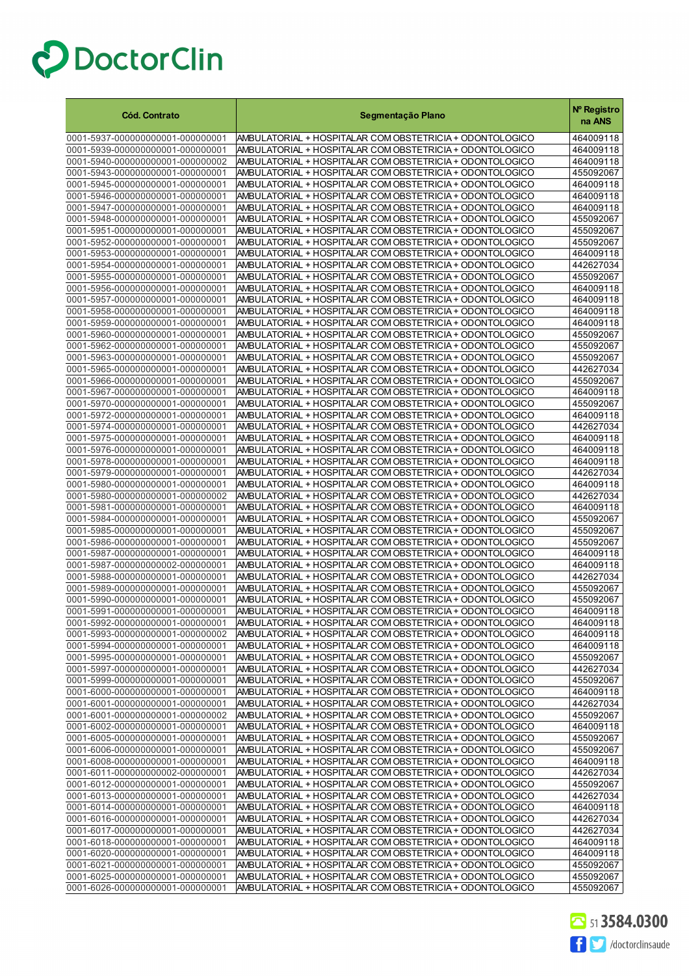| <b>Cód. Contrato</b>                                                 | Segmentação Plano                                                                                                    | Nº Registro<br>na ANS  |
|----------------------------------------------------------------------|----------------------------------------------------------------------------------------------------------------------|------------------------|
| 0001-5937-000000000001-000000001                                     | AMBULATORIAL + HOSPITALAR COM OBSTETRICIA + ODONTOLOGICO                                                             | 464009118              |
| 0001-5939-000000000001-000000001                                     | AMBULATORIAL + HOSPITALAR COM OBSTETRICIA + ODONTOLOGICO                                                             | 464009118              |
| 0001-5940-000000000001-000000002                                     | AMBULATORIAL + HOSPITALAR COM OBSTETRICIA + ODONTOLOGICO                                                             | 464009118              |
| 0001-5943-000000000001-000000001                                     | AMBULATORIAL + HOSPITALAR COM OBSTETRICIA + ODONTOLOGICO                                                             | 455092067              |
| 0001-5945-000000000001-000000001                                     | AMBULATORIAL + HOSPITALAR COM OBSTETRICIA + ODONTOLOGICO                                                             | 464009118              |
| 0001-5946-000000000001-000000001                                     | AMBULATORIAL + HOSPITALAR COM OBSTETRICIA + ODONTOLOGICO                                                             | 464009118              |
| 0001-5947-000000000001-000000001                                     | AMBULATORIAL + HOSPITALAR COM OBSTETRICIA + ODONTOLOGICO                                                             | 464009118              |
| 0001-5948-000000000001-000000001                                     | AMBULATORIAL + HOSPITALAR COM OBSTETRICIA + ODONTOLOGICO                                                             | 455092067              |
| 0001-5951-000000000001-000000001                                     | AMBULATORIAL + HOSPITALAR COM OBSTETRICIA + ODONTOLOGICO                                                             | 455092067              |
| 0001-5952-000000000001-000000001                                     | AMBULATORIAL + HOSPITALAR COM OBSTETRICIA + ODONTOLOGICO                                                             | 455092067              |
| 0001-5953-000000000001-000000001                                     | AMBULATORIAL + HOSPITALAR COM OBSTETRICIA + ODONTOLOGICO                                                             | 464009118              |
| 0001-5954-000000000001-000000001                                     | AMBULATORIAL + HOSPITALAR COM OBSTETRICIA + ODONTOLOGICO                                                             | 442627034              |
| 0001-5955-000000000001-000000001                                     | AMBULATORIAL + HOSPITALAR COM OBSTETRICIA + ODONTOLOGICO                                                             | 455092067              |
| 0001-5956-000000000001-000000001                                     | AMBULATORIAL + HOSPITALAR COM OBSTETRICIA + ODONTOLOGICO                                                             | 464009118              |
| 0001-5957-000000000001-000000001                                     | AMBULATORIAL + HOSPITALAR COM OBSTETRICIA + ODONTOLOGICO                                                             | 464009118              |
| 0001-5958-000000000001-000000001                                     | AMBULATORIAL + HOSPITALAR COM OBSTETRICIA + ODONTOLOGICO                                                             | 464009118              |
| 0001-5959-000000000001-000000001<br>0001-5960-000000000001-000000001 | AMBULATORIAL + HOSPITALAR COM OBSTETRICIA + ODONTOLOGICO<br>AMBULATORIAL + HOSPITALAR COM OBSTETRICIA + ODONTOLOGICO | 464009118<br>455092067 |
| 0001-5962-000000000001-000000001                                     | AMBULATORIAL + HOSPITALAR COM OBSTETRICIA + ODONTOLOGICO                                                             | 455092067              |
| 0001-5963-000000000001-000000001                                     | AMBULATORIAL + HOSPITALAR COM OBSTETRICIA + ODONTOLOGICO                                                             | 455092067              |
| 0001-5965-000000000001-000000001                                     | AMBULATORIAL + HOSPITALAR COM OBSTETRICIA + ODONTOLOGICO                                                             | 442627034              |
| 0001-5966-000000000001-000000001                                     | AMBULATORIAL + HOSPITALAR COM OBSTETRICIA + ODONTOLOGICO                                                             | 455092067              |
| 0001-5967-000000000001-000000001                                     | AMBULATORIAL + HOSPITALAR COM OBSTETRICIA + ODONTOLOGICO                                                             | 464009118              |
| 0001-5970-000000000001-000000001                                     | AMBULATORIAL + HOSPITALAR COM OBSTETRICIA + ODONTOLOGICO                                                             | 455092067              |
| 0001-5972-000000000001-000000001                                     | AMBULATORIAL + HOSPITALAR COM OBSTETRICIA + ODONTOLOGICO                                                             | 464009118              |
| 0001-5974-000000000001-000000001                                     | AMBULATORIAL + HOSPITALAR COM OBSTETRICIA + ODONTOLOGICO                                                             | 442627034              |
| 0001-5975-000000000001-000000001                                     | AMBULATORIAL + HOSPITALAR COM OBSTETRICIA + ODONTOLOGICO                                                             | 464009118              |
| 0001-5976-000000000001-000000001                                     | AMBULATORIAL + HOSPITALAR COM OBSTETRICIA + ODONTOLOGICO                                                             | 464009118              |
| 0001-5978-000000000001-000000001                                     | AMBULATORIAL + HOSPITALAR COM OBSTETRICIA + ODONTOLOGICO                                                             | 464009118              |
| 0001-5979-000000000001-000000001                                     | AMBULATORIAL + HOSPITALAR COM OBSTETRICIA + ODONTOLOGICO                                                             | 442627034              |
| 0001-5980-000000000001-000000001                                     | AMBULATORIAL + HOSPITALAR COM OBSTETRICIA + ODONTOLOGICO                                                             | 464009118              |
| 0001-5980-000000000001-000000002                                     | AMBULATORIAL + HOSPITALAR COM OBSTETRICIA + ODONTOLOGICO                                                             | 442627034              |
| 0001-5981-000000000001-000000001                                     | AMBULATORIAL + HOSPITALAR COM OBSTETRICIA + ODONTOLOGICO                                                             | 464009118              |
| 0001-5984-000000000001-000000001                                     | AMBULATORIAL + HOSPITALAR COM OBSTETRICIA + ODONTOLOGICO                                                             | 455092067              |
| 0001-5985-000000000001-000000001                                     | AMBULATORIAL + HOSPITALAR COM OBSTETRICIA + ODONTOLOGICO                                                             | 455092067              |
| 0001-5986-000000000001-000000001                                     | AMBULATORIAL + HOSPITALAR COM OBSTETRICIA + ODONTOLOGICO                                                             | 455092067              |
| 0001-5987-000000000001-000000001<br>0001-5987-000000000002-000000001 | AMBULATORIAL + HOSPITALAR COM OBSTETRICIA + ODONTOLOGICO<br>AMBULATORIAL + HOSPITALAR COM OBSTETRICIA + ODONTOLOGICO | 464009118<br>464009118 |
| 0001-5988-000000000001-000000001                                     | AMBULATORIAL + HOSPITALAR COM OBSTETRICIA + ODONTOLOGICO                                                             | 442627034              |
| 0001-5989-000000000001-000000001                                     | AMBULATORIAL + HOSPITALAR COM OBSTETRICIA + ODONTOLOGICO                                                             | 455092067              |
| 0001-5990-000000000001-000000001                                     | AMBULATORIAL + HOSPITALAR COM OBSTETRICIA + ODONTOLOGICO                                                             | 455092067              |
| 0001-5991-000000000001-000000001                                     | AMBULATORIAL + HOSPITALAR COM OBSTETRICIA + ODONTOLOGICO                                                             | 464009118              |
| 0001-5992-000000000001-000000001                                     | AMBULATORIAL + HOSPITALAR COM OBSTETRICIA + ODONTOLOGICO                                                             | 464009118              |
| 0001-5993-000000000001-000000002                                     | AMBULATORIAL + HOSPITALAR COM OBSTETRICIA + ODONTOLOGICO                                                             | 464009118              |
| 0001-5994-000000000001-000000001                                     | AMBULATORIAL + HOSPITALAR COM OBSTETRICIA + ODONTOLOGICO                                                             | 464009118              |
| 0001-5995-000000000001-000000001                                     | AMBULATORIAL + HOSPITALAR COM OBSTETRICIA + ODONTOLOGICO                                                             | 455092067              |
| 0001-5997-000000000001-000000001                                     | AMBULATORIAL + HOSPITALAR COM OBSTETRICIA + ODONTOLOGICO                                                             | 442627034              |
| 0001-5999-000000000001-000000001                                     | AMBULATORIAL + HOSPITALAR COM OBSTETRICIA + ODONTOLOGICO                                                             | 455092067              |
| 0001-6000-000000000001-000000001                                     | AMBULATORIAL + HOSPITALAR COM OBSTETRICIA + ODONTOLOGICO                                                             | 464009118              |
| 0001-6001-000000000001-000000001                                     | AMBULATORIAL + HOSPITALAR COM OBSTETRICIA + ODONTOLOGICO                                                             | 442627034              |
| 0001-6001-000000000001-000000002                                     | AMBULATORIAL + HOSPITALAR COM OBSTETRICIA + ODONTOLOGICO                                                             | 455092067              |
| 0001-6002-000000000001-000000001                                     | AMBULATORIAL + HOSPITALAR COM OBSTETRICIA + ODONTOLOGICO                                                             | 464009118              |
| 0001-6005-000000000001-000000001                                     | AMBULATORIAL + HOSPITALAR COM OBSTETRICIA + ODONTOLOGICO                                                             | 455092067              |
| 0001-6006-000000000001-000000001                                     | AMBULATORIAL + HOSPITALAR COM OBSTETRICIA + ODONTOLOGICO                                                             | 455092067              |
| 0001-6008-000000000001-000000001                                     | AMBULATORIAL + HOSPITALAR COM OBSTETRICIA + ODONTOLOGICO                                                             | 464009118              |
| 0001-6011-000000000002-000000001<br>0001-6012-000000000001-000000001 | AMBULATORIAL + HOSPITALAR COM OBSTETRICIA + ODONTOLOGICO<br>AMBULATORIAL + HOSPITALAR COM OBSTETRICIA + ODONTOLOGICO | 442627034<br>455092067 |
| 0001-6013-000000000001-000000001                                     | AMBULATORIAL + HOSPITALAR COM OBSTETRICIA + ODONTOLOGICO                                                             | 442627034              |
| 0001-6014-000000000001-000000001                                     | AMBULATORIAL + HOSPITALAR COM OBSTETRICIA + ODONTOLOGICO                                                             | 464009118              |
| 0001-6016-000000000001-000000001                                     | AMBULATORIAL + HOSPITALAR COM OBSTETRICIA + ODONTOLOGICO                                                             | 442627034              |
| 0001-6017-000000000001-000000001                                     | AMBULATORIAL + HOSPITALAR COM OBSTETRICIA + ODONTOLOGICO                                                             | 442627034              |
| 0001-6018-000000000001-000000001                                     | AMBULATORIAL + HOSPITALAR COM OBSTETRICIA + ODONTOLOGICO                                                             | 464009118              |
| 0001-6020-000000000001-000000001                                     | AMBULATORIAL + HOSPITALAR COM OBSTETRICIA + ODONTOLOGICO                                                             | 464009118              |
| 0001-6021-000000000001-000000001                                     | AMBULATORIAL + HOSPITALAR COM OBSTETRICIA + ODONTOLOGICO                                                             | 455092067              |
| 0001-6025-000000000001-000000001                                     | AMBULATORIAL + HOSPITALAR COM OBSTETRICIA + ODONTOLOGICO                                                             | 455092067              |
| 0001-6026-000000000001-000000001                                     | AMBULATORIAL + HOSPITALAR COM OBSTETRICIA + ODONTOLOGICO                                                             | 455092067              |

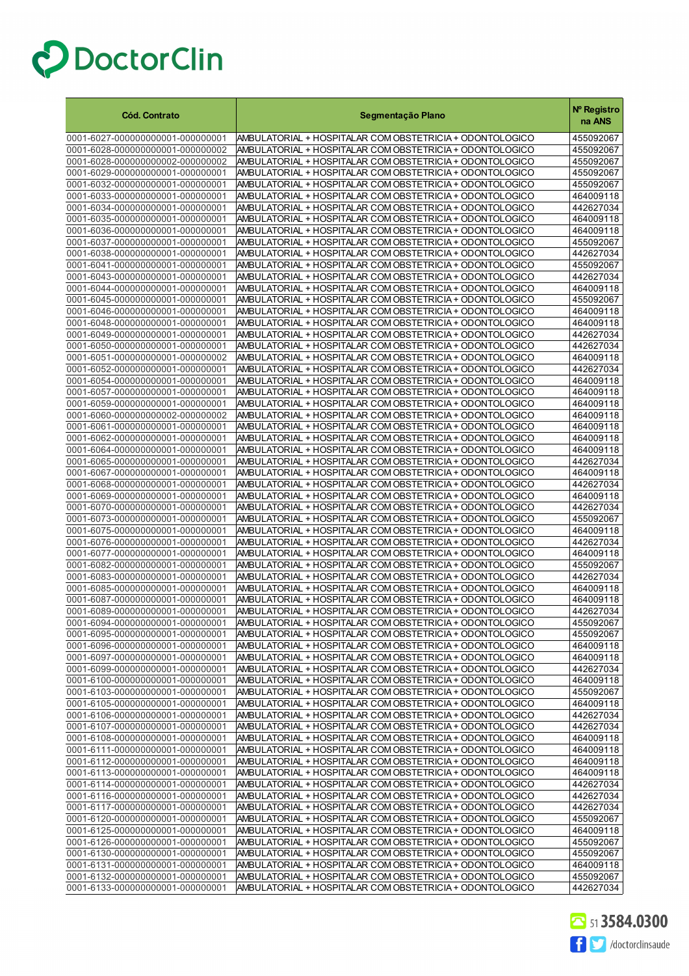| <b>Cód. Contrato</b>                                                 | Segmentação Plano                                                                                                    | Nº Registro<br>na ANS  |
|----------------------------------------------------------------------|----------------------------------------------------------------------------------------------------------------------|------------------------|
| 0001-6027-000000000001-000000001                                     | AMBULATORIAL + HOSPITALAR COM OBSTETRICIA + ODONTOLOGICO                                                             | 455092067              |
| 0001-6028-000000000001-000000002                                     | AMBULATORIAL + HOSPITALAR COM OBSTETRICIA + ODONTOLOGICO                                                             | 455092067              |
| 0001-6028-000000000002-000000002                                     | AMBULATORIAL + HOSPITALAR COM OBSTETRICIA + ODONTOLOGICO                                                             | 455092067              |
| 0001-6029-000000000001-000000001                                     | AMBULATORIAL + HOSPITALAR COM OBSTETRICIA + ODONTOLOGICO                                                             | 455092067              |
| 0001-6032-000000000001-000000001                                     | AMBULATORIAL + HOSPITALAR COM OBSTETRICIA + ODONTOLOGICO                                                             | 455092067              |
| 0001-6033-000000000001-000000001                                     | AMBULATORIAL + HOSPITALAR COM OBSTETRICIA + ODONTOLOGICO                                                             | 464009118              |
| 0001-6034-000000000001-000000001                                     | AMBULATORIAL + HOSPITALAR COM OBSTETRICIA + ODONTOLOGICO                                                             | 442627034              |
| 0001-6035-000000000001-000000001                                     | AMBULATORIAL + HOSPITALAR COM OBSTETRICIA + ODONTOLOGICO                                                             | 464009118              |
| 0001-6036-000000000001-000000001                                     | AMBULATORIAL + HOSPITALAR COM OBSTETRICIA + ODONTOLOGICO                                                             | 464009118              |
| 0001-6037-000000000001-000000001                                     | AMBULATORIAL + HOSPITALAR COM OBSTETRICIA + ODONTOLOGICO                                                             | 455092067              |
| 0001-6038-000000000001-000000001<br>0001-6041-000000000001-000000001 | AMBULATORIAL + HOSPITALAR COM OBSTETRICIA + ODONTOLOGICO<br>AMBULATORIAL + HOSPITALAR COM OBSTETRICIA + ODONTOLOGICO | 442627034<br>455092067 |
| 0001-6043-000000000001-000000001                                     | AMBULATORIAL + HOSPITALAR COM OBSTETRICIA + ODONTOLOGICO                                                             | 442627034              |
| 0001-6044-000000000001-000000001                                     | AMBULATORIAL + HOSPITALAR COM OBSTETRICIA + ODONTOLOGICO                                                             | 464009118              |
| 0001-6045-000000000001-000000001                                     | AMBULATORIAL + HOSPITALAR COM OBSTETRICIA + ODONTOLOGICO                                                             | 455092067              |
| 0001-6046-000000000001-000000001                                     | AMBULATORIAL + HOSPITALAR COM OBSTETRICIA + ODONTOLOGICO                                                             | 464009118              |
| 0001-6048-000000000001-000000001                                     | AMBULATORIAL + HOSPITALAR COM OBSTETRICIA + ODONTOLOGICO                                                             | 464009118              |
| 0001-6049-000000000001-000000001                                     | AMBULATORIAL + HOSPITALAR COM OBSTETRICIA + ODONTOLOGICO                                                             | 442627034              |
| 0001-6050-000000000001-000000001                                     | AMBULATORIAL + HOSPITALAR COM OBSTETRICIA + ODONTOLOGICO                                                             | 442627034              |
| 0001-6051-000000000001-000000002                                     | AMBULATORIAL + HOSPITALAR COM OBSTETRICIA + ODONTOLOGICO                                                             | 464009118              |
| 0001-6052-000000000001-000000001                                     | AMBULATORIAL + HOSPITALAR COM OBSTETRICIA + ODONTOLOGICO                                                             | 442627034              |
| 0001-6054-000000000001-000000001                                     | AMBULATORIAL + HOSPITALAR COM OBSTETRICIA + ODONTOLOGICO                                                             | 464009118              |
| 0001-6057-000000000001-000000001                                     | AMBULATORIAL + HOSPITALAR COM OBSTETRICIA + ODONTOLOGICO                                                             | 464009118              |
| 0001-6059-000000000001-000000001                                     | AMBULATORIAL + HOSPITALAR COM OBSTETRICIA + ODONTOLOGICO                                                             | 464009118              |
| 0001-6060-000000000002-000000002                                     | AMBULATORIAL + HOSPITALAR COM OBSTETRICIA + ODONTOLOGICO<br>AMBULATORIAL + HOSPITALAR COM OBSTETRICIA + ODONTOLOGICO | 464009118<br>464009118 |
| 0001-6061-000000000001-000000001<br>0001-6062-000000000001-000000001 | AMBULATORIAL + HOSPITALAR COM OBSTETRICIA + ODONTOLOGICO                                                             | 464009118              |
| 0001-6064-000000000001-000000001                                     | AMBULATORIAL + HOSPITALAR COM OBSTETRICIA + ODONTOLOGICO                                                             | 464009118              |
| 0001-6065-000000000001-000000001                                     | AMBULATORIAL + HOSPITALAR COM OBSTETRICIA + ODONTOLOGICO                                                             | 442627034              |
| 0001-6067-000000000001-000000001                                     | AMBULATORIAL + HOSPITALAR COM OBSTETRICIA + ODONTOLOGICO                                                             | 464009118              |
| 0001-6068-000000000001-000000001                                     | AMBULATORIAL + HOSPITALAR COM OBSTETRICIA + ODONTOLOGICO                                                             | 442627034              |
| 0001-6069-000000000001-000000001                                     | AMBULATORIAL + HOSPITALAR COM OBSTETRICIA + ODONTOLOGICO                                                             | 464009118              |
| 0001-6070-000000000001-000000001                                     | AMBULATORIAL + HOSPITALAR COM OBSTETRICIA + ODONTOLOGICO                                                             | 442627034              |
| 0001-6073-000000000001-000000001                                     | AMBULATORIAL + HOSPITALAR COM OBSTETRICIA + ODONTOLOGICO                                                             | 455092067              |
| 0001-6075-000000000001-000000001                                     | AMBULATORIAL + HOSPITALAR COM OBSTETRICIA + ODONTOLOGICO                                                             | 464009118              |
| 0001-6076-000000000001-000000001<br>0001-6077-000000000001-000000001 | AMBULATORIAL + HOSPITALAR COM OBSTETRICIA + ODONTOLOGICO                                                             | 442627034              |
| 0001-6082-000000000001-000000001                                     | AMBULATORIAL + HOSPITALAR COM OBSTETRICIA + ODONTOLOGICO<br>AMBULATORIAL + HOSPITALAR COM OBSTETRICIA + ODONTOLOGICO | 464009118<br>455092067 |
| 0001-6083-000000000001-000000001                                     | AMBULATORIAL + HOSPITALAR COM OBSTETRICIA + ODONTOLOGICO                                                             | 442627034              |
| 0001-6085-000000000001-000000001                                     | AMBULATORIAL + HOSPITALAR COM OBSTETRICIA + ODONTOLOGICO                                                             | 464009118              |
| 0001-6087-000000000001-000000001                                     | AMBULATORIAL + HOSPITALAR COM OBSTETRICIA + ODONTOLOGICO                                                             | 464009118              |
| 0001-6089-000000000001-000000001                                     | AMBULATORIAL + HOSPITALAR COM OBSTETRICIA + ODONTOLOGICO                                                             | 442627034              |
| 0001-6094-000000000001-000000001                                     | AMBULATORIAL + HOSPITALAR COM OBSTETRICIA + ODONTOLOGICO                                                             | 455092067              |
| 0001-6095-000000000001-000000001                                     | AMBULATORIAL + HOSPITALAR COM OBSTETRICIA + ODONTOLOGICO                                                             | 455092067              |
| 0001-6096-000000000001-000000001                                     | AMBULATORIAL + HOSPITALAR COM OBSTETRICIA + ODONTOLOGICO                                                             | 464009118              |
| 0001-6097-000000000001-000000001                                     | AMBULATORIAL + HOSPITALAR COM OBSTETRICIA + ODONTOLOGICO                                                             | 464009118              |
| 0001-6099-000000000001-000000001                                     | AMBULATORIAL + HOSPITALAR COM OBSTETRICIA + ODONTOLOGICO                                                             | 442627034              |
| 0001-6100-000000000001-000000001<br>0001-6103-000000000001-000000001 | AMBULATORIAL + HOSPITALAR COM OBSTETRICIA + ODONTOLOGICO<br>AMBULATORIAL + HOSPITALAR COM OBSTETRICIA + ODONTOLOGICO | 464009118<br>455092067 |
| 0001-6105-000000000001-000000001                                     | AMBULATORIAL + HOSPITALAR COM OBSTETRICIA + ODONTOLOGICO                                                             | 464009118              |
| 0001-6106-000000000001-000000001                                     | AMBULATORIAL + HOSPITALAR COM OBSTETRICIA + ODONTOLOGICO                                                             | 442627034              |
| 0001-6107-000000000001-000000001                                     | AMBULATORIAL + HOSPITALAR COM OBSTETRICIA + ODONTOLOGICO                                                             | 442627034              |
| 0001-6108-000000000001-000000001                                     | AMBULATORIAL + HOSPITALAR COM OBSTETRICIA + ODONTOLOGICO                                                             | 464009118              |
| 0001-6111-000000000001-000000001                                     | AMBULATORIAL + HOSPITALAR COM OBSTETRICIA + ODONTOLOGICO                                                             | 464009118              |
| 0001-6112-000000000001-000000001                                     | AMBULATORIAL + HOSPITALAR COM OBSTETRICIA + ODONTOLOGICO                                                             | 464009118              |
| 0001-6113-000000000001-000000001                                     | AMBULATORIAL + HOSPITALAR COM OBSTETRICIA + ODONTOLOGICO                                                             | 464009118              |
| 0001-6114-000000000001-000000001                                     | AMBULATORIAL + HOSPITALAR COM OBSTETRICIA + ODONTOLOGICO                                                             | 442627034              |
| 0001-6116-000000000001-000000001                                     | AMBULATORIAL + HOSPITALAR COM OBSTETRICIA + ODONTOLOGICO                                                             | 442627034              |
| 0001-6117-000000000001-000000001<br>0001-6120-000000000001-000000001 | AMBULATORIAL + HOSPITALAR COM OBSTETRICIA + ODONTOLOGICO<br>AMBULATORIAL + HOSPITALAR COM OBSTETRICIA + ODONTOLOGICO | 442627034<br>455092067 |
| 0001-6125-000000000001-000000001                                     | AMBULATORIAL + HOSPITALAR COM OBSTETRICIA + ODONTOLOGICO                                                             | 464009118              |
| 0001-6126-000000000001-000000001                                     | AMBULATORIAL + HOSPITALAR COM OBSTETRICIA + ODONTOLOGICO                                                             | 455092067              |
| 0001-6130-000000000001-000000001                                     | AMBULATORIAL + HOSPITALAR COM OBSTETRICIA + ODONTOLOGICO                                                             | 455092067              |
| 0001-6131-000000000001-000000001                                     | AMBULATORIAL + HOSPITALAR COM OBSTETRICIA + ODONTOLOGICO                                                             | 464009118              |
| 0001-6132-000000000001-000000001                                     | AMBULATORIAL + HOSPITALAR COM OBSTETRICIA + ODONTOLOGICO                                                             | 455092067              |
| 0001-6133-000000000001-000000001                                     | AMBULATORIAL + HOSPITALAR COM OBSTETRICIA + ODONTOLOGICO                                                             | 442627034              |

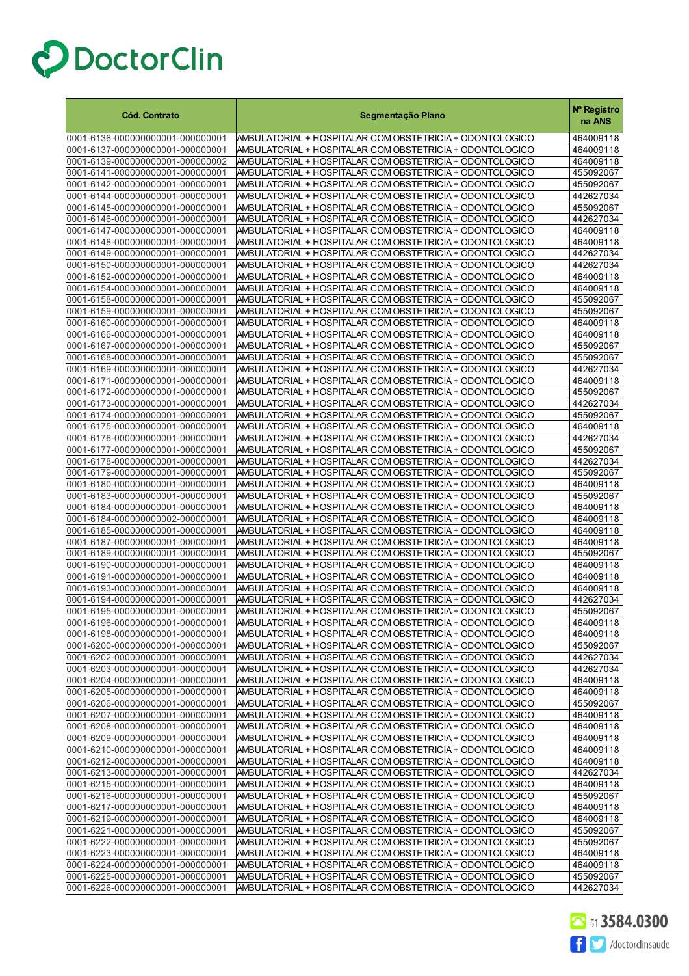| <b>Cód. Contrato</b>                                                 | Segmentação Plano                                                                                                    | Nº Registro<br>na ANS  |
|----------------------------------------------------------------------|----------------------------------------------------------------------------------------------------------------------|------------------------|
| 0001-6136-000000000001-000000001                                     | AMBULATORIAL + HOSPITALAR COM OBSTETRICIA + ODONTOLOGICO                                                             | 464009118              |
| 0001-6137-000000000001-000000001                                     | AMBULATORIAL + HOSPITALAR COM OBSTETRICIA + ODONTOLOGICO                                                             | 464009118              |
| 0001-6139-000000000001-000000002                                     | AMBULATORIAL + HOSPITALAR COM OBSTETRICIA + ODONTOLOGICO                                                             | 464009118              |
| 0001-6141-000000000001-000000001                                     | AMBULATORIAL + HOSPITALAR COM OBSTETRICIA + ODONTOLOGICO                                                             | 455092067              |
| 0001-6142-000000000001-000000001                                     | AMBULATORIAL + HOSPITALAR COM OBSTETRICIA + ODONTOLOGICO                                                             | 455092067              |
| 0001-6144-000000000001-000000001                                     | AMBULATORIAL + HOSPITALAR COM OBSTETRICIA + ODONTOLOGICO                                                             | 442627034              |
| 0001-6145-000000000001-000000001                                     | AMBULATORIAL + HOSPITALAR COM OBSTETRICIA + ODONTOLOGICO                                                             | 455092067              |
| 0001-6146-000000000001-000000001<br>0001-6147-000000000001-000000001 | AMBULATORIAL + HOSPITALAR COM OBSTETRICIA + ODONTOLOGICO<br>AMBULATORIAL + HOSPITALAR COM OBSTETRICIA + ODONTOLOGICO | 442627034<br>464009118 |
| 0001-6148-000000000001-000000001                                     | AMBULATORIAL + HOSPITALAR COM OBSTETRICIA + ODONTOLOGICO                                                             | 464009118              |
| 0001-6149-000000000001-000000001                                     | AMBULATORIAL + HOSPITALAR COM OBSTETRICIA + ODONTOLOGICO                                                             | 442627034              |
| 0001-6150-000000000001-000000001                                     | AMBULATORIAL + HOSPITALAR COM OBSTETRICIA + ODONTOLOGICO                                                             | 442627034              |
| 0001-6152-000000000001-000000001                                     | AMBULATORIAL + HOSPITALAR COM OBSTETRICIA + ODONTOLOGICO                                                             | 464009118              |
| 0001-6154-000000000001-000000001                                     | AMBULATORIAL + HOSPITALAR COM OBSTETRICIA + ODONTOLOGICO                                                             | 464009118              |
| 0001-6158-000000000001-000000001                                     | AMBULATORIAL + HOSPITALAR COM OBSTETRICIA + ODONTOLOGICO                                                             | 455092067              |
| 0001-6159-000000000001-000000001                                     | AMBULATORIAL + HOSPITALAR COM OBSTETRICIA + ODONTOLOGICO                                                             | 455092067              |
| 0001-6160-000000000001-000000001                                     | AMBULATORIAL + HOSPITALAR COM OBSTETRICIA + ODONTOLOGICO                                                             | 464009118              |
| 0001-6166-000000000001-000000001                                     | AMBULATORIAL + HOSPITALAR COM OBSTETRICIA + ODONTOLOGICO                                                             | 464009118              |
| 0001-6167-000000000001-000000001                                     | AMBULATORIAL + HOSPITALAR COM OBSTETRICIA + ODONTOLOGICO                                                             | 455092067              |
| 0001-6168-000000000001-000000001                                     | AMBULATORIAL + HOSPITALAR COM OBSTETRICIA + ODONTOLOGICO                                                             | 455092067              |
| 0001-6169-000000000001-000000001<br>0001-6171-000000000001-000000001 | AMBULATORIAL + HOSPITALAR COM OBSTETRICIA + ODONTOLOGICO<br>AMBULATORIAL + HOSPITALAR COM OBSTETRICIA + ODONTOLOGICO | 442627034<br>464009118 |
| 0001-6172-000000000001-000000001                                     | AMBULATORIAL + HOSPITALAR COM OBSTETRICIA + ODONTOLOGICO                                                             | 455092067              |
| 0001-6173-000000000001-000000001                                     | AMBULATORIAL + HOSPITALAR COM OBSTETRICIA + ODONTOLOGICO                                                             | 442627034              |
| 0001-6174-000000000001-000000001                                     | AMBULATORIAL + HOSPITALAR COM OBSTETRICIA + ODONTOLOGICO                                                             | 455092067              |
| 0001-6175-000000000001-000000001                                     | AMBULATORIAL + HOSPITALAR COM OBSTETRICIA + ODONTOLOGICO                                                             | 464009118              |
| 0001-6176-000000000001-000000001                                     | AMBULATORIAL + HOSPITALAR COM OBSTETRICIA + ODONTOLOGICO                                                             | 442627034              |
| 0001-6177-000000000001-000000001                                     | AMBULATORIAL + HOSPITALAR COM OBSTETRICIA + ODONTOLOGICO                                                             | 455092067              |
| 0001-6178-000000000001-000000001                                     | AMBULATORIAL + HOSPITALAR COM OBSTETRICIA + ODONTOLOGICO                                                             | 442627034              |
| 0001-6179-000000000001-000000001                                     | AMBULATORIAL + HOSPITALAR COM OBSTETRICIA + ODONTOLOGICO                                                             | 455092067              |
| 0001-6180-000000000001-000000001                                     | AMBULATORIAL + HOSPITALAR COM OBSTETRICIA + ODONTOLOGICO                                                             | 464009118              |
| 0001-6183-000000000001-000000001                                     | AMBULATORIAL + HOSPITALAR COM OBSTETRICIA + ODONTOLOGICO                                                             | 455092067              |
| 0001-6184-000000000001-000000001                                     | AMBULATORIAL + HOSPITALAR COM OBSTETRICIA + ODONTOLOGICO                                                             | 464009118              |
| 0001-6184-000000000002-000000001<br>0001-6185-000000000001-000000001 | AMBULATORIAL + HOSPITALAR COM OBSTETRICIA + ODONTOLOGICO<br>AMBULATORIAL + HOSPITALAR COM OBSTETRICIA + ODONTOLOGICO | 464009118<br>464009118 |
| 0001-6187-000000000001-000000001                                     | AMBULATORIAL + HOSPITALAR COM OBSTETRICIA + ODONTOLOGICO                                                             | 464009118              |
| 0001-6189-000000000001-000000001                                     | AMBULATORIAL + HOSPITALAR COM OBSTETRICIA + ODONTOLOGICO                                                             | 455092067              |
| 0001-6190-000000000001-000000001                                     | AMBULATORIAL + HOSPITALAR COM OBSTETRICIA + ODONTOLOGICO                                                             | 464009118              |
| 0001-6191-000000000001-000000001                                     | AMBULATORIAL + HOSPITALAR COM OBSTETRICIA + ODONTOLOGICO                                                             | 464009118              |
| 0001-6193-000000000001-000000001                                     | AMBULATORIAL + HOSPITALAR COM OBSTETRICIA + ODONTOLOGICO                                                             | 464009118              |
| 0001-6194-000000000001-000000001                                     | AMBULATORIAL + HOSPITALAR COM OBSTETRICIA + ODONTOLOGICO                                                             | 442627034              |
| 0001-6195-000000000001-000000001                                     | AMBULATORIAL + HOSPITALAR COM OBSTETRICIA + ODONTOLOGICO                                                             | 455092067              |
| 0001-6196-000000000001-000000001                                     | AMBULATORIAL + HOSPITALAR COM OBSTETRICIA + ODONTOLOGICO                                                             | 464009118              |
| 0001-6198-000000000001-000000001                                     | AMBULATORIAL + HOSPITALAR COM OBSTETRICIA + ODONTOLOGICO                                                             | 464009118              |
| 0001-6200-000000000001-000000001<br>0001-6202-000000000001-000000001 | AMBULATORIAL + HOSPITALAR COM OBSTETRICIA + ODONTOLOGICO                                                             | 455092067              |
| 0001-6203-000000000001-000000001                                     | AMBULATORIAL + HOSPITALAR COM OBSTETRICIA + ODONTOLOGICO<br>AMBULATORIAL + HOSPITALAR COM OBSTETRICIA + ODONTOLOGICO | 442627034<br>442627034 |
| 0001-6204-000000000001-000000001                                     | AMBULATORIAL + HOSPITALAR COM OBSTETRICIA + ODONTOLOGICO                                                             | 464009118              |
| 0001-6205-000000000001-000000001                                     | AMBULATORIAL + HOSPITALAR COM OBSTETRICIA + ODONTOLOGICO                                                             | 464009118              |
| 0001-6206-000000000001-000000001                                     | AMBULATORIAL + HOSPITALAR COM OBSTETRICIA + ODONTOLOGICO                                                             | 455092067              |
| 0001-6207-000000000001-000000001                                     | AMBULATORIAL + HOSPITALAR COM OBSTETRICIA + ODONTOLOGICO                                                             | 464009118              |
| 0001-6208-000000000001-000000001                                     | AMBULATORIAL + HOSPITALAR COM OBSTETRICIA + ODONTOLOGICO                                                             | 464009118              |
| 0001-6209-000000000001-000000001                                     | AMBULATORIAL + HOSPITALAR COM OBSTETRICIA + ODONTOLOGICO                                                             | 464009118              |
| 0001-6210-000000000001-000000001                                     | AMBULATORIAL + HOSPITALAR COM OBSTETRICIA + ODONTOLOGICO                                                             | 464009118              |
| 0001-6212-000000000001-000000001                                     | AMBULATORIAL + HOSPITALAR COM OBSTETRICIA + ODONTOLOGICO                                                             | 464009118              |
| 0001-6213-000000000001-000000001                                     | AMBULATORIAL + HOSPITALAR COM OBSTETRICIA + ODONTOLOGICO                                                             | 442627034              |
| 0001-6215-000000000001-000000001<br>0001-6216-000000000001-000000001 | AMBULATORIAL + HOSPITALAR COM OBSTETRICIA + ODONTOLOGICO<br>AMBULATORIAL + HOSPITALAR COM OBSTETRICIA + ODONTOLOGICO | 464009118<br>455092067 |
| 0001-6217-000000000001-000000001                                     | AMBULATORIAL + HOSPITALAR COM OBSTETRICIA + ODONTOLOGICO                                                             | 464009118              |
| 0001-6219-000000000001-000000001                                     | AMBULATORIAL + HOSPITALAR COM OBSTETRICIA + ODONTOLOGICO                                                             | 464009118              |
| 0001-6221-000000000001-000000001                                     | AMBULATORIAL + HOSPITALAR COM OBSTETRICIA + ODONTOLOGICO                                                             | 455092067              |
| 0001-6222-000000000001-000000001                                     | AMBULATORIAL + HOSPITALAR COM OBSTETRICIA + ODONTOLOGICO                                                             | 455092067              |
| 0001-6223-000000000001-000000001                                     | AMBULATORIAL + HOSPITALAR COM OBSTETRICIA + ODONTOLOGICO                                                             | 464009118              |
| 0001-6224-000000000001-000000001                                     | AMBULATORIAL + HOSPITALAR COM OBSTETRICIA + ODONTOLOGICO                                                             | 464009118              |
| 0001-6225-000000000001-000000001                                     | AMBULATORIAL + HOSPITALAR COM OBSTETRICIA + ODONTOLOGICO                                                             | 455092067              |
| 0001-6226-000000000001-000000001                                     | AMBULATORIAL + HOSPITALAR COM OBSTETRICIA + ODONTOLOGICO                                                             | 442627034              |

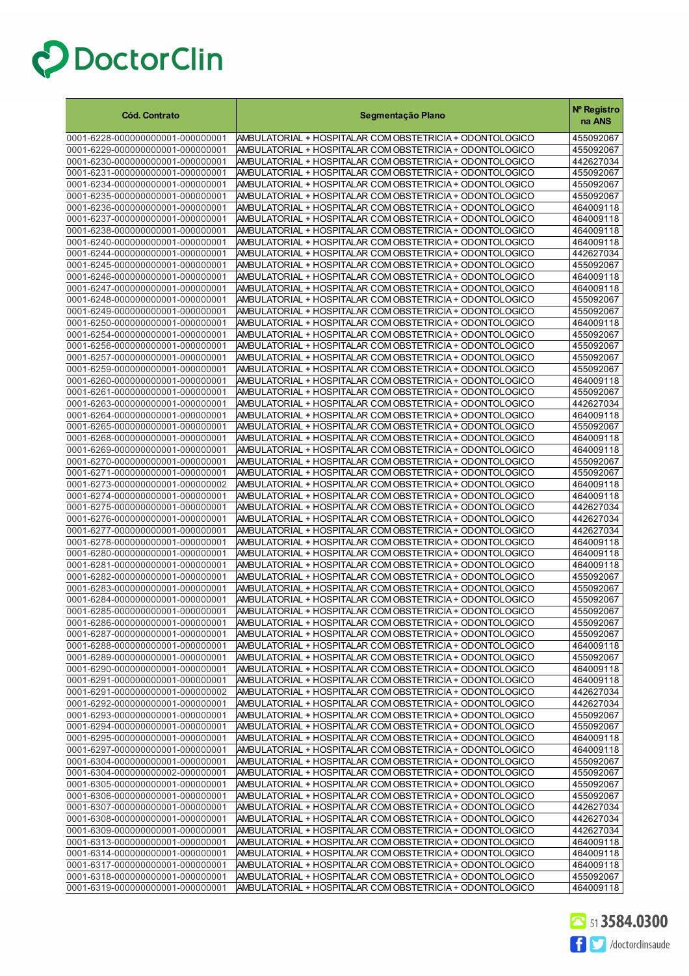| <b>Cód. Contrato</b>                                                 | Segmentação Plano                                                                                                    | Nº Registro<br>na ANS  |
|----------------------------------------------------------------------|----------------------------------------------------------------------------------------------------------------------|------------------------|
| 0001-6228-000000000001-000000001                                     | AMBULATORIAL + HOSPITALAR COM OBSTETRICIA + ODONTOLOGICO                                                             | 455092067              |
| 0001-6229-000000000001-000000001                                     | AMBULATORIAL + HOSPITALAR COM OBSTETRICIA + ODONTOLOGICO                                                             | 455092067              |
| 0001-6230-000000000001-000000001                                     | AMBULATORIAL + HOSPITALAR COM OBSTETRICIA + ODONTOLOGICO                                                             | 442627034              |
| 0001-6231-000000000001-000000001                                     | AMBULATORIAL + HOSPITALAR COM OBSTETRICIA + ODONTOLOGICO                                                             | 455092067              |
| 0001-6234-000000000001-000000001                                     | AMBULATORIAL + HOSPITALAR COM OBSTETRICIA + ODONTOLOGICO                                                             | 455092067              |
| 0001-6235-000000000001-000000001                                     | AMBULATORIAL + HOSPITALAR COM OBSTETRICIA + ODONTOLOGICO                                                             | 455092067              |
| 0001-6236-000000000001-000000001                                     | AMBULATORIAL + HOSPITALAR COM OBSTETRICIA + ODONTOLOGICO                                                             | 464009118              |
| 0001-6237-000000000001-000000001                                     | AMBULATORIAL + HOSPITALAR COM OBSTETRICIA + ODONTOLOGICO                                                             | 464009118              |
| 0001-6238-000000000001-000000001                                     | AMBULATORIAL + HOSPITALAR COM OBSTETRICIA + ODONTOLOGICO                                                             | 464009118              |
| 0001-6240-000000000001-000000001                                     | AMBULATORIAL + HOSPITALAR COM OBSTETRICIA + ODONTOLOGICO                                                             | 464009118              |
| 0001-6244-000000000001-000000001                                     | AMBULATORIAL + HOSPITALAR COM OBSTETRICIA + ODONTOLOGICO                                                             | 442627034              |
| 0001-6245-000000000001-000000001                                     | AMBULATORIAL + HOSPITALAR COM OBSTETRICIA + ODONTOLOGICO                                                             | 455092067              |
| 0001-6246-000000000001-000000001                                     | AMBULATORIAL + HOSPITALAR COM OBSTETRICIA + ODONTOLOGICO                                                             | 464009118              |
| 0001-6247-000000000001-000000001                                     | AMBULATORIAL + HOSPITALAR COM OBSTETRICIA + ODONTOLOGICO                                                             | 464009118              |
| 0001-6248-000000000001-000000001                                     | AMBULATORIAL + HOSPITALAR COM OBSTETRICIA + ODONTOLOGICO                                                             | 455092067              |
| 0001-6249-000000000001-000000001<br>0001-6250-000000000001-000000001 | AMBULATORIAL + HOSPITALAR COM OBSTETRICIA + ODONTOLOGICO<br>AMBULATORIAL + HOSPITALAR COM OBSTETRICIA + ODONTOLOGICO | 455092067<br>464009118 |
| 0001-6254-000000000001-000000001                                     | AMBULATORIAL + HOSPITALAR COM OBSTETRICIA + ODONTOLOGICO                                                             | 455092067              |
| 0001-6256-000000000001-000000001                                     | AMBULATORIAL + HOSPITALAR COM OBSTETRICIA + ODONTOLOGICO                                                             | 455092067              |
| 0001-6257-000000000001-000000001                                     | AMBULATORIAL + HOSPITALAR COM OBSTETRICIA + ODONTOLOGICO                                                             | 455092067              |
| 0001-6259-000000000001-000000001                                     | AMBULATORIAL + HOSPITALAR COM OBSTETRICIA + ODONTOLOGICO                                                             | 455092067              |
| 0001-6260-000000000001-000000001                                     | AMBULATORIAL + HOSPITALAR COM OBSTETRICIA + ODONTOLOGICO                                                             | 464009118              |
| 0001-6261-000000000001-000000001                                     | AMBULATORIAL + HOSPITALAR COM OBSTETRICIA + ODONTOLOGICO                                                             | 455092067              |
| 0001-6263-000000000001-000000001                                     | AMBULATORIAL + HOSPITALAR COM OBSTETRICIA + ODONTOLOGICO                                                             | 442627034              |
| 0001-6264-000000000001-000000001                                     | AMBULATORIAL + HOSPITALAR COM OBSTETRICIA + ODONTOLOGICO                                                             | 464009118              |
| 0001-6265-000000000001-000000001                                     | AMBULATORIAL + HOSPITALAR COM OBSTETRICIA + ODONTOLOGICO                                                             | 455092067              |
| 0001-6268-000000000001-000000001                                     | AMBULATORIAL + HOSPITALAR COM OBSTETRICIA + ODONTOLOGICO                                                             | 464009118              |
| 0001-6269-000000000001-000000001                                     | AMBULATORIAL + HOSPITALAR COM OBSTETRICIA + ODONTOLOGICO                                                             | 464009118              |
| 0001-6270-000000000001-000000001                                     | AMBULATORIAL + HOSPITALAR COM OBSTETRICIA + ODONTOLOGICO                                                             | 455092067              |
| 0001-6271-000000000001-000000001                                     | AMBULATORIAL + HOSPITALAR COM OBSTETRICIA + ODONTOLOGICO                                                             | 455092067              |
| 0001-6273-000000000001-000000002                                     | AMBULATORIAL + HOSPITALAR COM OBSTETRICIA + ODONTOLOGICO                                                             | 464009118              |
| 0001-6274-000000000001-000000001                                     | AMBULATORIAL + HOSPITALAR COM OBSTETRICIA + ODONTOLOGICO                                                             | 464009118              |
| 0001-6275-000000000001-000000001                                     | AMBULATORIAL + HOSPITALAR COM OBSTETRICIA + ODONTOLOGICO                                                             | 442627034              |
| 0001-6276-000000000001-000000001                                     | AMBULATORIAL + HOSPITALAR COM OBSTETRICIA + ODONTOLOGICO                                                             | 442627034              |
| 0001-6277-000000000001-000000001                                     | AMBULATORIAL + HOSPITALAR COM OBSTETRICIA + ODONTOLOGICO                                                             | 442627034              |
| 0001-6278-000000000001-000000001                                     | AMBULATORIAL + HOSPITALAR COM OBSTETRICIA + ODONTOLOGICO                                                             | 464009118              |
| 0001-6280-000000000001-000000001                                     | AMBULATORIAL + HOSPITALAR COM OBSTETRICIA + ODONTOLOGICO                                                             | 464009118              |
| 0001-6281-000000000001-000000001                                     | AMBULATORIAL + HOSPITALAR COM OBSTETRICIA + ODONTOLOGICO                                                             | 464009118<br>455092067 |
| 0001-6282-000000000001-000000001<br>0001-6283-000000000001-000000001 | AMBULATORIAL + HOSPITALAR COM OBSTETRICIA + ODONTOLOGICO<br>AMBULATORIAL + HOSPITALAR COM OBSTETRICIA + ODONTOLOGICO | 455092067              |
| 0001-6284-000000000001-000000001                                     | AMBULATORIAL + HOSPITALAR COM OBSTETRICIA + ODONTOLOGICO                                                             | 455092067              |
| 0001-6285-000000000001-000000001                                     | AMBULATORIAL + HOSPITALAR COM OBSTETRICIA + ODONTOLOGICO                                                             | 455092067              |
| 0001-6286-000000000001-000000001                                     | AMBULATORIAL + HOSPITALAR COM OBSTETRICIA + ODONTOLOGICO                                                             | 455092067              |
| 0001-6287-000000000001-000000001                                     | AMBULATORIAL + HOSPITALAR COM OBSTETRICIA + ODONTOLOGICO                                                             | 455092067              |
| 0001-6288-000000000001-000000001                                     | AMBULATORIAL + HOSPITALAR COM OBSTETRICIA + ODONTOLOGICO                                                             | 464009118              |
| 0001-6289-000000000001-000000001                                     | AMBULATORIAL + HOSPITALAR COM OBSTETRICIA + ODONTOLOGICO                                                             | 455092067              |
| 0001-6290-000000000001-000000001                                     | AMBULATORIAL + HOSPITALAR COM OBSTETRICIA + ODONTOLOGICO                                                             | 464009118              |
| 0001-6291-000000000001-000000001                                     | AMBULATORIAL + HOSPITALAR COM OBSTETRICIA + ODONTOLOGICO                                                             | 464009118              |
| 0001-6291-000000000001-000000002                                     | AMBULATORIAL + HOSPITALAR COM OBSTETRICIA + ODONTOLOGICO                                                             | 442627034              |
| 0001-6292-000000000001-000000001                                     | AMBULATORIAL + HOSPITALAR COM OBSTETRICIA + ODONTOLOGICO                                                             | 442627034              |
| 0001-6293-000000000001-000000001                                     | AMBULATORIAL + HOSPITALAR COM OBSTETRICIA + ODONTOLOGICO                                                             | 455092067              |
| 0001-6294-000000000001-000000001                                     | AMBULATORIAL + HOSPITALAR COM OBSTETRICIA + ODONTOLOGICO                                                             | 455092067              |
| 0001-6295-000000000001-000000001                                     | AMBULATORIAL + HOSPITALAR COM OBSTETRICIA + ODONTOLOGICO                                                             | 464009118              |
| 0001-6297-000000000001-000000001                                     | AMBULATORIAL + HOSPITALAR COM OBSTETRICIA + ODONTOLOGICO                                                             | 464009118              |
| 0001-6304-000000000001-000000001                                     | AMBULATORIAL + HOSPITALAR COM OBSTETRICIA + ODONTOLOGICO                                                             | 455092067              |
| 0001-6304-000000000002-000000001                                     | AMBULATORIAL + HOSPITALAR COM OBSTETRICIA + ODONTOLOGICO                                                             | 455092067              |
| 0001-6305-000000000001-000000001                                     | AMBULATORIAL + HOSPITALAR COM OBSTETRICIA + ODONTOLOGICO                                                             | 455092067              |
| 0001-6306-000000000001-000000001                                     | AMBULATORIAL + HOSPITALAR COM OBSTETRICIA + ODONTOLOGICO                                                             | 455092067              |
| 0001-6307-000000000001-000000001<br>0001-6308-000000000001-000000001 | AMBULATORIAL + HOSPITALAR COM OBSTETRICIA + ODONTOLOGICO<br>AMBULATORIAL + HOSPITALAR COM OBSTETRICIA + ODONTOLOGICO | 442627034<br>442627034 |
| 0001-6309-000000000001-000000001                                     | AMBULATORIAL + HOSPITALAR COM OBSTETRICIA + ODONTOLOGICO                                                             | 442627034              |
| 0001-6313-000000000001-000000001                                     | AMBULATORIAL + HOSPITALAR COM OBSTETRICIA + ODONTOLOGICO                                                             | 464009118              |
| 0001-6314-000000000001-000000001                                     | AMBULATORIAL + HOSPITALAR COM OBSTETRICIA + ODONTOLOGICO                                                             | 464009118              |
| 0001-6317-000000000001-000000001                                     | AMBULATORIAL + HOSPITALAR COM OBSTETRICIA + ODONTOLOGICO                                                             | 464009118              |
| 0001-6318-000000000001-000000001                                     | AMBULATORIAL + HOSPITALAR COM OBSTETRICIA + ODONTOLOGICO                                                             | 455092067              |
| 0001-6319-000000000001-000000001                                     | AMBULATORIAL + HOSPITALAR COM OBSTETRICIA + ODONTOLOGICO                                                             | 464009118              |

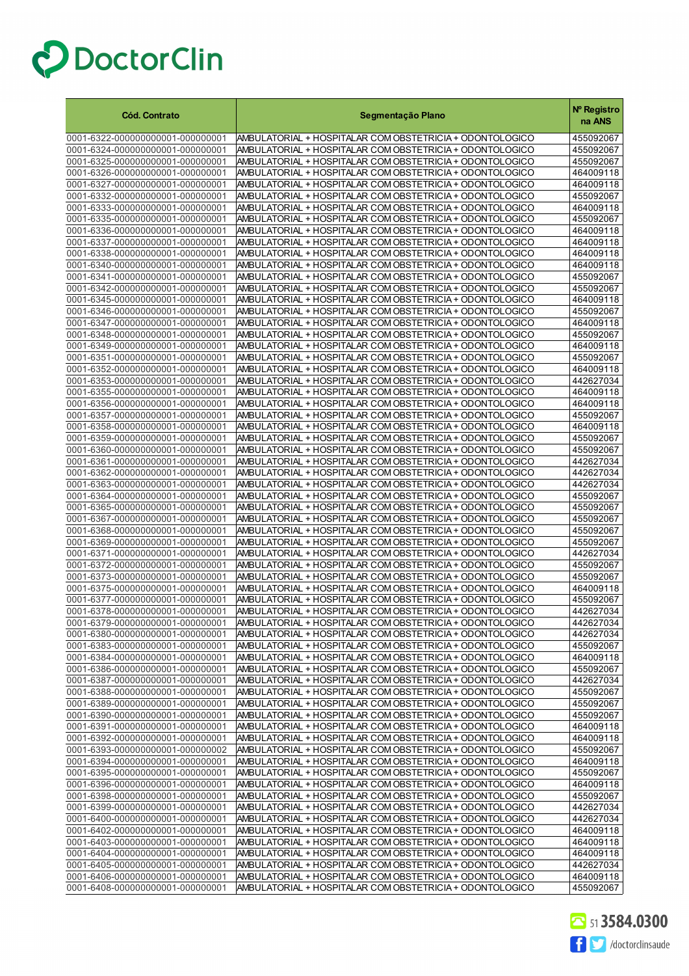| <b>Cód. Contrato</b>                                                 | Segmentação Plano                                                                                                    | Nº Registro<br>na ANS  |
|----------------------------------------------------------------------|----------------------------------------------------------------------------------------------------------------------|------------------------|
| 0001-6322-000000000001-000000001                                     | AMBULATORIAL + HOSPITALAR COM OBSTETRICIA + ODONTOLOGICO                                                             | 455092067              |
| 0001-6324-000000000001-000000001                                     | AMBULATORIAL + HOSPITALAR COM OBSTETRICIA + ODONTOLOGICO                                                             | 455092067              |
| 0001-6325-000000000001-000000001                                     | AMBULATORIAL + HOSPITALAR COM OBSTETRICIA + ODONTOLOGICO                                                             | 455092067              |
| 0001-6326-000000000001-000000001                                     | AMBULATORIAL + HOSPITALAR COM OBSTETRICIA + ODONTOLOGICO                                                             | 464009118              |
| 0001-6327-000000000001-000000001                                     | AMBULATORIAL + HOSPITALAR COM OBSTETRICIA + ODONTOLOGICO                                                             | 464009118              |
| 0001-6332-000000000001-000000001                                     | AMBULATORIAL + HOSPITALAR COM OBSTETRICIA + ODONTOLOGICO                                                             | 455092067              |
| 0001-6333-000000000001-000000001                                     | AMBULATORIAL + HOSPITALAR COM OBSTETRICIA + ODONTOLOGICO                                                             | 464009118              |
| 0001-6335-000000000001-000000001<br>0001-6336-000000000001-000000001 | AMBULATORIAL + HOSPITALAR COM OBSTETRICIA + ODONTOLOGICO                                                             | 455092067<br>464009118 |
| 0001-6337-000000000001-000000001                                     | AMBULATORIAL + HOSPITALAR COM OBSTETRICIA + ODONTOLOGICO<br>AMBULATORIAL + HOSPITALAR COM OBSTETRICIA + ODONTOLOGICO | 464009118              |
| 0001-6338-000000000001-000000001                                     | AMBULATORIAL + HOSPITALAR COM OBSTETRICIA + ODONTOLOGICO                                                             | 464009118              |
| 0001-6340-000000000001-000000001                                     | AMBULATORIAL + HOSPITALAR COM OBSTETRICIA + ODONTOLOGICO                                                             | 464009118              |
| 0001-6341-000000000001-000000001                                     | AMBULATORIAL + HOSPITALAR COM OBSTETRICIA + ODONTOLOGICO                                                             | 455092067              |
| 0001-6342-000000000001-000000001                                     | AMBULATORIAL + HOSPITALAR COM OBSTETRICIA + ODONTOLOGICO                                                             | 455092067              |
| 0001-6345-000000000001-000000001                                     | AMBULATORIAL + HOSPITALAR COM OBSTETRICIA + ODONTOLOGICO                                                             | 464009118              |
| 0001-6346-000000000001-000000001                                     | AMBULATORIAL + HOSPITALAR COM OBSTETRICIA + ODONTOLOGICO                                                             | 455092067              |
| 0001-6347-000000000001-000000001                                     | AMBULATORIAL + HOSPITALAR COM OBSTETRICIA + ODONTOLOGICO                                                             | 464009118              |
| 0001-6348-000000000001-000000001                                     | AMBULATORIAL + HOSPITALAR COM OBSTETRICIA + ODONTOLOGICO                                                             | 455092067              |
| 0001-6349-000000000001-000000001                                     | AMBULATORIAL + HOSPITALAR COM OBSTETRICIA + ODONTOLOGICO                                                             | 464009118              |
| 0001-6351-000000000001-000000001                                     | AMBULATORIAL + HOSPITALAR COM OBSTETRICIA + ODONTOLOGICO                                                             | 455092067              |
| 0001-6352-000000000001-000000001                                     | AMBULATORIAL + HOSPITALAR COM OBSTETRICIA + ODONTOLOGICO                                                             | 464009118<br>442627034 |
| 0001-6353-000000000001-000000001<br>0001-6355-000000000001-000000001 | AMBULATORIAL + HOSPITALAR COM OBSTETRICIA + ODONTOLOGICO<br>AMBULATORIAL + HOSPITALAR COM OBSTETRICIA + ODONTOLOGICO | 464009118              |
| 0001-6356-000000000001-000000001                                     | AMBULATORIAL + HOSPITALAR COM OBSTETRICIA + ODONTOLOGICO                                                             | 464009118              |
| 0001-6357-000000000001-000000001                                     | AMBULATORIAL + HOSPITALAR COM OBSTETRICIA + ODONTOLOGICO                                                             | 455092067              |
| 0001-6358-000000000001-000000001                                     | AMBULATORIAL + HOSPITALAR COM OBSTETRICIA + ODONTOLOGICO                                                             | 464009118              |
| 0001-6359-000000000001-000000001                                     | AMBULATORIAL + HOSPITALAR COM OBSTETRICIA + ODONTOLOGICO                                                             | 455092067              |
| 0001-6360-000000000001-000000001                                     | AMBULATORIAL + HOSPITALAR COM OBSTETRICIA + ODONTOLOGICO                                                             | 455092067              |
| 0001-6361-000000000001-000000001                                     | AMBULATORIAL + HOSPITALAR COM OBSTETRICIA + ODONTOLOGICO                                                             | 442627034              |
| 0001-6362-000000000001-000000001                                     | AMBULATORIAL + HOSPITALAR COM OBSTETRICIA + ODONTOLOGICO                                                             | 442627034              |
| 0001-6363-000000000001-000000001                                     | AMBULATORIAL + HOSPITALAR COM OBSTETRICIA + ODONTOLOGICO                                                             | 442627034              |
| 0001-6364-000000000001-000000001                                     | AMBULATORIAL + HOSPITALAR COM OBSTETRICIA + ODONTOLOGICO                                                             | 455092067              |
| 0001-6365-000000000001-000000001                                     | AMBULATORIAL + HOSPITALAR COM OBSTETRICIA + ODONTOLOGICO                                                             | 455092067              |
| 0001-6367-000000000001-000000001                                     | AMBULATORIAL + HOSPITALAR COM OBSTETRICIA + ODONTOLOGICO                                                             | 455092067              |
| 0001-6368-000000000001-000000001                                     | AMBULATORIAL + HOSPITALAR COM OBSTETRICIA + ODONTOLOGICO                                                             | 455092067              |
| 0001-6369-000000000001-000000001<br>0001-6371-000000000001-000000001 | AMBULATORIAL + HOSPITALAR COM OBSTETRICIA + ODONTOLOGICO<br>AMBULATORIAL + HOSPITALAR COM OBSTETRICIA + ODONTOLOGICO | 455092067<br>442627034 |
| 0001-6372-000000000001-000000001                                     | AMBULATORIAL + HOSPITALAR COM OBSTETRICIA + ODONTOLOGICO                                                             | 455092067              |
| 0001-6373-000000000001-000000001                                     | AMBULATORIAL + HOSPITALAR COM OBSTETRICIA + ODONTOLOGICO                                                             | 455092067              |
| 0001-6375-000000000001-000000001                                     | AMBULATORIAL + HOSPITALAR COM OBSTETRICIA + ODONTOLOGICO                                                             | 464009118              |
| 0001-6377-000000000001-000000001                                     | AMBULATORIAL + HOSPITALAR COM OBSTETRICIA + ODONTOLOGICO                                                             | 455092067              |
| 0001-6378-000000000001-000000001                                     | AMBULATORIAL + HOSPITALAR COM OBSTETRICIA + ODONTOLOGICO                                                             | 442627034              |
| 0001-6379-000000000001-000000001                                     | AMBULATORIAL + HOSPITALAR COM OBSTETRICIA + ODON FOLOGICO                                                            | 442627034              |
| 0001-6380-000000000001-000000001                                     | AMBULATORIAL + HOSPITALAR COM OBSTETRICIA + ODONTOLOGICO                                                             | 442627034              |
| 0001-6383-000000000001-000000001                                     | AMBULATORIAL + HOSPITALAR COM OBSTETRICIA + ODONTOLOGICO                                                             | 455092067              |
| 0001-6384-000000000001-000000001                                     | AMBULATORIAL + HOSPITALAR COM OBSTETRICIA + ODONTOLOGICO                                                             | 464009118              |
| 0001-6386-000000000001-000000001                                     | AMBULATORIAL + HOSPITALAR COM OBSTETRICIA + ODONTOLOGICO                                                             | 455092067              |
| 0001-6387-000000000001-000000001                                     | AMBULATORIAL + HOSPITALAR COM OBSTETRICIA + ODONTOLOGICO                                                             | 442627034              |
| 0001-6388-000000000001-000000001                                     | AMBULATORIAL + HOSPITALAR COM OBSTETRICIA + ODONTOLOGICO                                                             | 455092067              |
| 0001-6389-000000000001-000000001<br>0001-6390-000000000001-000000001 | AMBULATORIAL + HOSPITALAR COM OBSTETRICIA + ODONTOLOGICO<br>AMBULATORIAL + HOSPITALAR COM OBSTETRICIA + ODONTOLOGICO | 455092067<br>455092067 |
| 0001-6391-000000000001-000000001                                     | AMBULATORIAL + HOSPITALAR COM OBSTETRICIA + ODONTOLOGICO                                                             | 464009118              |
| 0001-6392-000000000001-000000001                                     | AMBULATORIAL + HOSPITALAR COM OBSTETRICIA + ODONTOLOGICO                                                             | 464009118              |
| 0001-6393-000000000001-000000002                                     | AMBULATORIAL + HOSPITALAR COM OBSTETRICIA + ODONTOLOGICO                                                             | 455092067              |
| 0001-6394-000000000001-000000001                                     | AMBULATORIAL + HOSPITALAR COM OBSTETRICIA + ODONTOLOGICO                                                             | 464009118              |
| 0001-6395-000000000001-000000001                                     | AMBULATORIAL + HOSPITALAR COM OBSTETRICIA + ODONTOLOGICO                                                             | 455092067              |
| 0001-6396-000000000001-000000001                                     | AMBULATORIAL + HOSPITALAR COM OBSTETRICIA + ODONTOLOGICO                                                             | 464009118              |
| 0001-6398-000000000001-000000001                                     | AMBULATORIAL + HOSPITALAR COM OBSTETRICIA + ODONTOLOGICO                                                             | 455092067              |
| 0001-6399-000000000001-000000001                                     | AMBULATORIAL + HOSPITALAR COM OBSTETRICIA + ODONTOLOGICO                                                             | 442627034              |
| 0001-6400-000000000001-000000001                                     | AMBULATORIAL + HOSPITALAR COM OBSTETRICIA + ODONTOLOGICO                                                             | 442627034              |
| 0001-6402-000000000001-000000001                                     | AMBULATORIAL + HOSPITALAR COM OBSTETRICIA + ODONTOLOGICO                                                             | 464009118              |
| 0001-6403-000000000001-000000001                                     | AMBULATORIAL + HOSPITALAR COM OBSTETRICIA + ODONTOLOGICO                                                             | 464009118              |
| 0001-6404-000000000001-000000001                                     | AMBULATORIAL + HOSPITALAR COM OBSTETRICIA + ODONTOLOGICO                                                             | 464009118              |
| 0001-6405-000000000001-000000001<br>0001-6406-000000000001-000000001 | AMBULATORIAL + HOSPITALAR COM OBSTETRICIA + ODONTOLOGICO<br>AMBULATORIAL + HOSPITALAR COM OBSTETRICIA + ODONTOLOGICO | 442627034<br>464009118 |
| 0001-6408-000000000001-000000001                                     | AMBULATORIAL + HOSPITALAR COM OBSTETRICIA + ODONTOLOGICO                                                             | 455092067              |

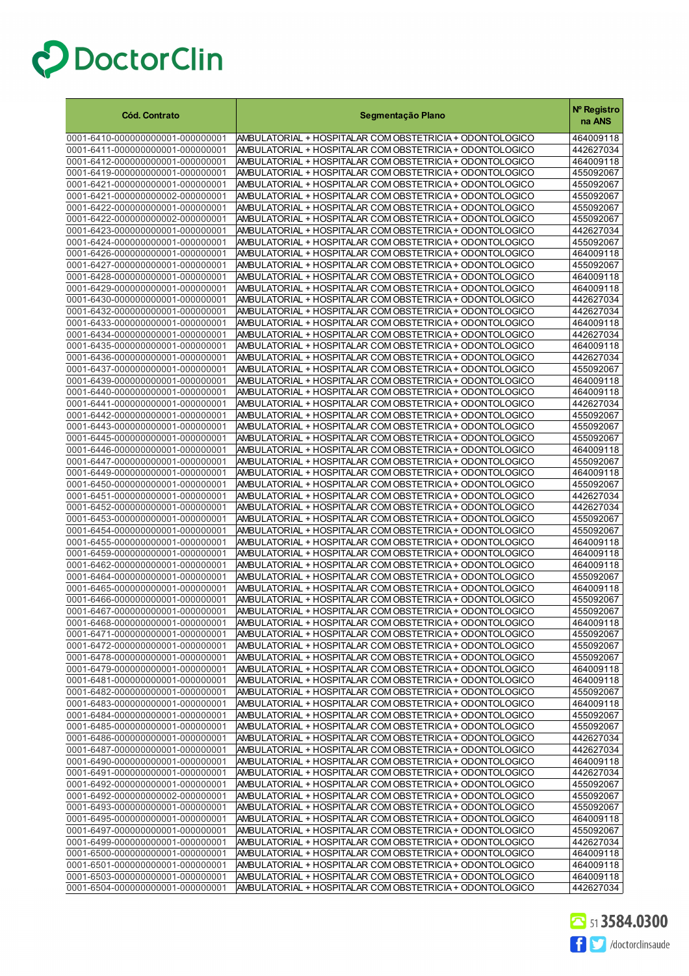| 0001-6410-000000000001-000000001<br>AMBULATORIAL + HOSPITALAR COM OBSTETRICIA + ODONTOLOGICO<br>464009118<br>0001-6411-000000000001-000000001<br>AMBULATORIAL + HOSPITALAR COM OBSTETRICIA + ODONTOLOGICO<br>442627034<br>0001-6412-000000000001-000000001<br>AMBULATORIAL + HOSPITALAR COM OBSTETRICIA + ODONTOLOGICO<br>464009118<br>AMBULATORIAL + HOSPITALAR COM OBSTETRICIA + ODONTOLOGICO<br>0001-6419-000000000001-000000001<br>455092067<br>0001-6421-000000000001-000000001<br>AMBULATORIAL + HOSPITALAR COM OBSTETRICIA + ODONTOLOGICO<br>455092067<br>0001-6421-000000000002-000000001<br>AMBULATORIAL + HOSPITALAR COM OBSTETRICIA + ODONTOLOGICO<br>455092067<br>0001-6422-000000000001-000000001<br>AMBULATORIAL + HOSPITALAR COM OBSTETRICIA + ODONTOLOGICO<br>455092067<br>0001-6422-000000000002-000000001<br>AMBULATORIAL + HOSPITALAR COM OBSTETRICIA + ODONTOLOGICO<br>455092067<br>0001-6423-000000000001-000000001<br>AMBULATORIAL + HOSPITALAR COM OBSTETRICIA + ODONTOLOGICO<br>442627034<br>0001-6424-000000000001-000000001<br>AMBULATORIAL + HOSPITALAR COM OBSTETRICIA + ODONTOLOGICO<br>455092067<br>0001-6426-000000000001-000000001<br>AMBULATORIAL + HOSPITALAR COM OBSTETRICIA + ODONTOLOGICO<br>464009118<br>0001-6427-000000000001-000000001<br>AMBULATORIAL + HOSPITALAR COM OBSTETRICIA + ODONTOLOGICO<br>455092067<br>0001-6428-000000000001-000000001<br>AMBULATORIAL + HOSPITALAR COM OBSTETRICIA + ODONTOLOGICO<br>464009118<br>0001-6429-000000000001-000000001<br>AMBULATORIAL + HOSPITALAR COM OBSTETRICIA + ODONTOLOGICO<br>464009118<br>0001-6430-000000000001-000000001<br>AMBULATORIAL + HOSPITALAR COM OBSTETRICIA + ODONTOLOGICO<br>442627034<br>0001-6432-000000000001-000000001<br>AMBULATORIAL + HOSPITALAR COM OBSTETRICIA + ODONTOLOGICO<br>442627034<br>0001-6433-000000000001-000000001<br>AMBULATORIAL + HOSPITALAR COM OBSTETRICIA + ODONTOLOGICO<br>464009118<br>0001-6434-000000000001-000000001<br>442627034<br>AMBULATORIAL + HOSPITALAR COM OBSTETRICIA + ODONTOLOGICO<br>0001-6435-000000000001-000000001<br>AMBULATORIAL + HOSPITALAR COM OBSTETRICIA + ODONTOLOGICO<br>464009118<br>0001-6436-000000000001-000000001<br>AMBULATORIAL + HOSPITALAR COM OBSTETRICIA + ODONTOLOGICO<br>442627034<br>0001-6437-000000000001-000000001<br>AMBULATORIAL + HOSPITALAR COM OBSTETRICIA + ODONTOLOGICO<br>455092067<br>0001-6439-000000000001-000000001<br>AMBULATORIAL + HOSPITALAR COM OBSTETRICIA + ODONTOLOGICO<br>464009118<br>AMBULATORIAL + HOSPITALAR COM OBSTETRICIA + ODONTOLOGICO<br>0001-6440-000000000001-000000001<br>464009118<br>0001-6441-000000000001-000000001<br>442627034<br>AMBULATORIAL + HOSPITALAR COM OBSTETRICIA + ODONTOLOGICO<br>0001-6442-000000000001-000000001<br>AMBULATORIAL + HOSPITALAR COM OBSTETRICIA + ODONTOLOGICO<br>455092067<br>0001-6443-000000000001-000000001<br>AMBULATORIAL + HOSPITALAR COM OBSTETRICIA + ODONTOLOGICO<br>455092067<br>AMBULATORIAL + HOSPITALAR COM OBSTETRICIA + ODONTOLOGICO<br>0001-6445-000000000001-000000001<br>455092067<br>0001-6446-000000000001-000000001<br>AMBULATORIAL + HOSPITALAR COM OBSTETRICIA + ODONTOLOGICO<br>464009118<br>0001-6447-000000000001-000000001<br>AMBULATORIAL + HOSPITALAR COM OBSTETRICIA + ODONTOLOGICO<br>455092067<br>0001-6449-000000000001-000000001<br>AMBULATORIAL + HOSPITALAR COM OBSTETRICIA + ODONTOLOGICO<br>464009118<br>0001-6450-000000000001-000000001<br>AMBULATORIAL + HOSPITALAR COM OBSTETRICIA + ODONTOLOGICO<br>455092067<br>0001-6451-000000000001-000000001<br>AMBULATORIAL + HOSPITALAR COM OBSTETRICIA + ODONTOLOGICO<br>442627034<br>442627034<br>0001-6452-000000000001-000000001<br>AMBULATORIAL + HOSPITALAR COM OBSTETRICIA + ODONTOLOGICO<br>0001-6453-000000000001-000000001<br>455092067<br>AMBULATORIAL + HOSPITALAR COM OBSTETRICIA + ODONTOLOGICO<br>0001-6454-000000000001-000000001<br>AMBULATORIAL + HOSPITALAR COM OBSTETRICIA + ODONTOLOGICO<br>455092067<br>0001-6455-000000000001-000000001<br>AMBULATORIAL + HOSPITALAR COM OBSTETRICIA + ODONTOLOGICO<br>464009118<br>0001-6459-000000000001-000000001<br>AMBULATORIAL + HOSPITALAR COM OBSTETRICIA + ODONTOLOGICO<br>464009118<br>AMBULATORIAL + HOSPITALAR COM OBSTETRICIA + ODONTOLOGICO<br>0001-6462-000000000001-000000001<br>464009118<br>0001-6464-000000000001-000000001<br>AMBULATORIAL + HOSPITALAR COM OBSTETRICIA + ODONTOLOGICO<br>455092067<br>0001-6465-000000000001-000000001<br>AMBULATORIAL + HOSPITALAR COM OBSTETRICIA + ODONTOLOGICO<br>464009118<br>0001-6466-000000000001-000000001<br>AMBULATORIAL + HOSPITALAR COM OBSTETRICIA + ODONTOLOGICO<br>455092067<br>AMBULATORIAL + HOSPITALAR COM OBSTETRICIA + ODONTOLOGICO<br>0001-6467-000000000001-000000001<br>455092067<br>464009118<br>0001-6468-000000000001-000000001<br> AMBULATORIAL + HOSPITALAR COM OBSTETRICIA + ODON FOLOGICO<br>AMBULATORIAL + HOSPITALAR COM OBSTETRICIA + ODONTOLOGICO<br>0001-6471-000000000001-000000001<br>455092067<br>0001-6472-000000000001-000000001<br>AMBULATORIAL + HOSPITALAR COM OBSTETRICIA + ODONTOLOGICO<br>455092067<br>0001-6478-000000000001-000000001<br>AMBULATORIAL + HOSPITALAR COM OBSTETRICIA + ODONTOLOGICO<br>455092067<br>0001-6479-000000000001-000000001<br>AMBULATORIAL + HOSPITALAR COM OBSTETRICIA + ODONTOLOGICO<br>464009118<br>0001-6481-000000000001-000000001<br>AMBULATORIAL + HOSPITALAR COM OBSTETRICIA + ODONTOLOGICO<br>464009118<br>0001-6482-000000000001-000000001<br>AMBULATORIAL + HOSPITALAR COM OBSTETRICIA + ODONTOLOGICO<br>455092067<br>0001-6483-000000000001-000000001<br>AMBULATORIAL + HOSPITALAR COM OBSTETRICIA + ODONTOLOGICO<br>464009118<br>0001-6484-000000000001-000000001<br>AMBULATORIAL + HOSPITALAR COM OBSTETRICIA + ODONTOLOGICO<br>455092067<br>0001-6485-000000000001-000000001<br>AMBULATORIAL + HOSPITALAR COM OBSTETRICIA + ODONTOLOGICO<br>455092067<br>0001-6486-000000000001-000000001<br>AMBULATORIAL + HOSPITALAR COM OBSTETRICIA + ODONTOLOGICO<br>442627034<br>0001-6487-000000000001-000000001<br>AMBULATORIAL + HOSPITALAR COM OBSTETRICIA + ODONTOLOGICO<br>442627034<br>0001-6490-000000000001-000000001<br>AMBULATORIAL + HOSPITALAR COM OBSTETRICIA + ODONTOLOGICO<br>464009118<br>0001-6491-000000000001-000000001<br>AMBULATORIAL + HOSPITALAR COM OBSTETRICIA + ODONTOLOGICO<br>442627034<br>AMBULATORIAL + HOSPITALAR COM OBSTETRICIA + ODONTOLOGICO<br>0001-6492-000000000001-000000001<br>455092067<br>0001-6492-000000000002-000000001<br>AMBULATORIAL + HOSPITALAR COM OBSTETRICIA + ODONTOLOGICO<br>455092067<br>0001-6493-000000000001-000000001<br>AMBULATORIAL + HOSPITALAR COM OBSTETRICIA + ODONTOLOGICO<br>455092067<br>0001-6495-000000000001-000000001<br>AMBULATORIAL + HOSPITALAR COM OBSTETRICIA + ODONTOLOGICO<br>464009118<br>0001-6497-000000000001-000000001<br>AMBULATORIAL + HOSPITALAR COM OBSTETRICIA + ODONTOLOGICO<br>455092067<br>0001-6499-000000000001-000000001<br>AMBULATORIAL + HOSPITALAR COM OBSTETRICIA + ODONTOLOGICO<br>442627034<br>0001-6500-000000000001-000000001<br>AMBULATORIAL + HOSPITALAR COM OBSTETRICIA + ODONTOLOGICO<br>464009118<br>464009118<br>0001-6501-000000000001-000000001<br>AMBULATORIAL + HOSPITALAR COM OBSTETRICIA + ODONTOLOGICO<br>0001-6503-000000000001-000000001<br>AMBULATORIAL + HOSPITALAR COM OBSTETRICIA + ODONTOLOGICO<br>464009118 | <b>Cód. Contrato</b>             | Segmentação Plano                                        | Nº Registro<br>na ANS |
|-----------------------------------------------------------------------------------------------------------------------------------------------------------------------------------------------------------------------------------------------------------------------------------------------------------------------------------------------------------------------------------------------------------------------------------------------------------------------------------------------------------------------------------------------------------------------------------------------------------------------------------------------------------------------------------------------------------------------------------------------------------------------------------------------------------------------------------------------------------------------------------------------------------------------------------------------------------------------------------------------------------------------------------------------------------------------------------------------------------------------------------------------------------------------------------------------------------------------------------------------------------------------------------------------------------------------------------------------------------------------------------------------------------------------------------------------------------------------------------------------------------------------------------------------------------------------------------------------------------------------------------------------------------------------------------------------------------------------------------------------------------------------------------------------------------------------------------------------------------------------------------------------------------------------------------------------------------------------------------------------------------------------------------------------------------------------------------------------------------------------------------------------------------------------------------------------------------------------------------------------------------------------------------------------------------------------------------------------------------------------------------------------------------------------------------------------------------------------------------------------------------------------------------------------------------------------------------------------------------------------------------------------------------------------------------------------------------------------------------------------------------------------------------------------------------------------------------------------------------------------------------------------------------------------------------------------------------------------------------------------------------------------------------------------------------------------------------------------------------------------------------------------------------------------------------------------------------------------------------------------------------------------------------------------------------------------------------------------------------------------------------------------------------------------------------------------------------------------------------------------------------------------------------------------------------------------------------------------------------------------------------------------------------------------------------------------------------------------------------------------------------------------------------------------------------------------------------------------------------------------------------------------------------------------------------------------------------------------------------------------------------------------------------------------------------------------------------------------------------------------------------------------------------------------------------------------------------------------------------------------------------------------------------------------------------------------------------------------------------------------------------------------------------------------------------------------------------------------------------------------------------------------------------------------------------------------------------------------------------------------------------------------------------------------------------------------------------------------------------------------------------------------------------------------------------------------------------------------------------------------------------------------------------------------------------------------------------------------------------------------------------------------------------------------------------------------------------------------------------------------------------------------------------------------------------------------------------------------------------------------------------------------------------------------------------------------------------------------------------------------------------------------------------------------------------------------------------------------------------------------------------------------------------------------------------------------------------------------------------------------------------------------------------------------------------------------------------------------------------------------------------------------------------------------------------------------------------------------------------------------------------------------------------------------------------------------------------------------------------------------------------------------------------------------------------------------------------------------------------------------------------------------------------------------------------------------------------------------------------------------------------------------------------------------------------------------------------------------------------------------------------------------------------------------------------------------------------------------------------------------------------------------------------------------------------------------------------------------------------------------------------------------------------------------------------------------------------------------------------------------------------------------------------------------------------------------------------------------------------------------------------------------------------------------------------------------------------------------------------------------------------------------------------------------------------------------------------------------------------------------------------------------------------------------------------------------------------------------------------------------------------------------------------------------------------------------------------------------------------------------------|----------------------------------|----------------------------------------------------------|-----------------------|
|                                                                                                                                                                                                                                                                                                                                                                                                                                                                                                                                                                                                                                                                                                                                                                                                                                                                                                                                                                                                                                                                                                                                                                                                                                                                                                                                                                                                                                                                                                                                                                                                                                                                                                                                                                                                                                                                                                                                                                                                                                                                                                                                                                                                                                                                                                                                                                                                                                                                                                                                                                                                                                                                                                                                                                                                                                                                                                                                                                                                                                                                                                                                                                                                                                                                                                                                                                                                                                                                                                                                                                                                                                                                                                                                                                                                                                                                                                                                                                                                                                                                                                                                                                                                                                                                                                                                                                                                                                                                                                                                                                                                                                                                                                                                                                                                                                                                                                                                                                                                                                                                                                                                                                                                                                                                                                                                                                                                                                                                                                                                                                                                                                                                                                                                                                                                                                                                                                                                                                                                                                                                                                                                                                                                                                                                                                                                                                                                                                                                                                                                                                                                                                                                                                                                                                                                                                                                                                                                                                                                                                                                                                                                                                                                                                                                                                                                                                             |                                  |                                                          |                       |
|                                                                                                                                                                                                                                                                                                                                                                                                                                                                                                                                                                                                                                                                                                                                                                                                                                                                                                                                                                                                                                                                                                                                                                                                                                                                                                                                                                                                                                                                                                                                                                                                                                                                                                                                                                                                                                                                                                                                                                                                                                                                                                                                                                                                                                                                                                                                                                                                                                                                                                                                                                                                                                                                                                                                                                                                                                                                                                                                                                                                                                                                                                                                                                                                                                                                                                                                                                                                                                                                                                                                                                                                                                                                                                                                                                                                                                                                                                                                                                                                                                                                                                                                                                                                                                                                                                                                                                                                                                                                                                                                                                                                                                                                                                                                                                                                                                                                                                                                                                                                                                                                                                                                                                                                                                                                                                                                                                                                                                                                                                                                                                                                                                                                                                                                                                                                                                                                                                                                                                                                                                                                                                                                                                                                                                                                                                                                                                                                                                                                                                                                                                                                                                                                                                                                                                                                                                                                                                                                                                                                                                                                                                                                                                                                                                                                                                                                                                             |                                  |                                                          |                       |
|                                                                                                                                                                                                                                                                                                                                                                                                                                                                                                                                                                                                                                                                                                                                                                                                                                                                                                                                                                                                                                                                                                                                                                                                                                                                                                                                                                                                                                                                                                                                                                                                                                                                                                                                                                                                                                                                                                                                                                                                                                                                                                                                                                                                                                                                                                                                                                                                                                                                                                                                                                                                                                                                                                                                                                                                                                                                                                                                                                                                                                                                                                                                                                                                                                                                                                                                                                                                                                                                                                                                                                                                                                                                                                                                                                                                                                                                                                                                                                                                                                                                                                                                                                                                                                                                                                                                                                                                                                                                                                                                                                                                                                                                                                                                                                                                                                                                                                                                                                                                                                                                                                                                                                                                                                                                                                                                                                                                                                                                                                                                                                                                                                                                                                                                                                                                                                                                                                                                                                                                                                                                                                                                                                                                                                                                                                                                                                                                                                                                                                                                                                                                                                                                                                                                                                                                                                                                                                                                                                                                                                                                                                                                                                                                                                                                                                                                                                             |                                  |                                                          |                       |
|                                                                                                                                                                                                                                                                                                                                                                                                                                                                                                                                                                                                                                                                                                                                                                                                                                                                                                                                                                                                                                                                                                                                                                                                                                                                                                                                                                                                                                                                                                                                                                                                                                                                                                                                                                                                                                                                                                                                                                                                                                                                                                                                                                                                                                                                                                                                                                                                                                                                                                                                                                                                                                                                                                                                                                                                                                                                                                                                                                                                                                                                                                                                                                                                                                                                                                                                                                                                                                                                                                                                                                                                                                                                                                                                                                                                                                                                                                                                                                                                                                                                                                                                                                                                                                                                                                                                                                                                                                                                                                                                                                                                                                                                                                                                                                                                                                                                                                                                                                                                                                                                                                                                                                                                                                                                                                                                                                                                                                                                                                                                                                                                                                                                                                                                                                                                                                                                                                                                                                                                                                                                                                                                                                                                                                                                                                                                                                                                                                                                                                                                                                                                                                                                                                                                                                                                                                                                                                                                                                                                                                                                                                                                                                                                                                                                                                                                                                             |                                  |                                                          |                       |
|                                                                                                                                                                                                                                                                                                                                                                                                                                                                                                                                                                                                                                                                                                                                                                                                                                                                                                                                                                                                                                                                                                                                                                                                                                                                                                                                                                                                                                                                                                                                                                                                                                                                                                                                                                                                                                                                                                                                                                                                                                                                                                                                                                                                                                                                                                                                                                                                                                                                                                                                                                                                                                                                                                                                                                                                                                                                                                                                                                                                                                                                                                                                                                                                                                                                                                                                                                                                                                                                                                                                                                                                                                                                                                                                                                                                                                                                                                                                                                                                                                                                                                                                                                                                                                                                                                                                                                                                                                                                                                                                                                                                                                                                                                                                                                                                                                                                                                                                                                                                                                                                                                                                                                                                                                                                                                                                                                                                                                                                                                                                                                                                                                                                                                                                                                                                                                                                                                                                                                                                                                                                                                                                                                                                                                                                                                                                                                                                                                                                                                                                                                                                                                                                                                                                                                                                                                                                                                                                                                                                                                                                                                                                                                                                                                                                                                                                                                             |                                  |                                                          |                       |
|                                                                                                                                                                                                                                                                                                                                                                                                                                                                                                                                                                                                                                                                                                                                                                                                                                                                                                                                                                                                                                                                                                                                                                                                                                                                                                                                                                                                                                                                                                                                                                                                                                                                                                                                                                                                                                                                                                                                                                                                                                                                                                                                                                                                                                                                                                                                                                                                                                                                                                                                                                                                                                                                                                                                                                                                                                                                                                                                                                                                                                                                                                                                                                                                                                                                                                                                                                                                                                                                                                                                                                                                                                                                                                                                                                                                                                                                                                                                                                                                                                                                                                                                                                                                                                                                                                                                                                                                                                                                                                                                                                                                                                                                                                                                                                                                                                                                                                                                                                                                                                                                                                                                                                                                                                                                                                                                                                                                                                                                                                                                                                                                                                                                                                                                                                                                                                                                                                                                                                                                                                                                                                                                                                                                                                                                                                                                                                                                                                                                                                                                                                                                                                                                                                                                                                                                                                                                                                                                                                                                                                                                                                                                                                                                                                                                                                                                                                             |                                  |                                                          |                       |
|                                                                                                                                                                                                                                                                                                                                                                                                                                                                                                                                                                                                                                                                                                                                                                                                                                                                                                                                                                                                                                                                                                                                                                                                                                                                                                                                                                                                                                                                                                                                                                                                                                                                                                                                                                                                                                                                                                                                                                                                                                                                                                                                                                                                                                                                                                                                                                                                                                                                                                                                                                                                                                                                                                                                                                                                                                                                                                                                                                                                                                                                                                                                                                                                                                                                                                                                                                                                                                                                                                                                                                                                                                                                                                                                                                                                                                                                                                                                                                                                                                                                                                                                                                                                                                                                                                                                                                                                                                                                                                                                                                                                                                                                                                                                                                                                                                                                                                                                                                                                                                                                                                                                                                                                                                                                                                                                                                                                                                                                                                                                                                                                                                                                                                                                                                                                                                                                                                                                                                                                                                                                                                                                                                                                                                                                                                                                                                                                                                                                                                                                                                                                                                                                                                                                                                                                                                                                                                                                                                                                                                                                                                                                                                                                                                                                                                                                                                             |                                  |                                                          |                       |
|                                                                                                                                                                                                                                                                                                                                                                                                                                                                                                                                                                                                                                                                                                                                                                                                                                                                                                                                                                                                                                                                                                                                                                                                                                                                                                                                                                                                                                                                                                                                                                                                                                                                                                                                                                                                                                                                                                                                                                                                                                                                                                                                                                                                                                                                                                                                                                                                                                                                                                                                                                                                                                                                                                                                                                                                                                                                                                                                                                                                                                                                                                                                                                                                                                                                                                                                                                                                                                                                                                                                                                                                                                                                                                                                                                                                                                                                                                                                                                                                                                                                                                                                                                                                                                                                                                                                                                                                                                                                                                                                                                                                                                                                                                                                                                                                                                                                                                                                                                                                                                                                                                                                                                                                                                                                                                                                                                                                                                                                                                                                                                                                                                                                                                                                                                                                                                                                                                                                                                                                                                                                                                                                                                                                                                                                                                                                                                                                                                                                                                                                                                                                                                                                                                                                                                                                                                                                                                                                                                                                                                                                                                                                                                                                                                                                                                                                                                             |                                  |                                                          |                       |
|                                                                                                                                                                                                                                                                                                                                                                                                                                                                                                                                                                                                                                                                                                                                                                                                                                                                                                                                                                                                                                                                                                                                                                                                                                                                                                                                                                                                                                                                                                                                                                                                                                                                                                                                                                                                                                                                                                                                                                                                                                                                                                                                                                                                                                                                                                                                                                                                                                                                                                                                                                                                                                                                                                                                                                                                                                                                                                                                                                                                                                                                                                                                                                                                                                                                                                                                                                                                                                                                                                                                                                                                                                                                                                                                                                                                                                                                                                                                                                                                                                                                                                                                                                                                                                                                                                                                                                                                                                                                                                                                                                                                                                                                                                                                                                                                                                                                                                                                                                                                                                                                                                                                                                                                                                                                                                                                                                                                                                                                                                                                                                                                                                                                                                                                                                                                                                                                                                                                                                                                                                                                                                                                                                                                                                                                                                                                                                                                                                                                                                                                                                                                                                                                                                                                                                                                                                                                                                                                                                                                                                                                                                                                                                                                                                                                                                                                                                             |                                  |                                                          |                       |
|                                                                                                                                                                                                                                                                                                                                                                                                                                                                                                                                                                                                                                                                                                                                                                                                                                                                                                                                                                                                                                                                                                                                                                                                                                                                                                                                                                                                                                                                                                                                                                                                                                                                                                                                                                                                                                                                                                                                                                                                                                                                                                                                                                                                                                                                                                                                                                                                                                                                                                                                                                                                                                                                                                                                                                                                                                                                                                                                                                                                                                                                                                                                                                                                                                                                                                                                                                                                                                                                                                                                                                                                                                                                                                                                                                                                                                                                                                                                                                                                                                                                                                                                                                                                                                                                                                                                                                                                                                                                                                                                                                                                                                                                                                                                                                                                                                                                                                                                                                                                                                                                                                                                                                                                                                                                                                                                                                                                                                                                                                                                                                                                                                                                                                                                                                                                                                                                                                                                                                                                                                                                                                                                                                                                                                                                                                                                                                                                                                                                                                                                                                                                                                                                                                                                                                                                                                                                                                                                                                                                                                                                                                                                                                                                                                                                                                                                                                             |                                  |                                                          |                       |
|                                                                                                                                                                                                                                                                                                                                                                                                                                                                                                                                                                                                                                                                                                                                                                                                                                                                                                                                                                                                                                                                                                                                                                                                                                                                                                                                                                                                                                                                                                                                                                                                                                                                                                                                                                                                                                                                                                                                                                                                                                                                                                                                                                                                                                                                                                                                                                                                                                                                                                                                                                                                                                                                                                                                                                                                                                                                                                                                                                                                                                                                                                                                                                                                                                                                                                                                                                                                                                                                                                                                                                                                                                                                                                                                                                                                                                                                                                                                                                                                                                                                                                                                                                                                                                                                                                                                                                                                                                                                                                                                                                                                                                                                                                                                                                                                                                                                                                                                                                                                                                                                                                                                                                                                                                                                                                                                                                                                                                                                                                                                                                                                                                                                                                                                                                                                                                                                                                                                                                                                                                                                                                                                                                                                                                                                                                                                                                                                                                                                                                                                                                                                                                                                                                                                                                                                                                                                                                                                                                                                                                                                                                                                                                                                                                                                                                                                                                             |                                  |                                                          |                       |
|                                                                                                                                                                                                                                                                                                                                                                                                                                                                                                                                                                                                                                                                                                                                                                                                                                                                                                                                                                                                                                                                                                                                                                                                                                                                                                                                                                                                                                                                                                                                                                                                                                                                                                                                                                                                                                                                                                                                                                                                                                                                                                                                                                                                                                                                                                                                                                                                                                                                                                                                                                                                                                                                                                                                                                                                                                                                                                                                                                                                                                                                                                                                                                                                                                                                                                                                                                                                                                                                                                                                                                                                                                                                                                                                                                                                                                                                                                                                                                                                                                                                                                                                                                                                                                                                                                                                                                                                                                                                                                                                                                                                                                                                                                                                                                                                                                                                                                                                                                                                                                                                                                                                                                                                                                                                                                                                                                                                                                                                                                                                                                                                                                                                                                                                                                                                                                                                                                                                                                                                                                                                                                                                                                                                                                                                                                                                                                                                                                                                                                                                                                                                                                                                                                                                                                                                                                                                                                                                                                                                                                                                                                                                                                                                                                                                                                                                                                             |                                  |                                                          |                       |
|                                                                                                                                                                                                                                                                                                                                                                                                                                                                                                                                                                                                                                                                                                                                                                                                                                                                                                                                                                                                                                                                                                                                                                                                                                                                                                                                                                                                                                                                                                                                                                                                                                                                                                                                                                                                                                                                                                                                                                                                                                                                                                                                                                                                                                                                                                                                                                                                                                                                                                                                                                                                                                                                                                                                                                                                                                                                                                                                                                                                                                                                                                                                                                                                                                                                                                                                                                                                                                                                                                                                                                                                                                                                                                                                                                                                                                                                                                                                                                                                                                                                                                                                                                                                                                                                                                                                                                                                                                                                                                                                                                                                                                                                                                                                                                                                                                                                                                                                                                                                                                                                                                                                                                                                                                                                                                                                                                                                                                                                                                                                                                                                                                                                                                                                                                                                                                                                                                                                                                                                                                                                                                                                                                                                                                                                                                                                                                                                                                                                                                                                                                                                                                                                                                                                                                                                                                                                                                                                                                                                                                                                                                                                                                                                                                                                                                                                                                             |                                  |                                                          |                       |
|                                                                                                                                                                                                                                                                                                                                                                                                                                                                                                                                                                                                                                                                                                                                                                                                                                                                                                                                                                                                                                                                                                                                                                                                                                                                                                                                                                                                                                                                                                                                                                                                                                                                                                                                                                                                                                                                                                                                                                                                                                                                                                                                                                                                                                                                                                                                                                                                                                                                                                                                                                                                                                                                                                                                                                                                                                                                                                                                                                                                                                                                                                                                                                                                                                                                                                                                                                                                                                                                                                                                                                                                                                                                                                                                                                                                                                                                                                                                                                                                                                                                                                                                                                                                                                                                                                                                                                                                                                                                                                                                                                                                                                                                                                                                                                                                                                                                                                                                                                                                                                                                                                                                                                                                                                                                                                                                                                                                                                                                                                                                                                                                                                                                                                                                                                                                                                                                                                                                                                                                                                                                                                                                                                                                                                                                                                                                                                                                                                                                                                                                                                                                                                                                                                                                                                                                                                                                                                                                                                                                                                                                                                                                                                                                                                                                                                                                                                             |                                  |                                                          |                       |
|                                                                                                                                                                                                                                                                                                                                                                                                                                                                                                                                                                                                                                                                                                                                                                                                                                                                                                                                                                                                                                                                                                                                                                                                                                                                                                                                                                                                                                                                                                                                                                                                                                                                                                                                                                                                                                                                                                                                                                                                                                                                                                                                                                                                                                                                                                                                                                                                                                                                                                                                                                                                                                                                                                                                                                                                                                                                                                                                                                                                                                                                                                                                                                                                                                                                                                                                                                                                                                                                                                                                                                                                                                                                                                                                                                                                                                                                                                                                                                                                                                                                                                                                                                                                                                                                                                                                                                                                                                                                                                                                                                                                                                                                                                                                                                                                                                                                                                                                                                                                                                                                                                                                                                                                                                                                                                                                                                                                                                                                                                                                                                                                                                                                                                                                                                                                                                                                                                                                                                                                                                                                                                                                                                                                                                                                                                                                                                                                                                                                                                                                                                                                                                                                                                                                                                                                                                                                                                                                                                                                                                                                                                                                                                                                                                                                                                                                                                             |                                  |                                                          |                       |
|                                                                                                                                                                                                                                                                                                                                                                                                                                                                                                                                                                                                                                                                                                                                                                                                                                                                                                                                                                                                                                                                                                                                                                                                                                                                                                                                                                                                                                                                                                                                                                                                                                                                                                                                                                                                                                                                                                                                                                                                                                                                                                                                                                                                                                                                                                                                                                                                                                                                                                                                                                                                                                                                                                                                                                                                                                                                                                                                                                                                                                                                                                                                                                                                                                                                                                                                                                                                                                                                                                                                                                                                                                                                                                                                                                                                                                                                                                                                                                                                                                                                                                                                                                                                                                                                                                                                                                                                                                                                                                                                                                                                                                                                                                                                                                                                                                                                                                                                                                                                                                                                                                                                                                                                                                                                                                                                                                                                                                                                                                                                                                                                                                                                                                                                                                                                                                                                                                                                                                                                                                                                                                                                                                                                                                                                                                                                                                                                                                                                                                                                                                                                                                                                                                                                                                                                                                                                                                                                                                                                                                                                                                                                                                                                                                                                                                                                                                             |                                  |                                                          |                       |
|                                                                                                                                                                                                                                                                                                                                                                                                                                                                                                                                                                                                                                                                                                                                                                                                                                                                                                                                                                                                                                                                                                                                                                                                                                                                                                                                                                                                                                                                                                                                                                                                                                                                                                                                                                                                                                                                                                                                                                                                                                                                                                                                                                                                                                                                                                                                                                                                                                                                                                                                                                                                                                                                                                                                                                                                                                                                                                                                                                                                                                                                                                                                                                                                                                                                                                                                                                                                                                                                                                                                                                                                                                                                                                                                                                                                                                                                                                                                                                                                                                                                                                                                                                                                                                                                                                                                                                                                                                                                                                                                                                                                                                                                                                                                                                                                                                                                                                                                                                                                                                                                                                                                                                                                                                                                                                                                                                                                                                                                                                                                                                                                                                                                                                                                                                                                                                                                                                                                                                                                                                                                                                                                                                                                                                                                                                                                                                                                                                                                                                                                                                                                                                                                                                                                                                                                                                                                                                                                                                                                                                                                                                                                                                                                                                                                                                                                                                             |                                  |                                                          |                       |
|                                                                                                                                                                                                                                                                                                                                                                                                                                                                                                                                                                                                                                                                                                                                                                                                                                                                                                                                                                                                                                                                                                                                                                                                                                                                                                                                                                                                                                                                                                                                                                                                                                                                                                                                                                                                                                                                                                                                                                                                                                                                                                                                                                                                                                                                                                                                                                                                                                                                                                                                                                                                                                                                                                                                                                                                                                                                                                                                                                                                                                                                                                                                                                                                                                                                                                                                                                                                                                                                                                                                                                                                                                                                                                                                                                                                                                                                                                                                                                                                                                                                                                                                                                                                                                                                                                                                                                                                                                                                                                                                                                                                                                                                                                                                                                                                                                                                                                                                                                                                                                                                                                                                                                                                                                                                                                                                                                                                                                                                                                                                                                                                                                                                                                                                                                                                                                                                                                                                                                                                                                                                                                                                                                                                                                                                                                                                                                                                                                                                                                                                                                                                                                                                                                                                                                                                                                                                                                                                                                                                                                                                                                                                                                                                                                                                                                                                                                             |                                  |                                                          |                       |
|                                                                                                                                                                                                                                                                                                                                                                                                                                                                                                                                                                                                                                                                                                                                                                                                                                                                                                                                                                                                                                                                                                                                                                                                                                                                                                                                                                                                                                                                                                                                                                                                                                                                                                                                                                                                                                                                                                                                                                                                                                                                                                                                                                                                                                                                                                                                                                                                                                                                                                                                                                                                                                                                                                                                                                                                                                                                                                                                                                                                                                                                                                                                                                                                                                                                                                                                                                                                                                                                                                                                                                                                                                                                                                                                                                                                                                                                                                                                                                                                                                                                                                                                                                                                                                                                                                                                                                                                                                                                                                                                                                                                                                                                                                                                                                                                                                                                                                                                                                                                                                                                                                                                                                                                                                                                                                                                                                                                                                                                                                                                                                                                                                                                                                                                                                                                                                                                                                                                                                                                                                                                                                                                                                                                                                                                                                                                                                                                                                                                                                                                                                                                                                                                                                                                                                                                                                                                                                                                                                                                                                                                                                                                                                                                                                                                                                                                                                             |                                  |                                                          |                       |
|                                                                                                                                                                                                                                                                                                                                                                                                                                                                                                                                                                                                                                                                                                                                                                                                                                                                                                                                                                                                                                                                                                                                                                                                                                                                                                                                                                                                                                                                                                                                                                                                                                                                                                                                                                                                                                                                                                                                                                                                                                                                                                                                                                                                                                                                                                                                                                                                                                                                                                                                                                                                                                                                                                                                                                                                                                                                                                                                                                                                                                                                                                                                                                                                                                                                                                                                                                                                                                                                                                                                                                                                                                                                                                                                                                                                                                                                                                                                                                                                                                                                                                                                                                                                                                                                                                                                                                                                                                                                                                                                                                                                                                                                                                                                                                                                                                                                                                                                                                                                                                                                                                                                                                                                                                                                                                                                                                                                                                                                                                                                                                                                                                                                                                                                                                                                                                                                                                                                                                                                                                                                                                                                                                                                                                                                                                                                                                                                                                                                                                                                                                                                                                                                                                                                                                                                                                                                                                                                                                                                                                                                                                                                                                                                                                                                                                                                                                             |                                  |                                                          |                       |
|                                                                                                                                                                                                                                                                                                                                                                                                                                                                                                                                                                                                                                                                                                                                                                                                                                                                                                                                                                                                                                                                                                                                                                                                                                                                                                                                                                                                                                                                                                                                                                                                                                                                                                                                                                                                                                                                                                                                                                                                                                                                                                                                                                                                                                                                                                                                                                                                                                                                                                                                                                                                                                                                                                                                                                                                                                                                                                                                                                                                                                                                                                                                                                                                                                                                                                                                                                                                                                                                                                                                                                                                                                                                                                                                                                                                                                                                                                                                                                                                                                                                                                                                                                                                                                                                                                                                                                                                                                                                                                                                                                                                                                                                                                                                                                                                                                                                                                                                                                                                                                                                                                                                                                                                                                                                                                                                                                                                                                                                                                                                                                                                                                                                                                                                                                                                                                                                                                                                                                                                                                                                                                                                                                                                                                                                                                                                                                                                                                                                                                                                                                                                                                                                                                                                                                                                                                                                                                                                                                                                                                                                                                                                                                                                                                                                                                                                                                             |                                  |                                                          |                       |
|                                                                                                                                                                                                                                                                                                                                                                                                                                                                                                                                                                                                                                                                                                                                                                                                                                                                                                                                                                                                                                                                                                                                                                                                                                                                                                                                                                                                                                                                                                                                                                                                                                                                                                                                                                                                                                                                                                                                                                                                                                                                                                                                                                                                                                                                                                                                                                                                                                                                                                                                                                                                                                                                                                                                                                                                                                                                                                                                                                                                                                                                                                                                                                                                                                                                                                                                                                                                                                                                                                                                                                                                                                                                                                                                                                                                                                                                                                                                                                                                                                                                                                                                                                                                                                                                                                                                                                                                                                                                                                                                                                                                                                                                                                                                                                                                                                                                                                                                                                                                                                                                                                                                                                                                                                                                                                                                                                                                                                                                                                                                                                                                                                                                                                                                                                                                                                                                                                                                                                                                                                                                                                                                                                                                                                                                                                                                                                                                                                                                                                                                                                                                                                                                                                                                                                                                                                                                                                                                                                                                                                                                                                                                                                                                                                                                                                                                                                             |                                  |                                                          |                       |
|                                                                                                                                                                                                                                                                                                                                                                                                                                                                                                                                                                                                                                                                                                                                                                                                                                                                                                                                                                                                                                                                                                                                                                                                                                                                                                                                                                                                                                                                                                                                                                                                                                                                                                                                                                                                                                                                                                                                                                                                                                                                                                                                                                                                                                                                                                                                                                                                                                                                                                                                                                                                                                                                                                                                                                                                                                                                                                                                                                                                                                                                                                                                                                                                                                                                                                                                                                                                                                                                                                                                                                                                                                                                                                                                                                                                                                                                                                                                                                                                                                                                                                                                                                                                                                                                                                                                                                                                                                                                                                                                                                                                                                                                                                                                                                                                                                                                                                                                                                                                                                                                                                                                                                                                                                                                                                                                                                                                                                                                                                                                                                                                                                                                                                                                                                                                                                                                                                                                                                                                                                                                                                                                                                                                                                                                                                                                                                                                                                                                                                                                                                                                                                                                                                                                                                                                                                                                                                                                                                                                                                                                                                                                                                                                                                                                                                                                                                             |                                  |                                                          |                       |
|                                                                                                                                                                                                                                                                                                                                                                                                                                                                                                                                                                                                                                                                                                                                                                                                                                                                                                                                                                                                                                                                                                                                                                                                                                                                                                                                                                                                                                                                                                                                                                                                                                                                                                                                                                                                                                                                                                                                                                                                                                                                                                                                                                                                                                                                                                                                                                                                                                                                                                                                                                                                                                                                                                                                                                                                                                                                                                                                                                                                                                                                                                                                                                                                                                                                                                                                                                                                                                                                                                                                                                                                                                                                                                                                                                                                                                                                                                                                                                                                                                                                                                                                                                                                                                                                                                                                                                                                                                                                                                                                                                                                                                                                                                                                                                                                                                                                                                                                                                                                                                                                                                                                                                                                                                                                                                                                                                                                                                                                                                                                                                                                                                                                                                                                                                                                                                                                                                                                                                                                                                                                                                                                                                                                                                                                                                                                                                                                                                                                                                                                                                                                                                                                                                                                                                                                                                                                                                                                                                                                                                                                                                                                                                                                                                                                                                                                                                             |                                  |                                                          |                       |
|                                                                                                                                                                                                                                                                                                                                                                                                                                                                                                                                                                                                                                                                                                                                                                                                                                                                                                                                                                                                                                                                                                                                                                                                                                                                                                                                                                                                                                                                                                                                                                                                                                                                                                                                                                                                                                                                                                                                                                                                                                                                                                                                                                                                                                                                                                                                                                                                                                                                                                                                                                                                                                                                                                                                                                                                                                                                                                                                                                                                                                                                                                                                                                                                                                                                                                                                                                                                                                                                                                                                                                                                                                                                                                                                                                                                                                                                                                                                                                                                                                                                                                                                                                                                                                                                                                                                                                                                                                                                                                                                                                                                                                                                                                                                                                                                                                                                                                                                                                                                                                                                                                                                                                                                                                                                                                                                                                                                                                                                                                                                                                                                                                                                                                                                                                                                                                                                                                                                                                                                                                                                                                                                                                                                                                                                                                                                                                                                                                                                                                                                                                                                                                                                                                                                                                                                                                                                                                                                                                                                                                                                                                                                                                                                                                                                                                                                                                             |                                  |                                                          |                       |
|                                                                                                                                                                                                                                                                                                                                                                                                                                                                                                                                                                                                                                                                                                                                                                                                                                                                                                                                                                                                                                                                                                                                                                                                                                                                                                                                                                                                                                                                                                                                                                                                                                                                                                                                                                                                                                                                                                                                                                                                                                                                                                                                                                                                                                                                                                                                                                                                                                                                                                                                                                                                                                                                                                                                                                                                                                                                                                                                                                                                                                                                                                                                                                                                                                                                                                                                                                                                                                                                                                                                                                                                                                                                                                                                                                                                                                                                                                                                                                                                                                                                                                                                                                                                                                                                                                                                                                                                                                                                                                                                                                                                                                                                                                                                                                                                                                                                                                                                                                                                                                                                                                                                                                                                                                                                                                                                                                                                                                                                                                                                                                                                                                                                                                                                                                                                                                                                                                                                                                                                                                                                                                                                                                                                                                                                                                                                                                                                                                                                                                                                                                                                                                                                                                                                                                                                                                                                                                                                                                                                                                                                                                                                                                                                                                                                                                                                                                             |                                  |                                                          |                       |
|                                                                                                                                                                                                                                                                                                                                                                                                                                                                                                                                                                                                                                                                                                                                                                                                                                                                                                                                                                                                                                                                                                                                                                                                                                                                                                                                                                                                                                                                                                                                                                                                                                                                                                                                                                                                                                                                                                                                                                                                                                                                                                                                                                                                                                                                                                                                                                                                                                                                                                                                                                                                                                                                                                                                                                                                                                                                                                                                                                                                                                                                                                                                                                                                                                                                                                                                                                                                                                                                                                                                                                                                                                                                                                                                                                                                                                                                                                                                                                                                                                                                                                                                                                                                                                                                                                                                                                                                                                                                                                                                                                                                                                                                                                                                                                                                                                                                                                                                                                                                                                                                                                                                                                                                                                                                                                                                                                                                                                                                                                                                                                                                                                                                                                                                                                                                                                                                                                                                                                                                                                                                                                                                                                                                                                                                                                                                                                                                                                                                                                                                                                                                                                                                                                                                                                                                                                                                                                                                                                                                                                                                                                                                                                                                                                                                                                                                                                             |                                  |                                                          |                       |
|                                                                                                                                                                                                                                                                                                                                                                                                                                                                                                                                                                                                                                                                                                                                                                                                                                                                                                                                                                                                                                                                                                                                                                                                                                                                                                                                                                                                                                                                                                                                                                                                                                                                                                                                                                                                                                                                                                                                                                                                                                                                                                                                                                                                                                                                                                                                                                                                                                                                                                                                                                                                                                                                                                                                                                                                                                                                                                                                                                                                                                                                                                                                                                                                                                                                                                                                                                                                                                                                                                                                                                                                                                                                                                                                                                                                                                                                                                                                                                                                                                                                                                                                                                                                                                                                                                                                                                                                                                                                                                                                                                                                                                                                                                                                                                                                                                                                                                                                                                                                                                                                                                                                                                                                                                                                                                                                                                                                                                                                                                                                                                                                                                                                                                                                                                                                                                                                                                                                                                                                                                                                                                                                                                                                                                                                                                                                                                                                                                                                                                                                                                                                                                                                                                                                                                                                                                                                                                                                                                                                                                                                                                                                                                                                                                                                                                                                                                             |                                  |                                                          |                       |
|                                                                                                                                                                                                                                                                                                                                                                                                                                                                                                                                                                                                                                                                                                                                                                                                                                                                                                                                                                                                                                                                                                                                                                                                                                                                                                                                                                                                                                                                                                                                                                                                                                                                                                                                                                                                                                                                                                                                                                                                                                                                                                                                                                                                                                                                                                                                                                                                                                                                                                                                                                                                                                                                                                                                                                                                                                                                                                                                                                                                                                                                                                                                                                                                                                                                                                                                                                                                                                                                                                                                                                                                                                                                                                                                                                                                                                                                                                                                                                                                                                                                                                                                                                                                                                                                                                                                                                                                                                                                                                                                                                                                                                                                                                                                                                                                                                                                                                                                                                                                                                                                                                                                                                                                                                                                                                                                                                                                                                                                                                                                                                                                                                                                                                                                                                                                                                                                                                                                                                                                                                                                                                                                                                                                                                                                                                                                                                                                                                                                                                                                                                                                                                                                                                                                                                                                                                                                                                                                                                                                                                                                                                                                                                                                                                                                                                                                                                             |                                  |                                                          |                       |
|                                                                                                                                                                                                                                                                                                                                                                                                                                                                                                                                                                                                                                                                                                                                                                                                                                                                                                                                                                                                                                                                                                                                                                                                                                                                                                                                                                                                                                                                                                                                                                                                                                                                                                                                                                                                                                                                                                                                                                                                                                                                                                                                                                                                                                                                                                                                                                                                                                                                                                                                                                                                                                                                                                                                                                                                                                                                                                                                                                                                                                                                                                                                                                                                                                                                                                                                                                                                                                                                                                                                                                                                                                                                                                                                                                                                                                                                                                                                                                                                                                                                                                                                                                                                                                                                                                                                                                                                                                                                                                                                                                                                                                                                                                                                                                                                                                                                                                                                                                                                                                                                                                                                                                                                                                                                                                                                                                                                                                                                                                                                                                                                                                                                                                                                                                                                                                                                                                                                                                                                                                                                                                                                                                                                                                                                                                                                                                                                                                                                                                                                                                                                                                                                                                                                                                                                                                                                                                                                                                                                                                                                                                                                                                                                                                                                                                                                                                             |                                  |                                                          |                       |
|                                                                                                                                                                                                                                                                                                                                                                                                                                                                                                                                                                                                                                                                                                                                                                                                                                                                                                                                                                                                                                                                                                                                                                                                                                                                                                                                                                                                                                                                                                                                                                                                                                                                                                                                                                                                                                                                                                                                                                                                                                                                                                                                                                                                                                                                                                                                                                                                                                                                                                                                                                                                                                                                                                                                                                                                                                                                                                                                                                                                                                                                                                                                                                                                                                                                                                                                                                                                                                                                                                                                                                                                                                                                                                                                                                                                                                                                                                                                                                                                                                                                                                                                                                                                                                                                                                                                                                                                                                                                                                                                                                                                                                                                                                                                                                                                                                                                                                                                                                                                                                                                                                                                                                                                                                                                                                                                                                                                                                                                                                                                                                                                                                                                                                                                                                                                                                                                                                                                                                                                                                                                                                                                                                                                                                                                                                                                                                                                                                                                                                                                                                                                                                                                                                                                                                                                                                                                                                                                                                                                                                                                                                                                                                                                                                                                                                                                                                             |                                  |                                                          |                       |
|                                                                                                                                                                                                                                                                                                                                                                                                                                                                                                                                                                                                                                                                                                                                                                                                                                                                                                                                                                                                                                                                                                                                                                                                                                                                                                                                                                                                                                                                                                                                                                                                                                                                                                                                                                                                                                                                                                                                                                                                                                                                                                                                                                                                                                                                                                                                                                                                                                                                                                                                                                                                                                                                                                                                                                                                                                                                                                                                                                                                                                                                                                                                                                                                                                                                                                                                                                                                                                                                                                                                                                                                                                                                                                                                                                                                                                                                                                                                                                                                                                                                                                                                                                                                                                                                                                                                                                                                                                                                                                                                                                                                                                                                                                                                                                                                                                                                                                                                                                                                                                                                                                                                                                                                                                                                                                                                                                                                                                                                                                                                                                                                                                                                                                                                                                                                                                                                                                                                                                                                                                                                                                                                                                                                                                                                                                                                                                                                                                                                                                                                                                                                                                                                                                                                                                                                                                                                                                                                                                                                                                                                                                                                                                                                                                                                                                                                                                             |                                  |                                                          |                       |
|                                                                                                                                                                                                                                                                                                                                                                                                                                                                                                                                                                                                                                                                                                                                                                                                                                                                                                                                                                                                                                                                                                                                                                                                                                                                                                                                                                                                                                                                                                                                                                                                                                                                                                                                                                                                                                                                                                                                                                                                                                                                                                                                                                                                                                                                                                                                                                                                                                                                                                                                                                                                                                                                                                                                                                                                                                                                                                                                                                                                                                                                                                                                                                                                                                                                                                                                                                                                                                                                                                                                                                                                                                                                                                                                                                                                                                                                                                                                                                                                                                                                                                                                                                                                                                                                                                                                                                                                                                                                                                                                                                                                                                                                                                                                                                                                                                                                                                                                                                                                                                                                                                                                                                                                                                                                                                                                                                                                                                                                                                                                                                                                                                                                                                                                                                                                                                                                                                                                                                                                                                                                                                                                                                                                                                                                                                                                                                                                                                                                                                                                                                                                                                                                                                                                                                                                                                                                                                                                                                                                                                                                                                                                                                                                                                                                                                                                                                             |                                  |                                                          |                       |
|                                                                                                                                                                                                                                                                                                                                                                                                                                                                                                                                                                                                                                                                                                                                                                                                                                                                                                                                                                                                                                                                                                                                                                                                                                                                                                                                                                                                                                                                                                                                                                                                                                                                                                                                                                                                                                                                                                                                                                                                                                                                                                                                                                                                                                                                                                                                                                                                                                                                                                                                                                                                                                                                                                                                                                                                                                                                                                                                                                                                                                                                                                                                                                                                                                                                                                                                                                                                                                                                                                                                                                                                                                                                                                                                                                                                                                                                                                                                                                                                                                                                                                                                                                                                                                                                                                                                                                                                                                                                                                                                                                                                                                                                                                                                                                                                                                                                                                                                                                                                                                                                                                                                                                                                                                                                                                                                                                                                                                                                                                                                                                                                                                                                                                                                                                                                                                                                                                                                                                                                                                                                                                                                                                                                                                                                                                                                                                                                                                                                                                                                                                                                                                                                                                                                                                                                                                                                                                                                                                                                                                                                                                                                                                                                                                                                                                                                                                             |                                  |                                                          |                       |
|                                                                                                                                                                                                                                                                                                                                                                                                                                                                                                                                                                                                                                                                                                                                                                                                                                                                                                                                                                                                                                                                                                                                                                                                                                                                                                                                                                                                                                                                                                                                                                                                                                                                                                                                                                                                                                                                                                                                                                                                                                                                                                                                                                                                                                                                                                                                                                                                                                                                                                                                                                                                                                                                                                                                                                                                                                                                                                                                                                                                                                                                                                                                                                                                                                                                                                                                                                                                                                                                                                                                                                                                                                                                                                                                                                                                                                                                                                                                                                                                                                                                                                                                                                                                                                                                                                                                                                                                                                                                                                                                                                                                                                                                                                                                                                                                                                                                                                                                                                                                                                                                                                                                                                                                                                                                                                                                                                                                                                                                                                                                                                                                                                                                                                                                                                                                                                                                                                                                                                                                                                                                                                                                                                                                                                                                                                                                                                                                                                                                                                                                                                                                                                                                                                                                                                                                                                                                                                                                                                                                                                                                                                                                                                                                                                                                                                                                                                             |                                  |                                                          |                       |
|                                                                                                                                                                                                                                                                                                                                                                                                                                                                                                                                                                                                                                                                                                                                                                                                                                                                                                                                                                                                                                                                                                                                                                                                                                                                                                                                                                                                                                                                                                                                                                                                                                                                                                                                                                                                                                                                                                                                                                                                                                                                                                                                                                                                                                                                                                                                                                                                                                                                                                                                                                                                                                                                                                                                                                                                                                                                                                                                                                                                                                                                                                                                                                                                                                                                                                                                                                                                                                                                                                                                                                                                                                                                                                                                                                                                                                                                                                                                                                                                                                                                                                                                                                                                                                                                                                                                                                                                                                                                                                                                                                                                                                                                                                                                                                                                                                                                                                                                                                                                                                                                                                                                                                                                                                                                                                                                                                                                                                                                                                                                                                                                                                                                                                                                                                                                                                                                                                                                                                                                                                                                                                                                                                                                                                                                                                                                                                                                                                                                                                                                                                                                                                                                                                                                                                                                                                                                                                                                                                                                                                                                                                                                                                                                                                                                                                                                                                             |                                  |                                                          |                       |
|                                                                                                                                                                                                                                                                                                                                                                                                                                                                                                                                                                                                                                                                                                                                                                                                                                                                                                                                                                                                                                                                                                                                                                                                                                                                                                                                                                                                                                                                                                                                                                                                                                                                                                                                                                                                                                                                                                                                                                                                                                                                                                                                                                                                                                                                                                                                                                                                                                                                                                                                                                                                                                                                                                                                                                                                                                                                                                                                                                                                                                                                                                                                                                                                                                                                                                                                                                                                                                                                                                                                                                                                                                                                                                                                                                                                                                                                                                                                                                                                                                                                                                                                                                                                                                                                                                                                                                                                                                                                                                                                                                                                                                                                                                                                                                                                                                                                                                                                                                                                                                                                                                                                                                                                                                                                                                                                                                                                                                                                                                                                                                                                                                                                                                                                                                                                                                                                                                                                                                                                                                                                                                                                                                                                                                                                                                                                                                                                                                                                                                                                                                                                                                                                                                                                                                                                                                                                                                                                                                                                                                                                                                                                                                                                                                                                                                                                                                             |                                  |                                                          |                       |
|                                                                                                                                                                                                                                                                                                                                                                                                                                                                                                                                                                                                                                                                                                                                                                                                                                                                                                                                                                                                                                                                                                                                                                                                                                                                                                                                                                                                                                                                                                                                                                                                                                                                                                                                                                                                                                                                                                                                                                                                                                                                                                                                                                                                                                                                                                                                                                                                                                                                                                                                                                                                                                                                                                                                                                                                                                                                                                                                                                                                                                                                                                                                                                                                                                                                                                                                                                                                                                                                                                                                                                                                                                                                                                                                                                                                                                                                                                                                                                                                                                                                                                                                                                                                                                                                                                                                                                                                                                                                                                                                                                                                                                                                                                                                                                                                                                                                                                                                                                                                                                                                                                                                                                                                                                                                                                                                                                                                                                                                                                                                                                                                                                                                                                                                                                                                                                                                                                                                                                                                                                                                                                                                                                                                                                                                                                                                                                                                                                                                                                                                                                                                                                                                                                                                                                                                                                                                                                                                                                                                                                                                                                                                                                                                                                                                                                                                                                             |                                  |                                                          |                       |
|                                                                                                                                                                                                                                                                                                                                                                                                                                                                                                                                                                                                                                                                                                                                                                                                                                                                                                                                                                                                                                                                                                                                                                                                                                                                                                                                                                                                                                                                                                                                                                                                                                                                                                                                                                                                                                                                                                                                                                                                                                                                                                                                                                                                                                                                                                                                                                                                                                                                                                                                                                                                                                                                                                                                                                                                                                                                                                                                                                                                                                                                                                                                                                                                                                                                                                                                                                                                                                                                                                                                                                                                                                                                                                                                                                                                                                                                                                                                                                                                                                                                                                                                                                                                                                                                                                                                                                                                                                                                                                                                                                                                                                                                                                                                                                                                                                                                                                                                                                                                                                                                                                                                                                                                                                                                                                                                                                                                                                                                                                                                                                                                                                                                                                                                                                                                                                                                                                                                                                                                                                                                                                                                                                                                                                                                                                                                                                                                                                                                                                                                                                                                                                                                                                                                                                                                                                                                                                                                                                                                                                                                                                                                                                                                                                                                                                                                                                             |                                  |                                                          |                       |
|                                                                                                                                                                                                                                                                                                                                                                                                                                                                                                                                                                                                                                                                                                                                                                                                                                                                                                                                                                                                                                                                                                                                                                                                                                                                                                                                                                                                                                                                                                                                                                                                                                                                                                                                                                                                                                                                                                                                                                                                                                                                                                                                                                                                                                                                                                                                                                                                                                                                                                                                                                                                                                                                                                                                                                                                                                                                                                                                                                                                                                                                                                                                                                                                                                                                                                                                                                                                                                                                                                                                                                                                                                                                                                                                                                                                                                                                                                                                                                                                                                                                                                                                                                                                                                                                                                                                                                                                                                                                                                                                                                                                                                                                                                                                                                                                                                                                                                                                                                                                                                                                                                                                                                                                                                                                                                                                                                                                                                                                                                                                                                                                                                                                                                                                                                                                                                                                                                                                                                                                                                                                                                                                                                                                                                                                                                                                                                                                                                                                                                                                                                                                                                                                                                                                                                                                                                                                                                                                                                                                                                                                                                                                                                                                                                                                                                                                                                             |                                  |                                                          |                       |
|                                                                                                                                                                                                                                                                                                                                                                                                                                                                                                                                                                                                                                                                                                                                                                                                                                                                                                                                                                                                                                                                                                                                                                                                                                                                                                                                                                                                                                                                                                                                                                                                                                                                                                                                                                                                                                                                                                                                                                                                                                                                                                                                                                                                                                                                                                                                                                                                                                                                                                                                                                                                                                                                                                                                                                                                                                                                                                                                                                                                                                                                                                                                                                                                                                                                                                                                                                                                                                                                                                                                                                                                                                                                                                                                                                                                                                                                                                                                                                                                                                                                                                                                                                                                                                                                                                                                                                                                                                                                                                                                                                                                                                                                                                                                                                                                                                                                                                                                                                                                                                                                                                                                                                                                                                                                                                                                                                                                                                                                                                                                                                                                                                                                                                                                                                                                                                                                                                                                                                                                                                                                                                                                                                                                                                                                                                                                                                                                                                                                                                                                                                                                                                                                                                                                                                                                                                                                                                                                                                                                                                                                                                                                                                                                                                                                                                                                                                             |                                  |                                                          |                       |
|                                                                                                                                                                                                                                                                                                                                                                                                                                                                                                                                                                                                                                                                                                                                                                                                                                                                                                                                                                                                                                                                                                                                                                                                                                                                                                                                                                                                                                                                                                                                                                                                                                                                                                                                                                                                                                                                                                                                                                                                                                                                                                                                                                                                                                                                                                                                                                                                                                                                                                                                                                                                                                                                                                                                                                                                                                                                                                                                                                                                                                                                                                                                                                                                                                                                                                                                                                                                                                                                                                                                                                                                                                                                                                                                                                                                                                                                                                                                                                                                                                                                                                                                                                                                                                                                                                                                                                                                                                                                                                                                                                                                                                                                                                                                                                                                                                                                                                                                                                                                                                                                                                                                                                                                                                                                                                                                                                                                                                                                                                                                                                                                                                                                                                                                                                                                                                                                                                                                                                                                                                                                                                                                                                                                                                                                                                                                                                                                                                                                                                                                                                                                                                                                                                                                                                                                                                                                                                                                                                                                                                                                                                                                                                                                                                                                                                                                                                             |                                  |                                                          |                       |
|                                                                                                                                                                                                                                                                                                                                                                                                                                                                                                                                                                                                                                                                                                                                                                                                                                                                                                                                                                                                                                                                                                                                                                                                                                                                                                                                                                                                                                                                                                                                                                                                                                                                                                                                                                                                                                                                                                                                                                                                                                                                                                                                                                                                                                                                                                                                                                                                                                                                                                                                                                                                                                                                                                                                                                                                                                                                                                                                                                                                                                                                                                                                                                                                                                                                                                                                                                                                                                                                                                                                                                                                                                                                                                                                                                                                                                                                                                                                                                                                                                                                                                                                                                                                                                                                                                                                                                                                                                                                                                                                                                                                                                                                                                                                                                                                                                                                                                                                                                                                                                                                                                                                                                                                                                                                                                                                                                                                                                                                                                                                                                                                                                                                                                                                                                                                                                                                                                                                                                                                                                                                                                                                                                                                                                                                                                                                                                                                                                                                                                                                                                                                                                                                                                                                                                                                                                                                                                                                                                                                                                                                                                                                                                                                                                                                                                                                                                             |                                  |                                                          |                       |
|                                                                                                                                                                                                                                                                                                                                                                                                                                                                                                                                                                                                                                                                                                                                                                                                                                                                                                                                                                                                                                                                                                                                                                                                                                                                                                                                                                                                                                                                                                                                                                                                                                                                                                                                                                                                                                                                                                                                                                                                                                                                                                                                                                                                                                                                                                                                                                                                                                                                                                                                                                                                                                                                                                                                                                                                                                                                                                                                                                                                                                                                                                                                                                                                                                                                                                                                                                                                                                                                                                                                                                                                                                                                                                                                                                                                                                                                                                                                                                                                                                                                                                                                                                                                                                                                                                                                                                                                                                                                                                                                                                                                                                                                                                                                                                                                                                                                                                                                                                                                                                                                                                                                                                                                                                                                                                                                                                                                                                                                                                                                                                                                                                                                                                                                                                                                                                                                                                                                                                                                                                                                                                                                                                                                                                                                                                                                                                                                                                                                                                                                                                                                                                                                                                                                                                                                                                                                                                                                                                                                                                                                                                                                                                                                                                                                                                                                                                             |                                  |                                                          |                       |
|                                                                                                                                                                                                                                                                                                                                                                                                                                                                                                                                                                                                                                                                                                                                                                                                                                                                                                                                                                                                                                                                                                                                                                                                                                                                                                                                                                                                                                                                                                                                                                                                                                                                                                                                                                                                                                                                                                                                                                                                                                                                                                                                                                                                                                                                                                                                                                                                                                                                                                                                                                                                                                                                                                                                                                                                                                                                                                                                                                                                                                                                                                                                                                                                                                                                                                                                                                                                                                                                                                                                                                                                                                                                                                                                                                                                                                                                                                                                                                                                                                                                                                                                                                                                                                                                                                                                                                                                                                                                                                                                                                                                                                                                                                                                                                                                                                                                                                                                                                                                                                                                                                                                                                                                                                                                                                                                                                                                                                                                                                                                                                                                                                                                                                                                                                                                                                                                                                                                                                                                                                                                                                                                                                                                                                                                                                                                                                                                                                                                                                                                                                                                                                                                                                                                                                                                                                                                                                                                                                                                                                                                                                                                                                                                                                                                                                                                                                             |                                  |                                                          |                       |
|                                                                                                                                                                                                                                                                                                                                                                                                                                                                                                                                                                                                                                                                                                                                                                                                                                                                                                                                                                                                                                                                                                                                                                                                                                                                                                                                                                                                                                                                                                                                                                                                                                                                                                                                                                                                                                                                                                                                                                                                                                                                                                                                                                                                                                                                                                                                                                                                                                                                                                                                                                                                                                                                                                                                                                                                                                                                                                                                                                                                                                                                                                                                                                                                                                                                                                                                                                                                                                                                                                                                                                                                                                                                                                                                                                                                                                                                                                                                                                                                                                                                                                                                                                                                                                                                                                                                                                                                                                                                                                                                                                                                                                                                                                                                                                                                                                                                                                                                                                                                                                                                                                                                                                                                                                                                                                                                                                                                                                                                                                                                                                                                                                                                                                                                                                                                                                                                                                                                                                                                                                                                                                                                                                                                                                                                                                                                                                                                                                                                                                                                                                                                                                                                                                                                                                                                                                                                                                                                                                                                                                                                                                                                                                                                                                                                                                                                                                             |                                  |                                                          |                       |
|                                                                                                                                                                                                                                                                                                                                                                                                                                                                                                                                                                                                                                                                                                                                                                                                                                                                                                                                                                                                                                                                                                                                                                                                                                                                                                                                                                                                                                                                                                                                                                                                                                                                                                                                                                                                                                                                                                                                                                                                                                                                                                                                                                                                                                                                                                                                                                                                                                                                                                                                                                                                                                                                                                                                                                                                                                                                                                                                                                                                                                                                                                                                                                                                                                                                                                                                                                                                                                                                                                                                                                                                                                                                                                                                                                                                                                                                                                                                                                                                                                                                                                                                                                                                                                                                                                                                                                                                                                                                                                                                                                                                                                                                                                                                                                                                                                                                                                                                                                                                                                                                                                                                                                                                                                                                                                                                                                                                                                                                                                                                                                                                                                                                                                                                                                                                                                                                                                                                                                                                                                                                                                                                                                                                                                                                                                                                                                                                                                                                                                                                                                                                                                                                                                                                                                                                                                                                                                                                                                                                                                                                                                                                                                                                                                                                                                                                                                             |                                  |                                                          |                       |
|                                                                                                                                                                                                                                                                                                                                                                                                                                                                                                                                                                                                                                                                                                                                                                                                                                                                                                                                                                                                                                                                                                                                                                                                                                                                                                                                                                                                                                                                                                                                                                                                                                                                                                                                                                                                                                                                                                                                                                                                                                                                                                                                                                                                                                                                                                                                                                                                                                                                                                                                                                                                                                                                                                                                                                                                                                                                                                                                                                                                                                                                                                                                                                                                                                                                                                                                                                                                                                                                                                                                                                                                                                                                                                                                                                                                                                                                                                                                                                                                                                                                                                                                                                                                                                                                                                                                                                                                                                                                                                                                                                                                                                                                                                                                                                                                                                                                                                                                                                                                                                                                                                                                                                                                                                                                                                                                                                                                                                                                                                                                                                                                                                                                                                                                                                                                                                                                                                                                                                                                                                                                                                                                                                                                                                                                                                                                                                                                                                                                                                                                                                                                                                                                                                                                                                                                                                                                                                                                                                                                                                                                                                                                                                                                                                                                                                                                                                             |                                  |                                                          |                       |
|                                                                                                                                                                                                                                                                                                                                                                                                                                                                                                                                                                                                                                                                                                                                                                                                                                                                                                                                                                                                                                                                                                                                                                                                                                                                                                                                                                                                                                                                                                                                                                                                                                                                                                                                                                                                                                                                                                                                                                                                                                                                                                                                                                                                                                                                                                                                                                                                                                                                                                                                                                                                                                                                                                                                                                                                                                                                                                                                                                                                                                                                                                                                                                                                                                                                                                                                                                                                                                                                                                                                                                                                                                                                                                                                                                                                                                                                                                                                                                                                                                                                                                                                                                                                                                                                                                                                                                                                                                                                                                                                                                                                                                                                                                                                                                                                                                                                                                                                                                                                                                                                                                                                                                                                                                                                                                                                                                                                                                                                                                                                                                                                                                                                                                                                                                                                                                                                                                                                                                                                                                                                                                                                                                                                                                                                                                                                                                                                                                                                                                                                                                                                                                                                                                                                                                                                                                                                                                                                                                                                                                                                                                                                                                                                                                                                                                                                                                             |                                  |                                                          |                       |
|                                                                                                                                                                                                                                                                                                                                                                                                                                                                                                                                                                                                                                                                                                                                                                                                                                                                                                                                                                                                                                                                                                                                                                                                                                                                                                                                                                                                                                                                                                                                                                                                                                                                                                                                                                                                                                                                                                                                                                                                                                                                                                                                                                                                                                                                                                                                                                                                                                                                                                                                                                                                                                                                                                                                                                                                                                                                                                                                                                                                                                                                                                                                                                                                                                                                                                                                                                                                                                                                                                                                                                                                                                                                                                                                                                                                                                                                                                                                                                                                                                                                                                                                                                                                                                                                                                                                                                                                                                                                                                                                                                                                                                                                                                                                                                                                                                                                                                                                                                                                                                                                                                                                                                                                                                                                                                                                                                                                                                                                                                                                                                                                                                                                                                                                                                                                                                                                                                                                                                                                                                                                                                                                                                                                                                                                                                                                                                                                                                                                                                                                                                                                                                                                                                                                                                                                                                                                                                                                                                                                                                                                                                                                                                                                                                                                                                                                                                             |                                  |                                                          |                       |
|                                                                                                                                                                                                                                                                                                                                                                                                                                                                                                                                                                                                                                                                                                                                                                                                                                                                                                                                                                                                                                                                                                                                                                                                                                                                                                                                                                                                                                                                                                                                                                                                                                                                                                                                                                                                                                                                                                                                                                                                                                                                                                                                                                                                                                                                                                                                                                                                                                                                                                                                                                                                                                                                                                                                                                                                                                                                                                                                                                                                                                                                                                                                                                                                                                                                                                                                                                                                                                                                                                                                                                                                                                                                                                                                                                                                                                                                                                                                                                                                                                                                                                                                                                                                                                                                                                                                                                                                                                                                                                                                                                                                                                                                                                                                                                                                                                                                                                                                                                                                                                                                                                                                                                                                                                                                                                                                                                                                                                                                                                                                                                                                                                                                                                                                                                                                                                                                                                                                                                                                                                                                                                                                                                                                                                                                                                                                                                                                                                                                                                                                                                                                                                                                                                                                                                                                                                                                                                                                                                                                                                                                                                                                                                                                                                                                                                                                                                             |                                  |                                                          |                       |
|                                                                                                                                                                                                                                                                                                                                                                                                                                                                                                                                                                                                                                                                                                                                                                                                                                                                                                                                                                                                                                                                                                                                                                                                                                                                                                                                                                                                                                                                                                                                                                                                                                                                                                                                                                                                                                                                                                                                                                                                                                                                                                                                                                                                                                                                                                                                                                                                                                                                                                                                                                                                                                                                                                                                                                                                                                                                                                                                                                                                                                                                                                                                                                                                                                                                                                                                                                                                                                                                                                                                                                                                                                                                                                                                                                                                                                                                                                                                                                                                                                                                                                                                                                                                                                                                                                                                                                                                                                                                                                                                                                                                                                                                                                                                                                                                                                                                                                                                                                                                                                                                                                                                                                                                                                                                                                                                                                                                                                                                                                                                                                                                                                                                                                                                                                                                                                                                                                                                                                                                                                                                                                                                                                                                                                                                                                                                                                                                                                                                                                                                                                                                                                                                                                                                                                                                                                                                                                                                                                                                                                                                                                                                                                                                                                                                                                                                                                             |                                  |                                                          |                       |
|                                                                                                                                                                                                                                                                                                                                                                                                                                                                                                                                                                                                                                                                                                                                                                                                                                                                                                                                                                                                                                                                                                                                                                                                                                                                                                                                                                                                                                                                                                                                                                                                                                                                                                                                                                                                                                                                                                                                                                                                                                                                                                                                                                                                                                                                                                                                                                                                                                                                                                                                                                                                                                                                                                                                                                                                                                                                                                                                                                                                                                                                                                                                                                                                                                                                                                                                                                                                                                                                                                                                                                                                                                                                                                                                                                                                                                                                                                                                                                                                                                                                                                                                                                                                                                                                                                                                                                                                                                                                                                                                                                                                                                                                                                                                                                                                                                                                                                                                                                                                                                                                                                                                                                                                                                                                                                                                                                                                                                                                                                                                                                                                                                                                                                                                                                                                                                                                                                                                                                                                                                                                                                                                                                                                                                                                                                                                                                                                                                                                                                                                                                                                                                                                                                                                                                                                                                                                                                                                                                                                                                                                                                                                                                                                                                                                                                                                                                             |                                  |                                                          |                       |
|                                                                                                                                                                                                                                                                                                                                                                                                                                                                                                                                                                                                                                                                                                                                                                                                                                                                                                                                                                                                                                                                                                                                                                                                                                                                                                                                                                                                                                                                                                                                                                                                                                                                                                                                                                                                                                                                                                                                                                                                                                                                                                                                                                                                                                                                                                                                                                                                                                                                                                                                                                                                                                                                                                                                                                                                                                                                                                                                                                                                                                                                                                                                                                                                                                                                                                                                                                                                                                                                                                                                                                                                                                                                                                                                                                                                                                                                                                                                                                                                                                                                                                                                                                                                                                                                                                                                                                                                                                                                                                                                                                                                                                                                                                                                                                                                                                                                                                                                                                                                                                                                                                                                                                                                                                                                                                                                                                                                                                                                                                                                                                                                                                                                                                                                                                                                                                                                                                                                                                                                                                                                                                                                                                                                                                                                                                                                                                                                                                                                                                                                                                                                                                                                                                                                                                                                                                                                                                                                                                                                                                                                                                                                                                                                                                                                                                                                                                             |                                  |                                                          |                       |
|                                                                                                                                                                                                                                                                                                                                                                                                                                                                                                                                                                                                                                                                                                                                                                                                                                                                                                                                                                                                                                                                                                                                                                                                                                                                                                                                                                                                                                                                                                                                                                                                                                                                                                                                                                                                                                                                                                                                                                                                                                                                                                                                                                                                                                                                                                                                                                                                                                                                                                                                                                                                                                                                                                                                                                                                                                                                                                                                                                                                                                                                                                                                                                                                                                                                                                                                                                                                                                                                                                                                                                                                                                                                                                                                                                                                                                                                                                                                                                                                                                                                                                                                                                                                                                                                                                                                                                                                                                                                                                                                                                                                                                                                                                                                                                                                                                                                                                                                                                                                                                                                                                                                                                                                                                                                                                                                                                                                                                                                                                                                                                                                                                                                                                                                                                                                                                                                                                                                                                                                                                                                                                                                                                                                                                                                                                                                                                                                                                                                                                                                                                                                                                                                                                                                                                                                                                                                                                                                                                                                                                                                                                                                                                                                                                                                                                                                                                             |                                  |                                                          |                       |
|                                                                                                                                                                                                                                                                                                                                                                                                                                                                                                                                                                                                                                                                                                                                                                                                                                                                                                                                                                                                                                                                                                                                                                                                                                                                                                                                                                                                                                                                                                                                                                                                                                                                                                                                                                                                                                                                                                                                                                                                                                                                                                                                                                                                                                                                                                                                                                                                                                                                                                                                                                                                                                                                                                                                                                                                                                                                                                                                                                                                                                                                                                                                                                                                                                                                                                                                                                                                                                                                                                                                                                                                                                                                                                                                                                                                                                                                                                                                                                                                                                                                                                                                                                                                                                                                                                                                                                                                                                                                                                                                                                                                                                                                                                                                                                                                                                                                                                                                                                                                                                                                                                                                                                                                                                                                                                                                                                                                                                                                                                                                                                                                                                                                                                                                                                                                                                                                                                                                                                                                                                                                                                                                                                                                                                                                                                                                                                                                                                                                                                                                                                                                                                                                                                                                                                                                                                                                                                                                                                                                                                                                                                                                                                                                                                                                                                                                                                             |                                  |                                                          |                       |
|                                                                                                                                                                                                                                                                                                                                                                                                                                                                                                                                                                                                                                                                                                                                                                                                                                                                                                                                                                                                                                                                                                                                                                                                                                                                                                                                                                                                                                                                                                                                                                                                                                                                                                                                                                                                                                                                                                                                                                                                                                                                                                                                                                                                                                                                                                                                                                                                                                                                                                                                                                                                                                                                                                                                                                                                                                                                                                                                                                                                                                                                                                                                                                                                                                                                                                                                                                                                                                                                                                                                                                                                                                                                                                                                                                                                                                                                                                                                                                                                                                                                                                                                                                                                                                                                                                                                                                                                                                                                                                                                                                                                                                                                                                                                                                                                                                                                                                                                                                                                                                                                                                                                                                                                                                                                                                                                                                                                                                                                                                                                                                                                                                                                                                                                                                                                                                                                                                                                                                                                                                                                                                                                                                                                                                                                                                                                                                                                                                                                                                                                                                                                                                                                                                                                                                                                                                                                                                                                                                                                                                                                                                                                                                                                                                                                                                                                                                             |                                  |                                                          |                       |
|                                                                                                                                                                                                                                                                                                                                                                                                                                                                                                                                                                                                                                                                                                                                                                                                                                                                                                                                                                                                                                                                                                                                                                                                                                                                                                                                                                                                                                                                                                                                                                                                                                                                                                                                                                                                                                                                                                                                                                                                                                                                                                                                                                                                                                                                                                                                                                                                                                                                                                                                                                                                                                                                                                                                                                                                                                                                                                                                                                                                                                                                                                                                                                                                                                                                                                                                                                                                                                                                                                                                                                                                                                                                                                                                                                                                                                                                                                                                                                                                                                                                                                                                                                                                                                                                                                                                                                                                                                                                                                                                                                                                                                                                                                                                                                                                                                                                                                                                                                                                                                                                                                                                                                                                                                                                                                                                                                                                                                                                                                                                                                                                                                                                                                                                                                                                                                                                                                                                                                                                                                                                                                                                                                                                                                                                                                                                                                                                                                                                                                                                                                                                                                                                                                                                                                                                                                                                                                                                                                                                                                                                                                                                                                                                                                                                                                                                                                             |                                  |                                                          |                       |
|                                                                                                                                                                                                                                                                                                                                                                                                                                                                                                                                                                                                                                                                                                                                                                                                                                                                                                                                                                                                                                                                                                                                                                                                                                                                                                                                                                                                                                                                                                                                                                                                                                                                                                                                                                                                                                                                                                                                                                                                                                                                                                                                                                                                                                                                                                                                                                                                                                                                                                                                                                                                                                                                                                                                                                                                                                                                                                                                                                                                                                                                                                                                                                                                                                                                                                                                                                                                                                                                                                                                                                                                                                                                                                                                                                                                                                                                                                                                                                                                                                                                                                                                                                                                                                                                                                                                                                                                                                                                                                                                                                                                                                                                                                                                                                                                                                                                                                                                                                                                                                                                                                                                                                                                                                                                                                                                                                                                                                                                                                                                                                                                                                                                                                                                                                                                                                                                                                                                                                                                                                                                                                                                                                                                                                                                                                                                                                                                                                                                                                                                                                                                                                                                                                                                                                                                                                                                                                                                                                                                                                                                                                                                                                                                                                                                                                                                                                             |                                  |                                                          |                       |
|                                                                                                                                                                                                                                                                                                                                                                                                                                                                                                                                                                                                                                                                                                                                                                                                                                                                                                                                                                                                                                                                                                                                                                                                                                                                                                                                                                                                                                                                                                                                                                                                                                                                                                                                                                                                                                                                                                                                                                                                                                                                                                                                                                                                                                                                                                                                                                                                                                                                                                                                                                                                                                                                                                                                                                                                                                                                                                                                                                                                                                                                                                                                                                                                                                                                                                                                                                                                                                                                                                                                                                                                                                                                                                                                                                                                                                                                                                                                                                                                                                                                                                                                                                                                                                                                                                                                                                                                                                                                                                                                                                                                                                                                                                                                                                                                                                                                                                                                                                                                                                                                                                                                                                                                                                                                                                                                                                                                                                                                                                                                                                                                                                                                                                                                                                                                                                                                                                                                                                                                                                                                                                                                                                                                                                                                                                                                                                                                                                                                                                                                                                                                                                                                                                                                                                                                                                                                                                                                                                                                                                                                                                                                                                                                                                                                                                                                                                             | 0001-6504-000000000001-000000001 | AMBULATORIAL + HOSPITALAR COM OBSTETRICIA + ODONTOLOGICO | 442627034             |

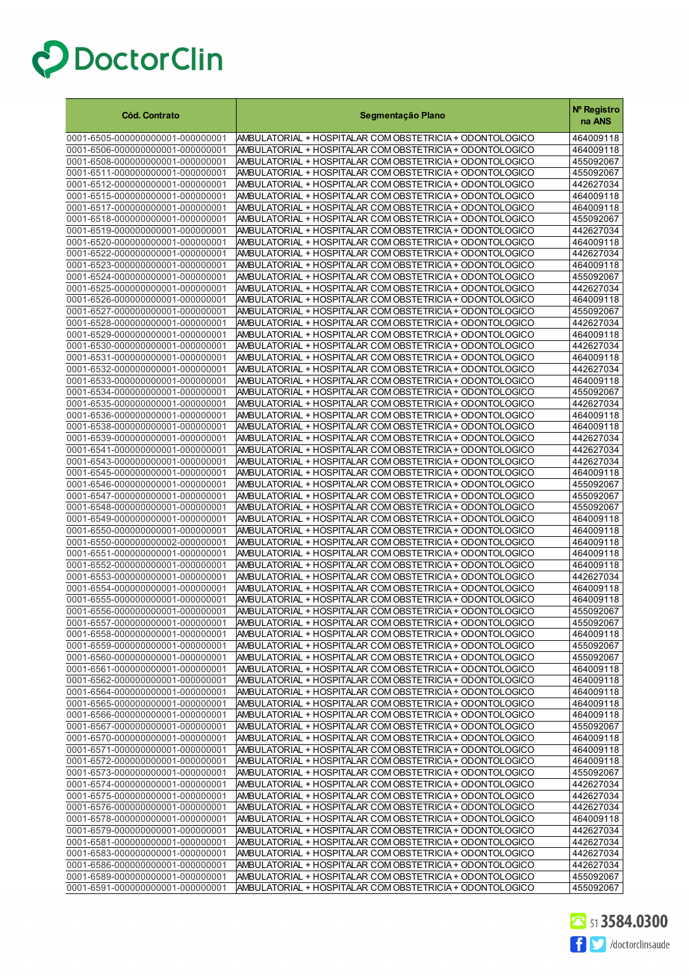| <b>Cód. Contrato</b>                                                 | Segmentação Plano                                                                                                    | Nº Registro<br>na ANS  |
|----------------------------------------------------------------------|----------------------------------------------------------------------------------------------------------------------|------------------------|
| 0001-6505-000000000001-0000000001                                    | AMBULATORIAL + HOSPITALAR COM OBSTETRICIA + ODONTOLOGICO                                                             | 464009118              |
| 0001-6506-000000000001-000000001                                     | AMBULATORIAL + HOSPITALAR COM OBSTETRICIA + ODONTOLOGICO                                                             | 464009118              |
| 0001-6508-000000000001-000000001                                     | AMBULATORIAL + HOSPITALAR COM OBSTETRICIA + ODONTOLOGICO                                                             | 455092067              |
| 0001-6511-000000000001-000000001                                     | AMBULATORIAL + HOSPITALAR COM OBSTETRICIA + ODONTOLOGICO                                                             | 455092067              |
| 0001-6512-000000000001-000000001                                     | AMBULATORIAL + HOSPITALAR COM OBSTETRICIA + ODONTOLOGICO                                                             | 442627034              |
| 0001-6515-000000000001-000000001                                     | AMBULATORIAL + HOSPITALAR COM OBSTETRICIA + ODONTOLOGICO                                                             | 464009118              |
| 0001-6517-000000000001-000000001                                     | AMBULATORIAL + HOSPITALAR COM OBSTETRICIA + ODONTOLOGICO                                                             | 464009118              |
| 0001-6518-000000000001-000000001                                     | AMBULATORIAL + HOSPITALAR COM OBSTETRICIA + ODONTOLOGICO                                                             | 455092067              |
| 0001-6519-000000000001-000000001                                     | AMBULATORIAL + HOSPITALAR COM OBSTETRICIA + ODONTOLOGICO                                                             | 442627034              |
| 0001-6520-000000000001-000000001                                     | AMBULATORIAL + HOSPITALAR COM OBSTETRICIA + ODONTOLOGICO                                                             | 464009118              |
| 0001-6522-000000000001-000000001                                     | AMBULATORIAL + HOSPITALAR COM OBSTETRICIA + ODONTOLOGICO                                                             | 442627034              |
| 0001-6523-000000000001-000000001                                     | AMBULATORIAL + HOSPITALAR COM OBSTETRICIA + ODONTOLOGICO                                                             | 464009118              |
| 0001-6524-000000000001-000000001                                     | AMBULATORIAL + HOSPITALAR COM OBSTETRICIA + ODONTOLOGICO                                                             | 455092067              |
| 0001-6525-000000000001-000000001                                     | AMBULATORIAL + HOSPITALAR COM OBSTETRICIA + ODONTOLOGICO                                                             | 442627034              |
| 0001-6526-000000000001-000000001                                     | AMBULATORIAL + HOSPITALAR COM OBSTETRICIA + ODONTOLOGICO                                                             | 464009118              |
| 0001-6527-000000000001-000000001                                     | AMBULATORIAL + HOSPITALAR COM OBSTETRICIA + ODONTOLOGICO                                                             | 455092067              |
| 0001-6528-000000000001-000000001                                     | AMBULATORIAL + HOSPITALAR COM OBSTETRICIA + ODONTOLOGICO                                                             | 442627034              |
| 0001-6529-000000000001-000000001                                     | AMBULATORIAL + HOSPITALAR COM OBSTETRICIA + ODONTOLOGICO                                                             | 464009118              |
| 0001-6530-000000000001-000000001                                     | AMBULATORIAL + HOSPITALAR COM OBSTETRICIA + ODONTOLOGICO                                                             | 442627034              |
| 0001-6531-000000000001-000000001                                     | AMBULATORIAL + HOSPITALAR COM OBSTETRICIA + ODONTOLOGICO                                                             | 464009118              |
| 0001-6532-000000000001-000000001<br>0001-6533-000000000001-000000001 | AMBULATORIAL + HOSPITALAR COM OBSTETRICIA + ODONTOLOGICO<br>AMBULATORIAL + HOSPITALAR COM OBSTETRICIA + ODONTOLOGICO | 442627034<br>464009118 |
| 0001-6534-000000000001-000000001                                     |                                                                                                                      |                        |
| 0001-6535-000000000001-000000001                                     | AMBULATORIAL + HOSPITALAR COM OBSTETRICIA + ODONTOLOGICO<br>AMBULATORIAL + HOSPITALAR COM OBSTETRICIA + ODONTOLOGICO | 455092067<br>442627034 |
| 0001-6536-000000000001-000000001                                     | AMBULATORIAL + HOSPITALAR COM OBSTETRICIA + ODONTOLOGICO                                                             | 464009118              |
| 0001-6538-000000000001-000000001                                     | AMBULATORIAL + HOSPITALAR COM OBSTETRICIA + ODONTOLOGICO                                                             | 464009118              |
| 0001-6539-000000000001-000000001                                     | AMBULATORIAL + HOSPITALAR COM OBSTETRICIA + ODONTOLOGICO                                                             | 442627034              |
| 0001-6541-000000000001-000000001                                     | AMBULATORIAL + HOSPITALAR COM OBSTETRICIA + ODONTOLOGICO                                                             | 442627034              |
| 0001-6543-000000000001-000000001                                     | AMBULATORIAL + HOSPITALAR COM OBSTETRICIA + ODONTOLOGICO                                                             | 442627034              |
| 0001-6545-000000000001-000000001                                     | AMBULATORIAL + HOSPITALAR COM OBSTETRICIA + ODONTOLOGICO                                                             | 464009118              |
| 0001-6546-000000000001-000000001                                     | AMBULATORIAL + HOSPITALAR COM OBSTETRICIA + ODONTOLOGICO                                                             | 455092067              |
| 0001-6547-000000000001-000000001                                     | AMBULATORIAL + HOSPITALAR COM OBSTETRICIA + ODONTOLOGICO                                                             | 455092067              |
| 0001-6548-000000000001-000000001                                     | AMBULATORIAL + HOSPITALAR COM OBSTETRICIA + ODONTOLOGICO                                                             | 455092067              |
| 0001-6549-000000000001-000000001                                     | AMBULATORIAL + HOSPITALAR COM OBSTETRICIA + ODONTOLOGICO                                                             | 464009118              |
| 0001-6550-000000000001-000000001                                     | AMBULATORIAL + HOSPITALAR COM OBSTETRICIA + ODONTOLOGICO                                                             | 464009118              |
| 0001-6550-000000000002-000000001                                     | AMBULATORIAL + HOSPITALAR COM OBSTETRICIA + ODONTOLOGICO                                                             | 464009118              |
| 0001-6551-000000000001-000000001                                     | AMBULATORIAL + HOSPITALAR COM OBSTETRICIA + ODONTOLOGICO                                                             | 464009118              |
| 0001-6552-000000000001-000000001                                     | AMBULATORIAL + HOSPITALAR COM OBSTETRICIA + ODONTOLOGICO                                                             | 464009118              |
| 0001-6553-000000000001-000000001                                     | AMBULATORIAL + HOSPITALAR COM OBSTETRICIA + ODONTOLOGICO                                                             | 442627034              |
| 0001-6554-000000000001-000000001                                     | AMBULATORIAL + HOSPITALAR COM OBSTETRICIA + ODONTOLOGICO                                                             | 464009118              |
| 0001-6555-000000000001-000000001                                     | AMBULATORIAL + HOSPITALAR COM OBSTETRICIA + ODONTOLOGICO                                                             | 464009118              |
| 0001-6556-000000000001-000000001                                     | AMBULATORIAL + HOSPITALAR COM OBSTETRICIA + ODONTOLOGICO                                                             | 455092067              |
| 0001-6557-000000000001-000000001                                     | AMBULATORIAL + HOSPITALAR COM OBSTETRICIA + ODONTOLOGICO                                                             | 455092067              |
| 0001-6558-000000000001-000000001                                     | AMBULATORIAL + HOSPITALAR COM OBSTETRICIA + ODONTOLOGICO                                                             | 464009118              |
| 0001-6559-000000000001-000000001                                     | AMBULATORIAL + HOSPITALAR COM OBSTETRICIA + ODONTOLOGICO                                                             | 455092067              |
| 0001-6560-000000000001-000000001                                     | AMBULATORIAL + HOSPITALAR COM OBSTETRICIA + ODONTOLOGICO                                                             | 455092067              |
| 0001-6561-000000000001-000000001<br>0001-6562-000000000001-000000001 | AMBULATORIAL + HOSPITALAR COM OBSTETRICIA + ODONTOLOGICO<br>AMBULATORIAL + HOSPITALAR COM OBSTETRICIA + ODONTOLOGICO | 464009118<br>464009118 |
| 0001-6564-000000000001-000000001                                     | AMBULATORIAL + HOSPITALAR COM OBSTETRICIA + ODONTOLOGICO                                                             | 464009118              |
| 0001-6565-000000000001-000000001                                     | AMBULATORIAL + HOSPITALAR COM OBSTETRICIA + ODONTOLOGICO                                                             | 464009118              |
| 0001-6566-000000000001-000000001                                     | AMBULATORIAL + HOSPITALAR COM OBSTETRICIA + ODONTOLOGICO                                                             | 464009118              |
| 0001-6567-000000000001-000000001                                     | AMBULATORIAL + HOSPITALAR COM OBSTETRICIA + ODONTOLOGICO                                                             | 455092067              |
| 0001-6570-000000000001-000000001                                     | AMBULATORIAL + HOSPITALAR COM OBSTETRICIA + ODONTOLOGICO                                                             | 464009118              |
| 0001-6571-000000000001-000000001                                     | AMBULATORIAL + HOSPITALAR COM OBSTETRICIA + ODONTOLOGICO                                                             | 464009118              |
| 0001-6572-000000000001-000000001                                     | AMBULATORIAL + HOSPITALAR COM OBSTETRICIA + ODONTOLOGICO                                                             | 464009118              |
| 0001-6573-000000000001-000000001                                     | AMBULATORIAL + HOSPITALAR COM OBSTETRICIA + ODONTOLOGICO                                                             | 455092067              |
| 0001-6574-000000000001-000000001                                     | AMBULATORIAL + HOSPITALAR COM OBSTETRICIA + ODONTOLOGICO                                                             | 442627034              |
| 0001-6575-000000000001-000000001                                     | AMBULATORIAL + HOSPITALAR COM OBSTETRICIA + ODONTOLOGICO                                                             | 442627034              |
| 0001-6576-000000000001-000000001                                     | AMBULATORIAL + HOSPITALAR COM OBSTETRICIA + ODONTOLOGICO                                                             | 442627034              |
| 0001-6578-000000000001-000000001                                     | AMBULATORIAL + HOSPITALAR COM OBSTETRICIA + ODONTOLOGICO                                                             | 464009118              |
| 0001-6579-000000000001-000000001                                     | AMBULATORIAL + HOSPITALAR COM OBSTETRICIA + ODONTOLOGICO                                                             | 442627034              |
| 0001-6581-000000000001-000000001                                     | AMBULATORIAL + HOSPITALAR COM OBSTETRICIA + ODONTOLOGICO                                                             | 442627034              |
| 0001-6583-000000000001-000000001                                     | AMBULATORIAL + HOSPITALAR COM OBSTETRICIA + ODONTOLOGICO                                                             | 442627034              |
| 0001-6586-000000000001-000000001                                     | AMBULATORIAL + HOSPITALAR COM OBSTETRICIA + ODONTOLOGICO                                                             | 442627034              |
| 0001-6589-000000000001-000000001                                     | AMBULATORIAL + HOSPITALAR COM OBSTETRICIA + ODONTOLOGICO                                                             | 455092067              |
| 0001-6591-000000000001-000000001                                     | AMBULATORIAL + HOSPITALAR COM OBSTETRICIA + ODONTOLOGICO                                                             | 455092067              |

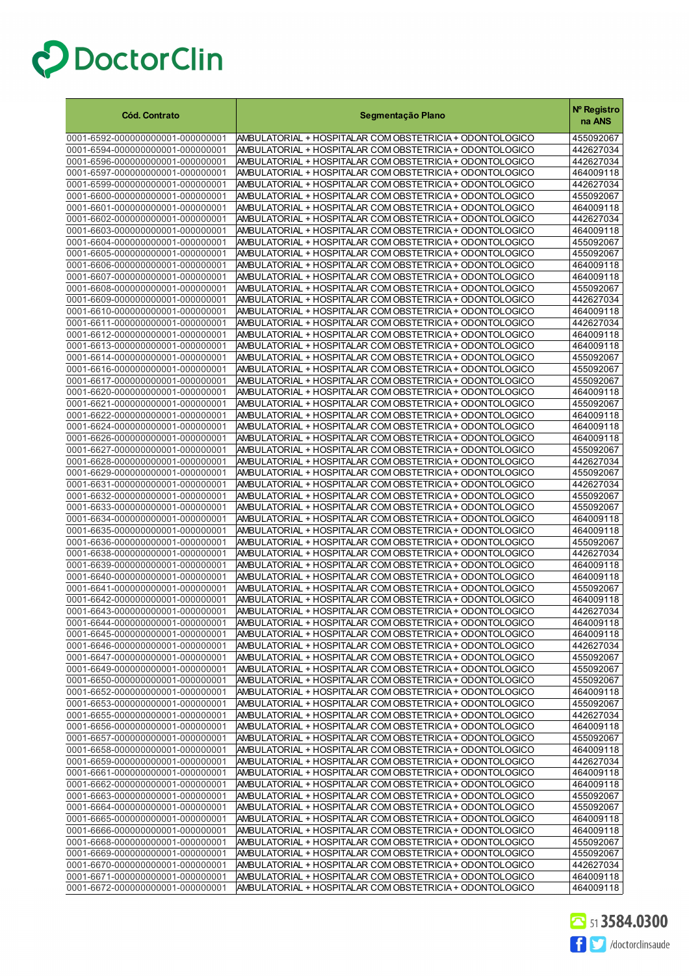| <b>Cód. Contrato</b>                                                 | Segmentação Plano                                                                                                    | Nº Registro<br>na ANS  |
|----------------------------------------------------------------------|----------------------------------------------------------------------------------------------------------------------|------------------------|
| 0001-6592-000000000001-000000001                                     | AMBULATORIAL + HOSPITALAR COM OBSTETRICIA + ODONTOLOGICO                                                             | 455092067              |
| 0001-6594-000000000001-000000001                                     | AMBULATORIAL + HOSPITALAR COM OBSTETRICIA + ODONTOLOGICO                                                             | 442627034              |
| 0001-6596-000000000001-000000001                                     | AMBULATORIAL + HOSPITALAR COM OBSTETRICIA + ODONTOLOGICO                                                             | 442627034              |
| 0001-6597-000000000001-000000001                                     | AMBULATORIAL + HOSPITALAR COM OBSTETRICIA + ODONTOLOGICO                                                             | 464009118              |
| 0001-6599-000000000001-000000001                                     | AMBULATORIAL + HOSPITALAR COM OBSTETRICIA + ODONTOLOGICO                                                             | 442627034              |
| 0001-6600-000000000001-000000001                                     | AMBULATORIAL + HOSPITALAR COM OBSTETRICIA + ODONTOLOGICO                                                             | 455092067              |
| 0001-6601-000000000001-000000001                                     | AMBULATORIAL + HOSPITALAR COM OBSTETRICIA + ODONTOLOGICO                                                             | 464009118              |
| 0001-6602-000000000001-000000001                                     | AMBULATORIAL + HOSPITALAR COM OBSTETRICIA + ODONTOLOGICO                                                             | 442627034              |
| 0001-6603-000000000001-000000001                                     | AMBULATORIAL + HOSPITALAR COM OBSTETRICIA + ODONTOLOGICO                                                             | 464009118              |
| 0001-6604-000000000001-000000001                                     | AMBULATORIAL + HOSPITALAR COM OBSTETRICIA + ODONTOLOGICO                                                             | 455092067              |
| 0001-6605-000000000001-000000001                                     | AMBULATORIAL + HOSPITALAR COM OBSTETRICIA + ODONTOLOGICO                                                             | 455092067              |
| 0001-6606-000000000001-000000001                                     | AMBULATORIAL + HOSPITALAR COM OBSTETRICIA + ODONTOLOGICO                                                             | 464009118              |
| 0001-6607-000000000001-000000001                                     | AMBULATORIAL + HOSPITALAR COM OBSTETRICIA + ODONTOLOGICO                                                             | 464009118              |
| 0001-6608-000000000001-000000001                                     | AMBULATORIAL + HOSPITALAR COM OBSTETRICIA + ODONTOLOGICO                                                             | 455092067              |
| 0001-6609-000000000001-000000001                                     | AMBULATORIAL + HOSPITALAR COM OBSTETRICIA + ODONTOLOGICO                                                             | 442627034              |
| 0001-6610-000000000001-000000001                                     | AMBULATORIAL + HOSPITALAR COM OBSTETRICIA + ODONTOLOGICO                                                             | 464009118              |
| 0001-6611-000000000001-000000001                                     | AMBULATORIAL + HOSPITALAR COM OBSTETRICIA + ODONTOLOGICO                                                             | 442627034              |
| 0001-6612-000000000001-000000001                                     | AMBULATORIAL + HOSPITALAR COM OBSTETRICIA + ODONTOLOGICO                                                             | 464009118              |
| 0001-6613-000000000001-000000001                                     | AMBULATORIAL + HOSPITALAR COM OBSTETRICIA + ODONTOLOGICO                                                             | 464009118              |
| 0001-6614-000000000001-000000001                                     | AMBULATORIAL + HOSPITALAR COM OBSTETRICIA + ODONTOLOGICO                                                             | 455092067              |
| 0001-6616-000000000001-000000001                                     | AMBULATORIAL + HOSPITALAR COM OBSTETRICIA + ODONTOLOGICO                                                             | 455092067              |
| 0001-6617-000000000001-000000001                                     | AMBULATORIAL + HOSPITALAR COM OBSTETRICIA + ODONTOLOGICO                                                             | 455092067              |
| 0001-6620-000000000001-000000001                                     | AMBULATORIAL + HOSPITALAR COM OBSTETRICIA + ODONTOLOGICO                                                             | 464009118              |
| 0001-6621-000000000001-000000001                                     | AMBULATORIAL + HOSPITALAR COM OBSTETRICIA + ODONTOLOGICO                                                             | 455092067              |
| 0001-6622-000000000001-000000001                                     | AMBULATORIAL + HOSPITALAR COM OBSTETRICIA + ODONTOLOGICO                                                             | 464009118              |
| 0001-6624-000000000001-000000001<br>0001-6626-000000000001-000000001 | AMBULATORIAL + HOSPITALAR COM OBSTETRICIA + ODONTOLOGICO<br>AMBULATORIAL + HOSPITALAR COM OBSTETRICIA + ODONTOLOGICO | 464009118<br>464009118 |
| 0001-6627-000000000001-000000001                                     | AMBULATORIAL + HOSPITALAR COM OBSTETRICIA + ODONTOLOGICO                                                             | 455092067              |
| 0001-6628-000000000001-000000001                                     | AMBULATORIAL + HOSPITALAR COM OBSTETRICIA + ODONTOLOGICO                                                             | 442627034              |
| 0001-6629-000000000001-000000001                                     | AMBULATORIAL + HOSPITALAR COM OBSTETRICIA + ODONTOLOGICO                                                             | 455092067              |
| 0001-6631-000000000001-000000001                                     | AMBULATORIAL + HOSPITALAR COM OBSTETRICIA + ODONTOLOGICO                                                             | 442627034              |
| 0001-6632-000000000001-000000001                                     | AMBULATORIAL + HOSPITALAR COM OBSTETRICIA + ODONTOLOGICO                                                             | 455092067              |
| 0001-6633-000000000001-000000001                                     | AMBULATORIAL + HOSPITALAR COM OBSTETRICIA + ODONTOLOGICO                                                             | 455092067              |
| 0001-6634-000000000001-000000001                                     | AMBULATORIAL + HOSPITALAR COM OBSTETRICIA + ODONTOLOGICO                                                             | 464009118              |
| 0001-6635-000000000001-000000001                                     | AMBULATORIAL + HOSPITALAR COM OBSTETRICIA + ODONTOLOGICO                                                             | 464009118              |
| 0001-6636-000000000001-000000001                                     | AMBULATORIAL + HOSPITALAR COM OBSTETRICIA + ODONTOLOGICO                                                             | 455092067              |
| 0001-6638-000000000001-000000001                                     | AMBULATORIAL + HOSPITALAR COM OBSTETRICIA + ODONTOLOGICO                                                             | 442627034              |
| 0001-6639-000000000001-000000001                                     | AMBULATORIAL + HOSPITALAR COM OBSTETRICIA + ODONTOLOGICO                                                             | 464009118              |
| 0001-6640-000000000001-000000001                                     | AMBULATORIAL + HOSPITALAR COM OBSTETRICIA + ODONTOLOGICO                                                             | 464009118              |
| 0001-6641-000000000001-000000001                                     | AMBULATORIAL + HOSPITALAR COM OBSTETRICIA + ODONTOLOGICO                                                             | 455092067              |
| 0001-6642-000000000001-000000001                                     | AMBULATORIAL + HOSPITALAR COM OBSTETRICIA + ODONTOLOGICO                                                             | 464009118              |
| 0001-6643-000000000001-000000001                                     | AMBULATORIAL + HOSPITALAR COM OBSTETRICIA + ODONTOLOGICO                                                             | 442627034              |
| 0001-6644-000000000001-000000001                                     | AMBULATORIAL + HOSPITALAR COM OBSTETRICIA + ODONTOLOGICO                                                             | 464009118              |
| 0001-6645-000000000001-000000001                                     | AMBULATORIAL + HOSPITALAR COM OBSTETRICIA + ODONTOLOGICO                                                             | 464009118              |
| 0001-6646-000000000001-000000001                                     | AMBULATORIAL + HOSPITALAR COM OBSTETRICIA + ODONTOLOGICO                                                             | 442627034              |
| 0001-6647-000000000001-000000001                                     | AMBULATORIAL + HOSPITALAR COM OBSTETRICIA + ODONTOLOGICO                                                             | 455092067              |
| 0001-6649-000000000001-000000001                                     | AMBULATORIAL + HOSPITALAR COM OBSTETRICIA + ODONTOLOGICO                                                             | 455092067              |
| 0001-6650-000000000001-000000001                                     | AMBULATORIAL + HOSPITALAR COM OBSTETRICIA + ODONTOLOGICO                                                             | 455092067              |
| 0001-6652-000000000001-000000001                                     | AMBULATORIAL + HOSPITALAR COM OBSTETRICIA + ODONTOLOGICO                                                             | 464009118              |
| 0001-6653-000000000001-000000001                                     | AMBULATORIAL + HOSPITALAR COM OBSTETRICIA + ODONTOLOGICO                                                             | 455092067              |
| 0001-6655-000000000001-000000001                                     | AMBULATORIAL + HOSPITALAR COM OBSTETRICIA + ODONTOLOGICO                                                             | 442627034              |
| 0001-6656-000000000001-000000001                                     | AMBULATORIAL + HOSPITALAR COM OBSTETRICIA + ODONTOLOGICO                                                             | 464009118              |
| 0001-6657-000000000001-000000001                                     | AMBULATORIAL + HOSPITALAR COM OBSTETRICIA + ODONTOLOGICO                                                             | 455092067              |
| 0001-6658-000000000001-000000001<br>0001-6659-000000000001-000000001 | AMBULATORIAL + HOSPITALAR COM OBSTETRICIA + ODONTOLOGICO<br>AMBULATORIAL + HOSPITALAR COM OBSTETRICIA + ODONTOLOGICO | 464009118              |
| 0001-6661-000000000001-000000001                                     | AMBULATORIAL + HOSPITALAR COM OBSTETRICIA + ODONTOLOGICO                                                             | 442627034<br>464009118 |
| 0001-6662-000000000001-000000001                                     | AMBULATORIAL + HOSPITALAR COM OBSTETRICIA + ODONTOLOGICO                                                             | 464009118              |
| 0001-6663-000000000001-000000001                                     | AMBULATORIAL + HOSPITALAR COM OBSTETRICIA + ODONTOLOGICO                                                             | 455092067              |
| 0001-6664-000000000001-000000001                                     | AMBULATORIAL + HOSPITALAR COM OBSTETRICIA + ODONTOLOGICO                                                             | 455092067              |
| 0001-6665-000000000001-000000001                                     | AMBULATORIAL + HOSPITALAR COM OBSTETRICIA + ODONTOLOGICO                                                             | 464009118              |
| 0001-6666-000000000001-000000001                                     | AMBULATORIAL + HOSPITALAR COM OBSTETRICIA + ODONTOLOGICO                                                             | 464009118              |
| 0001-6668-000000000001-000000001                                     | AMBULATORIAL + HOSPITALAR COM OBSTETRICIA + ODONTOLOGICO                                                             | 455092067              |
| 0001-6669-000000000001-000000001                                     | AMBULATORIAL + HOSPITALAR COM OBSTETRICIA + ODONTOLOGICO                                                             | 455092067              |
| 0001-6670-000000000001-000000001                                     | AMBULATORIAL + HOSPITALAR COM OBSTETRICIA + ODONTOLOGICO                                                             | 442627034              |
| 0001-6671-000000000001-000000001                                     | AMBULATORIAL + HOSPITALAR COM OBSTETRICIA + ODONTOLOGICO                                                             | 464009118              |
| 0001-6672-000000000001-000000001                                     | AMBULATORIAL + HOSPITALAR COM OBSTETRICIA + ODONTOLOGICO                                                             | 464009118              |

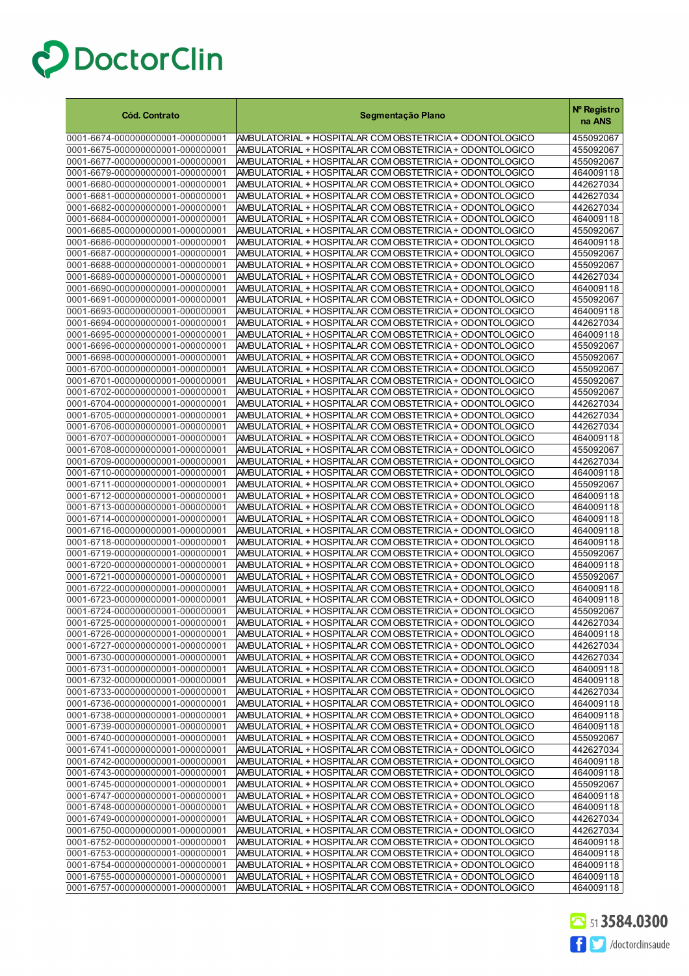| <b>Cód. Contrato</b>                                                 | Segmentação Plano                                                                                                    | Nº Registro<br>na ANS  |
|----------------------------------------------------------------------|----------------------------------------------------------------------------------------------------------------------|------------------------|
| 0001-6674-000000000001-000000001                                     | AMBULATORIAL + HOSPITALAR COM OBSTETRICIA + ODONTOLOGICO                                                             | 455092067              |
| 0001-6675-000000000001-000000001                                     | AMBULATORIAL + HOSPITALAR COM OBSTETRICIA + ODONTOLOGICO                                                             | 455092067              |
| 0001-6677-000000000001-000000001                                     | AMBULATORIAL + HOSPITALAR COM OBSTETRICIA + ODONTOLOGICO                                                             | 455092067              |
| 0001-6679-000000000001-000000001                                     | AMBULATORIAL + HOSPITALAR COM OBSTETRICIA + ODONTOLOGICO                                                             | 464009118              |
| 0001-6680-000000000001-000000001                                     | AMBULATORIAL + HOSPITALAR COM OBSTETRICIA + ODONTOLOGICO                                                             | 442627034              |
| 0001-6681-000000000001-000000001                                     | AMBULATORIAL + HOSPITALAR COM OBSTETRICIA + ODONTOLOGICO                                                             | 442627034              |
| 0001-6682-000000000001-000000001<br>0001-6684-000000000001-000000001 | AMBULATORIAL + HOSPITALAR COM OBSTETRICIA + ODONTOLOGICO<br>AMBULATORIAL + HOSPITALAR COM OBSTETRICIA + ODONTOLOGICO | 442627034<br>464009118 |
| 0001-6685-000000000001-000000001                                     | AMBULATORIAL + HOSPITALAR COM OBSTETRICIA + ODONTOLOGICO                                                             | 455092067              |
| 0001-6686-000000000001-000000001                                     | AMBULATORIAL + HOSPITALAR COM OBSTETRICIA + ODONTOLOGICO                                                             | 464009118              |
| 0001-6687-000000000001-000000001                                     | AMBULATORIAL + HOSPITALAR COM OBSTETRICIA + ODONTOLOGICO                                                             | 455092067              |
| 0001-6688-000000000001-000000001                                     | AMBULATORIAL + HOSPITALAR COM OBSTETRICIA + ODONTOLOGICO                                                             | 455092067              |
| 0001-6689-000000000001-000000001                                     | AMBULATORIAL + HOSPITALAR COM OBSTETRICIA + ODONTOLOGICO                                                             | 442627034              |
| 0001-6690-000000000001-000000001                                     | AMBULATORIAL + HOSPITALAR COM OBSTETRICIA + ODONTOLOGICO                                                             | 464009118              |
| 0001-6691-000000000001-000000001                                     | AMBULATORIAL + HOSPITALAR COM OBSTETRICIA + ODONTOLOGICO                                                             | 455092067              |
| 0001-6693-000000000001-000000001                                     | AMBULATORIAL + HOSPITALAR COM OBSTETRICIA + ODONTOLOGICO                                                             | 464009118              |
| 0001-6694-000000000001-000000001<br>0001-6695-000000000001-000000001 | AMBULATORIAL + HOSPITALAR COM OBSTETRICIA + ODONTOLOGICO                                                             | 442627034              |
| 0001-6696-000000000001-000000001                                     | AMBULATORIAL + HOSPITALAR COM OBSTETRICIA + ODONTOLOGICO<br>AMBULATORIAL + HOSPITALAR COM OBSTETRICIA + ODONTOLOGICO | 464009118<br>455092067 |
| 0001-6698-000000000001-000000001                                     | AMBULATORIAL + HOSPITALAR COM OBSTETRICIA + ODONTOLOGICO                                                             | 455092067              |
| 0001-6700-000000000001-000000001                                     | AMBULATORIAL + HOSPITALAR COM OBSTETRICIA + ODONTOLOGICO                                                             | 455092067              |
| 0001-6701-000000000001-000000001                                     | AMBULATORIAL + HOSPITALAR COM OBSTETRICIA + ODONTOLOGICO                                                             | 455092067              |
| 0001-6702-000000000001-000000001                                     | AMBULATORIAL + HOSPITALAR COM OBSTETRICIA + ODONTOLOGICO                                                             | 455092067              |
| 0001-6704-000000000001-000000001                                     | AMBULATORIAL + HOSPITALAR COM OBSTETRICIA + ODONTOLOGICO                                                             | 442627034              |
| 0001-6705-000000000001-000000001                                     | AMBULATORIAL + HOSPITALAR COM OBSTETRICIA + ODONTOLOGICO                                                             | 442627034              |
| 0001-6706-000000000001-000000001                                     | AMBULATORIAL + HOSPITALAR COM OBSTETRICIA + ODONTOLOGICO                                                             | 442627034              |
| 0001-6707-000000000001-000000001                                     | AMBULATORIAL + HOSPITALAR COM OBSTETRICIA + ODONTOLOGICO                                                             | 464009118              |
| 0001-6708-000000000001-000000001<br>0001-6709-000000000001-000000001 | AMBULATORIAL + HOSPITALAR COM OBSTETRICIA + ODONTOLOGICO<br>AMBULATORIAL + HOSPITALAR COM OBSTETRICIA + ODONTOLOGICO | 455092067<br>442627034 |
| 0001-6710-000000000001-000000001                                     | AMBULATORIAL + HOSPITALAR COM OBSTETRICIA + ODONTOLOGICO                                                             | 464009118              |
| 0001-6711-000000000001-000000001                                     | AMBULATORIAL + HOSPITALAR COM OBSTETRICIA + ODONTOLOGICO                                                             | 455092067              |
| 0001-6712-000000000001-000000001                                     | AMBULATORIAL + HOSPITALAR COM OBSTETRICIA + ODONTOLOGICO                                                             | 464009118              |
| 0001-6713-000000000001-000000001                                     | AMBULATORIAL + HOSPITALAR COM OBSTETRICIA + ODONTOLOGICO                                                             | 464009118              |
| 0001-6714-000000000001-000000001                                     | AMBULATORIAL + HOSPITALAR COM OBSTETRICIA + ODONTOLOGICO                                                             | 464009118              |
| 0001-6716-000000000001-000000001                                     | AMBULATORIAL + HOSPITALAR COM OBSTETRICIA + ODONTOLOGICO                                                             | 464009118              |
| 0001-6718-000000000001-000000001                                     | AMBULATORIAL + HOSPITALAR COM OBSTETRICIA + ODONTOLOGICO                                                             | 464009118              |
| 0001-6719-000000000001-000000001                                     | AMBULATORIAL + HOSPITALAR COM OBSTETRICIA + ODONTOLOGICO                                                             | 455092067              |
| 0001-6720-000000000001-000000001<br>0001-6721-000000000001-000000001 | AMBULATORIAL + HOSPITALAR COM OBSTETRICIA + ODONTOLOGICO<br>AMBULATORIAL + HOSPITALAR COM OBSTETRICIA + ODONTOLOGICO | 464009118<br>455092067 |
| 0001-6722-000000000001-000000001                                     | AMBULATORIAL + HOSPITALAR COM OBSTETRICIA + ODONTOLOGICO                                                             | 464009118              |
| 0001-6723-000000000001-000000001                                     | AMBULATORIAL + HOSPITALAR COM OBSTETRICIA + ODONTOLOGICO                                                             | 464009118              |
| 0001-6724-000000000001-000000001                                     | AMBULATORIAL + HOSPITALAR COM OBSTETRICIA + ODONTOLOGICO                                                             | 455092067              |
| 0001-6725-000000000001-000000001                                     | AMBULATORIAL + HOSPITALAR COM OBSTETRICIA + ODONTOLOGICO                                                             | 442627034              |
| 0001-6726-000000000001-000000001                                     | AMBULATORIAL + HOSPITALAR COM OBSTETRICIA + ODONTOLOGICO                                                             | 464009118              |
| 0001-6727-000000000001-000000001                                     | AMBULATORIAL + HOSPITALAR COM OBSTETRICIA + ODONTOLOGICO                                                             | 442627034              |
| 0001-6730-000000000001-000000001                                     | AMBULATORIAL + HOSPITALAR COM OBSTETRICIA + ODONTOLOGICO                                                             | 442627034              |
| 0001-6731-000000000001-000000001                                     | AMBULATORIAL + HOSPITALAR COM OBSTETRICIA + ODONTOLOGICO                                                             | 464009118              |
| 0001-6732-000000000001-000000001<br>0001-6733-000000000001-000000001 | AMBULATORIAL + HOSPITALAR COM OBSTETRICIA + ODONTOLOGICO<br>AMBULATORIAL + HOSPITALAR COM OBSTETRICIA + ODONTOLOGICO | 464009118<br>442627034 |
| 0001-6736-000000000001-000000001                                     | AMBULATORIAL + HOSPITALAR COM OBSTETRICIA + ODONTOLOGICO                                                             | 464009118              |
| 0001-6738-000000000001-000000001                                     | AMBULATORIAL + HOSPITALAR COM OBSTETRICIA + ODONTOLOGICO                                                             | 464009118              |
| 0001-6739-000000000001-000000001                                     | AMBULATORIAL + HOSPITALAR COM OBSTETRICIA + ODONTOLOGICO                                                             | 464009118              |
| 0001-6740-000000000001-000000001                                     | AMBULATORIAL + HOSPITALAR COM OBSTETRICIA + ODONTOLOGICO                                                             | 455092067              |
| 0001-6741-000000000001-000000001                                     | AMBULATORIAL + HOSPITALAR COM OBSTETRICIA + ODONTOLOGICO                                                             | 442627034              |
| 0001-6742-000000000001-000000001                                     | AMBULATORIAL + HOSPITALAR COM OBSTETRICIA + ODONTOLOGICO                                                             | 464009118              |
| 0001-6743-000000000001-000000001                                     | AMBULATORIAL + HOSPITALAR COM OBSTETRICIA + ODONTOLOGICO                                                             | 464009118              |
| 0001-6745-000000000001-000000001                                     | AMBULATORIAL + HOSPITALAR COM OBSTETRICIA + ODONTOLOGICO                                                             | 455092067              |
| 0001-6747-000000000001-000000001<br>0001-6748-000000000001-000000001 | AMBULATORIAL + HOSPITALAR COM OBSTETRICIA + ODONTOLOGICO<br>AMBULATORIAL + HOSPITALAR COM OBSTETRICIA + ODONTOLOGICO | 464009118<br>464009118 |
| 0001-6749-000000000001-000000001                                     | AMBULATORIAL + HOSPITALAR COM OBSTETRICIA + ODONTOLOGICO                                                             | 442627034              |
| 0001-6750-000000000001-000000001                                     | AMBULATORIAL + HOSPITALAR COM OBSTETRICIA + ODONTOLOGICO                                                             | 442627034              |
| 0001-6752-000000000001-000000001                                     | AMBULATORIAL + HOSPITALAR COM OBSTETRICIA + ODONTOLOGICO                                                             | 464009118              |
| 0001-6753-000000000001-000000001                                     | AMBULATORIAL + HOSPITALAR COM OBSTETRICIA + ODONTOLOGICO                                                             | 464009118              |
| 0001-6754-000000000001-000000001                                     | AMBULATORIAL + HOSPITALAR COM OBSTETRICIA + ODONTOLOGICO                                                             | 464009118              |
| 0001-6755-000000000001-000000001                                     | AMBULATORIAL + HOSPITALAR COM OBSTETRICIA + ODONTOLOGICO                                                             | 464009118              |
| 0001-6757-000000000001-000000001                                     | AMBULATORIAL + HOSPITALAR COM OBSTETRICIA + ODONTOLOGICO                                                             | 464009118              |